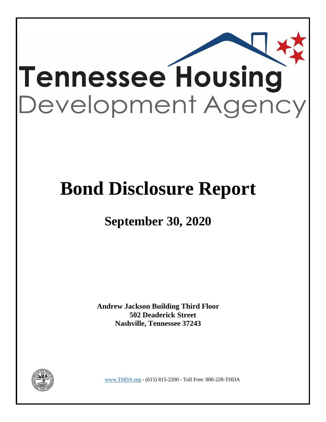

# **Bond Disclosure Report**

## **September 30, 2020**

**Andrew Jackson Building Third Floor 502 Deaderick Street Nashville, Tennessee 37243** 



www.THDA.org - (615) 815-2200 - Toll Free: 800-228-THDA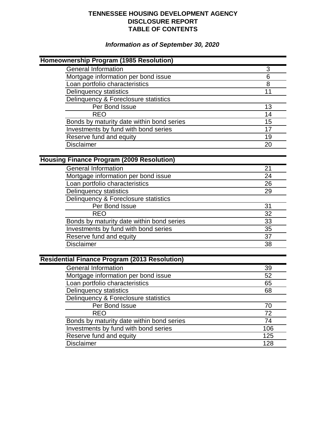## **TENNESSEE HOUSING DEVELOPMENT AGENCY DISCLOSURE REPORT TABLE OF CONTENTS**

## *Information as of September 30, 2020*

| Homeownership Program (1985 Resolution)              |     |
|------------------------------------------------------|-----|
| <b>General Information</b>                           | 3   |
| Mortgage information per bond issue                  | 6   |
| Loan portfolio characteristics                       | 8   |
| <b>Delinquency statistics</b>                        | 11  |
| Delinquency & Foreclosure statistics                 |     |
| Per Bond Issue                                       | 13  |
| <b>REO</b>                                           | 14  |
| Bonds by maturity date within bond series            | 15  |
| Investments by fund with bond series                 | 17  |
| Reserve fund and equity                              | 19  |
| Disclaimer                                           | 20  |
|                                                      |     |
| <b>Housing Finance Program (2009 Resolution)</b>     |     |
| <b>General Information</b>                           | 21  |
| Mortgage information per bond issue                  | 24  |
| Loan portfolio characteristics                       | 26  |
| <b>Delinquency statistics</b>                        | 29  |
| Delinquency & Foreclosure statistics                 |     |
| Per Bond Issue                                       | 31  |
| <b>REO</b>                                           | 32  |
| Bonds by maturity date within bond series            | 33  |
| Investments by fund with bond series                 | 35  |
| Reserve fund and equity                              | 37  |
| <b>Disclaimer</b>                                    | 38  |
|                                                      |     |
| <b>Residential Finance Program (2013 Resolution)</b> |     |
| <b>General Information</b>                           | 39  |
| Mortgage information per bond issue                  | 52  |
| Loan portfolio characteristics                       | 65  |
| <b>Delinquency statistics</b>                        | 68  |
| Delinquency & Foreclosure statistics                 |     |
| Per Bond Issue                                       | 70  |
| <b>REO</b>                                           | 72  |
| Bonds by maturity date within bond series            | 74  |
| Investments by fund with bond series                 | 106 |
| Reserve fund and equity                              | 125 |
| <b>Disclaimer</b>                                    | 128 |
|                                                      |     |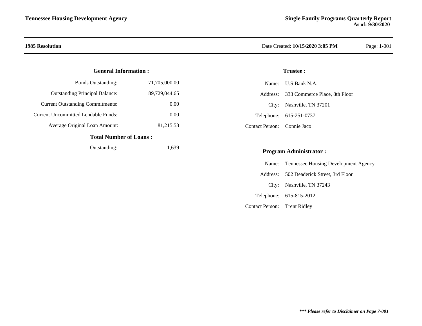### **General Information :**

| Total Number of Loans :                    |               |
|--------------------------------------------|---------------|
| Average Original Loan Amount:              | 81,215.58     |
| <b>Current Uncommitted Lendable Funds:</b> | 0.00          |
| <b>Current Outstanding Commitments:</b>    | 0.00          |
| <b>Outstanding Principal Balance:</b>      | 89.729.044.65 |
| <b>Bonds Outstanding:</b>                  | 71,705,000.00 |

### **Total Number of Loans**

| Outstanding: | 1,639 |
|--------------|-------|
|--------------|-------|

### **1985 Resolution** Date Created: **10/15/2020 3:05 PM** Page: 1-001

### **Trustee :**

|                             | Name: U.S Bank N.A.                    |
|-----------------------------|----------------------------------------|
|                             | Address: 333 Commerce Place, 8th Floor |
|                             | City: Nashville, TN 37201              |
|                             | Telephone: 615-251-0737                |
| Contact Person: Connie Jaco |                                        |

### **Program Administrator :**

|                              | Name: Tennessee Housing Development Agency |
|------------------------------|--------------------------------------------|
|                              | Address: 502 Deaderick Street, 3rd Floor   |
|                              | City: Nashville, TN 37243                  |
|                              | Telephone: 615-815-2012                    |
| Contact Person: Trent Ridley |                                            |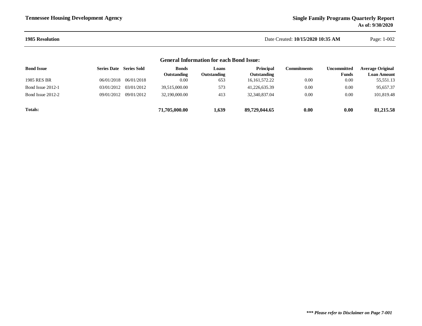### **1985 Resolution**

 Date Created: **10/15/2020 10:35 AM**Page: 1-002

### **Bond Issue Series Sold LoansSeries Date BondsOutstanding Commitments**1985 RES BR 06/01/2018 653 0.0006/01/2018 0.00 16,161,572.22 0.00 55,551.13  $0.00\,$ Bond Issue 2012-1 03/01/2012 03/01/2012 39,515,000.00 573 41,226,635.39 0.00 0.00 95,657.37  $0.00\,$ Bond Issue 2012-2 09/01/2012 09/01/2012 32,190,000.00 413 32,340,837.04 0.00 0.00 101,819.48 **Totals: 71,705,000.00 89,729,044.65 0.00 81,215.58 1,639 0.00 General Information for each Bond Issue: Outstanding Principal Outstanding**<br>16,161,572.22 **UncommittedFundsAverage Original Loan Amount**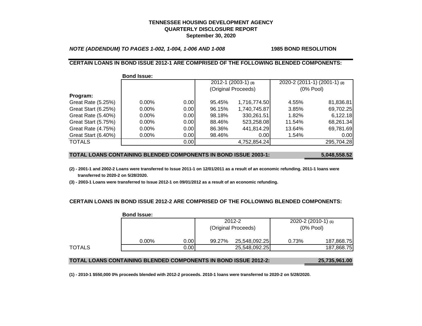### **TENNESSEE HOUSING DEVELOPMENT AGENCYQUARTERLY DISCLOSURE REPORTSeptember 30, 2020**

*NOTE (ADDENDUM) TO PAGES 1-002, 1-004, 1-006 AND 1-008* **1985 BOND RESOLUTION**

### **CERTAIN LOANS IN BOND ISSUE 2012-1 ARE COMPRISED OF THE FOLLOWING BLENDED COMPONENTS:**

|                     | <b>Bond Issue:</b> |       |                         |              |        |                              |
|---------------------|--------------------|-------|-------------------------|--------------|--------|------------------------------|
|                     |                    |       | $2012 - 1$ (2003-1) (3) |              |        | 2020-2 (2011-1) (2001-1) (2) |
|                     |                    |       | (Original Proceeds)     |              |        | $(0%$ Pool)                  |
| Program:            |                    |       |                         |              |        |                              |
| Great Rate (5.25%)  | $0.00\%$           | 0.001 | 95.45%                  | 1,716,774.50 | 4.55%  | 81,836.81                    |
| Great Start (6.25%) | $0.00\%$           | 0.00  | 96.15%                  | 1,740,745.87 | 3.85%  | 69,702.25                    |
| Great Rate (5.40%)  | $0.00\%$           | 0.00  | 98.18%                  | 330,261.51   | 1.82%  | 6,122.18                     |
| Great Start (5.75%) | $0.00\%$           | 0.00  | 88.46%                  | 523,258.08   | 11.54% | 68,261.34                    |
| Great Rate (4.75%)  | $0.00\%$           | 0.00  | 86.36%                  | 441,814.29   | 13.64% | 69,781.69                    |
| Great Start (6.40%) | $0.00\%$           | 0.00  | 98.46%                  | 0.00         | 1.54%  | 0.00                         |
| <b>TOTALS</b>       |                    | 0.00  |                         | 4,752,854.24 |        | 295,704.28                   |

### **TOTAL LOANS CONTAINING BLENDED COMPONENTS IN BOND ISSUE 2003-1: 5,048,558.52**

**(2) - 2001-1 and 2002-2 Loans were transferred to Issue 2011-1 on 12/01/2011 as a result of an economic refunding. 2011-1 loans were transferred to 2020-2 on 5/28/2020.**

**(3) - 2003-1 Loans were transferred to Issue 2012-1 on 09/01/2012 as a result of an economic refunding.**

### **CERTAIN LOANS IN BOND ISSUE 2012-2 ARE COMPRISED OF THE FOLLOWING BLENDED COMPONENTS:**

|        | <b>Bond Issue:</b> |      |                     |               |                          |            |
|--------|--------------------|------|---------------------|---------------|--------------------------|------------|
|        |                    |      |                     | 2012-2        | $2020 - 2(2010 - 1)$ (1) |            |
|        |                    |      | (Original Proceeds) |               | $(0%$ Pool)              |            |
|        | $0.00\%$           | 0.00 | 99.27%              | 25,548,092.25 | 0.73%                    | 187,868.75 |
| TOTALS |                    | 0.00 |                     | 25,548,092.25 |                          | 187,868.75 |

### **TOTAL LOANS CONTAINING BLENDED COMPONENTS IN BOND ISSUE 2012-2: 25,735,961.00**

**(1) - 2010-1 \$550,000 0% proceeds blended with 2012-2 proceeds. 2010-1 loans were transferred to 2020-2 on 5/28/2020.**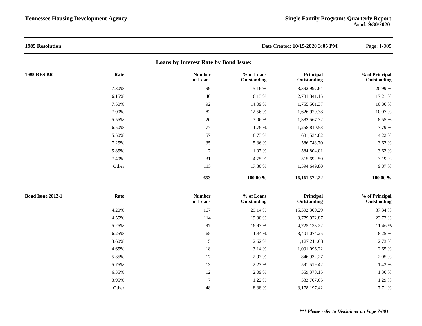| <b>1985 Resolution</b>                |       |                           |                           | Date Created: 10/15/2020 3:05 PM | Page: 1-005                   |  |  |
|---------------------------------------|-------|---------------------------|---------------------------|----------------------------------|-------------------------------|--|--|
| Loans by Interest Rate by Bond Issue: |       |                           |                           |                                  |                               |  |  |
| <b>1985 RES BR</b>                    | Rate  | <b>Number</b><br>of Loans | % of Loans<br>Outstanding | Principal<br>Outstanding         | % of Principal<br>Outstanding |  |  |
|                                       | 7.30% | 99                        | 15.16%                    | 3,392,997.64                     | 20.99 %                       |  |  |
|                                       | 6.15% | 40                        | 6.13%                     | 2,781,341.15                     | 17.21 %                       |  |  |
|                                       | 7.50% | 92                        | 14.09 %                   | 1,755,501.37                     | 10.86 %                       |  |  |
|                                       | 7.00% | 82                        | 12.56 %                   | 1,626,929.38                     | 10.07 %                       |  |  |
|                                       | 5.55% | 20                        | 3.06 %                    | 1,382,567.32                     | 8.55 %                        |  |  |
|                                       | 6.50% | 77                        | 11.79 %                   | 1,258,810.53                     | 7.79 %                        |  |  |
|                                       | 5.50% | 57                        | 8.73 %                    | 681,534.82                       | 4.22 %                        |  |  |
|                                       | 7.25% | 35                        | 5.36 %                    | 586,743.70                       | 3.63 %                        |  |  |
|                                       | 5.85% | $\overline{7}$            | 1.07%                     | 584,804.01                       | 3.62 %                        |  |  |
|                                       | 7.40% | 31                        | 4.75 %                    | 515,692.50                       | 3.19%                         |  |  |
|                                       | Other | 113                       | 17.30 %                   | 1,594,649.80                     | 9.87%                         |  |  |
|                                       |       | 653                       | 100.00 %                  | 16,161,572.22                    | $100.00 \%$                   |  |  |
| <b>Bond Issue 2012-1</b>              | Rate  | <b>Number</b><br>of Loans | % of Loans<br>Outstanding | Principal<br>Outstanding         | % of Principal<br>Outstanding |  |  |
|                                       | 4.20% | 167                       | 29.14 %                   | 15,392,360.29                    | 37.34 %                       |  |  |
|                                       | 4.55% | 114                       | 19.90 %                   | 9,779,972.87                     | 23.72 %                       |  |  |
|                                       | 5.25% | 97                        | 16.93 %                   | 4,725,133.22                     | 11.46 %                       |  |  |
|                                       | 6.25% | 65                        | 11.34 %                   | 3,401,074.25                     | 8.25 %                        |  |  |
|                                       | 3.60% | 15                        | 2.62 %                    | 1,127,211.63                     | 2.73 %                        |  |  |
|                                       | 4.65% | 18                        | 3.14 %                    | 1,091,096.22                     | 2.65 %                        |  |  |
|                                       | 5.35% | 17                        | 2.97 %                    | 846,932.27                       | 2.05 %                        |  |  |
|                                       | 5.75% | 13                        | 2.27 %                    | 591,519.42                       | 1.43 %                        |  |  |
|                                       | 6.35% | 12                        | 2.09 %                    | 559,370.15                       | 1.36 %                        |  |  |
|                                       | 3.95% | $\overline{7}$            | 1.22 %                    | 533,767.65                       | 1.29 %                        |  |  |
|                                       | Other | 48                        | 8.38 %                    | 3,178,197.42                     | 7.71 %                        |  |  |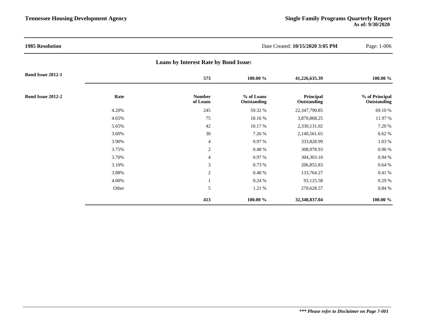| <b>1985 Resolution</b>   |       | Date Created: 10/15/2020 3:05 PM             |                           | Page: 1-006              |                               |
|--------------------------|-------|----------------------------------------------|---------------------------|--------------------------|-------------------------------|
|                          |       | <b>Loans by Interest Rate by Bond Issue:</b> |                           |                          |                               |
| <b>Bond Issue 2012-1</b> |       | 573                                          | 100.00 %                  | 41,226,635.39            | 100.00 %                      |
| Bond Issue 2012-2        | Rate  | <b>Number</b><br>of Loans                    | % of Loans<br>Outstanding | Principal<br>Outstanding | % of Principal<br>Outstanding |
|                          | 4.20% | 245                                          | 59.32 %                   | 22,347,790.85            | 69.10%                        |
|                          | 4.65% | 75                                           | 18.16 %                   | 3,870,868.25             | 11.97 %                       |
|                          | 5.65% | 42                                           | 10.17 %                   | 2,330,131.02             | 7.20 %                        |
|                          | 3.60% | 30                                           | 7.26 %                    | 2,140,561.65             | 6.62%                         |
|                          | 3.90% | $\overline{4}$                               | 0.97 %                    | 333,828.99               | $1.03~\%$                     |
|                          | 3.75% | 2                                            | $0.48~\%$                 | 308,978.93               | $0.96\,\%$                    |
|                          | 3.70% | $\overline{4}$                               | 0.97 %                    | 304,303.10               | 0.94%                         |
|                          | 3.10% | $\mathfrak{Z}$                               | 0.73%                     | 206,855.83               | 0.64%                         |
|                          | 3.88% | 2                                            | $0.48 \%$                 | 133,764.27               | $0.41~\%$                     |
|                          | 4.00% |                                              | 0.24%                     | 93,125.58                | 0.29 %                        |
|                          | Other | 5                                            | 1.21 %                    | 270,628.57               | 0.84 %                        |
|                          |       | 413                                          | 100.00 %                  | 32,340,837.04            | 100.00 %                      |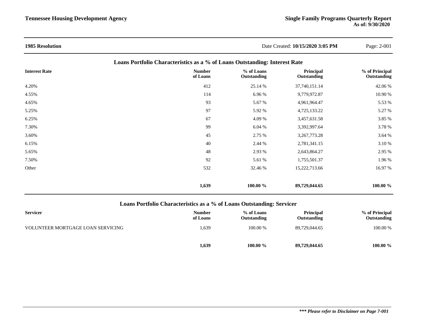| <b>1985 Resolution</b>                                                     |                           | Date Created: 10/15/2020 3:05 PM | Page: 2-001              |                               |  |  |
|----------------------------------------------------------------------------|---------------------------|----------------------------------|--------------------------|-------------------------------|--|--|
| Loans Portfolio Characteristics as a % of Loans Outstanding: Interest Rate |                           |                                  |                          |                               |  |  |
| <b>Interest Rate</b>                                                       | <b>Number</b><br>of Loans | % of Loans<br>Outstanding        | Principal<br>Outstanding | % of Principal<br>Outstanding |  |  |
| 4.20%                                                                      | 412                       | 25.14 %                          | 37,740,151.14            | 42.06 %                       |  |  |
| 4.55%                                                                      | 114                       | 6.96 %                           | 9,779,972.87             | 10.90 %                       |  |  |
| 4.65%                                                                      | 93                        | 5.67 %                           | 4,961,964.47             | 5.53 %                        |  |  |
| 5.25%                                                                      | 97                        | 5.92 %                           | 4,725,133.22             | 5.27 %                        |  |  |
| 6.25%                                                                      | 67                        | 4.09 %                           | 3,457,631.58             | 3.85 %                        |  |  |
| 7.30%                                                                      | 99                        | 6.04 %                           | 3,392,997.64             | 3.78 %                        |  |  |
| 3.60%                                                                      | 45                        | 2.75 %                           | 3,267,773.28             | 3.64 %                        |  |  |
| 6.15%                                                                      | 40                        | 2.44 %                           | 2,781,341.15             | 3.10 %                        |  |  |
| 5.65%                                                                      | 48                        | 2.93 %                           | 2,643,864.27             | 2.95 %                        |  |  |
| 7.50%                                                                      | 92                        | 5.61 %                           | 1,755,501.37             | 1.96 %                        |  |  |
| Other                                                                      | 532                       | 32.46 %                          | 15,222,713.66            | 16.97 %                       |  |  |
|                                                                            | 1,639                     | 100.00 %                         | 89,729,044.65            | 100.00 %                      |  |  |

### **Loans Portfolio Characteristics as a % of Loans Outstanding: Servicer**

| <b>Servicer</b>                   | <b>Number</b><br>of Loans | % of Loans<br>Outstanding | <b>Principal</b><br>Outstanding | % of Principal<br>Outstanding |
|-----------------------------------|---------------------------|---------------------------|---------------------------------|-------------------------------|
| VOLUNTEER MORTGAGE LOAN SERVICING | 1,639                     | 100.00 %                  | 89,729,044.65                   | 100.00 %                      |
|                                   | 1,639                     | 100.00 $\%$               | 89,729,044.65                   | $100.00 \%$                   |

### *\*\*\* Please refer to Disclaimer on Page 7-001*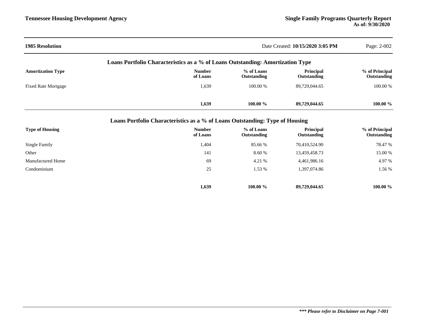| <b>1985 Resolution</b>     | Date Created: 10/15/2020 3:05 PM                                                   |                           |                          |                               |  |  |
|----------------------------|------------------------------------------------------------------------------------|---------------------------|--------------------------|-------------------------------|--|--|
|                            | Loans Portfolio Characteristics as a % of Loans Outstanding: Amortization Type     |                           |                          |                               |  |  |
| <b>Amortization Type</b>   | % of Loans<br><b>Number</b><br>Principal<br>of Loans<br>Outstanding<br>Outstanding |                           |                          |                               |  |  |
| <b>Fixed Rate Mortgage</b> | 1,639                                                                              | 100.00 %                  | 89,729,044.65            | 100.00 %                      |  |  |
|                            | 1,639                                                                              | 100.00 %                  | 89,729,044.65            | 100.00 %                      |  |  |
|                            | Loans Portfolio Characteristics as a % of Loans Outstanding: Type of Housing       |                           |                          |                               |  |  |
| <b>Type of Housing</b>     | <b>Number</b><br>of Loans                                                          | % of Loans<br>Outstanding | Principal<br>Outstanding | % of Principal<br>Outstanding |  |  |
| Single Family              | 1,404                                                                              | 85.66 %                   | 70,410,524.90            | 78.47 %                       |  |  |
| Other                      | 141                                                                                | 8.60 %                    | 13,459,458.73            | 15.00 %                       |  |  |
| Manufactured Home          | 69                                                                                 | 4.21 %                    | 4,461,986.16             | 4.97 %                        |  |  |
| Condominium                | 25                                                                                 | 1.53 %                    | 1,397,074.86             | 1.56 %                        |  |  |
|                            | 1,639                                                                              | 100.00 %                  | 89,729,044.65            | 100.00 %                      |  |  |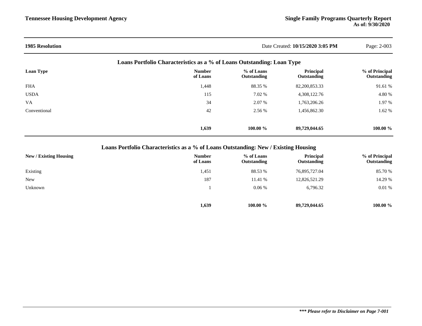| <b>1985 Resolution</b> |                                                                        | Date Created: 10/15/2020 3:05 PM |                          |                               |  |
|------------------------|------------------------------------------------------------------------|----------------------------------|--------------------------|-------------------------------|--|
|                        | Loans Portfolio Characteristics as a % of Loans Outstanding: Loan Type |                                  |                          |                               |  |
| <b>Loan Type</b>       | <b>Number</b><br>of Loans                                              | % of Loans<br>Outstanding        | Principal<br>Outstanding | % of Principal<br>Outstanding |  |
| <b>FHA</b>             | 1,448                                                                  | 88.35 %                          | 82,200,853.33            | 91.61 %                       |  |
| <b>USDA</b>            | 115                                                                    | 7.02 %                           | 4,308,122.76             | 4.80 %                        |  |
| <b>VA</b>              | 34                                                                     | 2.07 %                           | 1,763,206.26             | 1.97 %                        |  |
| Conventional           | 42                                                                     | 2.56 %                           | 1,456,862.30             | 1.62%                         |  |
|                        | 1,639                                                                  | $100.00 \%$                      | 89,729,044.65            | $100.00 \%$                   |  |

## **Loans Portfolio Characteristics as a % of Loans Outstanding: New / Existing Housing**

| New / Existing Housing | <b>Number</b><br>of Loans | % of Loans<br>Outstanding | Principal<br>Outstanding | % of Principal<br>Outstanding |
|------------------------|---------------------------|---------------------------|--------------------------|-------------------------------|
| Existing               | 1,451                     | 88.53 %                   | 76,895,727.04            | 85.70 %                       |
| <b>New</b>             | 187                       | 11.41 %                   | 12,826,521.29            | 14.29 %                       |
| Unknown                |                           | 0.06%                     | 6,796.32                 | 0.01%                         |
|                        | 1,639                     | $100.00 \%$               | 89,729,044.65            | 100.00 %                      |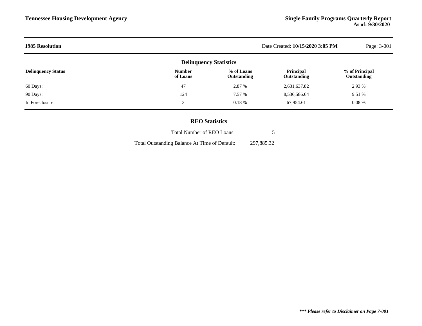| <b>1985 Resolution</b>    |                               |                           | Date Created: 10/15/2020 3:05 PM | Page: 3-001                          |
|---------------------------|-------------------------------|---------------------------|----------------------------------|--------------------------------------|
|                           | <b>Delinquency Statistics</b> |                           |                                  |                                      |
| <b>Delinquency Status</b> | <b>Number</b><br>of Loans     | % of Loans<br>Outstanding | Principal<br>Outstanding         | % of Principal<br><b>Outstanding</b> |
| 60 Days:                  | 47                            | 2.87 %                    | 2,631,637.82                     | 2.93 %                               |
| 90 Days:                  | 124                           | 7.57 %                    | 8,536,586.64                     | 9.51 %                               |
| In Foreclosure:           | 3                             | 0.18%                     | 67,954.61                        | $0.08\%$                             |
|                           |                               |                           |                                  |                                      |

### **REO Statistics**

| Total Number of REO Loans:                    |            |
|-----------------------------------------------|------------|
| Total Outstanding Balance At Time of Default: | 297,885.32 |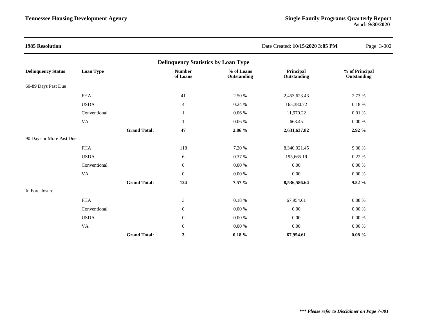| <b>1985 Resolution</b>    |                        |                     |                                            |                           | Date Created: 10/15/2020 3:05 PM | Page: 3-002                   |
|---------------------------|------------------------|---------------------|--------------------------------------------|---------------------------|----------------------------------|-------------------------------|
|                           |                        |                     | <b>Delinquency Statistics by Loan Type</b> |                           |                                  |                               |
| <b>Delinquency Status</b> | Loan Type              |                     | <b>Number</b><br>of Loans                  | % of Loans<br>Outstanding | Principal<br>Outstanding         | % of Principal<br>Outstanding |
| 60-89 Days Past Due       |                        |                     |                                            |                           |                                  |                               |
|                           | <b>FHA</b>             |                     | 41                                         | 2.50 %                    | 2,453,623.43                     | 2.73 %                        |
|                           | <b>USDA</b>            |                     | $\overline{4}$                             | 0.24%                     | 165,380.72                       | 0.18%                         |
|                           | Conventional           |                     |                                            | $0.06~\%$                 | 11,970.22                        | $0.01~\%$                     |
|                           | $\mathsf{V}\mathsf{A}$ |                     | 1                                          | $0.06~\%$                 | 663.45                           | $0.00\ \%$                    |
|                           |                        | <b>Grand Total:</b> | 47                                         | 2.86 %                    | 2,631,637.82                     | 2.92 %                        |
| 90 Days or More Past Due  |                        |                     |                                            |                           |                                  |                               |
|                           | <b>FHA</b>             |                     | 118                                        | 7.20 %                    | 8,340,921.45                     | 9.30 %                        |
|                           | <b>USDA</b>            |                     | 6                                          | 0.37 %                    | 195,665.19                       | 0.22 %                        |
|                           | Conventional           |                     | $\boldsymbol{0}$                           | $0.00\ \%$                | 0.00                             | 0.00 %                        |
|                           | <b>VA</b>              |                     | $\boldsymbol{0}$                           | $0.00\ \%$                | 0.00                             | $0.00\ \%$                    |
|                           |                        | <b>Grand Total:</b> | 124                                        | 7.57 %                    | 8,536,586.64                     | 9.52%                         |
| In Foreclosure            |                        |                     |                                            |                           |                                  |                               |
|                           | <b>FHA</b>             |                     | $\mathfrak 3$                              | 0.18%                     | 67,954.61                        | 0.08%                         |
|                           | Conventional           |                     | $\boldsymbol{0}$                           | 0.00 %                    | 0.00                             | 0.00 %                        |
|                           | <b>USDA</b>            |                     | $\overline{0}$                             | $0.00\ \%$                | 0.00                             | $0.00\ \%$                    |
|                           | <b>VA</b>              |                     | $\boldsymbol{0}$                           | $0.00\ \%$                | $0.00\,$                         | $0.00\ \%$                    |
|                           |                        | <b>Grand Total:</b> | 3                                          | $0.18 \%$                 | 67,954.61                        | $0.08 \%$                     |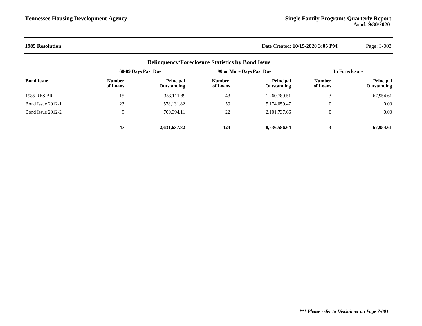### **1985 Resolution** Date Created: **10/15/2020 3:05 PM** Page: 3-003

| <b>Delinquency/Foreclosure Statistics by Bond Issue</b> |                           |                                 |                           |                                 |                           |                                 |  |
|---------------------------------------------------------|---------------------------|---------------------------------|---------------------------|---------------------------------|---------------------------|---------------------------------|--|
|                                                         | 60-89 Days Past Due       |                                 | 90 or More Days Past Due  |                                 | In Foreclosure            |                                 |  |
| <b>Bond Issue</b>                                       | <b>Number</b><br>of Loans | <b>Principal</b><br>Outstanding | <b>Number</b><br>of Loans | <b>Principal</b><br>Outstanding | <b>Number</b><br>of Loans | <b>Principal</b><br>Outstanding |  |
| 1985 RES BR                                             | 15                        | 353,111.89                      | 43                        | 1,260,789.51                    | $\mathbf{\mathcal{R}}$    | 67,954.61                       |  |
| Bond Issue 2012-1                                       | 23                        | 1,578,131.82                    | 59                        | 5,174,059.47                    | 0                         | 0.00                            |  |
| Bond Issue 2012-2                                       | 9                         | 700,394.11                      | 22                        | 2, 101, 737.66                  | 0                         | 0.00                            |  |
|                                                         | 47                        | 2,631,637.82                    | 124                       | 8,536,586.64                    | 3                         | 67.954.61                       |  |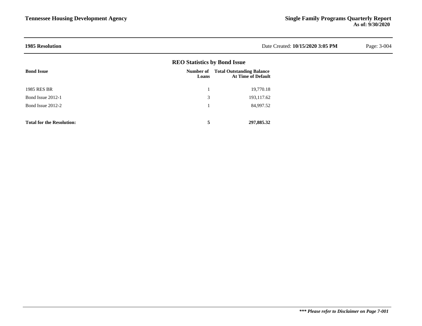| <b>1985 Resolution</b> |                                     |                                                               | Date Created: 10/15/2020 3:05 PM | Page: 3-004 |
|------------------------|-------------------------------------|---------------------------------------------------------------|----------------------------------|-------------|
|                        | <b>REO Statistics by Bond Issue</b> |                                                               |                                  |             |
| <b>Bond Issue</b>      | Number of<br>Loans                  | <b>Total Outstanding Balance</b><br><b>At Time of Default</b> |                                  |             |
| 1985 RES BR            |                                     | 19,770.18                                                     |                                  |             |
| Bond Issue 2012-1      | 3                                   | 193,117.62                                                    |                                  |             |
| Bond Issue 2012-2      |                                     | 84,997.52                                                     |                                  |             |

**Total for the Resolution: 5 297,885.32**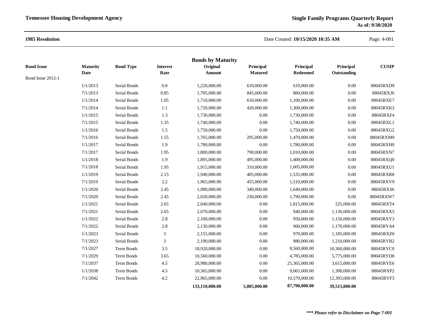### **1985 Resolution**

### Date Created: **10/15/2020 10:35 AM**

Page: 4-001

|                   |                 |                  |                 | <b>Bonds by Maturity</b> |                |                 |               |              |
|-------------------|-----------------|------------------|-----------------|--------------------------|----------------|-----------------|---------------|--------------|
| <b>Bond Issue</b> | <b>Maturity</b> | <b>Bond Type</b> | <b>Interest</b> | Original                 | Principal      | Principal       | Principal     | <b>CUSIP</b> |
| Bond Issue 2012-1 | Date            |                  | Rate            | <b>Amount</b>            | <b>Matured</b> | <b>Redeemed</b> | Outstanding   |              |
|                   | 1/1/2013        | Serial Bonds     | 0.8             | 1,220,000.00             | 610,000.00     | 610,000.00      | 0.00          | 88045RXD9    |
|                   | 7/1/2013        | Serial Bonds     | 0.85            | 1,705,000.00             | 845,000.00     | 860,000.00      | 0.00          | 88045RXJ6    |
|                   | 1/1/2014        | Serial Bonds     | 1.05            | 1,710,000.00             | 610,000.00     | 1,100,000.00    | 0.00          | 88045RXE7    |
|                   | 7/1/2014        | Serial Bonds     | $1.1\,$         | 1,720,000.00             | 420,000.00     | 1,300,000.00    | 0.00          | 88045RXK3    |
|                   | 1/1/2015        | Serial Bonds     | 1.3             | 1,730,000.00             | $0.00\,$       | 1,730,000.00    | 0.00          | 88045RXF4    |
|                   | 7/1/2015        | Serial Bonds     | 1.35            | 1,740,000.00             | 0.00           | 1,740,000.00    | 0.00          | 88045RXL1    |
|                   | 1/1/2016        | Serial Bonds     | 1.5             | 1,750,000.00             | 0.00           | 1,750,000.00    | 0.00          | 88045RXG2    |
|                   | 7/1/2016        | Serial Bonds     | 1.55            | 1,765,000.00             | 295,000.00     | 1,470,000.00    | 0.00          | 88045RXM9    |
|                   | 1/1/2017        | Serial Bonds     | 1.9             | 1,780,000.00             | 0.00           | 1,780,000.00    | 0.00          | 88045RXH0    |
|                   | 7/1/2017        | Serial Bonds     | 1.95            | 1,800,000.00             | 790,000.00     | 1,010,000.00    | 0.00          | 88045RXN7    |
|                   | 1/1/2018        | Serial Bonds     | 1.9             | 1,895,000.00             | 495,000.00     | 1,400,000.00    | 0.00          | 88045RXQ0    |
|                   | 7/1/2018        | Serial Bonds     | 1.95            | 1,915,000.00             | 310,000.00     | 1,605,000.00    | 0.00          | 88045RXU1    |
|                   | 1/1/2019        | Serial Bonds     | 2.15            | 1,940,000.00             | 405,000.00     | 1,535,000.00    | 0.00          | 88045RXR8    |
|                   | 7/1/2019        | Serial Bonds     | 2.2             | 1,965,000.00             | 455,000.00     | 1,510,000.00    | 0.00          | 88045RXV9    |
|                   | 1/1/2020        | Serial Bonds     | 2.45            | 1,980,000.00             | 340,000.00     | 1,640,000.00    | 0.00          | 88045RXS6    |
|                   | 7/1/2020        | Serial Bonds     | 2.45            | 2,020,000.00             | 230,000.00     | 1,790,000.00    | 0.00          | 88045RXW7    |
|                   | 1/1/2021        | Serial Bonds     | 2.65            | 2,040,000.00             | $0.00\,$       | 1,815,000.00    | 225,000.00    | 88045RXT4    |
|                   | 7/1/2021        | Serial Bonds     | 2.65            | 2,070,000.00             | 0.00           | 940,000.00      | 1,130,000.00  | 88045RXX5    |
|                   | 1/1/2022        | Serial Bonds     | 2.8             | 2,100,000.00             | 0.00           | 950,000.00      | 1,150,000.00  | 88045RXY3    |
|                   | 7/1/2022        | Serial Bonds     | 2.8             | 2,130,000.00             | 0.00           | 960,000.00      | 1,170,000.00  | 88045RYA4    |
|                   | 1/1/2023        | Serial Bonds     | 3               | 2,155,000.00             | $0.00\,$       | 970,000.00      | 1,185,000.00  | 88045RXZ0    |
|                   | 7/1/2023        | Serial Bonds     | 3               | 2,190,000.00             | $0.00\,$       | 980,000.00      | 1,210,000.00  | 88045RYB2    |
|                   | 7/1/2027        | Term Bonds       | $3.5$           | 18,920,000.00            | $0.00\,$       | 8,560,000.00    | 10,360,000.00 | 88045RYC0    |
|                   | 7/1/2029        | Term Bonds       | 3.65            | 10,560,000.00            | 0.00           | 4,785,000.00    | 5,775,000.00  | 88045RYD8    |
|                   | 7/1/2037        | Term Bonds       | $4.5\,$         | 28,980,000.00            | $0.00\,$       | 25,365,000.00   | 3,615,000.00  | 88045RYE6    |
|                   | 1/1/2038        | Term Bonds       | $4.5\,$         | 10,365,000.00            | $0.00\,$       | 9,065,000.00    | 1,300,000.00  | 88045RXP2    |
|                   | 7/1/2042        | Term Bonds       | $4.2\,$         | 22,965,000.00            | 0.00           | 10,570,000.00   | 12,395,000.00 | 88045RYF3    |
|                   |                 |                  |                 | 133,110,000.00           | 5,805,000.00   | 87,790,000.00   | 39,515,000.00 |              |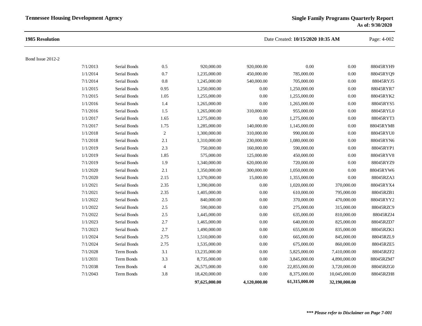| 1985 Resolution   |          |              |                |               |              | Date Created: 10/15/2020 10:35 AM |               |           |
|-------------------|----------|--------------|----------------|---------------|--------------|-----------------------------------|---------------|-----------|
| Bond Issue 2012-2 |          |              |                |               |              |                                   |               |           |
|                   | 7/1/2013 | Serial Bonds | 0.5            | 920,000.00    | 920,000.00   | 0.00                              | 0.00          | 88045RYH9 |
|                   | 1/1/2014 | Serial Bonds | 0.7            | 1,235,000.00  | 450,000.00   | 785,000.00                        | 0.00          | 88045RYQ9 |
|                   | 7/1/2014 | Serial Bonds | 0.8            | 1,245,000.00  | 540,000.00   | 705,000.00                        | 0.00          | 88045RYJ5 |
|                   | 1/1/2015 | Serial Bonds | 0.95           | 1,250,000.00  | 0.00         | 1,250,000.00                      | 0.00          | 88045RYR7 |
|                   | 7/1/2015 | Serial Bonds | 1.05           | 1,255,000.00  | $0.00\,$     | 1,255,000.00                      | 0.00          | 88045RYK2 |
|                   | 1/1/2016 | Serial Bonds | 1.4            | 1,265,000.00  | 0.00         | 1,265,000.00                      | 0.00          | 88045RYS5 |
|                   | 7/1/2016 | Serial Bonds | 1.5            | 1,265,000.00  | 310,000.00   | 955,000.00                        | 0.00          | 88045RYL0 |
|                   | 1/1/2017 | Serial Bonds | 1.65           | 1,275,000.00  | 0.00         | 1,275,000.00                      | 0.00          | 88045RYT3 |
|                   | 7/1/2017 | Serial Bonds | 1.75           | 1,285,000.00  | 140,000.00   | 1,145,000.00                      | 0.00          | 88045RYM8 |
|                   | 1/1/2018 | Serial Bonds | $\overline{c}$ | 1,300,000.00  | 310,000.00   | 990,000.00                        | 0.00          | 88045RYU0 |
|                   | 7/1/2018 | Serial Bonds | 2.1            | 1,310,000.00  | 230,000.00   | 1,080,000.00                      | 0.00          | 88045RYN6 |
|                   | 1/1/2019 | Serial Bonds | 2.3            | 750,000.00    | 160,000.00   | 590,000.00                        | 0.00          | 88045RYP1 |
|                   | 1/1/2019 | Serial Bonds | 1.85           | 575,000.00    | 125,000.00   | 450,000.00                        | 0.00          | 88045RYV8 |
|                   | 7/1/2019 | Serial Bonds | 1.9            | 1,340,000.00  | 620,000.00   | 720,000.00                        | 0.00          | 88045RYZ9 |
|                   | 1/1/2020 | Serial Bonds | 2.1            | 1,350,000.00  | 300,000.00   | 1,050,000.00                      | 0.00          | 88045RYW6 |
|                   | 7/1/2020 | Serial Bonds | 2.15           | 1,370,000.00  | 15,000.00    | 1,355,000.00                      | 0.00          | 88045RZA3 |
|                   | 1/1/2021 | Serial Bonds | 2.35           | 1,390,000.00  | 0.00         | 1,020,000.00                      | 370,000.00    | 88045RYX4 |
|                   | 7/1/2021 | Serial Bonds | 2.35           | 1,405,000.00  | 0.00         | 610,000.00                        | 795,000.00    | 88045RZB1 |
|                   | 1/1/2022 | Serial Bonds | $2.5\,$        | 840,000.00    | $0.00\,$     | 370,000.00                        | 470,000.00    | 88045RYY2 |
|                   | 1/1/2022 | Serial Bonds | $2.5\,$        | 590,000.00    | 0.00         | 275,000.00                        | 315,000.00    | 88045RZC9 |
|                   | 7/1/2022 | Serial Bonds | $2.5\,$        | 1,445,000.00  | $0.00\,$     | 635,000.00                        | 810,000.00    | 88045RZJ4 |
|                   | 1/1/2023 | Serial Bonds | 2.7            | 1,465,000.00  | 0.00         | 640,000.00                        | 825,000.00    | 88045RZD7 |
|                   | 7/1/2023 | Serial Bonds | 2.7            | 1,490,000.00  | 0.00         | 655,000.00                        | 835,000.00    | 88045RZK1 |
|                   | 1/1/2024 | Serial Bonds | 2.75           | 1,510,000.00  | 0.00         | 665,000.00                        | 845,000.00    | 88045RZL9 |
|                   | 7/1/2024 | Serial Bonds | 2.75           | 1,535,000.00  | $0.00\,$     | 675,000.00                        | 860,000.00    | 88045RZE5 |
|                   | 7/1/2028 | Term Bonds   | 3.1            | 13,235,000.00 | 0.00         | 5,825,000.00                      | 7,410,000.00  | 88045RZF2 |
|                   | 1/1/2031 | Term Bonds   | 3.3            | 8,735,000.00  | 0.00         | 3,845,000.00                      | 4,890,000.00  | 88045RZM7 |
|                   | 7/1/2038 | Term Bonds   | $\overline{4}$ | 26,575,000.00 | 0.00         | 22,855,000.00                     | 3,720,000.00  | 88045RZG0 |
|                   | 7/1/2043 | Term Bonds   | 3.8            | 18,420,000.00 | 0.00         | 8,375,000.00                      | 10,045,000.00 | 88045RZH8 |
|                   |          |              |                | 97,625,000.00 | 4,120,000.00 | 61,315,000.00                     | 32,190,000.00 |           |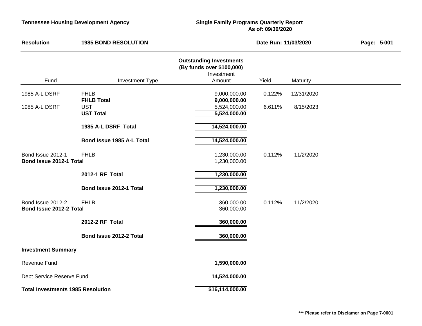## **As of: 09/30/2020**

| <b>Resolution</b>                            | <b>1985 BOND RESOLUTION</b>                         |                                                                                     | Date Run: 11/03/2020 |            |  |
|----------------------------------------------|-----------------------------------------------------|-------------------------------------------------------------------------------------|----------------------|------------|--|
| Fund                                         | <b>Investment Type</b>                              | <b>Outstanding Investments</b><br>(By funds over \$100,000)<br>Investment<br>Amount | Yield                | Maturity   |  |
|                                              |                                                     |                                                                                     |                      |            |  |
| 1985 A-L DSRF                                | <b>FHLB</b>                                         | 9,000,000.00                                                                        | 0.122%               | 12/31/2020 |  |
| 1985 A-L DSRF                                | <b>FHLB Total</b><br><b>UST</b><br><b>UST Total</b> | 9,000,000.00<br>5,524,000.00<br>5,524,000.00                                        | 6.611%               | 8/15/2023  |  |
|                                              | 1985 A-L DSRF Total                                 | 14,524,000.00                                                                       |                      |            |  |
|                                              | Bond Issue 1985 A-L Total                           | 14,524,000.00                                                                       |                      |            |  |
| Bond Issue 2012-1<br>Bond Issue 2012-1 Total | <b>FHLB</b>                                         | 1,230,000.00<br>1,230,000.00                                                        | 0.112%               | 11/2/2020  |  |
|                                              | 2012-1 RF Total                                     | 1,230,000.00                                                                        |                      |            |  |
|                                              | Bond Issue 2012-1 Total                             | 1,230,000.00                                                                        |                      |            |  |
| Bond Issue 2012-2<br>Bond Issue 2012-2 Total | <b>FHLB</b>                                         | 360,000.00<br>360,000.00                                                            | 0.112%               | 11/2/2020  |  |
|                                              | 2012-2 RF Total                                     | 360,000.00                                                                          |                      |            |  |
|                                              | Bond Issue 2012-2 Total                             | 360,000.00                                                                          |                      |            |  |
| <b>Investment Summary</b>                    |                                                     |                                                                                     |                      |            |  |
| Revenue Fund                                 |                                                     | 1,590,000.00                                                                        |                      |            |  |
| Debt Service Reserve Fund                    |                                                     | 14,524,000.00                                                                       |                      |            |  |
| <b>Total Investments 1985 Resolution</b>     |                                                     | \$16,114,000.00                                                                     |                      |            |  |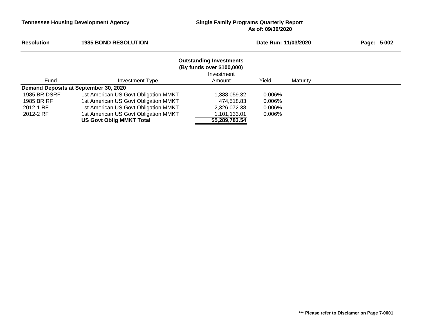## **As of: 09/30/2020**

| <b>Resolution</b>   | <b>1985 BOND RESOLUTION</b>           |                                                                           | Date Run: 11/03/2020 |          | 5-002<br>Page: |
|---------------------|---------------------------------------|---------------------------------------------------------------------------|----------------------|----------|----------------|
|                     |                                       | <b>Outstanding Investments</b><br>(By funds over \$100,000)<br>Investment |                      |          |                |
| Fund                | Investment Type                       | Amount                                                                    | Yield                | Maturity |                |
|                     | Demand Deposits at September 30, 2020 |                                                                           |                      |          |                |
| <b>1985 BR DSRF</b> | 1st American US Govt Obligation MMKT  | 1,388,059.32                                                              | 0.006%               |          |                |
| 1985 BR RF          | 1st American US Govt Obligation MMKT  | 474,518.83                                                                | 0.006%               |          |                |
| 2012-1 RF           | 1st American US Govt Obligation MMKT  | 2,326,072.38                                                              | 0.006%               |          |                |
| 2012-2 RF           | 1st American US Govt Obligation MMKT  | 1,101,133.01                                                              | 0.006%               |          |                |
|                     | US Govt Oblig MMKT Total              | \$5,289,783.54                                                            |                      |          |                |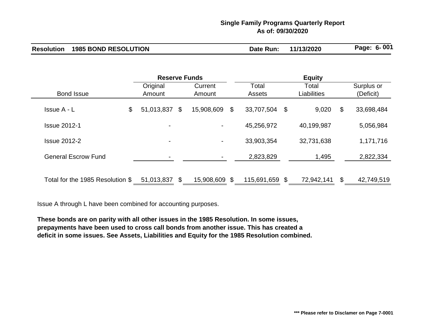## **Single Family Programs Quarterly Report As of: 09/30/2020**

|  | <b>Resolution 1985 BOND RESOLUTION</b> | Date Run: | 11/13/2020 | Page: 6-001 |
|--|----------------------------------------|-----------|------------|-------------|
|--|----------------------------------------|-----------|------------|-------------|

|                                  | <b>Reserve Funds</b> |    |                   | <b>Equity</b> |                        |  |                             |    |                         |
|----------------------------------|----------------------|----|-------------------|---------------|------------------------|--|-----------------------------|----|-------------------------|
| <b>Bond Issue</b>                | Original<br>Amount   |    | Current<br>Amount |               | Total<br><b>Assets</b> |  | Total<br><b>Liabilities</b> |    | Surplus or<br>(Deficit) |
| \$<br>Issue A - L                | 51,013,837 \$        |    | 15,908,609        | \$            | 33,707,504 \$          |  | 9,020                       | \$ | 33,698,484              |
| <b>Issue 2012-1</b>              |                      |    | $\blacksquare$    |               | 45,256,972             |  | 40,199,987                  |    | 5,056,984               |
| <b>Issue 2012-2</b>              | $\blacksquare$       |    | $\blacksquare$    |               | 33,903,354             |  | 32,731,638                  |    | 1,171,716               |
| <b>General Escrow Fund</b>       |                      |    |                   |               | 2,823,829              |  | 1,495                       |    | 2,822,334               |
| Total for the 1985 Resolution \$ | 51,013,837           | \$ | 15,908,609 \$     |               | 115,691,659 \$         |  | 72,942,141                  | \$ | 42,749,519              |

Issue A through L have been combined for accounting purposes.

**These bonds are on parity with all other issues in the 1985 Resolution. In some issues, prepayments have been used to cross call bonds from another issue. This has created a deficit in some issues. See Assets, Liabilities and Equity for the 1985 Resolution combined.**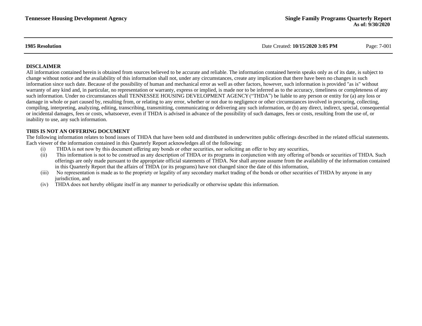**1985 Resolution** Date Created: **10/15/2020 3:05 PM** Page: 7-001

### **DISCLAIMER**

All information contained herein is obtained from sources believed to be accurate and reliable. The information contained herein speaks only as of its date, is subject to change without notice and the availability of this information shall not, under any circumstances, create any implication that there have been no changes in such information since such date. Because of the possibility of human and mechanical error as well as other factors, however, such information is provided "as is" without warranty of any kind and, in particular, no representation or warranty, express or implied, is made nor to be inferred as to the accuracy, timeliness or completeness of any such information. Under no circumstances shall TENNESSEE HOUSING DEVELOPMENT AGENCY ("THDA") be liable to any person or entity for (a) any loss or damage in whole or part caused by, resulting from, or relating to any error, whether or not due to negligence or other circumstances involved in procuring, collecting, compiling, interpreting, analyzing, editing, transcribing, transmitting, communicating or delivering any such information, or (b) any direct, indirect, special, consequential or incidental damages, fees or costs, whatsoever, even if THDA is advised in advance of the possibility of such damages, fees or costs, resulting from the use of, or inability to use, any such information.

### **THIS IS NOT AN OFFERING DOCUMENT**

The following information relates to bond issues of THDA that have been sold and distributed in underwritten public offerings described in the related official statements. Each viewer of the information contained in this Quarterly Report acknowledges all of the following:

- (i) THDA is not now by this document offering any bonds or other securities, nor soliciting an offer to buy any securities,
- (ii) This information is not to be construed as any description of THDA or its programs in conjunction with any offering of bonds or securities of THDA. Such offerings are only made pursuant to the appropriate official statements of THDA. Nor shall anyone assume from the availability of the information contained in this Quarterly Report that the affairs of THDA (or its programs) have not changed since the date of this information,
- (iii) No representation is made as to the propriety or legality of any secondary market trading of the bonds or other securities of THDA by anyone in any jurisdiction, and
- (iv) THDA does not hereby obligate itself in any manner to periodically or otherwise update this information.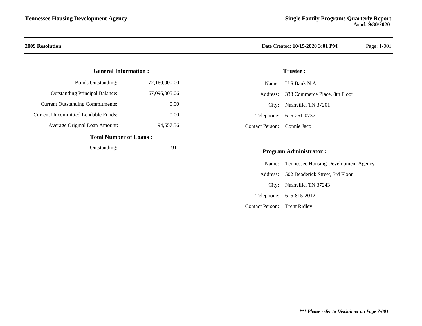### **General Information :**

| <b>Total Number of Loans:</b>           |               |
|-----------------------------------------|---------------|
| Average Original Loan Amount:           | 94,657.56     |
| Current Uncommitted Lendable Funds:     | 0.00          |
| <b>Current Outstanding Commitments:</b> | 0.00          |
| <b>Outstanding Principal Balance:</b>   | 67,096,005.06 |
| <b>Bonds Outstanding:</b>               | 72,160,000.00 |

### Outstanding: 911

### **2009 Resolution** Date Created: **10/15/2020 3:01 PM** Page: 1-001

### **Trustee :**

|                             | Name: U.S Bank N.A.                    |
|-----------------------------|----------------------------------------|
|                             | Address: 333 Commerce Place, 8th Floor |
|                             | City: Nashville, TN 37201              |
|                             | Telephone: 615-251-0737                |
| Contact Person: Connie Jaco |                                        |

### **Program Administrator :**

|                              | Name: Tennessee Housing Development Agency |
|------------------------------|--------------------------------------------|
|                              | Address: 502 Deaderick Street, 3rd Floor   |
|                              | City: Nashville, TN 37243                  |
|                              | Telephone: 615-815-2012                    |
| Contact Person: Trent Ridley |                                            |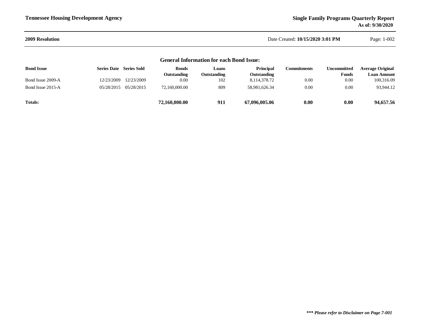Page: 1-002

| 2009 Resolution | Date Created: 10/15/2020 3:01 PM |
|-----------------|----------------------------------|

| <b>General Information for each Bond Issue:</b> |                                |                       |                             |                      |                                 |                    |                                    |                                        |
|-------------------------------------------------|--------------------------------|-----------------------|-----------------------------|----------------------|---------------------------------|--------------------|------------------------------------|----------------------------------------|
| <b>Bond Issue</b>                               | <b>Series Date</b> Series Sold |                       | <b>Bonds</b><br>Outstanding | Loans<br>Outstanding | <b>Principal</b><br>Outstanding | <b>Commitments</b> | <b>Uncommitted</b><br><b>Funds</b> | <b>Average Original</b><br>Loan Amount |
| Bond Issue 2009-A                               | 12/23/2009                     | 12/23/2009            | 0.00                        | 102                  | 8,114,378.72                    | 0.00               | 0.00                               | 100,316.09                             |
| Bond Issue 2015-A                               |                                | 05/28/2015 05/28/2015 | 72,160,000.00               | 809                  | 58.981.626.34                   | 0.00               | 0.00                               | 93,944.12                              |
| <b>Totals:</b>                                  |                                |                       | 72,160,000.00               | 911                  | 67,096,005.06                   | 0.00               | 0.00                               | 94,657.56                              |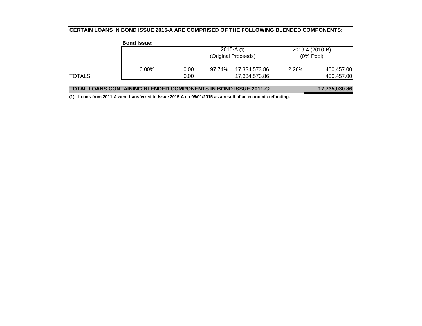### **CERTAIN LOANS IN BOND ISSUE 2015-A ARE COMPRISED OF THE FOLLOWING BLENDED COMPONENTS:**

|        | <b>Bond Issue:</b> |      |                     |               |                 |            |
|--------|--------------------|------|---------------------|---------------|-----------------|------------|
|        |                    |      |                     | $2015 - A(1)$ | 2019-4 (2010-B) |            |
|        |                    |      | (Original Proceeds) |               | (0% Pool)       |            |
|        | $0.00\%$           | 0.00 | 97.74%              | 17,334,573.86 | 2.26%           | 400,457.00 |
| TOTALS |                    | 0.00 |                     | 17,334,573.86 |                 | 400,457.00 |
|        |                    |      |                     |               |                 |            |

| <b>TOTAL LOANS CONTAINING BLENDED COMPONENTS IN BOND ISSUE 2011-C:</b> | 17,735,030.86 |
|------------------------------------------------------------------------|---------------|
|------------------------------------------------------------------------|---------------|

**(1) - Loans from 2011-A were transferred to Issue 2015-A on 05/01/2015 as a result of an economic refunding.**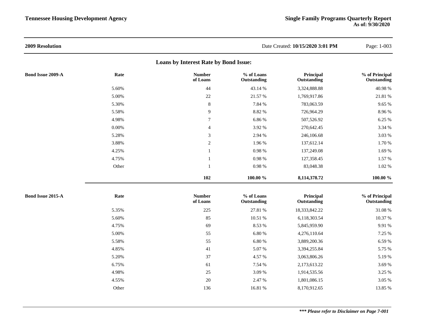| 2009 Resolution          |       |                                       |                           | Date Created: 10/15/2020 3:01 PM | Page: 1-003                   |
|--------------------------|-------|---------------------------------------|---------------------------|----------------------------------|-------------------------------|
|                          |       | Loans by Interest Rate by Bond Issue: |                           |                                  |                               |
| <b>Bond Issue 2009-A</b> | Rate  | <b>Number</b><br>of Loans             | % of Loans<br>Outstanding | Principal<br>Outstanding         | % of Principal<br>Outstanding |
|                          | 5.60% | 44                                    | 43.14 %                   | 3,324,888.88                     | 40.98%                        |
|                          | 5.00% | 22                                    | 21.57 %                   | 1,769,917.86                     | 21.81 %                       |
|                          | 5.30% | $\,8\,$                               | 7.84 %                    | 783,063.59                       | 9.65 %                        |
|                          | 5.58% | 9                                     | 8.82 %                    | 726,964.29                       | 8.96%                         |
|                          | 4.98% | $\tau$                                | 6.86 %                    | 507,526.92                       | 6.25 %                        |
|                          | 0.00% | $\overline{4}$                        | 3.92 %                    | 270,642.45                       | 3.34 %                        |
|                          | 5.28% | 3                                     | 2.94 %                    | 246,106.68                       | 3.03 %                        |
|                          | 3.88% | $\sqrt{2}$                            | 1.96 %                    | 137,612.14                       | 1.70 %                        |
|                          | 4.25% | $\mathbf{1}$                          | 0.98%                     | 137,249.08                       | 1.69 %                        |
|                          | 4.75% | $\mathbf{1}$                          | 0.98%                     | 127,358.45                       | 1.57 %                        |
|                          | Other | $\overline{1}$                        | $0.98\ \%$                | 83,048.38                        | 1.02 %                        |
|                          |       | 102                                   | 100.00 %                  | 8,114,378.72                     | 100.00 %                      |
| <b>Bond Issue 2015-A</b> | Rate  | <b>Number</b><br>of Loans             | % of Loans<br>Outstanding | Principal<br>Outstanding         | % of Principal<br>Outstanding |
|                          | 5.35% | 225                                   | 27.81 %                   | 18,333,842.22                    | 31.08%                        |
|                          | 5.60% | 85                                    | 10.51 %                   | 6,118,303.54                     | 10.37 %                       |
|                          | 4.75% | 69                                    | 8.53 %                    | 5,845,959.90                     | 9.91 %                        |
|                          | 5.00% | 55                                    | 6.80 %                    | 4,276,110.64                     | 7.25 %                        |
|                          | 5.58% | 55                                    | 6.80%                     | 3,889,200.36                     | 6.59%                         |
|                          | 4.85% | 41                                    | 5.07%                     | 3,394,255.84                     | 5.75 %                        |
|                          | 5.20% | 37                                    | 4.57 %                    | 3,063,806.26                     | 5.19%                         |
|                          | 6.75% | 61                                    | 7.54 %                    | 2,173,613.22                     | 3.69 %                        |
|                          | 4.98% | 25                                    | 3.09 %                    | 1,914,535.56                     | 3.25 %                        |
|                          | 4.55% | 20                                    | 2.47 %                    | 1,801,086.15                     | 3.05 %                        |
|                          | Other | 136                                   | 16.81 %                   | 8,170,912.65                     | 13.85 %                       |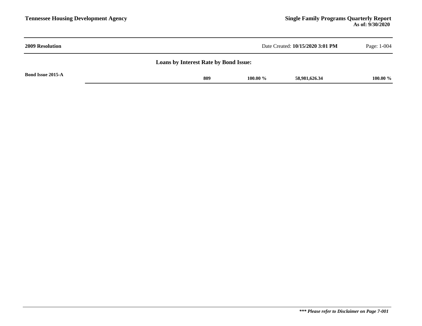| <b>2009 Resolution</b>                       | Date Created: 10/15/2020 3:01 PM    | Page: 1-004 |  |  |  |  |
|----------------------------------------------|-------------------------------------|-------------|--|--|--|--|
| <b>Loans by Interest Rate by Bond Issue:</b> |                                     |             |  |  |  |  |
| <b>Bond Issue 2015-A</b>                     | 809<br>100.00 $\%$<br>58,981,626.34 | 100.00 %    |  |  |  |  |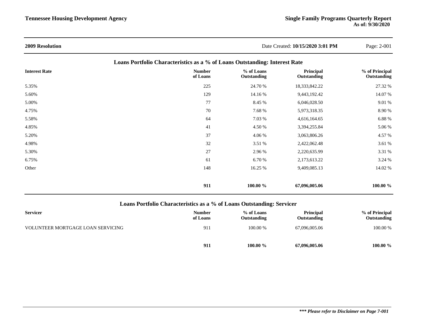| <b>2009 Resolution</b> |                                                                            | Date Created: 10/15/2020 3:01 PM | Page: 2-001              |                               |
|------------------------|----------------------------------------------------------------------------|----------------------------------|--------------------------|-------------------------------|
|                        | Loans Portfolio Characteristics as a % of Loans Outstanding: Interest Rate |                                  |                          |                               |
| <b>Interest Rate</b>   | <b>Number</b><br>of Loans                                                  | % of Loans<br>Outstanding        | Principal<br>Outstanding | % of Principal<br>Outstanding |
| 5.35%                  | 225                                                                        | 24.70 %                          | 18,333,842.22            | 27.32 %                       |
| 5.60%                  | 129                                                                        | 14.16 %                          | 9,443,192.42             | 14.07 %                       |
| 5.00%                  | 77                                                                         | 8.45 %                           | 6,046,028.50             | 9.01 %                        |
| 4.75%                  | 70                                                                         | 7.68 %                           | 5,973,318.35             | 8.90 %                        |
| 5.58%                  | 64                                                                         | 7.03 %                           | 4,616,164.65             | 6.88 %                        |
| 4.85%                  | 41                                                                         | 4.50 %                           | 3,394,255.84             | 5.06 %                        |
| 5.20%                  | 37                                                                         | 4.06 %                           | 3,063,806.26             | 4.57 %                        |
| 4.98%                  | 32                                                                         | 3.51 %                           | 2,422,062.48             | 3.61 %                        |
| 5.30%                  | 27                                                                         | 2.96 %                           | 2,220,635.99             | 3.31 %                        |
| 6.75%                  | 61                                                                         | 6.70 %                           | 2,173,613.22             | 3.24 %                        |
| Other                  | 148                                                                        | 16.25 %                          | 9,409,085.13             | 14.02 %                       |
|                        | 911                                                                        | 100.00 %                         | 67,096,005.06            | 100.00 %                      |

### **Loans Portfolio Characteristics as a % of Loans Outstanding: Servicer**

| <b>Servicer</b>                   | <b>Number</b><br>of Loans | % of Loans<br>Outstanding | <b>Principal</b><br>Outstanding | % of Principal<br>Outstanding |
|-----------------------------------|---------------------------|---------------------------|---------------------------------|-------------------------------|
| VOLUNTEER MORTGAGE LOAN SERVICING | 911                       | 100.00 %                  | 67,096,005.06                   | 100.00 %                      |
|                                   | 911                       | 100.00 $\%$               | 67,096,005.06                   | $100.00\%$                    |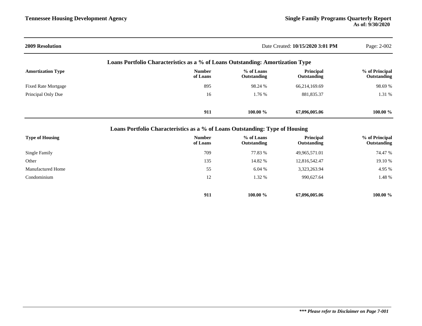| <b>2009 Resolution</b>     |                                                                                |                           | Date Created: 10/15/2020 3:01 PM | Page: 2-002                   |
|----------------------------|--------------------------------------------------------------------------------|---------------------------|----------------------------------|-------------------------------|
|                            | Loans Portfolio Characteristics as a % of Loans Outstanding: Amortization Type |                           |                                  |                               |
| <b>Amortization Type</b>   | <b>Number</b><br>of Loans                                                      | % of Loans<br>Outstanding | Principal<br>Outstanding         | % of Principal<br>Outstanding |
| <b>Fixed Rate Mortgage</b> | 895                                                                            | 98.24 %                   | 66,214,169.69                    | 98.69 %                       |
| Principal Only Due         | 16                                                                             | 1.76 %                    | 881,835.37                       | 1.31 %                        |
|                            | 911                                                                            | 100.00 $\%$               | 67,096,005.06                    | 100.00 %                      |
|                            | Loans Portfolio Characteristics as a % of Loans Outstanding: Type of Housing   |                           |                                  |                               |
| Tymo of Handas             | $N$ ----- $k$                                                                  | $0/$ of Lomma             | Duinainal                        | $0/2$ of Deinstries           |

| <b>Type of Housing</b>   | <b>Number</b><br>of Loans | % of Loans<br>Outstanding | Principal<br>Outstanding | % of Principal<br>Outstanding |
|--------------------------|---------------------------|---------------------------|--------------------------|-------------------------------|
| Single Family            | 709                       | 77.83 %                   | 49,965,571.01            | 74.47 %                       |
| Other                    | 135                       | 14.82 %                   | 12,816,542.47            | 19.10 %                       |
| <b>Manufactured Home</b> | 55                        | 6.04%                     | 3,323,263.94             | 4.95 %                        |
| Condominium              | 12                        | 1.32 %                    | 990,627.64               | 1.48 %                        |
|                          | 911                       | $100.00 \%$               | 67,096,005.06            | 100.00 $\%$                   |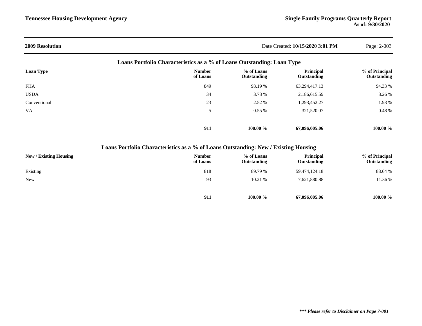| <b>2009 Resolution</b> | Date Created: 10/15/2020 3:01 PM                                       |                           |                                 |                               |
|------------------------|------------------------------------------------------------------------|---------------------------|---------------------------------|-------------------------------|
|                        | Loans Portfolio Characteristics as a % of Loans Outstanding: Loan Type |                           |                                 |                               |
| Loan Type              | <b>Number</b><br>of Loans                                              | % of Loans<br>Outstanding | <b>Principal</b><br>Outstanding | % of Principal<br>Outstanding |
| <b>FHA</b>             | 849                                                                    | 93.19 %                   | 63,294,417.13                   | 94.33 %                       |
| <b>USDA</b>            | 34                                                                     | 3.73 %                    | 2,186,615.59                    | 3.26 %                        |
| Conventional           | 23                                                                     | 2.52 %                    | 1,293,452.27                    | 1.93 %                        |
| <b>VA</b>              | 5                                                                      | $0.55\%$                  | 321,520.07                      | $0.48 \%$                     |
|                        | 911                                                                    | 100.00 $\%$               | 67,096,005.06                   | 100.00 $\%$                   |

## **Loans Portfolio Characteristics as a % of Loans Outstanding: New / Existing Housing**

| New / Existing Housing | <b>Number</b><br>of Loans | % of Loans<br>Outstanding | <b>Principal</b><br>Outstanding | % of Principal<br>Outstanding |
|------------------------|---------------------------|---------------------------|---------------------------------|-------------------------------|
| Existing               | 818                       | 89.79 %                   | 59,474,124.18                   | 88.64 %                       |
| <b>New</b>             | 93                        | 10.21%                    | 7,621,880.88                    | 11.36 %                       |
|                        |                           |                           |                                 |                               |
|                        | 911                       | 100.00 %                  | 67,096,005.06                   | 100.00 %                      |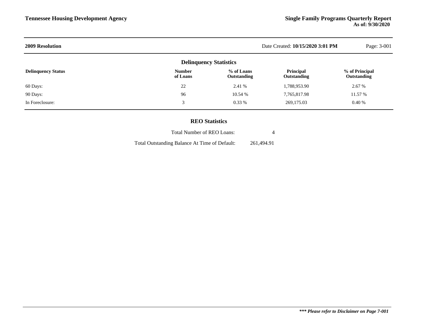| <b>2009 Resolution</b>    | Date Created: 10/15/2020 3:01 PM | Page: 3-001               |                          |                               |
|---------------------------|----------------------------------|---------------------------|--------------------------|-------------------------------|
|                           | <b>Delinquency Statistics</b>    |                           |                          |                               |
| <b>Delinquency Status</b> | <b>Number</b><br>of Loans        | % of Loans<br>Outstanding | Principal<br>Outstanding | % of Principal<br>Outstanding |
| 60 Days:                  | 22                               | 2.41 %                    | 1,788,953.90             | 2.67 %                        |
| 90 Days:                  | 96                               | 10.54 %                   | 7,765,817.98             | 11.57 %                       |
| In Foreclosure:           | 3                                | $0.33\%$                  | 269,175.03               | 0.40%                         |
|                           |                                  |                           |                          |                               |

### **REO Statistics**

| <b>Total Number of REO Loans:</b>             |            |
|-----------------------------------------------|------------|
| Total Outstanding Balance At Time of Default: | 261.494.91 |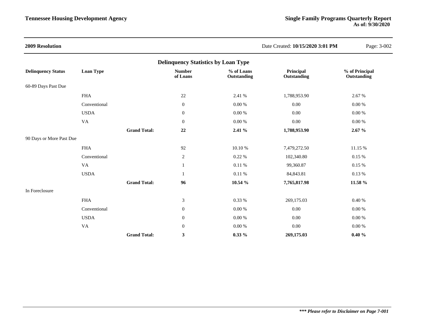| <b>2009 Resolution</b>    |                        |                     |                                            |                           | Date Created: 10/15/2020 3:01 PM | Page: 3-002                   |
|---------------------------|------------------------|---------------------|--------------------------------------------|---------------------------|----------------------------------|-------------------------------|
|                           |                        |                     | <b>Delinquency Statistics by Loan Type</b> |                           |                                  |                               |
| <b>Delinquency Status</b> | Loan Type              |                     | <b>Number</b><br>of Loans                  | % of Loans<br>Outstanding | Principal<br>Outstanding         | % of Principal<br>Outstanding |
| 60-89 Days Past Due       |                        |                     |                                            |                           |                                  |                               |
|                           | <b>FHA</b>             |                     | $22\,$                                     | 2.41 %                    | 1,788,953.90                     | 2.67 %                        |
|                           | Conventional           |                     | $\boldsymbol{0}$                           | $0.00\ \%$                | 0.00                             | 0.00 %                        |
|                           | <b>USDA</b>            |                     | $\boldsymbol{0}$                           | $0.00\ \%$                | 0.00                             | $0.00\ \%$                    |
|                           | $\mathbf{V}\mathbf{A}$ |                     | $\boldsymbol{0}$                           | $0.00\ \%$                | $0.00\,$                         | $0.00\ \%$                    |
|                           |                        | <b>Grand Total:</b> | 22                                         | 2.41 %                    | 1,788,953.90                     | 2.67%                         |
| 90 Days or More Past Due  |                        |                     |                                            |                           |                                  |                               |
|                           | <b>FHA</b>             |                     | 92                                         | 10.10%                    | 7,479,272.50                     | 11.15 %                       |
|                           | Conventional           |                     | $\sqrt{2}$                                 | 0.22%                     | 102,340.80                       | 0.15 %                        |
|                           | VA                     |                     | 1                                          | 0.11 %                    | 99,360.87                        | $0.15~\%$                     |
|                           | <b>USDA</b>            |                     |                                            | 0.11%                     | 84,843.81                        | 0.13%                         |
|                           |                        | <b>Grand Total:</b> | 96                                         | 10.54 %                   | 7,765,817.98                     | 11.58 %                       |
| In Foreclosure            |                        |                     |                                            |                           |                                  |                               |
|                           | <b>FHA</b>             |                     | $\mathfrak{Z}$                             | 0.33 %                    | 269,175.03                       | 0.40%                         |
|                           | Conventional           |                     | $\boldsymbol{0}$                           | 0.00 %                    | 0.00                             | 0.00 %                        |
|                           | <b>USDA</b>            |                     | $\mathbf{0}$                               | $0.00\ \%$                | 0.00                             | $0.00\ \%$                    |
|                           | <b>VA</b>              |                     | $\boldsymbol{0}$                           | $0.00\ \%$                | 0.00                             | $0.00\ \%$                    |
|                           |                        | <b>Grand Total:</b> | 3                                          | $0.33\%$                  | 269,175.03                       | $0.40 \%$                     |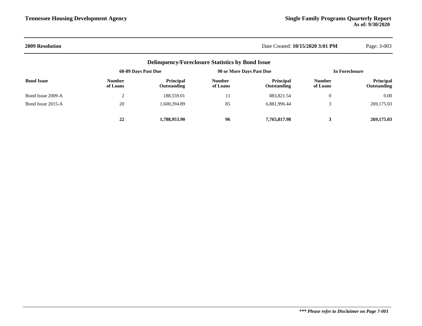### **2009 Resolution** Date Created: **10/15/2020 3:01 PM** Page: 3-003

|                   |                           | <b>Delinquency/Foreclosure Statistics by Bond Issue</b> |                           |                          |                           |                                 |
|-------------------|---------------------------|---------------------------------------------------------|---------------------------|--------------------------|---------------------------|---------------------------------|
|                   | 60-89 Days Past Due       |                                                         | 90 or More Days Past Due  |                          | In Foreclosure            |                                 |
| <b>Bond Issue</b> | <b>Number</b><br>of Loans | <b>Principal</b><br>Outstanding                         | <b>Number</b><br>of Loans | Principal<br>Outstanding | <b>Number</b><br>of Loans | <b>Principal</b><br>Outstanding |
| Bond Issue 2009-A | $\bigcap$                 | 188,559.01                                              | 11                        | 883, 821.54              | $\mathbf{0}$              | 0.00                            |
| Bond Issue 2015-A | 20                        | 1,600,394.89                                            | 85                        | 6,881,996.44             |                           | 269,175.03                      |
|                   | 22                        | 1,788,953,90                                            | 96                        | 7.765.817.98             |                           | 269,175.03                      |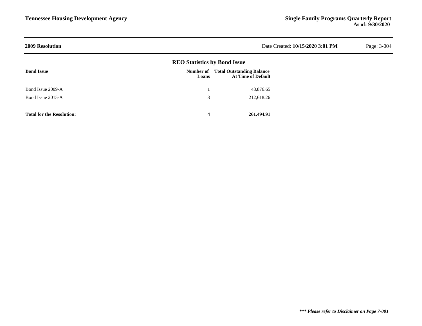| <b>2009 Resolution</b>           | Date Created: 10/15/2020 3:01 PM    | Page: 3-004                                                   |  |  |
|----------------------------------|-------------------------------------|---------------------------------------------------------------|--|--|
|                                  | <b>REO Statistics by Bond Issue</b> |                                                               |  |  |
| <b>Bond Issue</b>                | Number of<br>Loans                  | <b>Total Outstanding Balance</b><br><b>At Time of Default</b> |  |  |
| Bond Issue 2009-A                |                                     | 48,876.65                                                     |  |  |
| Bond Issue 2015-A                | 3                                   | 212,618.26                                                    |  |  |
| <b>Total for the Resolution:</b> | 4                                   | 261,494.91                                                    |  |  |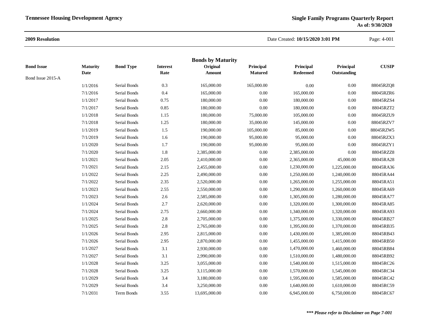### **2009 Resolution**

### Date Created: **10/15/2020 3:01 PM**Page: 4-001

|                   |                 |                  |                 | <b>Bonds by Maturity</b> |                |                 |              |              |
|-------------------|-----------------|------------------|-----------------|--------------------------|----------------|-----------------|--------------|--------------|
| <b>Bond Issue</b> | <b>Maturity</b> | <b>Bond Type</b> | <b>Interest</b> | Original                 | Principal      | Principal       | Principal    | <b>CUSIP</b> |
| Bond Issue 2015-A | Date            |                  | Rate            | <b>Amount</b>            | <b>Matured</b> | <b>Redeemed</b> | Outstanding  |              |
|                   | 1/1/2016        | Serial Bonds     | 0.3             | 165,000.00               | 165,000.00     | $0.00\,$        | $0.00\,$     | 88045RZQ8    |
|                   | 7/1/2016        | Serial Bonds     | 0.4             | 165,000.00               | 0.00           | 165,000.00      | 0.00         | 88045RZR6    |
|                   | 1/1/2017        | Serial Bonds     | 0.75            | 180,000.00               | $0.00\,$       | 180,000.00      | 0.00         | 88045RZS4    |
|                   | 7/1/2017        | Serial Bonds     | 0.85            | 180,000.00               | $0.00\,$       | 180,000.00      | 0.00         | 88045RZT2    |
|                   | 1/1/2018        | Serial Bonds     | 1.15            | 180,000.00               | 75,000.00      | 105,000.00      | 0.00         | 88045RZU9    |
|                   | 7/1/2018        | Serial Bonds     | 1.25            | 180,000.00               | 35,000.00      | 145,000.00      | 0.00         | 88045RZV7    |
|                   | 1/1/2019        | Serial Bonds     | 1.5             | 190,000.00               | 105,000.00     | 85,000.00       | $0.00\,$     | 88045RZW5    |
|                   | 7/1/2019        | Serial Bonds     | $1.6\,$         | 190,000.00               | 95,000.00      | 95,000.00       | $0.00\,$     | 88045RZX3    |
|                   | 1/1/2020        | Serial Bonds     | 1.7             | 190,000.00               | 95,000.00      | 95,000.00       | 0.00         | 88045RZY1    |
|                   | 7/1/2020        | Serial Bonds     | 1.8             | 2,385,000.00             | 0.00           | 2,385,000.00    | 0.00         | 88045RZZ8    |
|                   | 1/1/2021        | Serial Bonds     | 2.05            | 2,410,000.00             | 0.00           | 2,365,000.00    | 45,000.00    | 88045RA28    |
|                   | 7/1/2021        | Serial Bonds     | 2.15            | 2,455,000.00             | 0.00           | 1,230,000.00    | 1,225,000.00 | 88045RA36    |
|                   | 1/1/2022        | Serial Bonds     | 2.25            | 2,490,000.00             | $0.00\,$       | 1,250,000.00    | 1,240,000.00 | 88045RA44    |
|                   | 7/1/2022        | Serial Bonds     | 2.35            | 2,520,000.00             | $0.00\,$       | 1,265,000.00    | 1,255,000.00 | 88045RA51    |
|                   | 1/1/2023        | Serial Bonds     | 2.55            | 2,550,000.00             | $0.00\,$       | 1,290,000.00    | 1,260,000.00 | 88045RA69    |
|                   | 7/1/2023        | Serial Bonds     | 2.6             | 2,585,000.00             | $0.00\,$       | 1,305,000.00    | 1,280,000.00 | 88045RA77    |
|                   | 1/1/2024        | Serial Bonds     | 2.7             | 2,620,000.00             | $0.00\,$       | 1,320,000.00    | 1,300,000.00 | 88045RA85    |
|                   | 7/1/2024        | Serial Bonds     | 2.75            | 2,660,000.00             | 0.00           | 1,340,000.00    | 1,320,000.00 | 88045RA93    |
|                   | 1/1/2025        | Serial Bonds     | 2.8             | 2,705,000.00             | $0.00\,$       | 1,375,000.00    | 1,330,000.00 | 88045RB27    |
|                   | 7/1/2025        | Serial Bonds     | 2.8             | 2,765,000.00             | $0.00\,$       | 1,395,000.00    | 1,370,000.00 | 88045RB35    |
|                   | 1/1/2026        | Serial Bonds     | 2.95            | 2,815,000.00             | $0.00\,$       | 1,430,000.00    | 1,385,000.00 | 88045RB43    |
|                   | 7/1/2026        | Serial Bonds     | 2.95            | 2,870,000.00             | $0.00\,$       | 1,455,000.00    | 1,415,000.00 | 88045RB50    |
|                   | 1/1/2027        | Serial Bonds     | 3.1             | 2,930,000.00             | $0.00\,$       | 1,470,000.00    | 1,460,000.00 | 88045RB84    |
|                   | 7/1/2027        | Serial Bonds     | $3.1\,$         | 2,990,000.00             | $0.00\,$       | 1,510,000.00    | 1,480,000.00 | 88045RB92    |
|                   | 1/1/2028        | Serial Bonds     | 3.25            | 3,055,000.00             | 0.00           | 1,540,000.00    | 1,515,000.00 | 88045RC26    |
|                   | 7/1/2028        | Serial Bonds     | 3.25            | 3,115,000.00             | $0.00\,$       | 1,570,000.00    | 1,545,000.00 | 88045RC34    |
|                   | 1/1/2029        | Serial Bonds     | 3.4             | 3,180,000.00             | $0.00\,$       | 1,595,000.00    | 1,585,000.00 | 88045RC42    |
|                   | 7/1/2029        | Serial Bonds     | 3.4             | 3,250,000.00             | $0.00\,$       | 1,640,000.00    | 1,610,000.00 | 88045RC59    |
|                   | 7/1/2031        | Term Bonds       | 3.55            | 13,695,000.00            | 0.00           | 6,945,000.00    | 6,750,000.00 | 88045RC67    |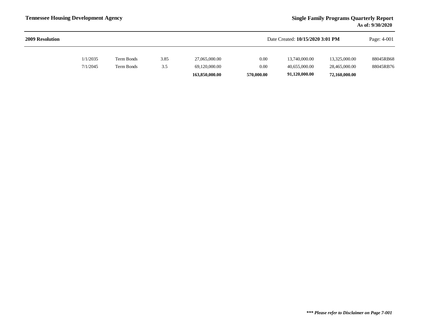| <b>2009 Resolution</b> |          |            |      |                | Date Created: 10/15/2020 3:01 PM |               |               | Page: 4-001 |
|------------------------|----------|------------|------|----------------|----------------------------------|---------------|---------------|-------------|
|                        | 1/1/2035 | Term Bonds | 3.85 | 27,065,000.00  | 0.00                             | 13,740,000.00 | 13,325,000.00 | 88045RB68   |
|                        | 7/1/2045 | Term Bonds | 3.5  | 69,120,000.00  | 0.00                             | 40,655,000.00 | 28,465,000.00 | 88045RB76   |
|                        |          |            |      | 163,850,000.00 | 570,000.00                       | 91,120,000.00 | 72,160,000.00 |             |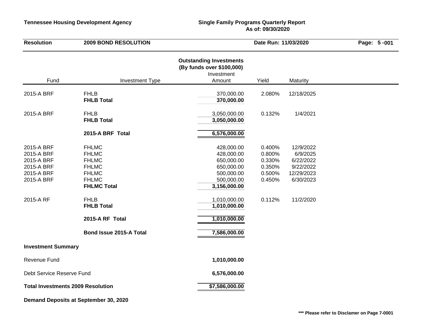### **Tennessee Housing Development Agency Single Family Programs Quarterly Report As of: 09/30/2020**

| <b>Resolution</b>                                                                             | 2009 BOND RESOLUTION                                                                                                                                                                                 |                                                                                                                                                                  | Date Run: 11/03/2020                                               |                                                                                         |  |
|-----------------------------------------------------------------------------------------------|------------------------------------------------------------------------------------------------------------------------------------------------------------------------------------------------------|------------------------------------------------------------------------------------------------------------------------------------------------------------------|--------------------------------------------------------------------|-----------------------------------------------------------------------------------------|--|
| Fund                                                                                          | <b>Investment Type</b>                                                                                                                                                                               | <b>Outstanding Investments</b><br>(By funds over \$100,000)<br>Investment<br>Amount                                                                              | Yield                                                              | Maturity                                                                                |  |
| 2015-A BRF                                                                                    | <b>FHLB</b><br><b>FHLB Total</b>                                                                                                                                                                     | 370,000.00<br>370,000.00                                                                                                                                         | 2.080%                                                             | 12/18/2025                                                                              |  |
| 2015-A BRF                                                                                    | <b>FHLB</b><br><b>FHLB Total</b>                                                                                                                                                                     | 3,050,000.00<br>3,050,000.00                                                                                                                                     | 0.132%                                                             | 1/4/2021                                                                                |  |
|                                                                                               | 2015-A BRF Total                                                                                                                                                                                     | 6,576,000.00                                                                                                                                                     |                                                                    |                                                                                         |  |
| 2015-A BRF<br>2015-A BRF<br>2015-A BRF<br>2015-A BRF<br>2015-A BRF<br>2015-A BRF<br>2015-A RF | <b>FHLMC</b><br><b>FHLMC</b><br><b>FHLMC</b><br><b>FHLMC</b><br><b>FHLMC</b><br><b>FHLMC</b><br><b>FHLMC Total</b><br><b>FHLB</b><br><b>FHLB Total</b><br>2015-A RF Total<br>Bond Issue 2015-A Total | 428,000.00<br>428,000.00<br>650,000.00<br>650,000.00<br>500,000.00<br>500,000.00<br>3,156,000.00<br>1,010,000.00<br>1,010,000.00<br>1,010,000.00<br>7,586,000.00 | 0.400%<br>0.800%<br>0.330%<br>0.350%<br>0.500%<br>0.450%<br>0.112% | 12/9/2022<br>6/9/2025<br>6/22/2022<br>9/22/2022<br>12/29/2023<br>6/30/2023<br>11/2/2020 |  |
| <b>Investment Summary</b>                                                                     |                                                                                                                                                                                                      |                                                                                                                                                                  |                                                                    |                                                                                         |  |
| <b>Revenue Fund</b>                                                                           |                                                                                                                                                                                                      | 1,010,000.00                                                                                                                                                     |                                                                    |                                                                                         |  |
| Debt Service Reserve Fund                                                                     |                                                                                                                                                                                                      | 6,576,000.00                                                                                                                                                     |                                                                    |                                                                                         |  |
| <b>Total Investments 2009 Resolution</b>                                                      |                                                                                                                                                                                                      | \$7,586,000.00                                                                                                                                                   |                                                                    |                                                                                         |  |
|                                                                                               | Demand Deposits at September 30, 2020                                                                                                                                                                |                                                                                                                                                                  |                                                                    |                                                                                         |  |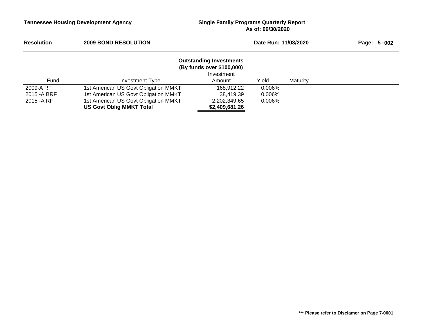## **As of: 09/30/2020**

| <b>Resolution</b> | <b>2009 BOND RESOLUTION</b>          |                                                                                     | Date Run: 11/03/2020 |          | Page: 5-002 |
|-------------------|--------------------------------------|-------------------------------------------------------------------------------------|----------------------|----------|-------------|
| Fund              | Investment Type                      | <b>Outstanding Investments</b><br>(By funds over \$100,000)<br>Investment<br>Amount | Yield                | Maturity |             |
| 2009-A RF         | 1st American US Govt Obligation MMKT | 168.912.22                                                                          | 0.006%               |          |             |
| 2015 - A BRF      | 1st American US Govt Obligation MMKT | 38.419.39                                                                           | 0.006%               |          |             |
| 2015 - A RF       | 1st American US Govt Obligation MMKT | 2,202,349.65                                                                        | 0.006%               |          |             |
|                   | <b>US Govt Oblig MMKT Total</b>      | \$2,409,681.26                                                                      |                      |          |             |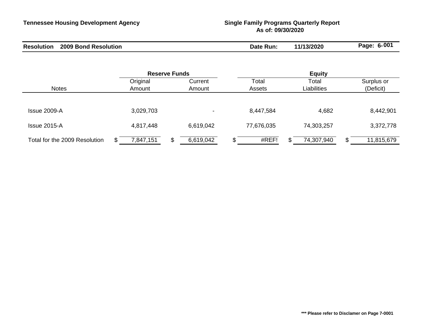# **Tennessee Housing Development Agency Single Family Programs Quarterly Report As of: 09/30/2020**

| <b>Resolution</b><br><b>2009 Bond</b><br><b>Resolution</b> | ·Run:<br>Date | 11/13/2020 | $6 - 00'$<br>Page: |
|------------------------------------------------------------|---------------|------------|--------------------|
|------------------------------------------------------------|---------------|------------|--------------------|

|                               |                    | <b>Reserve Funds</b>     | <b>Equity</b>   |                             |                         |  |  |
|-------------------------------|--------------------|--------------------------|-----------------|-----------------------------|-------------------------|--|--|
| <b>Notes</b>                  | Original<br>Amount | Current<br>Amount        | Total<br>Assets | Total<br><b>Liabilities</b> | Surplus or<br>(Deficit) |  |  |
|                               |                    |                          |                 |                             |                         |  |  |
| Issue 2009-A                  | 3,029,703          | $\overline{\phantom{0}}$ | 8,447,584       | 4,682                       | 8,442,901               |  |  |
| Issue 2015-A                  | 4,817,448          | 6,619,042                | 77,676,035      | 74,303,257                  | 3,372,778               |  |  |
| Total for the 2009 Resolution | 7,847,151<br>\$.   | 6,619,042                | #REF!           | 74,307,940                  | 11,815,679<br>J         |  |  |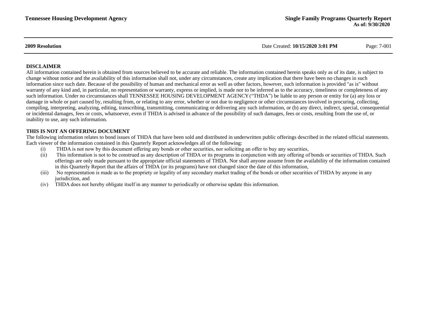**2009 Resolution** Date Created: **10/15/2020 3:01 PM** Page: 7-001

#### **DISCLAIMER**

All information contained herein is obtained from sources believed to be accurate and reliable. The information contained herein speaks only as of its date, is subject to change without notice and the availability of this information shall not, under any circumstances, create any implication that there have been no changes in such information since such date. Because of the possibility of human and mechanical error as well as other factors, however, such information is provided "as is" without warranty of any kind and, in particular, no representation or warranty, express or implied, is made nor to be inferred as to the accuracy, timeliness or completeness of any such information. Under no circumstances shall TENNESSEE HOUSING DEVELOPMENT AGENCY ("THDA") be liable to any person or entity for (a) any loss or damage in whole or part caused by, resulting from, or relating to any error, whether or not due to negligence or other circumstances involved in procuring, collecting, compiling, interpreting, analyzing, editing, transcribing, transmitting, communicating or delivering any such information, or (b) any direct, indirect, special, consequential or incidental damages, fees or costs, whatsoever, even if THDA is advised in advance of the possibility of such damages, fees or costs, resulting from the use of, or inability to use, any such information.

#### **THIS IS NOT AN OFFERING DOCUMENT**

The following information relates to bond issues of THDA that have been sold and distributed in underwritten public offerings described in the related official statements. Each viewer of the information contained in this Quarterly Report acknowledges all of the following:

- (i) THDA is not now by this document offering any bonds or other securities, nor soliciting an offer to buy any securities,
- (ii) This information is not to be construed as any description of THDA or its programs in conjunction with any offering of bonds or securities of THDA. Such offerings are only made pursuant to the appropriate official statements of THDA. Nor shall anyone assume from the availability of the information contained in this Quarterly Report that the affairs of THDA (or its programs) have not changed since the date of this information,
- (iii) No representation is made as to the propriety or legality of any secondary market trading of the bonds or other securities of THDA by anyone in any jurisdiction, and
- (iv) THDA does not hereby obligate itself in any manner to periodically or otherwise update this information.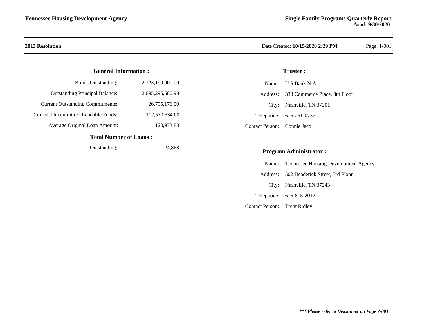## **General Information :**

| Total Number of Loone .                    |                  |  |  |  |  |
|--------------------------------------------|------------------|--|--|--|--|
| Average Original Loan Amount:              | 120,973.83       |  |  |  |  |
| <b>Current Uncommitted Lendable Funds:</b> | 112,530,534.00   |  |  |  |  |
| <b>Current Outstanding Commitments:</b>    | 26,795,176.00    |  |  |  |  |
| <b>Outstanding Principal Balance:</b>      | 2.695.295.580.98 |  |  |  |  |
| <b>Bonds Outstanding:</b>                  | 2,723,190,000.00 |  |  |  |  |

#### **Total Number of Loans :**

Outstanding: 24,868

## **2013 Resolution** Date Created: **10/15/2020 2:29 PM** Page: 1-001

## **Trustee :**

|                             | Name: U.S Bank N.A.                    |
|-----------------------------|----------------------------------------|
|                             | Address: 333 Commerce Place, 8th Floor |
|                             | City: Nashville, TN 37201              |
|                             | Telephone: 615-251-0737                |
| Contact Person: Connie Jaco |                                        |

## **Program Administrator :**

|                              | Name: Tennessee Housing Development Agency |
|------------------------------|--------------------------------------------|
|                              | Address: 502 Deaderick Street, 3rd Floor   |
|                              | City: Nashville, TN 37243                  |
|                              | Telephone: 615-815-2012                    |
| Contact Person: Trent Ridley |                                            |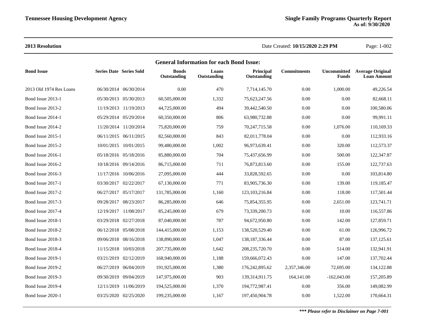## **2013 Resolution** Date Created: **10/15/2020 2:29 PM** Page: 1-002

| <b>General Information for each Bond Issue:</b> |                                |                       |                             |                      |                          |                    |               |                                                    |  |
|-------------------------------------------------|--------------------------------|-----------------------|-----------------------------|----------------------|--------------------------|--------------------|---------------|----------------------------------------------------|--|
| <b>Bond Issue</b>                               | <b>Series Date Series Sold</b> |                       | <b>Bonds</b><br>Outstanding | Loans<br>Outstanding | Principal<br>Outstanding | <b>Commitments</b> | <b>Funds</b>  | Uncommitted Average Original<br><b>Loan Amount</b> |  |
| 2013 Old 1974 Res Loans                         |                                | 06/30/2014 06/30/2014 | 0.00                        | 470                  | 7,714,145.70             | 0.00               | 1,000.00      | 49,226.54                                          |  |
| Bond Issue 2013-1                               |                                | 05/30/2013 05/30/2013 | 60,505,000.00               | 1,332                | 75,623,247.56            | 0.00               | 0.00          | 82,668.11                                          |  |
| Bond Issue 2013-2                               |                                | 11/19/2013 11/19/2013 | 44,725,000.00               | 494                  | 39,442,540.50            | 0.00               | 0.00          | 100,580.06                                         |  |
| Bond Issue 2014-1                               |                                | 05/29/2014 05/29/2014 | 60,350,000.00               | 806                  | 63,980,732.88            | 0.00               | 0.00          | 99,991.11                                          |  |
| Bond Issue 2014-2                               |                                | 11/20/2014 11/20/2014 | 75,820,000.00               | 759                  | 70,247,715.58            | 0.00               | 1,076.00      | 110,169.33                                         |  |
| Bond Issue 2015-1                               |                                | 06/11/2015 06/11/2015 | 82,560,000.00               | 843                  | 82,011,778.04            | 0.00               | 0.00          | 112,933.16                                         |  |
| Bond Issue 2015-2                               |                                | 10/01/2015 10/01/2015 | 99,480,000.00               | 1,002                | 96,973,639.41            | 0.00               | 320.00        | 112,573.37                                         |  |
| Bond Issue 2016-1                               |                                | 05/18/2016 05/18/2016 | 85,880,000.00               | 704                  | 75,437,656.99            | 0.00               | 500.00        | 122,347.87                                         |  |
| Bond Issue 2016-2                               |                                | 10/18/2016 09/14/2016 | 86,715,000.00               | 711                  | 76,873,813.60            | 0.00               | 155.00        | 122,737.63                                         |  |
| Bond Issue 2016-3                               |                                | 11/17/2016 10/06/2016 | 27,095,000.00               | 444                  | 33,828,592.65            | 0.00               | 0.00          | 103,814.80                                         |  |
| Bond Issue 2017-1                               |                                | 03/30/2017 02/22/2017 | 67,130,000.00               | 771                  | 83,905,736.30            | 0.00               | 139.00        | 119,185.47                                         |  |
| Bond Issue 2017-2                               |                                | 06/27/2017 05/17/2017 | 131,785,000.00              | 1,160                | 123, 103, 216.84         | 0.00               | 118.00        | 117,501.44                                         |  |
| Bond Issue 2017-3                               |                                | 09/28/2017 08/23/2017 | 86,285,000.00               | 646                  | 75,854,355.95            | 0.00               | 2,651.00      | 123,741.71                                         |  |
| Bond Issue 2017-4                               |                                | 12/19/2017 11/08/2017 | 85,245,000.00               | 679                  | 73,339,200.73            | 0.00               | 10.00         | 116,557.86                                         |  |
| Bond Issue 2018-1                               |                                | 03/29/2018 02/27/2018 | 87,040,000.00               | 787                  | 94,672,950.80            | 0.00               | 142.00        | 127,859.71                                         |  |
| Bond Issue 2018-2                               |                                | 06/12/2018 05/08/2018 | 144,415,000.00              | 1,153                | 138,520,529.40           | 0.00               | 61.00         | 126,996.72                                         |  |
| Bond Issue 2018-3                               |                                | 09/06/2018 08/16/2018 | 138,890,000.00              | 1,047                | 138, 187, 336. 44        | 0.00               | 87.00         | 137, 125.61                                        |  |
| Bond Issue 2018-4                               |                                | 11/15/2018 10/03/2018 | 207,735,000.00              | 1,642                | 208, 235, 720. 70        | 0.00               | 514.00        | 132,941.91                                         |  |
| Bond Issue 2019-1                               |                                | 03/21/2019 02/12/2019 | 168,940,000.00              | 1,188                | 159,666,072.43           | 0.00               | 147.00        | 137,702.44                                         |  |
| Bond Issue 2019-2                               |                                | 06/27/2019 06/04/2019 | 191,925,000.00              | 1,380                | 176,242,895.62           | 2,357,346.00       | 72,695.00     | 134,122.88                                         |  |
| Bond Issue 2019-3                               |                                | 09/30/2019 09/04/2019 | 147,975,000.00              | 903                  | 139,314,911.75           | 164,141.00         | $-162,043.00$ | 157,205.89                                         |  |
| Bond Issue 2019-4                               |                                | 12/11/2019 11/06/2019 | 194,525,000.00              | 1,370                | 194,772,987.41           | 0.00               | 356.00        | 149,082.99                                         |  |
| Bond Issue 2020-1                               |                                | 03/25/2020 02/25/2020 | 199,235,000.00              | 1,167                | 197,450,904.78           | 0.00               | 1,522.00      | 170,664.31                                         |  |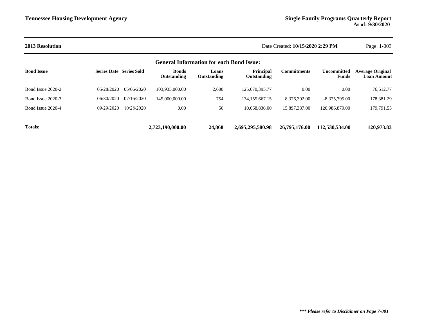| <b>2013 Resolution</b>                          |                                |            |                             | Date Created: 10/15/2020 2:29 PM |                                 |                    |                                    |                                               |  |
|-------------------------------------------------|--------------------------------|------------|-----------------------------|----------------------------------|---------------------------------|--------------------|------------------------------------|-----------------------------------------------|--|
| <b>General Information for each Bond Issue:</b> |                                |            |                             |                                  |                                 |                    |                                    |                                               |  |
| <b>Bond Issue</b>                               | <b>Series Date Series Sold</b> |            | <b>Bonds</b><br>Outstanding | Loans<br>Outstanding             | <b>Principal</b><br>Outstanding | <b>Commitments</b> | <b>Uncommitted</b><br><b>Funds</b> | <b>Average Original</b><br><b>Loan Amount</b> |  |
| Bond Issue 2020-2                               | 05/28/2020                     | 05/06/2020 | 103.935.000.00              | 2,600                            | 125,670,395.77                  | 0.00               | 0.00                               | 76,512.77                                     |  |
| Bond Issue 2020-3                               | 06/30/2020                     | 07/16/2020 | 145,000,000.00              | 754                              | 134, 155, 667. 15               | 8,376,302.00       | $-8,375,795.00$                    | 178,381.29                                    |  |
| Bond Issue 2020-4                               | 09/29/2020                     | 10/28/2020 | 0.00                        | 56                               | 10.068.836.00                   | 15,897,387.00      | 120.986.879.00                     | 179,791.55                                    |  |
| <b>Totals:</b>                                  |                                |            | 2,723,190,000.00            | 24,868                           | 2,695,295,580.98                | 26,795,176.00      | 112,530,534.00                     | 120,973.83                                    |  |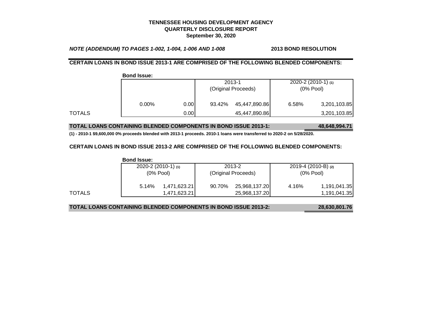*NOTE (ADDENDUM) TO PAGES 1-002, 1-004, 1-006 AND 1-008* **2013 BOND RESOLUTION**

### **CERTAIN LOANS IN BOND ISSUE 2013-1 ARE COMPRISED OF THE FOLLOWING BLENDED COMPONENTS:**

**Bond Issue:**

|        |          |      | 2013-1<br>(Original Proceeds) |               | $2020 - 2(2010 - 1)$ (1)<br>$(0%$ Pool) |              |
|--------|----------|------|-------------------------------|---------------|-----------------------------------------|--------------|
|        | $0.00\%$ | 0.00 | 93.42%                        | 45,447,890.86 | 6.58%                                   | 3,201,103.85 |
| TOTALS |          | 0.00 |                               | 45,447,890.86 |                                         | 3,201,103.85 |

**TOTAL LOANS CONTAINING BLENDED COMPONENTS IN BOND ISSUE 2013-1: 48,648,994.71**

**(1) - 2010-1 \$9,600,000 0% proceeds blended with 2013-1 proceeds. 2010-1 loans were transferred to 2020-2 on 5/28/2020.**

#### **CERTAIN LOANS IN BOND ISSUE 2013-2 ARE COMPRISED OF THE FOLLOWING BLENDED COMPONENTS:**

|        | <b>Bond Issue:</b>       |              |        |                     |              |                       |  |
|--------|--------------------------|--------------|--------|---------------------|--------------|-----------------------|--|
|        | $2020 - 2(2010 - 1)$ (1) |              |        | 2013-2              |              | 2019-4 (2010-B) $(2)$ |  |
|        | $(0%$ Pool)              |              |        | (Original Proceeds) | $(0\%$ Pool) |                       |  |
|        | 5.14%                    | 1.471.623.21 | 90.70% | 25,968,137.20       | 4.16%        | 1,191,041.35          |  |
| TOTALS |                          | 1,471,623.21 |        | 25,968,137.20       |              | 1,191,041.35          |  |

**TOTAL LOANS CONTAINING BLENDED COMPONENTS IN BOND ISSUE 2013-2: 28,630,801.76**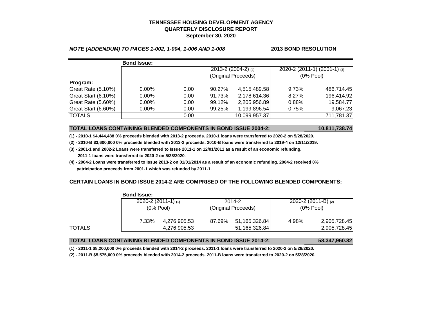#### *NOTE (ADDENDUM) TO PAGES 1-002, 1-004, 1-006 AND 1-008* **2013 BOND RESOLUTION**

|                     | <b>Bond Issue:</b> |       |                     |                     |                              |            |
|---------------------|--------------------|-------|---------------------|---------------------|------------------------------|------------|
|                     |                    |       |                     | 2013-2 (2004-2) (4) | 2020-2 (2011-1) (2001-1) (3) |            |
|                     |                    |       | (Original Proceeds) |                     | $(0%$ Pool)                  |            |
| Program:            |                    |       |                     |                     |                              |            |
| Great Rate (5.10%)  | $0.00\%$           | 0.001 | 90.27%              | 4,515,489.58        | 9.73%                        | 486,714.45 |
| Great Start (6.10%) | $0.00\%$           | 0.00  | 91.73%              | 2,178,614.36        | 8.27%                        | 196,414.92 |
| Great Rate (5.60%)  | $0.00\%$           | 0.00  | 99.12%              | 2,205,956.89        | 0.88%                        | 19,584.77  |
| Great Start (6.60%) | $0.00\%$           | 0.00  | 99.25%              | 1,199,896.54        | 0.75%                        | 9,067.23   |
| <b>TOTALS</b>       |                    | 0.00  |                     | 10,099,957.37       |                              | 711,781.37 |

#### **TOTAL LOANS CONTAINING BLENDED COMPONENTS IN BOND ISSUE 2004-2: 10,811,738.74**

**(1) - 2010-1 \$4,444,488 0% proceeds blended with 2013-2 proceeds. 2010-1 loans were transferred to 2020-2 on 5/28/2020.**

**(2) - 2010-B \$3,600,000 0% proceeds blended with 2013-2 proceeds. 2010-B loans were transferred to 2019-4 on 12/11/2019.**

- **(3) 2001-1 and 2002-2 Loans were transferred to Issue 2011-1 on 12/01/2011 as a result of an economic refunding. 2011-1 loans were transferred to 2020-2 on 5/28/2020.**
- **(4) 2004-2 Loans were transferred to Issue 2013-2 on 01/01/2014 as a result of an economic refunding. 2004-2 received 0% patricipation proceeds from 2001-1 which was refunded by 2011-1.**

## **CERTAIN LOANS IN BOND ISSUE 2014-2 ARE COMPRISED OF THE FOLLOWING BLENDED COMPONENTS:**

|        | סטכפו שווטש.                             |              |                     |               |                         |              |
|--------|------------------------------------------|--------------|---------------------|---------------|-------------------------|--------------|
|        | $2020 - 2(2011 - 1)$ (1)<br>$(0\%$ Pool) |              |                     | 2014-2        | 2020-2 $(2011-B)$ $(2)$ |              |
|        |                                          |              | (Original Proceeds) |               | $(0%$ Pool)             |              |
|        | 7.33%                                    | 4,276,905.53 | 87.69%              | 51,165,326.84 | 4.98%                   | 2,905,728.45 |
| TOTALS |                                          | 4,276,905.53 |                     | 51,165,326.84 |                         | 2,905,728.45 |

#### **Bond Issue:**

#### **TOTAL LOANS CONTAINING BLENDED COMPONENTS IN BOND ISSUE 2014-2: 58,347,960.82**

**(1) - 2011-1 \$8,200,000 0% proceeds blended with 2014-2 proceeds. 2011-1 loans were transferred to 2020-2 on 5/28/2020.**

**(2) - 2011-B \$5,575,000 0% proceeds blended with 2014-2 proceeds. 2011-B loans were transferred to 2020-2 on 5/28/2020.**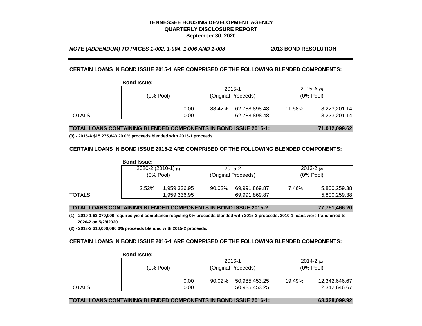*NOTE (ADDENDUM) TO PAGES 1-002, 1-004, 1-006 AND 1-008* **2013 BOND RESOLUTION**

#### **CERTAIN LOANS IN BOND ISSUE 2015-1 ARE COMPRISED OF THE FOLLOWING BLENDED COMPONENTS:**

|        | <b>Bond Issue:</b> |       |                     |               |                |              |
|--------|--------------------|-------|---------------------|---------------|----------------|--------------|
|        |                    |       |                     | 2015-1        | $2015 - A$ (3) |              |
|        | $(0\%$ Pool)       |       | (Original Proceeds) |               | $(0%$ Pool)    |              |
|        |                    | 0.00  | 88.42%              | 62,788,898.48 | 11.58%         | 8,223,201.14 |
| TOTALS |                    | 0.001 |                     | 62,788,898.48 |                | 8,223,201.14 |

**TOTAL LOANS CONTAINING BLENDED COMPONENTS IN BOND ISSUE 2015-1: 71,012,099.62**

**(3) - 2015-A \$15,275,843.20 0% proceeds blended with 2015-1 proceeds.**

#### **CERTAIN LOANS IN BOND ISSUE 2015-2 ARE COMPRISED OF THE FOLLOWING BLENDED COMPONENTS:**

|        | <b>Bond Issue:</b> |                          |                     |               |             |               |
|--------|--------------------|--------------------------|---------------------|---------------|-------------|---------------|
|        |                    | $2020 - 2(2010 - 1)$ (1) |                     | 2015-2        |             | $2013 - 2(2)$ |
|        | $(0%$ Pool)        |                          | (Original Proceeds) |               | $(0%$ Pool) |               |
|        | 2.52%              | 1,959,336.95             | 90.02%              | 69,991,869.87 | 7.46%       | 5,800,259.38  |
| TOTALS |                    | 1,959,336.95             |                     | 69,991,869.87 |             | 5,800,259.38  |

#### **TOTAL LOANS CONTAINING BLENDED COMPONENTS IN BOND ISSUE 2015-2: 77,751,466.20**

**(1) - 2010-1 \$3,370,000 required yield compliance recycling 0% proceeds blended with 2015-2 proceeds. 2010-1 loans were transferred to 2020-2 on 5/28/2020.**

**(2) - 2013-2 \$10,000,000 0% proceeds blended with 2015-2 proceeds.**

#### **CERTAIN LOANS IN BOND ISSUE 2016-1 ARE COMPRISED OF THE FOLLOWING BLENDED COMPONENTS:**

|        | שנפו שווטט. |                     |               |               |               |
|--------|-------------|---------------------|---------------|---------------|---------------|
|        |             | 2016-1              |               | $2014 - 2(1)$ |               |
|        | $(0%$ Pool) | (Original Proceeds) |               | $(0%$ Pool)   |               |
|        | 0.001       | 90.02%              | 50,985,453.25 | 19.49%        | 12,342,646.67 |
| TOTALS | 0.001       |                     | 50,985,453.25 |               | 12,342,646.67 |

## **Bond Issue:**

## **TOTAL LOANS CONTAINING BLENDED COMPONENTS IN BOND ISSUE 2016-1: 63,328,099.92**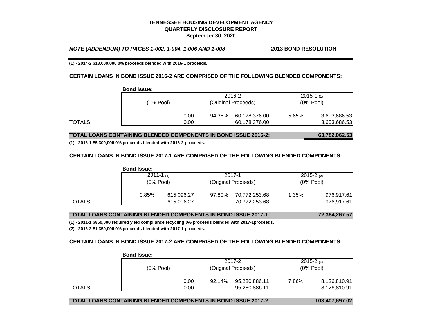*NOTE (ADDENDUM) TO PAGES 1-002, 1-004, 1-006 AND 1-008* **2013 BOND RESOLUTION**

**(1) - 2014-2 \$18,000,000 0% proceeds blended with 2016-1 proceeds.**

#### **CERTAIN LOANS IN BOND ISSUE 2016-2 ARE COMPRISED OF THE FOLLOWING BLENDED COMPONENTS:**

|        | <b>Bond Issue:</b> |       |                     |               |                |              |
|--------|--------------------|-------|---------------------|---------------|----------------|--------------|
|        | $(0%$ Pool)        |       |                     | 2016-2        | $2015 - 1$ (1) |              |
|        |                    |       | (Original Proceeds) |               | $(0%$ Pool)    |              |
|        |                    | 0.00  | 94.35%              | 60,178,376.00 | 5.65%          | 3,603,686.53 |
| TOTALS |                    | 0.001 |                     | 60,178,376.00 |                | 3,603,686.53 |

#### **TOTAL LOANS CONTAINING BLENDED COMPONENTS IN BOND ISSUE 2016-2: 63,782,062.53**

**(1) - 2015-1 \$5,300,000 0% proceeds blended with 2016-2 proceeds.**

#### **CERTAIN LOANS IN BOND ISSUE 2017-1 ARE COMPRISED OF THE FOLLOWING BLENDED COMPONENTS:**

|        | <b>Bond Issue:</b>            |            |                               |               |                               |            |
|--------|-------------------------------|------------|-------------------------------|---------------|-------------------------------|------------|
|        | $2011 - 1$ (1)<br>$(0%$ Pool) |            | 2017-1<br>(Original Proceeds) |               | $2015 - 2$ (2)<br>$(0%$ Pool) |            |
|        |                               |            |                               |               |                               |            |
|        | 0.85%                         | 615,096.27 | 97.80%                        | 70,772,253.68 | 1.35%                         | 976,917.61 |
| TOTALS |                               | 615,096.27 |                               | 70,772,253.68 |                               | 976,917.61 |

#### **TOTAL LOANS CONTAINING BLENDED COMPONENTS IN BOND ISSUE 2017-1: 72,364,267.57**

**(1) - 2011-1 \$850,000 required yield compliance recycling 0% proceeds blended with 2017-1proceeds.**

**(2) - 2015-2 \$1,350,000 0% proceeds blended with 2017-1 proceeds.**

## **CERTAIN LOANS IN BOND ISSUE 2017-2 ARE COMPRISED OF THE FOLLOWING BLENDED COMPONENTS:**

|        | PVIIM 19989. |                         |                              |  |
|--------|--------------|-------------------------|------------------------------|--|
|        |              | 2017-2                  | $2015 - 2(1)$<br>$(0%$ Pool) |  |
|        | $(0%$ Pool)  | (Original Proceeds)     |                              |  |
|        | 0.001        | 95,280,886.11<br>92.14% | 8,126,810.91<br>7.86%        |  |
| TOTALS | 0.001        | 95,280,886.11           | 8,126,810.91                 |  |

#### **Bond Issue:**

#### **TOTAL LOANS CONTAINING BLENDED COMPONENTS IN BOND ISSUE 2017-2: 103,407,697.02**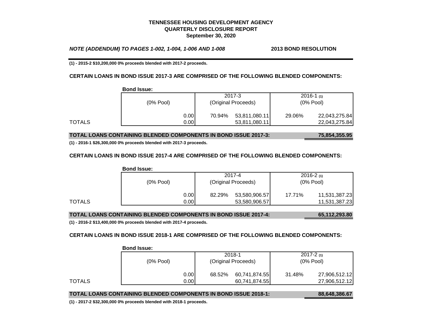*NOTE (ADDENDUM) TO PAGES 1-002, 1-004, 1-006 AND 1-008* **2013 BOND RESOLUTION**

**(1) - 2015-2 \$10,200,000 0% proceeds blended with 2017-2 proceeds.**

#### **CERTAIN LOANS IN BOND ISSUE 2017-3 ARE COMPRISED OF THE FOLLOWING BLENDED COMPONENTS:**

|        | <b>Bond Issue:</b> |       |                     |               |                |               |
|--------|--------------------|-------|---------------------|---------------|----------------|---------------|
|        | $(0\%$ Pool)       |       |                     | 2017-3        | $2016 - 1$ (1) |               |
|        |                    |       | (Original Proceeds) |               | $(0%$ Pool)    |               |
|        |                    | 0.001 | 70.94%              | 53,811,080.11 | 29.06%         | 22,043,275.84 |
| TOTALS |                    | 0.001 |                     | 53,811,080.11 |                | 22,043,275.84 |

## **TOTAL LOANS CONTAINING BLENDED COMPONENTS IN BOND ISSUE 2017-3: 75,854,355.95**

**(1) - 2016-1 \$26,300,000 0% proceeds blended with 2017-3 proceeds.**

#### **CERTAIN LOANS IN BOND ISSUE 2017-4 ARE COMPRISED OF THE FOLLOWING BLENDED COMPONENTS:**

|        | <b>Bond Issue:</b> |       |                     |               |             |               |
|--------|--------------------|-------|---------------------|---------------|-------------|---------------|
|        |                    |       |                     | 2017-4        |             | $2016 - 2(1)$ |
|        | $(0%$ Pool)        |       | (Original Proceeds) |               | $(0%$ Pool) |               |
|        |                    | 0.001 | 82.29%              | 53,580,906.57 | 17.71%      | 11,531,387.23 |
| TOTALS |                    | 0.001 |                     | 53,580,906.57 |             | 11,531,387.23 |

**TOTAL LOANS CONTAINING BLENDED COMPONENTS IN BOND ISSUE 2017-4: 65,112,293.80**

**(1) - 2016-2 \$13,400,000 0% proceeds blended with 2017-4 proceeds.**

#### **CERTAIN LOANS IN BOND ISSUE 2018-1 ARE COMPRISED OF THE FOLLOWING BLENDED COMPONENTS:**

|        | 991191999.        |                         |                              |  |
|--------|-------------------|-------------------------|------------------------------|--|
|        |                   | 2018-1                  | $2017 - 2(1)$<br>$(0%$ Pool) |  |
|        | $(0%$ Pool)       | (Original Proceeds)     |                              |  |
|        | 0.00              | 60,741,874.55<br>68.52% | 31.48%<br>27,906,512.12      |  |
| TOTALS | 0.00 <sub>l</sub> | 60,741,874.55           | 27,906,512.12                |  |

#### **Bond Issue:**

#### **TOTAL LOANS CONTAINING BLENDED COMPONENTS IN BOND ISSUE 2018-1: 88,648,386.67**

**(1) - 2017-2 \$32,300,000 0% proceeds blended with 2018-1 proceeds.**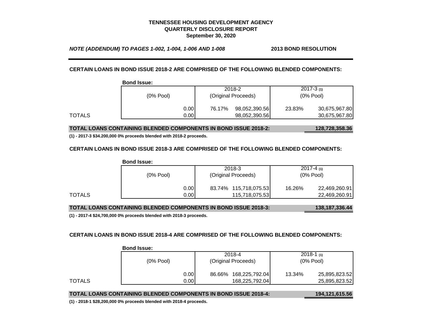*NOTE (ADDENDUM) TO PAGES 1-002, 1-004, 1-006 AND 1-008* **2013 BOND RESOLUTION**

#### **CERTAIN LOANS IN BOND ISSUE 2018-2 ARE COMPRISED OF THE FOLLOWING BLENDED COMPONENTS:**

|        | <b>Bond Issue:</b> |       |                               |               |                              |               |
|--------|--------------------|-------|-------------------------------|---------------|------------------------------|---------------|
|        | $(0\%$ Pool)       |       | 2018-2<br>(Original Proceeds) |               | $2017 - 3(1)$<br>$(0%$ Pool) |               |
|        |                    |       |                               |               |                              |               |
|        |                    | 0.00  | 76.17%                        | 98,052,390.56 | 23.83%                       | 30,675,967.80 |
| TOTALS |                    | 0.001 |                               | 98,052,390.56 |                              | 30,675,967.80 |

**TOTAL LOANS CONTAINING BLENDED COMPONENTS IN BOND ISSUE 2018-2: 128,728,358.36**

**(1) - 2017-3 \$34.200,000 0% proceeds blended with 2018-2 proceeds.**

#### **CERTAIN LOANS IN BOND ISSUE 2018-3 ARE COMPRISED OF THE FOLLOWING BLENDED COMPONENTS:**

|        | <b>Bond Issue:</b> |       |                       |                         |
|--------|--------------------|-------|-----------------------|-------------------------|
|        | $(0%$ Pool)        |       | 2018-3                | $2017 - 4(1)$           |
|        |                    |       | (Original Proceeds)   | $(0%$ Pool)             |
|        |                    | 0.001 | 83.74% 115,718,075.53 | 16.26%<br>22,469,260.91 |
| TOTALS |                    | 0.001 | 115,718,075.53        | 22,469,260.91           |

**TOTAL LOANS CONTAINING BLENDED COMPONENTS IN BOND ISSUE 2018-3: 138,187,336.44**

**(1) - 2017-4 \$24,700,000 0% proceeds blended with 2018-3 proceeds.**

#### **CERTAIN LOANS IN BOND ISSUE 2018-4 ARE COMPRISED OF THE FOLLOWING BLENDED COMPONENTS:**

|        | 991191999.        |                          |                         |  |
|--------|-------------------|--------------------------|-------------------------|--|
|        |                   | 2018-4                   | $2018-1$ (1)            |  |
|        | $(0\%$ Pool)      | (Original Proceeds)      | $(0%$ Pool)             |  |
|        | 0.001             | 168,225,792.04<br>86.66% | 13.34%<br>25,895,823.52 |  |
| TOTALS | 0.00 <sub>l</sub> | 168,225,792.04           | 25,895,823.52           |  |

#### **Bond Issue:**

| TOTAL LOANS CONTAINING BLENDED COMPONENTS IN BOND ISSUE 2018-4: |  |
|-----------------------------------------------------------------|--|
|                                                                 |  |

**TOTAL LOANS CONTAINING BLENDED COMPONENTS IN BOND ISSUE 2018-4: 194,121,615.56**

**(1) - 2018-1 \$28,200,000 0% proceeds blended with 2018-4 proceeds.**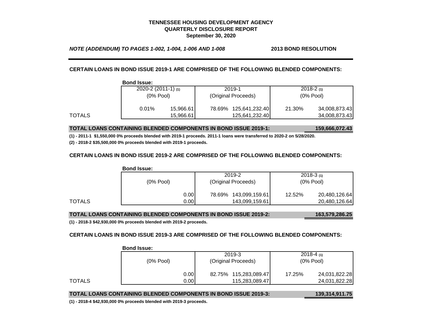*NOTE (ADDENDUM) TO PAGES 1-002, 1-004, 1-006 AND 1-008* **2013 BOND RESOLUTION**

**CERTAIN LOANS IN BOND ISSUE 2019-1 ARE COMPRISED OF THE FOLLOWING BLENDED COMPONENTS:**

|        | <b>Bond Issue:</b> |                          |        |                     |        |               |  |
|--------|--------------------|--------------------------|--------|---------------------|--------|---------------|--|
|        |                    | $2020 - 2(2011 - 1)$ (1) |        | 2019-1              |        | $2018-2(1)$   |  |
|        |                    | $(0\%$ Pool)             |        | (Original Proceeds) |        | $(0%$ Pool)   |  |
|        | 0.01%              | 15,966.61                | 78.69% | 125,641,232.40      | 21.30% | 34,008,873.43 |  |
| TOTALS |                    | 15,966.61                |        | 125,641,232.40      |        | 34,008,873.43 |  |

**Bond Issue:**

**TOTAL LOANS CONTAINING BLENDED COMPONENTS IN BOND ISSUE 2019-1: 159,666,072.43**

**(1) - 2011-1 \$1,550,000 0% proceeds blended with 2019-1 proceeds. 2011-1 loans were transferred to 2020-2 on 5/28/2020.**

**(2) - 2018-2 \$35,500,000 0% proceeds blended with 2019-1 proceeds.**

#### **CERTAIN LOANS IN BOND ISSUE 2019-2 ARE COMPRISED OF THE FOLLOWING BLENDED COMPONENTS:**

|        | <b>Bond Issue:</b> |       |                       |  |             |               |
|--------|--------------------|-------|-----------------------|--|-------------|---------------|
|        |                    |       | 2019-2                |  |             | $2018-3(1)$   |
|        | $(0\%$ Pool)       |       | (Original Proceeds)   |  | $(0%$ Pool) |               |
|        |                    | 0.00  | 78.69% 143,099,159.61 |  | 12.52%      | 20,480,126.64 |
| TOTALS |                    | 0.001 | 143,099,159.61        |  |             | 20,480,126.64 |

#### **TOTAL LOANS CONTAINING BLENDED COMPONENTS IN BOND ISSUE 2019-2: 163,579,286.25**

**(1) - 2018-3 \$42,930,000 0% proceeds blended with 2019-2 proceeds.**

#### **CERTAIN LOANS IN BOND ISSUE 2019-3 ARE COMPRISED OF THE FOLLOWING BLENDED COMPONENTS:**

|        |              | 2019-3                   | $2018 - 4(1)$<br>$(0%$ Pool) |  |  |  |  |
|--------|--------------|--------------------------|------------------------------|--|--|--|--|
|        | $(0\%$ Pool) | (Original Proceeds)      |                              |  |  |  |  |
|        | 0.00         | 115,283,089.47<br>82.75% | 24,031,822.28<br>17.25%      |  |  |  |  |
| TOTALS | 0.001        | 115,283,089.47           | 24,031,822.28                |  |  |  |  |

#### **Bond Issue:**

#### **TOTAL LOANS CONTAINING BLENDED COMPONENTS IN BOND ISSUE 2019-3: 139,314,911.75**

**(1) - 2018-4 \$42,930,000 0% proceeds blended with 2019-3 proceeds.**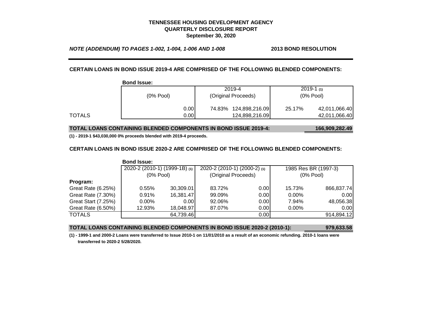*NOTE (ADDENDUM) TO PAGES 1-002, 1-004, 1-006 AND 1-008* **2013 BOND RESOLUTION**

#### **CERTAIN LOANS IN BOND ISSUE 2019-4 ARE COMPRISED OF THE FOLLOWING BLENDED COMPONENTS:**

|        | <b>Bond Issue:</b> |       |                     |                |             |               |
|--------|--------------------|-------|---------------------|----------------|-------------|---------------|
|        |                    |       |                     | 2019-4         |             | $2019-1(1)$   |
|        | $(0\%$ Pool)       |       | (Original Proceeds) |                | $(0%$ Pool) |               |
|        |                    | 0.001 | 74.83%              | 124,898,216.09 | 25.17%      | 42,011,066.40 |
| TOTALS |                    | 0.001 |                     | 124,898,216.09 |             | 42,011,066.40 |

**TOTAL LOANS CONTAINING BLENDED COMPONENTS IN BOND ISSUE 2019-4: 166,909,282.49**

**(1) - 2019-1 \$43,030,000 0% proceeds blended with 2019-4 proceeds.**

#### **CERTAIN LOANS IN BOND ISSUE 2020-2 ARE COMPRISED OF THE FOLLOWING BLENDED COMPONENTS:**

|                            | <b>Bond Issue:</b>            |           |                              |      |                      |            |
|----------------------------|-------------------------------|-----------|------------------------------|------|----------------------|------------|
|                            | 2020-2 (2010-1) (1999-1B) (1) |           | 2020-2 (2010-1) (2000-2) (1) |      | 1985 Res BR (1997-3) |            |
|                            | $(0%$ Pool)                   |           | (Original Proceeds)          |      | $(0%$ Pool)          |            |
| Program:                   |                               |           |                              |      |                      |            |
| Great Rate (6.25%)         | 0.55%                         | 30,309.01 | 83.72%                       | 0.00 | 15.73%               | 866,837.74 |
| Great Rate (7.30%)         | 0.91%                         | 16,381.47 | 99.09%                       | 0.00 | $0.00\%$             | 0.00       |
| <b>Great Start (7.25%)</b> | $0.00\%$                      | 0.00      | 92.06%                       | 0.00 | 7.94%                | 48,056.38  |
| Great Rate (6.50%)         | 12.93%                        | 18,048.97 | 87.07%                       | 0.00 | $0.00\%$             | 0.00       |
| <b>TOTALS</b>              |                               | 64,739.46 |                              | 0.00 |                      | 914,894.12 |

#### **TOTAL LOANS CONTAINING BLENDED COMPONENTS IN BOND ISSUE 2020-2 (2010-1): 979,633.58**

**(1) - 1999-1 and 2000-2 Loans were transferred to Issue 2010-1 on 11/01/2010 as a result of an economic refunding. 2010-1 loans were transferred to 2020-2 5/28/2020.**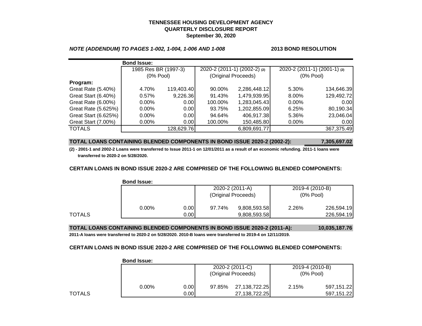#### *NOTE (ADDENDUM) TO PAGES 1-002, 1-004, 1-006 AND 1-008* **2013 BOND RESOLUTION**

|                      | <b>Bond Issue:</b>   |            |         |                              |                              |            |
|----------------------|----------------------|------------|---------|------------------------------|------------------------------|------------|
|                      | 1985 Res BR (1997-3) |            |         | 2020-2 (2011-1) (2002-2) (2) | 2020-2 (2011-1) (2001-1) (2) |            |
|                      | $(0%$ Pool)          |            |         | (Original Proceeds)          | $(0%$ Pool)                  |            |
| Program:             |                      |            |         |                              |                              |            |
| Great Rate (5.40%)   | 4.70%                | 119,403.40 | 90.00%  | 2,286,448.12                 | 5.30%                        | 134,646.39 |
| Great Start (6.40%)  | 0.57%                | 9,226.36   | 91.43%  | 1,479,939.95                 | 8.00%                        | 129,492.72 |
| Great Rate (6.00%)   | $0.00\%$             | 0.001      | 100.00% | 1,283,045.43                 | $0.00\%$                     | 0.00       |
| Great Rate (5.625%)  | 0.00%                | 0.00       | 93.75%  | 1,202,855.09                 | 6.25%                        | 80,190.34  |
| Great Start (6.625%) | $0.00\%$             | 0.00       | 94.64%  | 406,917.38                   | 5.36%                        | 23,046.04  |
| Great Start (7.00%)  | 0.00%                | 0.00       | 100.00% | 150,485.80                   | $0.00\%$                     | 0.00       |
| <b>TOTALS</b>        |                      | 128,629.76 |         | 6,809,691.77                 |                              | 367,375.49 |

#### **TOTAL LOANS CONTAINING BLENDED COMPONENTS IN BOND ISSUE 2020-2 (2002-2): 7,305,697.02**

**(2) - 2001-1 and 2002-2 Loans were transferred to Issue 2011-1 on 12/01/2011 as a result of an economic refunding. 2011-1 loans were transferred to 2020-2 on 5/28/2020.**

#### **CERTAIN LOANS IN BOND ISSUE 2020-2 ARE COMPRISED OF THE FOLLOWING BLENDED COMPONENTS:**

|        | <b>Bond Issue:</b> |      |        |                                        |                                |            |
|--------|--------------------|------|--------|----------------------------------------|--------------------------------|------------|
|        |                    |      |        | 2020-2 (2011-A)<br>(Original Proceeds) | 2019-4 (2010-B)<br>$(0%$ Pool) |            |
|        | $0.00\%$           | 0.00 | 97.74% | 9,808,593.58                           | 2.26%                          | 226,594.19 |
| TOTALS |                    | 0.00 |        | 9,808,593.58                           |                                | 226,594.19 |

**TOTAL LOANS CONTAINING BLENDED COMPONENTS IN BOND ISSUE 2020-2 (2011-A): 10,035,187.76**

**2011-A loans were transferred to 2020-2 on 5/28/2020. 2010-B loans were transferred to 2019-4 on 12/11/2019.**

#### **CERTAIN LOANS IN BOND ISSUE 2020-2 ARE COMPRISED OF THE FOLLOWING BLENDED COMPONENTS:**

|        | <b>Bond Issue:</b> |       |                     |                 |                 |            |
|--------|--------------------|-------|---------------------|-----------------|-----------------|------------|
|        |                    |       |                     | 2020-2 (2011-C) | 2019-4 (2010-B) |            |
|        |                    |       | (Original Proceeds) |                 | $(0%$ Pool)     |            |
|        | $0.00\%$           | 0.001 | 97.85%              | 27,138,722.25   | 2.15%           | 597,151.22 |
| TOTALS |                    | 0.001 |                     | 27,138,722.25   |                 | 597,151.22 |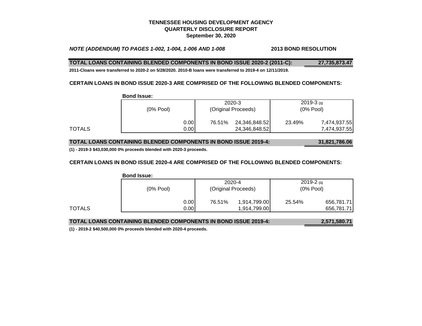## *NOTE (ADDENDUM) TO PAGES 1-002, 1-004, 1-006 AND 1-008* **2013 BOND RESOLUTION**

#### **TOTAL LOANS CONTAINING BLENDED COMPONENTS IN BOND ISSUE 2020-2 (2011-C): 27,735,873.47**

**2011-Cloans were transferred to 2020-2 on 5/28/2020. 2010-B loans were transferred to 2019-4 on 12/11/2019.**

#### **CERTAIN LOANS IN BOND ISSUE 2020-3 ARE COMPRISED OF THE FOLLOWING BLENDED COMPONENTS:**

|        | <b>Bond Issue:</b> |       |                     |               |             |              |
|--------|--------------------|-------|---------------------|---------------|-------------|--------------|
|        |                    |       |                     | 2020-3        |             | $2019-3(1)$  |
|        | $(0%$ Pool)        |       | (Original Proceeds) |               | $(0%$ Pool) |              |
|        |                    | 0.001 | 76.51%              | 24,346,848.52 | 23.49%      | 7,474,937.55 |
| TOTALS |                    | 0.001 |                     | 24,346,848.52 |             | 7,474,937.55 |

## **TOTAL LOANS CONTAINING BLENDED COMPONENTS IN BOND ISSUE 2019-4: 31,821,786.06**

**(1) - 2019-3 \$43,030,000 0% proceeds blended with 2020-3 proceeds.**

#### **CERTAIN LOANS IN BOND ISSUE 2020-4 ARE COMPRISED OF THE FOLLOWING BLENDED COMPONENTS:**

|        | <b>Bond Issue:</b> |       |                     |              |             |            |
|--------|--------------------|-------|---------------------|--------------|-------------|------------|
|        |                    |       |                     | 2020-4       | $2019-2(1)$ |            |
|        | $(0\%$ Pool)       |       | (Original Proceeds) |              | $(0%$ Pool) |            |
|        |                    | 0.00  | 76.51%              | 1,914,799.00 | 25.54%      | 656,781.71 |
| TOTALS |                    | 0.001 |                     | 1,914,799.00 |             | 656,781.71 |

| <b>TOTAL LOANS CONTAINING BLENDED COMPONENTS IN BOND ISSUE 2019-4:</b> | 2,571,580.71 |
|------------------------------------------------------------------------|--------------|
|                                                                        |              |

**(1) - 2019-2 \$40,500,000 0% proceeds blended with 2020-4 proceeds.**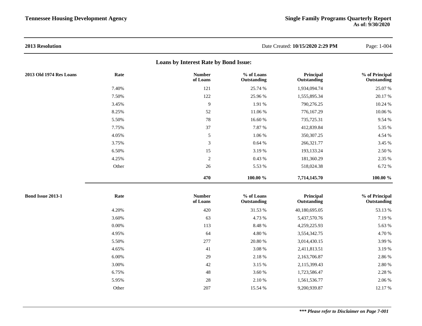| 2013 Resolution          |          |                                       |                           | Date Created: 10/15/2020 2:29 PM | Page: 1-004                   |
|--------------------------|----------|---------------------------------------|---------------------------|----------------------------------|-------------------------------|
|                          |          | Loans by Interest Rate by Bond Issue: |                           |                                  |                               |
| 2013 Old 1974 Res Loans  | Rate     | <b>Number</b><br>of Loans             | % of Loans<br>Outstanding | Principal<br>Outstanding         | % of Principal<br>Outstanding |
|                          | 7.40%    | 121                                   | 25.74 %                   | 1,934,094.74                     | 25.07 %                       |
|                          | 7.50%    | 122                                   | 25.96 %                   | 1,555,895.34                     | 20.17 %                       |
|                          | 3.45%    | 9                                     | 1.91 %                    | 790,276.25                       | 10.24 %                       |
|                          | 8.25%    | 52                                    | 11.06 %                   | 776,167.29                       | 10.06 %                       |
|                          | 5.50%    | 78                                    | 16.60 %                   | 735,725.31                       | 9.54 %                        |
|                          | 7.75%    | 37                                    | 7.87 %                    | 412,839.84                       | 5.35 %                        |
|                          | 4.05%    | 5                                     | 1.06 %                    | 350,307.25                       | 4.54 %                        |
|                          | 3.75%    | 3                                     | 0.64%                     | 266,321.77                       | 3.45 %                        |
|                          | 6.50%    | 15                                    | 3.19%                     | 193,133.24                       | 2.50 %                        |
|                          | 4.25%    | $\sqrt{2}$                            | 0.43 %                    | 181,360.29                       | 2.35 %                        |
|                          | Other    | 26                                    | 5.53 %                    | 518,024.38                       | 6.72 %                        |
|                          |          | 470                                   | 100.00 %                  | 7,714,145.70                     | $100.00 \%$                   |
| <b>Bond Issue 2013-1</b> | Rate     | <b>Number</b><br>of Loans             | % of Loans<br>Outstanding | Principal<br>Outstanding         | % of Principal<br>Outstanding |
|                          | 4.20%    | 420                                   | 31.53 %                   | 40,180,695.05                    | 53.13 %                       |
|                          | 3.60%    | 63                                    | 4.73 %                    | 5,437,570.76                     | 7.19%                         |
|                          | $0.00\%$ | 113                                   | 8.48 %                    | 4,259,225.93                     | 5.63 %                        |
|                          | 4.95%    | 64                                    | 4.80 %                    | 3,554,342.75                     | 4.70 %                        |
|                          | 5.50%    | 277                                   | 20.80 %                   | 3,014,430.15                     | 3.99 %                        |
|                          | 4.65%    | 41                                    | 3.08 %                    | 2,411,813.51                     | 3.19%                         |
|                          | 6.00%    | 29                                    | 2.18%                     | 2,163,706.87                     | 2.86 %                        |
|                          | 3.00%    | 42                                    | 3.15 %                    | 2,115,399.43                     | 2.80 %                        |
|                          | 6.75%    | 48                                    | 3.60 %                    | 1,723,586.47                     | 2.28 %                        |
|                          | 5.95%    | $28\,$                                | 2.10 %                    | 1,561,536.77                     | 2.06 %                        |
|                          | Other    | 207                                   | 15.54 %                   | 9,200,939.87                     | 12.17 %                       |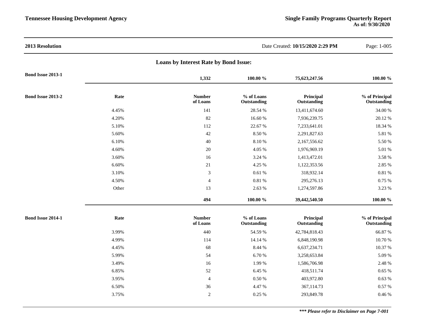| 2013 Resolution   |       |                                       |                           | Date Created: 10/15/2020 2:29 PM | Page: 1-005                   |
|-------------------|-------|---------------------------------------|---------------------------|----------------------------------|-------------------------------|
|                   |       | Loans by Interest Rate by Bond Issue: |                           |                                  |                               |
| Bond Issue 2013-1 |       | 1,332                                 | 100.00 %                  | 75,623,247.56                    | 100.00 %                      |
| Bond Issue 2013-2 | Rate  | <b>Number</b><br>of Loans             | % of Loans<br>Outstanding | Principal<br>Outstanding         | % of Principal<br>Outstanding |
|                   | 4.45% | 141                                   | 28.54 %                   | 13,411,674.60                    | 34.00 %                       |
|                   | 4.20% | 82                                    | 16.60%                    | 7,936,239.75                     | 20.12%                        |
|                   | 5.10% | 112                                   | 22.67 %                   | 7,233,641.01                     | 18.34 %                       |
|                   | 5.60% | 42                                    | 8.50 %                    | 2,291,827.63                     | 5.81 %                        |
|                   | 6.10% | 40                                    | 8.10%                     | 2,167,556.62                     | 5.50 %                        |
|                   | 4.60% | 20                                    | 4.05 %                    | 1,976,969.19                     | 5.01 %                        |
|                   | 3.60% | 16                                    | 3.24 %                    | 1,413,472.01                     | 3.58 %                        |
|                   | 6.60% | $21\,$                                | 4.25 %                    | 1,122,353.56                     | 2.85 %                        |
|                   | 3.10% | $\mathfrak{Z}$                        | 0.61%                     | 318,932.14                       | 0.81 %                        |
|                   | 4.50% | $\overline{4}$                        | 0.81%                     | 295,276.13                       | 0.75 %                        |
|                   | Other | 13                                    | 2.63 %                    | 1,274,597.86                     | 3.23 %                        |
|                   |       | 494                                   | $100.00~\%$               | 39,442,540.50                    | 100.00 %                      |
| Bond Issue 2014-1 | Rate  | <b>Number</b><br>of Loans             | % of Loans<br>Outstanding | Principal<br>Outstanding         | % of Principal<br>Outstanding |
|                   | 3.99% | 440                                   | 54.59 %                   | 42,784,818.43                    | 66.87 %                       |
|                   | 4.99% | 114                                   | 14.14 %                   | 6,848,190.98                     | 10.70 %                       |
|                   | 4.45% | 68                                    | 8.44 %                    | 6,637,234.71                     | 10.37 %                       |
|                   | 5.99% | 54                                    | 6.70 %                    | 3,258,653.84                     | 5.09 %                        |
|                   | 3.49% | 16                                    | 1.99 %                    | 1,586,706.98                     | 2.48 %                        |
|                   | 6.85% | 52                                    | 6.45 %                    | 418,511.74                       | 0.65%                         |
|                   | 3.95% | $\overline{4}$                        | 0.50 %                    | 403,972.80                       | 0.63%                         |
|                   | 6.50% | 36                                    | 4.47%                     | 367,114.73                       | 0.57 %                        |
|                   | 3.75% | $\sqrt{2}$                            | 0.25 %                    | 293,849.78                       | 0.46%                         |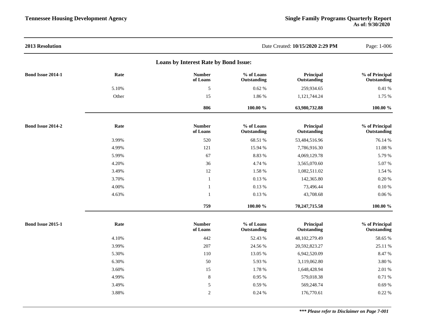| 2013 Resolution   |       |                                       |                           | Date Created: 10/15/2020 2:29 PM | Page: 1-006                   |
|-------------------|-------|---------------------------------------|---------------------------|----------------------------------|-------------------------------|
|                   |       | Loans by Interest Rate by Bond Issue: |                           |                                  |                               |
| Bond Issue 2014-1 | Rate  | <b>Number</b><br>of Loans             | % of Loans<br>Outstanding | Principal<br>Outstanding         | % of Principal<br>Outstanding |
|                   | 5.10% | $\sqrt{5}$                            | 0.62%                     | 259,934.65                       | 0.41 %                        |
|                   | Other | 15                                    | 1.86 %                    | 1,121,744.24                     | 1.75 %                        |
|                   |       | 806                                   | 100.00 %                  | 63,980,732.88                    | 100.00 %                      |
| Bond Issue 2014-2 | Rate  | <b>Number</b><br>of Loans             | % of Loans<br>Outstanding | Principal<br>Outstanding         | % of Principal<br>Outstanding |
|                   | 3.99% | 520                                   | 68.51 %                   | 53,484,516.96                    | 76.14 %                       |
|                   | 4.99% | 121                                   | 15.94 %                   | 7,786,916.30                     | 11.08%                        |
|                   | 5.99% | 67                                    | 8.83 %                    | 4,069,129.78                     | 5.79 %                        |
|                   | 4.20% | 36                                    | 4.74 %                    | 3,565,070.60                     | 5.07%                         |
|                   | 3.49% | 12                                    | 1.58 %                    | 1,082,511.02                     | 1.54 %                        |
|                   | 3.70% | $\mathbf{1}$                          | 0.13%                     | 142,365.80                       | 0.20%                         |
|                   | 4.00% | 1                                     | 0.13%                     | 73,496.44                        | 0.10%                         |
|                   | 4.63% | $\overline{1}$                        | 0.13 %                    | 43,708.68                        | 0.06%                         |
|                   |       | 759                                   | 100.00 %                  | 70,247,715.58                    | 100.00 %                      |
| Bond Issue 2015-1 | Rate  | <b>Number</b><br>of Loans             | % of Loans<br>Outstanding | Principal<br>Outstanding         | % of Principal<br>Outstanding |
|                   | 4.10% | 442                                   | 52.43 %                   | 48,102,279.49                    | 58.65 %                       |
|                   | 3.99% | 207                                   | 24.56 %                   | 20,592,823.27                    | 25.11 %                       |
|                   | 5.30% | 110                                   | 13.05 %                   | 6,942,520.09                     | 8.47%                         |
|                   | 6.30% | 50                                    | 5.93 %                    | 3,119,062.80                     | 3.80 %                        |
|                   | 3.60% | 15                                    | 1.78 %                    | 1,648,428.94                     | 2.01 %                        |
|                   | 4.99% | $\,8\,$                               | 0.95%                     | 579,018.38                       | 0.71 %                        |
|                   | 3.49% | 5                                     | 0.59 %                    | 569,248.74                       | 0.69%                         |
|                   | 3.88% | $\overline{2}$                        | 0.24 %                    | 176,770.61                       | 0.22 %                        |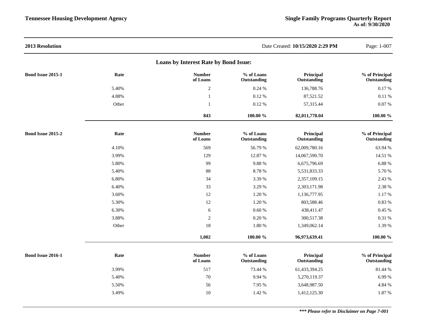| 2013 Resolution                       |       |                           |                           | Date Created: 10/15/2020 2:29 PM | Page: 1-007                   |  |  |  |  |
|---------------------------------------|-------|---------------------------|---------------------------|----------------------------------|-------------------------------|--|--|--|--|
| Loans by Interest Rate by Bond Issue: |       |                           |                           |                                  |                               |  |  |  |  |
| <b>Bond Issue 2015-1</b>              | Rate  | <b>Number</b><br>of Loans | % of Loans<br>Outstanding | Principal<br>Outstanding         | % of Principal<br>Outstanding |  |  |  |  |
|                                       | 5.40% | $\sqrt{2}$                | 0.24 %                    | 136,788.76                       | 0.17%                         |  |  |  |  |
|                                       | 4.88% | $\mathbf{1}$              | 0.12%                     | 87,521.52                        | 0.11%                         |  |  |  |  |
|                                       | Other | $\mathbf{1}$              | 0.12%                     | 57,315.44                        | 0.07 %                        |  |  |  |  |
|                                       |       | 843                       | 100.00 %                  | 82,011,778.04                    | $100.00 \%$                   |  |  |  |  |
| <b>Bond Issue 2015-2</b>              | Rate  | <b>Number</b><br>of Loans | % of Loans<br>Outstanding | Principal<br>Outstanding         | % of Principal<br>Outstanding |  |  |  |  |
|                                       | 4.10% | 569                       | 56.79 %                   | 62,009,780.16                    | 63.94 %                       |  |  |  |  |
|                                       | 3.99% | 129                       | 12.87 %                   | 14,067,590.70                    | 14.51 %                       |  |  |  |  |
|                                       | 5.80% | 99                        | 9.88%                     | 6,675,796.69                     | 6.88%                         |  |  |  |  |
|                                       | 5.40% | 88                        | 8.78%                     | 5,531,833.33                     | 5.70 %                        |  |  |  |  |
|                                       | 6.80% | 34                        | 3.39 %                    | 2,357,109.15                     | 2.43 %                        |  |  |  |  |
|                                       | 6.40% | 33                        | 3.29 %                    | 2,303,171.98                     | 2.38 %                        |  |  |  |  |
|                                       | 3.60% | 12                        | 1.20 %                    | 1,136,777.95                     | 1.17%                         |  |  |  |  |
|                                       | 5.30% | $12\,$                    | 1.20 %                    | 803,588.46                       | 0.83 %                        |  |  |  |  |
|                                       | 6.30% | 6                         | 0.60%                     | 438,411.47                       | 0.45 %                        |  |  |  |  |
|                                       | 3.88% | $\mathbf{2}$              | 0.20%                     | 300,517.38                       | 0.31 %                        |  |  |  |  |
|                                       | Other | 18                        | 1.80 %                    | 1,349,062.14                     | 1.39 %                        |  |  |  |  |
|                                       |       | 1,002                     | 100.00 %                  | 96,973,639.41                    | 100.00 %                      |  |  |  |  |
| Bond Issue 2016-1                     | Rate  | <b>Number</b><br>of Loans | % of Loans<br>Outstanding | Principal<br>Outstanding         | % of Principal<br>Outstanding |  |  |  |  |
|                                       | 3.99% | 517                       | 73.44 %                   | 61,433,394.25                    | 81.44 %                       |  |  |  |  |
|                                       | 5.40% | 70                        | 9.94 %                    | 5,270,119.37                     | 6.99%                         |  |  |  |  |
|                                       | 5.50% | 56                        | 7.95 %                    | 3,648,987.50                     | 4.84 %                        |  |  |  |  |
|                                       | 3.49% | 10                        | 1.42 %                    | 1,412,125.30                     | 1.87 %                        |  |  |  |  |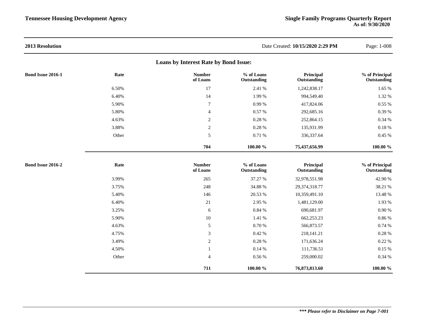| 2013 Resolution                       |       |                           |                           | Date Created: 10/15/2020 2:29 PM | Page: 1-008                   |  |  |  |  |
|---------------------------------------|-------|---------------------------|---------------------------|----------------------------------|-------------------------------|--|--|--|--|
| Loans by Interest Rate by Bond Issue: |       |                           |                           |                                  |                               |  |  |  |  |
| Bond Issue 2016-1                     | Rate  | <b>Number</b><br>of Loans | % of Loans<br>Outstanding | Principal<br>Outstanding         | % of Principal<br>Outstanding |  |  |  |  |
|                                       | 6.50% | 17                        | 2.41 %                    | 1,242,838.17                     | 1.65 %                        |  |  |  |  |
|                                       | 6.40% | 14                        | 1.99 %                    | 994,549.40                       | 1.32 %                        |  |  |  |  |
|                                       | 5.90% | $\tau$                    | 0.99%                     | 417,824.06                       | 0.55 %                        |  |  |  |  |
|                                       | 5.80% | $\overline{4}$            | 0.57 %                    | 292,685.16                       | 0.39 %                        |  |  |  |  |
|                                       | 4.63% | $\overline{2}$            | 0.28 %                    | 252,864.15                       | 0.34 %                        |  |  |  |  |
|                                       | 3.88% | $\sqrt{2}$                | $0.28~\%$                 | 135,931.99                       | $0.18~\%$                     |  |  |  |  |
|                                       | Other | $\sqrt{5}$                | $0.71\ \%$                | 336, 337.64                      | $0.45~\%$                     |  |  |  |  |
|                                       |       | 704                       | 100.00 %                  | 75,437,656.99                    | 100.00 %                      |  |  |  |  |
| Bond Issue 2016-2                     | Rate  | <b>Number</b><br>of Loans | % of Loans<br>Outstanding | Principal<br>Outstanding         | % of Principal<br>Outstanding |  |  |  |  |
|                                       | 3.99% | 265                       | 37.27 %                   | 32,978,551.98                    | 42.90 %                       |  |  |  |  |
|                                       | 3.75% | 248                       | 34.88 %                   | 29,374,318.77                    | 38.21 %                       |  |  |  |  |
|                                       | 5.40% | 146                       | 20.53 %                   | 10,359,491.10                    | 13.48 %                       |  |  |  |  |
|                                       | 6.40% | 21                        | 2.95 %                    | 1,481,129.00                     | 1.93 %                        |  |  |  |  |
|                                       | 3.25% | 6                         | 0.84 %                    | 690,681.97                       | $0.90\ \%$                    |  |  |  |  |
|                                       | 5.90% | $10\,$                    | 1.41 %                    | 662,253.23                       | $0.86~\%$                     |  |  |  |  |
|                                       | 4.63% | $\sqrt{5}$                | 0.70 %                    | 566,873.57                       | 0.74 %                        |  |  |  |  |
|                                       | 4.75% | $\sqrt{3}$                | 0.42%                     | 218,141.21                       | 0.28 %                        |  |  |  |  |
|                                       | 3.49% | $\overline{2}$            | 0.28 %                    | 171,636.24                       | 0.22%                         |  |  |  |  |
|                                       | 4.50% | $\mathbf{1}$              | 0.14%                     | 111,736.51                       | 0.15%                         |  |  |  |  |
|                                       | Other | $\overline{4}$            | $0.56~\%$                 | 259,000.02                       | 0.34%                         |  |  |  |  |
|                                       |       | 711                       | 100.00 %                  | 76,873,813.60                    | 100.00 %                      |  |  |  |  |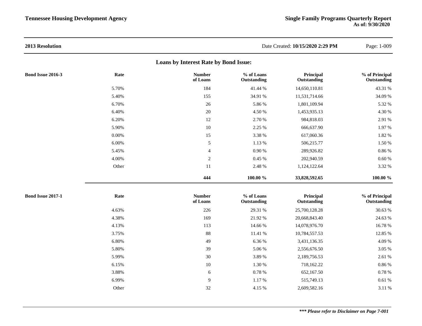| 2013 Resolution          |       |                                       |                           | Date Created: 10/15/2020 2:29 PM | Page: 1-009                   |
|--------------------------|-------|---------------------------------------|---------------------------|----------------------------------|-------------------------------|
|                          |       | Loans by Interest Rate by Bond Issue: |                           |                                  |                               |
| <b>Bond Issue 2016-3</b> | Rate  | <b>Number</b><br>of Loans             | % of Loans<br>Outstanding | Principal<br>Outstanding         | % of Principal<br>Outstanding |
|                          | 5.70% | 184                                   | 41.44 %                   | 14,650,110.81                    | 43.31 %                       |
|                          | 5.40% | 155                                   | 34.91 %                   | 11,531,714.66                    | 34.09 %                       |
|                          | 6.70% | 26                                    | 5.86 %                    | 1,801,109.94                     | 5.32 %                        |
|                          | 6.40% | 20                                    | 4.50 %                    | 1,453,935.13                     | 4.30 %                        |
|                          | 6.20% | 12                                    | 2.70 %                    | 984,818.03                       | 2.91 %                        |
|                          | 5.90% | 10                                    | 2.25 %                    | 666,637.90                       | 1.97%                         |
|                          | 0.00% | 15                                    | 3.38 %                    | 617,060.36                       | 1.82 %                        |
|                          | 6.00% | $\sqrt{5}$                            | 1.13 %                    | 506,215.77                       | 1.50 %                        |
|                          | 5.45% | $\overline{4}$                        | 0.90%                     | 289,926.82                       | 0.86%                         |
|                          | 4.00% | $\overline{c}$                        | 0.45 %                    | 202,940.59                       | $0.60\ \%$                    |
|                          | Other | 11                                    | 2.48 %                    | 1,124,122.64                     | 3.32 %                        |
|                          |       | 444                                   | 100.00 %                  | 33,828,592.65                    | $100.00 \%$                   |
| <b>Bond Issue 2017-1</b> | Rate  | <b>Number</b><br>of Loans             | % of Loans<br>Outstanding | Principal<br>Outstanding         | % of Principal<br>Outstanding |
|                          | 4.63% | 226                                   | 29.31 %                   | 25,700,128.28                    | 30.63 %                       |
|                          | 4.38% | 169                                   | 21.92%                    | 20,668,843.40                    | 24.63 %                       |
|                          | 4.13% | 113                                   | 14.66 %                   | 14,078,976.70                    | 16.78 %                       |
|                          | 3.75% | 88                                    | 11.41 %                   | 10,784,557.53                    | 12.85 %                       |
|                          | 6.80% | 49                                    | 6.36%                     | 3,431,136.35                     | 4.09%                         |
|                          | 5.80% | 39                                    | 5.06 %                    | 2,556,676.50                     | 3.05 %                        |
|                          | 5.99% | 30                                    | 3.89 %                    | 2,189,756.53                     | 2.61 %                        |
|                          | 6.15% | 10                                    | 1.30 %                    | 718,162.22                       | $0.86~\%$                     |
|                          | 3.88% | $\sqrt{6}$                            | 0.78%                     | 652,167.50                       | 0.78%                         |
|                          | 6.99% | 9                                     | 1.17 %                    | 515,749.13                       | 0.61%                         |
|                          | Other | 32                                    | 4.15 %                    | 2,609,582.16                     | 3.11 %                        |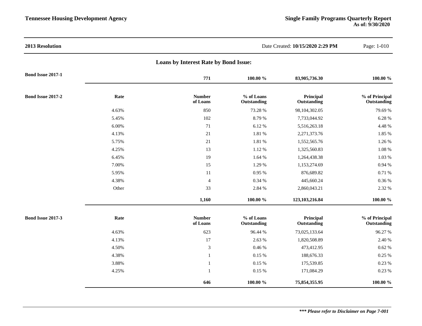| 2013 Resolution          |                                              |                           | Date Created: 10/15/2020 2:29 PM |                          |                               |  |  |
|--------------------------|----------------------------------------------|---------------------------|----------------------------------|--------------------------|-------------------------------|--|--|
|                          | <b>Loans by Interest Rate by Bond Issue:</b> |                           |                                  |                          |                               |  |  |
| <b>Bond Issue 2017-1</b> |                                              | 771                       | 100.00 %                         | 83,905,736.30            | 100.00 %                      |  |  |
| <b>Bond Issue 2017-2</b> | Rate                                         | <b>Number</b><br>of Loans | % of Loans<br>Outstanding        | Principal<br>Outstanding | % of Principal<br>Outstanding |  |  |
|                          | 4.63%                                        | 850                       | 73.28 %                          | 98,104,302.05            | 79.69 %                       |  |  |
|                          | 5.45%                                        | 102                       | 8.79%                            | 7,733,044.92             | 6.28 %                        |  |  |
|                          | 6.00%                                        | 71                        | 6.12%                            | 5,516,263.18             | 4.48 %                        |  |  |
|                          | 4.13%                                        | 21                        | 1.81 %                           | 2,271,373.76             | 1.85 %                        |  |  |
|                          | 5.75%                                        | 21                        | 1.81 %                           | 1,552,565.76             | 1.26 %                        |  |  |
|                          | 4.25%                                        | 13                        | 1.12 %                           | 1,325,560.83             | 1.08 %                        |  |  |
|                          | 6.45%                                        | 19                        | 1.64 %                           | 1,264,438.38             | 1.03 %                        |  |  |
|                          | 7.00%                                        | 15                        | 1.29 %                           | 1,153,274.69             | 0.94 %                        |  |  |
|                          | 5.95%                                        | 11                        | 0.95 %                           | 876,689.82               | 0.71 %                        |  |  |
|                          | 4.38%                                        | $\overline{4}$            | 0.34 %                           | 445,660.24               | 0.36 %                        |  |  |
|                          | Other                                        | 33                        | 2.84 %                           | 2,860,043.21             | 2.32 %                        |  |  |
|                          |                                              | 1,160                     | 100.00 %                         | 123, 103, 216.84         | $100.00 \%$                   |  |  |
| <b>Bond Issue 2017-3</b> | Rate                                         | <b>Number</b><br>of Loans | % of Loans<br>Outstanding        | Principal<br>Outstanding | % of Principal<br>Outstanding |  |  |
|                          | 4.63%                                        | 623                       | 96.44 %                          | 73,025,133.64            | 96.27%                        |  |  |
|                          | 4.13%                                        | 17                        | 2.63 %                           | 1,820,508.89             | 2.40 %                        |  |  |
|                          | 4.50%                                        | $\mathfrak{Z}$            | 0.46 %                           | 473,412.95               | 0.62%                         |  |  |
|                          | 4.38%                                        | $\mathbf{1}$              | 0.15 %                           | 188,676.33               | 0.25 %                        |  |  |
|                          | 3.88%                                        | $\mathbf{1}$              | 0.15 %                           | 175,539.85               | 0.23 %                        |  |  |
|                          | 4.25%                                        | 1                         | $0.15~\%$                        | 171,084.29               | 0.23 %                        |  |  |
|                          |                                              | 646                       | 100.00 %                         | 75,854,355.95            | 100.00 %                      |  |  |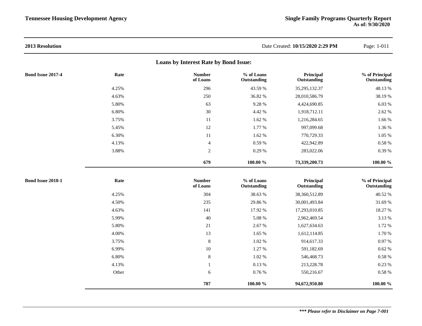| 2013 Resolution          |       |                                       |                           | Date Created: 10/15/2020 2:29 PM | Page: 1-011                   |
|--------------------------|-------|---------------------------------------|---------------------------|----------------------------------|-------------------------------|
|                          |       | Loans by Interest Rate by Bond Issue: |                           |                                  |                               |
| <b>Bond Issue 2017-4</b> | Rate  | <b>Number</b><br>of Loans             | % of Loans<br>Outstanding | Principal<br>Outstanding         | % of Principal<br>Outstanding |
|                          | 4.25% | 296                                   | 43.59 %                   | 35,295,132.37                    | 48.13%                        |
|                          | 4.63% | 250                                   | 36.82 %                   | 28,010,586.79                    | 38.19%                        |
|                          | 5.80% | 63                                    | 9.28 %                    | 4,424,690.85                     | 6.03 %                        |
|                          | 6.80% | 30                                    | 4.42 %                    | 1,918,712.11                     | 2.62 %                        |
|                          | 3.75% | 11                                    | 1.62 %                    | 1,216,284.65                     | 1.66 %                        |
|                          | 5.45% | 12                                    | 1.77 %                    | 997,099.68                       | 1.36 %                        |
|                          | 6.30% | 11                                    | 1.62 %                    | 770,729.33                       | 1.05%                         |
|                          | 4.13% | $\overline{4}$                        | $0.59~\%$                 | 422,942.89                       | $0.58~\%$                     |
|                          | 3.88% | $\sqrt{2}$                            | 0.29 %                    | 283,022.06                       | $0.39~\%$                     |
|                          |       | 679                                   | 100.00 %                  | 73,339,200.73                    | 100.00 %                      |
| Bond Issue 2018-1        | Rate  | <b>Number</b><br>of Loans             | % of Loans<br>Outstanding | Principal<br>Outstanding         | % of Principal<br>Outstanding |
|                          | 4.25% | 304                                   | 38.63 %                   | 38,360,512.89                    | 40.52 %                       |
|                          | 4.50% | 235                                   | 29.86 %                   | 30,001,493.84                    | 31.69 %                       |
|                          | 4.63% | 141                                   | 17.92 %                   | 17,293,010.85                    | 18.27 %                       |
|                          | 5.99% | 40                                    | 5.08 %                    | 2,962,469.54                     | 3.13 %                        |
|                          | 5.80% | $21\,$                                | 2.67 %                    | 1,627,634.63                     | 1.72 %                        |
|                          | 4.00% | 13                                    | 1.65 %                    | 1,612,114.85                     | 1.70 %                        |
|                          | 3.75% | $\,8\,$                               | 1.02 %                    | 914,617.33                       | $0.97~\%$                     |
|                          | 6.99% | $10\,$                                | 1.27 %                    | 591,182.69                       | $0.62~\%$                     |
|                          | 6.80% | $\,8\,$                               | 1.02 %                    | 546,468.73                       | $0.58~\%$                     |
|                          | 4.13% | $\mathbf{1}$                          | 0.13%                     | 213,228.78                       | 0.23%                         |
|                          | Other | 6                                     | 0.76 %                    | 550,216.67                       | $0.58~\%$                     |
|                          |       | 787                                   | 100.00 %                  | 94,672,950.80                    | 100.00 %                      |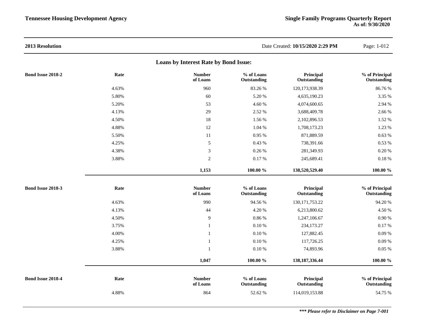| 2013 Resolution          |       |                                       |                           | Date Created: 10/15/2020 2:29 PM | Page: 1-012                   |
|--------------------------|-------|---------------------------------------|---------------------------|----------------------------------|-------------------------------|
|                          |       | Loans by Interest Rate by Bond Issue: |                           |                                  |                               |
| <b>Bond Issue 2018-2</b> | Rate  | <b>Number</b><br>of Loans             | % of Loans<br>Outstanding | Principal<br>Outstanding         | % of Principal<br>Outstanding |
|                          | 4.63% | 960                                   | 83.26 %                   | 120,173,938.39                   | 86.76%                        |
|                          | 5.80% | 60                                    | 5.20%                     | 4,635,190.23                     | $3.35~\%$                     |
|                          | 5.20% | 53                                    | 4.60 %                    | 4,074,600.65                     | 2.94 %                        |
|                          | 4.13% | 29                                    | 2.52 %                    | 3,688,409.78                     | 2.66 %                        |
|                          | 4.50% | 18                                    | 1.56 %                    | 2,102,896.53                     | 1.52 %                        |
|                          | 4.88% | 12                                    | 1.04 %                    | 1,708,173.23                     | 1.23 %                        |
|                          | 5.50% | 11                                    | 0.95 %                    | 871,889.59                       | 0.63%                         |
|                          | 4.25% | 5                                     | 0.43 %                    | 738,391.66                       | $0.53~\%$                     |
|                          | 4.38% | $\mathfrak{Z}$                        | 0.26 %                    | 281,349.93                       | 0.20%                         |
|                          | 3.88% | $\overline{2}$                        | 0.17%                     | 245,689.41                       | $0.18~\%$                     |
|                          |       | 1,153                                 | 100.00 %                  | 138,520,529.40                   | 100.00 %                      |
| Bond Issue 2018-3        | Rate  | <b>Number</b><br>of Loans             | % of Loans<br>Outstanding | Principal<br>Outstanding         | % of Principal<br>Outstanding |
|                          | 4.63% | 990                                   | 94.56 %                   | 130, 171, 753. 22                | 94.20%                        |
|                          | 4.13% | 44                                    | 4.20 %                    | 6,213,800.62                     | 4.50 %                        |
|                          | 4.50% | 9                                     | 0.86 %                    | 1,247,106.67                     | 0.90 %                        |
|                          | 3.75% | $\mathbf{1}$                          | 0.10%                     | 234,173.27                       | 0.17%                         |
|                          | 4.00% | $\mathbf{1}$                          | 0.10%                     | 127,882.45                       | 0.09%                         |
|                          | 4.25% | $\mathbf{1}$                          | $0.10 \%$                 | 117,726.25                       | $0.09\ \%$                    |
|                          | 3.88% | $\mathbf{1}$                          | $0.10\ \%$                | 74,893.96                        | 0.05%                         |
|                          |       | 1,047                                 | $100.00 \%$               | 138, 187, 336. 44                | 100.00 %                      |
| Bond Issue 2018-4        | Rate  | <b>Number</b><br>of Loans             | % of Loans<br>Outstanding | Principal<br>Outstanding         | % of Principal<br>Outstanding |
|                          | 4.88% | 864                                   | 52.62 %                   | 114,019,153.88                   | 54.75 %                       |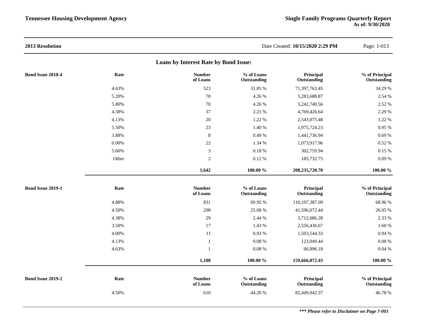| 2013 Resolution                       |          |                           |                           | Date Created: 10/15/2020 2:29 PM | Page: 1-013                   |  |  |  |  |
|---------------------------------------|----------|---------------------------|---------------------------|----------------------------------|-------------------------------|--|--|--|--|
| Loans by Interest Rate by Bond Issue: |          |                           |                           |                                  |                               |  |  |  |  |
| Bond Issue 2018-4                     | Rate     | <b>Number</b><br>of Loans | % of Loans<br>Outstanding | Principal<br>Outstanding         | % of Principal<br>Outstanding |  |  |  |  |
|                                       | 4.63%    | 523                       | 31.85 %                   | 71,397,763.45                    | 34.29 %                       |  |  |  |  |
|                                       | 5.20%    | 70                        | 4.26 %                    | 5,283,688.87                     | 2.54 %                        |  |  |  |  |
|                                       | 5.80%    | 70                        | 4.26 %                    | 5,242,740.56                     | 2.52 %                        |  |  |  |  |
|                                       | 4.38%    | 37                        | 2.25 %                    | 4,769,426.64                     | 2.29 %                        |  |  |  |  |
|                                       | 4.13%    | 20                        | 1.22 %                    | 2,543,075.48                     | 1.22 %                        |  |  |  |  |
|                                       | 5.50%    | 23                        | 1.40 %                    | 1,975,724.23                     | 0.95 %                        |  |  |  |  |
|                                       | 3.88%    | $\,8\,$                   | 0.49 %                    | 1,441,736.94                     | 0.69%                         |  |  |  |  |
|                                       | $0.00\%$ | 22                        | 1.34 %                    | 1,073,917.96                     | 0.52 %                        |  |  |  |  |
|                                       | 5.60%    | $\mathfrak{Z}$            | 0.18%                     | 302,759.94                       | 0.15 %                        |  |  |  |  |
|                                       | Other    | $\sqrt{2}$                | 0.12%                     | 185,732.75                       | 0.09%                         |  |  |  |  |
|                                       |          | 1,642                     | 100.00 %                  | 208,235,720.70                   | 100.00 %                      |  |  |  |  |
| <b>Bond Issue 2019-1</b>              | Rate     | <b>Number</b><br>of Loans | % of Loans<br>Outstanding | Principal<br>Outstanding         | % of Principal<br>Outstanding |  |  |  |  |
|                                       | 4.88%    | 831                       | 69.95 %                   | 110,107,387.09                   | 68.96%                        |  |  |  |  |
|                                       | 4.50%    | 298                       | 25.08 %                   | 41,596,072.44                    | 26.05 %                       |  |  |  |  |
|                                       | 4.38%    | 29                        | 2.44 %                    | 3,712,686.28                     | 2.33 %                        |  |  |  |  |
|                                       | 3.50%    | 17                        | 1.43 %                    | 2,556,436.67                     | 1.60 %                        |  |  |  |  |
|                                       | 4.00%    | 11                        | 0.93 %                    | 1,503,544.33                     | 0.94 %                        |  |  |  |  |
|                                       | 4.13%    | $\mathbf{1}$              | 0.08%                     | 123,049.44                       | $0.08~\%$                     |  |  |  |  |
|                                       | 4.63%    | $\mathbf{1}$              | 0.08%                     | 66,896.18                        | 0.04%                         |  |  |  |  |
|                                       |          | 1,188                     | $100.00~\%$               | 159,666,072.43                   | 100.00 %                      |  |  |  |  |
| Bond Issue 2019-2                     | Rate     | <b>Number</b><br>of Loans | % of Loans<br>Outstanding | Principal<br>Outstanding         | % of Principal<br>Outstanding |  |  |  |  |
|                                       | 4.50%    | 610                       | 44.20 %                   | 82,449,942.37                    | 46.78%                        |  |  |  |  |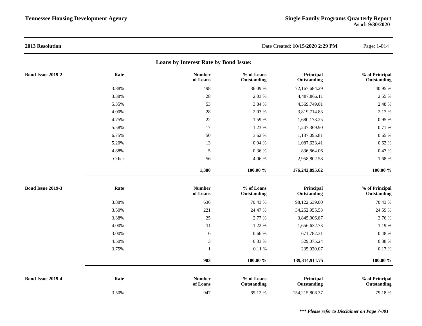| 2013 Resolution                       |       |                           |                           | Date Created: 10/15/2020 2:29 PM | Page: 1-014                   |  |  |  |  |
|---------------------------------------|-------|---------------------------|---------------------------|----------------------------------|-------------------------------|--|--|--|--|
| Loans by Interest Rate by Bond Issue: |       |                           |                           |                                  |                               |  |  |  |  |
| Bond Issue 2019-2                     | Rate  | <b>Number</b><br>of Loans | % of Loans<br>Outstanding | Principal<br>Outstanding         | % of Principal<br>Outstanding |  |  |  |  |
|                                       | 3.88% | 498                       | 36.09%                    | 72,167,684.29                    | 40.95 %                       |  |  |  |  |
|                                       | 3.38% | 28                        | 2.03 %                    | 4,487,866.11                     | 2.55 %                        |  |  |  |  |
|                                       | 5.35% | 53                        | 3.84 %                    | 4,369,749.01                     | 2.48 %                        |  |  |  |  |
|                                       | 4.00% | 28                        | 2.03 %                    | 3,819,714.83                     | 2.17 %                        |  |  |  |  |
|                                       | 4.75% | 22                        | 1.59 %                    | 1,680,173.25                     | 0.95 %                        |  |  |  |  |
|                                       | 5.58% | 17                        | 1.23 %                    | 1,247,369.90                     | 0.71 %                        |  |  |  |  |
|                                       | 6.75% | 50                        | 3.62 %                    | 1,137,095.81                     | 0.65%                         |  |  |  |  |
|                                       | 5.20% | 13                        | 0.94 %                    | 1,087,633.41                     | 0.62%                         |  |  |  |  |
|                                       | 4.88% | 5                         | 0.36 %                    | 836,864.06                       | 0.47 %                        |  |  |  |  |
|                                       | Other | 56                        | 4.06 %                    | 2,958,802.58                     | 1.68 %                        |  |  |  |  |
|                                       |       | 1,380                     | 100.00 %                  | 176,242,895.62                   | $100.00~\%$                   |  |  |  |  |
| <b>Bond Issue 2019-3</b>              | Rate  | <b>Number</b><br>of Loans | % of Loans<br>Outstanding | Principal<br>Outstanding         | % of Principal<br>Outstanding |  |  |  |  |
|                                       | 3.88% | 636                       | 70.43 %                   | 98,122,639.00                    | 70.43 %                       |  |  |  |  |
|                                       | 3.50% | 221                       | 24.47 %                   | 34,252,955.53                    | 24.59 %                       |  |  |  |  |
|                                       | 3.38% | 25                        | 2.77 %                    | 3,845,906.87                     | 2.76 %                        |  |  |  |  |
|                                       | 4.00% | 11                        | 1.22 %                    | 1,656,632.73                     | 1.19 %                        |  |  |  |  |
|                                       | 3.00% | $\sqrt{6}$                | 0.66%                     | 671,782.31                       | 0.48 %                        |  |  |  |  |
|                                       | 4.50% | 3                         | 0.33 %                    | 529,075.24                       | 0.38 %                        |  |  |  |  |
|                                       | 3.75% | $\overline{1}$            | $0.11\ \%$                | 235,920.07                       | 0.17%                         |  |  |  |  |
|                                       |       | 903                       | 100.00 %                  | 139,314,911.75                   | $100.00 \%$                   |  |  |  |  |
| <b>Bond Issue 2019-4</b>              | Rate  | <b>Number</b><br>of Loans | % of Loans<br>Outstanding | Principal<br>Outstanding         | % of Principal<br>Outstanding |  |  |  |  |
|                                       | 3.50% | 947                       | 69.12%                    | 154,215,808.37                   | 79.18%                        |  |  |  |  |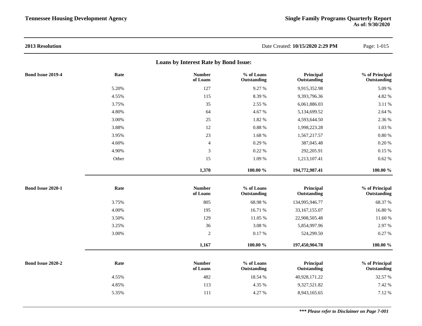| 2013 Resolution          |       |                                       |                           | Date Created: 10/15/2020 2:29 PM | Page: 1-015                   |
|--------------------------|-------|---------------------------------------|---------------------------|----------------------------------|-------------------------------|
|                          |       | Loans by Interest Rate by Bond Issue: |                           |                                  |                               |
| <b>Bond Issue 2019-4</b> | Rate  | <b>Number</b><br>of Loans             | % of Loans<br>Outstanding | Principal<br>Outstanding         | % of Principal<br>Outstanding |
|                          | 5.20% | 127                                   | 9.27 %                    | 9,915,352.98                     | 5.09 %                        |
|                          | 4.55% | 115                                   | 8.39 %                    | 9,393,796.36                     | 4.82 %                        |
|                          | 3.75% | 35                                    | 2.55 %                    | 6,061,886.03                     | 3.11 %                        |
|                          | 4.80% | 64                                    | 4.67%                     | 5,134,699.52                     | 2.64 %                        |
|                          | 3.00% | 25                                    | 1.82 %                    | 4,593,644.50                     | 2.36 %                        |
|                          | 3.88% | 12                                    | $0.88~\%$                 | 1,998,223.28                     | 1.03 %                        |
|                          | 3.95% | 23                                    | 1.68 %                    | 1,567,217.57                     | 0.80%                         |
|                          | 4.60% | $\overline{4}$                        | 0.29 %                    | 387,045.48                       | $0.20~\%$                     |
|                          | 4.90% | $\sqrt{3}$                            | 0.22%                     | 292,205.91                       | $0.15~\%$                     |
|                          | Other | 15                                    | 1.09 %                    | 1,213,107.41                     | $0.62~\%$                     |
|                          |       | 1,370                                 | 100.00 %                  | 194,772,987.41                   | 100.00 %                      |
| Bond Issue 2020-1        | Rate  | <b>Number</b><br>of Loans             | % of Loans<br>Outstanding | Principal<br>Outstanding         | % of Principal<br>Outstanding |
|                          | 3.75% | 805                                   | 68.98%                    | 134,995,946.77                   | 68.37 %                       |
|                          | 4.00% | 195                                   | 16.71 %                   | 33,167,155.07                    | 16.80%                        |
|                          | 3.50% | 129                                   | 11.05 %                   | 22,908,505.48                    | 11.60 %                       |
|                          | 3.25% | 36                                    | 3.08 %                    | 5,854,997.96                     | 2.97 %                        |
|                          | 3.00% | $\sqrt{2}$                            | $0.17~\%$                 | 524,299.50                       | 0.27 %                        |
|                          |       | 1,167                                 | $100.00 \%$               | 197,450,904.78                   | $100.00~\%$                   |
| Bond Issue 2020-2        | Rate  | <b>Number</b><br>of Loans             | % of Loans<br>Outstanding | Principal<br>Outstanding         | % of Principal<br>Outstanding |
|                          | 4.55% | 482                                   | 18.54 %                   | 40,928,171.22                    | 32.57 %                       |
|                          | 4.85% | 113                                   | 4.35 %                    | 9,327,521.82                     | 7.42 %                        |
|                          | 5.35% | 111                                   | 4.27 %                    | 8,943,165.65                     | 7.12%                         |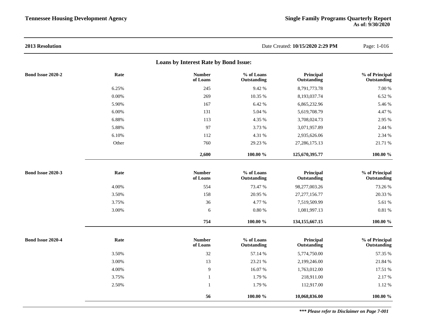| 2013 Resolution                       |          |                           |                           | Date Created: 10/15/2020 2:29 PM | Page: 1-016                   |  |  |  |  |
|---------------------------------------|----------|---------------------------|---------------------------|----------------------------------|-------------------------------|--|--|--|--|
| Loans by Interest Rate by Bond Issue: |          |                           |                           |                                  |                               |  |  |  |  |
| Bond Issue 2020-2                     | Rate     | <b>Number</b><br>of Loans | % of Loans<br>Outstanding | Principal<br>Outstanding         | % of Principal<br>Outstanding |  |  |  |  |
|                                       | 6.25%    | 245                       | 9.42 %                    | 8,791,773.78                     | 7.00 %                        |  |  |  |  |
|                                       | $0.00\%$ | 269                       | 10.35 %                   | 8,193,037.74                     | 6.52 %                        |  |  |  |  |
|                                       | 5.90%    | 167                       | 6.42 %                    | 6,865,232.96                     | 5.46 %                        |  |  |  |  |
|                                       | 6.00%    | 131                       | 5.04 %                    | 5,619,708.79                     | 4.47 %                        |  |  |  |  |
|                                       | 6.88%    | 113                       | 4.35 %                    | 3,708,024.73                     | 2.95 %                        |  |  |  |  |
|                                       | 5.88%    | 97                        | 3.73 %                    | 3,071,957.89                     | 2.44 %                        |  |  |  |  |
|                                       | 6.10%    | 112                       | 4.31 %                    | 2,935,626.06                     | 2.34 %                        |  |  |  |  |
|                                       | Other    | 760                       | 29.23 %                   | 27, 286, 175. 13                 | 21.71 %                       |  |  |  |  |
|                                       |          | 2,600                     | 100.00 %                  | 125,670,395.77                   | 100.00 %                      |  |  |  |  |
| Bond Issue 2020-3                     | Rate     | <b>Number</b><br>of Loans | % of Loans<br>Outstanding | Principal<br>Outstanding         | % of Principal<br>Outstanding |  |  |  |  |
|                                       | 4.00%    | 554                       | 73.47 %                   | 98,277,003.26                    | 73.26 %                       |  |  |  |  |
|                                       | 3.50%    | 158                       | 20.95 %                   | 27, 277, 156.77                  | 20.33 %                       |  |  |  |  |
|                                       | 3.75%    | 36                        | 4.77 %                    | 7,519,509.99                     | 5.61 %                        |  |  |  |  |
|                                       | 3.00%    | 6                         | $0.80~\%$                 | 1,081,997.13                     | $0.81~\%$                     |  |  |  |  |
|                                       |          | 754                       | 100.00 %                  | 134, 155, 667. 15                | 100.00 %                      |  |  |  |  |
| <b>Bond Issue 2020-4</b>              | Rate     | <b>Number</b><br>of Loans | % of Loans<br>Outstanding | Principal<br>Outstanding         | % of Principal<br>Outstanding |  |  |  |  |
|                                       | 3.50%    | 32                        | 57.14 %                   | 5,774,750.00                     | 57.35 %                       |  |  |  |  |
|                                       | 3.00%    | 13                        | 23.21 %                   | 2,199,246.00                     | 21.84 %                       |  |  |  |  |
|                                       | 4.00%    | $\overline{9}$            | 16.07%                    | 1,763,012.00                     | 17.51 %                       |  |  |  |  |
|                                       | 3.75%    | $\mathbf{1}$              | 1.79 %                    | 218,911.00                       | 2.17%                         |  |  |  |  |
|                                       | 2.50%    | $\mathbf{1}$              | 1.79 %                    | 112,917.00                       | 1.12 %                        |  |  |  |  |
|                                       |          | 56                        | 100.00 %                  | 10,068,836.00                    | 100.00 %                      |  |  |  |  |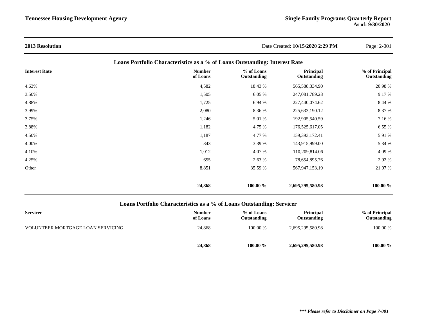| <b>2013 Resolution</b> |                                                                            | Date Created: 10/15/2020 2:29 PM |                          | Page: 2-001                   |
|------------------------|----------------------------------------------------------------------------|----------------------------------|--------------------------|-------------------------------|
|                        | Loans Portfolio Characteristics as a % of Loans Outstanding: Interest Rate |                                  |                          |                               |
| <b>Interest Rate</b>   | <b>Number</b><br>of Loans                                                  | % of Loans<br>Outstanding        | Principal<br>Outstanding | % of Principal<br>Outstanding |
| 4.63%                  | 4,582                                                                      | 18.43 %                          | 565,588,334.90           | 20.98 %                       |
| 3.50%                  | 1,505                                                                      | 6.05 %                           | 247,081,789.28           | 9.17 %                        |
| 4.88%                  | 1,725                                                                      | 6.94 %                           | 227,440,074.62           | 8.44 %                        |
| 3.99%                  | 2,080                                                                      | 8.36 %                           | 225,633,190.12           | 8.37 %                        |
| 3.75%                  | 1,246                                                                      | 5.01 %                           | 192,905,540.59           | 7.16 %                        |
| 3.88%                  | 1,182                                                                      | 4.75 %                           | 176,525,617.05           | 6.55%                         |
| 4.50%                  | 1,187                                                                      | 4.77 %                           | 159,393,172.41           | 5.91 %                        |
| 4.00%                  | 843                                                                        | 3.39 %                           | 143,915,999.00           | 5.34 %                        |
| 4.10%                  | 1,012                                                                      | 4.07%                            | 110,209,814.06           | 4.09 %                        |
| 4.25%                  | 655                                                                        | 2.63 %                           | 78,654,895.76            | 2.92 %                        |
| Other                  | 8,851                                                                      | 35.59 %                          | 567,947,153.19           | 21.07 %                       |
|                        | 24,868                                                                     | 100.00 %                         | 2,695,295,580.98         | 100.00 %                      |

# **Loans Portfolio Characteristics as a % of Loans Outstanding: Servicer**

| <b>Servicer</b>                   | <b>Number</b><br>of Loans | % of Loans<br>Outstanding | <b>Principal</b><br>Outstanding | % of Principal<br>Outstanding |
|-----------------------------------|---------------------------|---------------------------|---------------------------------|-------------------------------|
| VOLUNTEER MORTGAGE LOAN SERVICING | 24,868                    | 100.00 %                  | 2,695,295,580.98                | 100.00 %                      |
|                                   | 24,868                    | 100.00 %                  | 2,695,295,580.98                | 100.00 $\%$                   |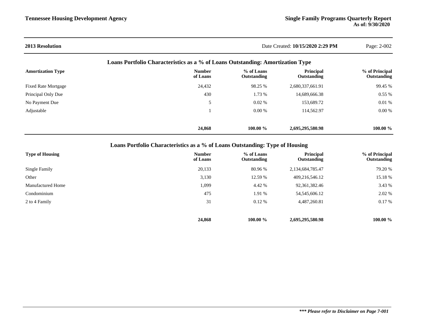#### **2013 Resolution** Date Created: **10/15/2020 2:29 PM** Page: 2-002 **Loans Portfolio Characteristics as a % of Loans Outstanding: Amortization Type Amortization Type Number of Loans % of Loans Outstanding Principal Outstanding % of Principal Outstanding** Fixed Rate Mortgage 24,432 98.25 % 2,680,337,661.91 99.45 % 29,458 98.25 % 2,680,337,661.91 99.45 % Principal Only Due **1.73** % 14,689,666.38 0.55 % 16.55 % 1.73 % 14,689,666.38 0.55 % 0.55 % 0.55 % 1.73 % 14,689,666.38 0.55 % 0.55 % 0.55 % 0.55 % 0.55 % 0.55 % 0.55 % 0.55 % 0.55 % 0.55 % 0.55 % 0.55 % 0.55 % 0.55 % 0.55 No Payment Due 6.01 % 153,689.72 0.01 % 153,689.72 0.01 % 169,900 \$ Adjustable 1 0.00 % 114,562.97 0.00 % 0.00 % 0.00 % 0.00 % 0.00 % 0.00 % 0.00 % 0.00 % 0.00 % 0.00 % 0.00 % 0.00 % 0.00 % 0.00 % 0.00 % 0.00 % 0.00 % 0.00 % 0.00 % 0.00 % 0.00 % 0.00 % 0.00 % 0.00 % 0.00 % 0.00 % 0.00 % 0.

**Loans Portfolio Characteristics as a % of Loans Outstanding: Type of Housing**

| <b>Type of Housing</b>   | <b>Number</b><br>of Loans | % of Loans<br>Outstanding | Principal<br>Outstanding | % of Principal<br>Outstanding |
|--------------------------|---------------------------|---------------------------|--------------------------|-------------------------------|
| Single Family            | 20,133                    | 80.96 %                   | 2,134,684,785.47         | 79.20 %                       |
| Other                    | 3,130                     | 12.59 %                   | 409,216,546.12           | 15.18 %                       |
| <b>Manufactured Home</b> | 1,099                     | 4.42 %                    | 92,361,382.46            | 3.43 %                        |
| Condominium              | 475                       | 1.91 %                    | 54, 545, 606. 12         | 2.02 %                        |
| 2 to 4 Family            | 31                        | $0.12\%$                  | 4,487,260.81             | 0.17%                         |
|                          |                           |                           |                          |                               |
|                          | 24,868                    | 100.00 %                  | 2,695,295,580.98         | 100.00 $\%$                   |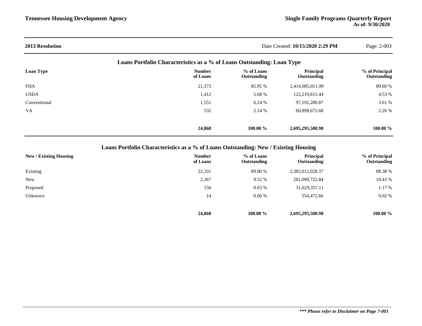| <b>2013 Resolution</b> |                                                                        |                           | Date Created: 10/15/2020 2:29 PM | Page: 2-003                   |
|------------------------|------------------------------------------------------------------------|---------------------------|----------------------------------|-------------------------------|
|                        | Loans Portfolio Characteristics as a % of Loans Outstanding: Loan Type |                           |                                  |                               |
| <b>Loan Type</b>       | <b>Number</b><br>of Loans                                              | % of Loans<br>Outstanding | Principal<br>Outstanding         | % of Principal<br>Outstanding |
| FHA                    | 21,373                                                                 | 85.95 %                   | 2,414,985,011.99                 | 89.60%                        |
| <b>USDA</b>            | 1,412                                                                  | 5.68 %                    | 122,219,615.44                   | 4.53 %                        |
| Conventional           | 1,551                                                                  | 6.24 %                    | 97,192,280.87                    | 3.61 %                        |
| VA.                    | 532                                                                    | 2.14 %                    | 60,898,672.68                    | 2.26 %                        |
|                        | 24,868                                                                 | 100.00 $\%$               | 2,695,295,580.98                 | $100.00 \%$                   |

**Loans Portfolio Characteristics as a % of Loans Outstanding: New / Existing Housing**

| <b>New / Existing Housing</b> | <b>Number</b><br>of Loans | % of Loans<br>Outstanding | Principal<br>Outstanding | % of Principal<br>Outstanding |
|-------------------------------|---------------------------|---------------------------|--------------------------|-------------------------------|
| Existing                      | 22,331                    | 89.80 %                   | 2,382,012,028.37         | 88.38 %                       |
| <b>New</b>                    | 2,367                     | 9.52 %                    | 281,099,722.84           | 10.43 %                       |
| Proposed                      | 156                       | 0.63%                     | 31,629,357.11            | 1.17%                         |
| Unknown                       | 14                        | 0.06%                     | 554,472.66               | 0.02%                         |
|                               | 24,868                    | 100.00 $\%$               | 2,695,295,580.98         | 100.00 $\%$                   |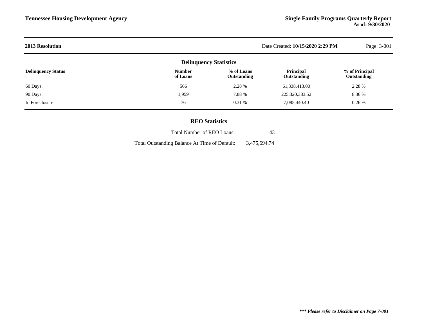| <b>2013 Resolution</b>        |                           |                           | Date Created: 10/15/2020 2:29 PM | Page: 3-001                          |  |  |  |
|-------------------------------|---------------------------|---------------------------|----------------------------------|--------------------------------------|--|--|--|
| <b>Delinquency Statistics</b> |                           |                           |                                  |                                      |  |  |  |
| <b>Delinquency Status</b>     | <b>Number</b><br>of Loans | % of Loans<br>Outstanding | Principal<br>Outstanding         | % of Principal<br><b>Outstanding</b> |  |  |  |
| 60 Days:                      | 566                       | 2.28 %                    | 61,338,413.00                    | 2.28 %                               |  |  |  |
| 90 Days:                      | 1,959                     | 7.88 %                    | 225,320,383.52                   | 8.36 %                               |  |  |  |
| In Foreclosure:               | 76                        | $0.31\%$                  | 7,085,440.40                     | 0.26%                                |  |  |  |
|                               |                           |                           |                                  |                                      |  |  |  |

# **REO Statistics**

| Total Number of REO Loans:                    | 43           |
|-----------------------------------------------|--------------|
| Total Outstanding Balance At Time of Default: | 3,475,694.74 |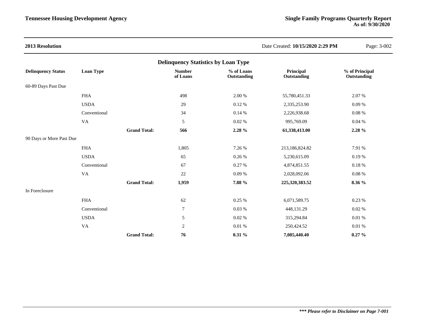| 2013 Resolution           |                                            |                     |                           |                           | Date Created: 10/15/2020 2:29 PM | Page: 3-002                   |  |  |  |
|---------------------------|--------------------------------------------|---------------------|---------------------------|---------------------------|----------------------------------|-------------------------------|--|--|--|
|                           | <b>Delinquency Statistics by Loan Type</b> |                     |                           |                           |                                  |                               |  |  |  |
| <b>Delinquency Status</b> | <b>Loan Type</b>                           |                     | <b>Number</b><br>of Loans | % of Loans<br>Outstanding | Principal<br>Outstanding         | % of Principal<br>Outstanding |  |  |  |
| 60-89 Days Past Due       |                                            |                     |                           |                           |                                  |                               |  |  |  |
|                           | <b>FHA</b>                                 |                     | 498                       | 2.00 %                    | 55,780,451.33                    | 2.07%                         |  |  |  |
|                           | <b>USDA</b>                                |                     | 29                        | 0.12%                     | 2,335,253.90                     | 0.09%                         |  |  |  |
|                           | Conventional                               |                     | 34                        | 0.14%                     | 2,226,938.68                     | 0.08%                         |  |  |  |
|                           | VA                                         |                     | $\sqrt{5}$                | 0.02 %                    | 995,769.09                       | 0.04%                         |  |  |  |
|                           |                                            | <b>Grand Total:</b> | 566                       | 2.28 %                    | 61,338,413.00                    | 2.28 %                        |  |  |  |
| 90 Days or More Past Due  |                                            |                     |                           |                           |                                  |                               |  |  |  |
|                           | <b>FHA</b>                                 |                     | 1,805                     | 7.26 %                    | 213,186,824.82                   | 7.91 %                        |  |  |  |
|                           | <b>USDA</b>                                |                     | 65                        | 0.26 %                    | 5,230,615.09                     | 0.19%                         |  |  |  |
|                           | Conventional                               |                     | 67                        | 0.27 %                    | 4,874,851.55                     | $0.18~\%$                     |  |  |  |
|                           | VA                                         |                     | 22                        | 0.09%                     | 2,028,092.06                     | 0.08%                         |  |  |  |
|                           |                                            | <b>Grand Total:</b> | 1,959                     | 7.88 %                    | 225,320,383.52                   | 8.36 %                        |  |  |  |
| In Foreclosure            |                                            |                     |                           |                           |                                  |                               |  |  |  |
|                           | <b>FHA</b>                                 |                     | 62                        | 0.25%                     | 6,071,589.75                     | 0.23 %                        |  |  |  |
|                           | Conventional                               |                     | $\boldsymbol{7}$          | 0.03%                     | 448,131.29                       | 0.02%                         |  |  |  |
|                           | <b>USDA</b>                                |                     | $\sqrt{5}$                | 0.02 %                    | 315,294.84                       | 0.01 %                        |  |  |  |
|                           | VA                                         |                     | $\overline{2}$            | 0.01%                     | 250,424.52                       | $0.01~\%$                     |  |  |  |
|                           |                                            | <b>Grand Total:</b> | 76                        | 0.31%                     | 7,085,440.40                     | $0.27 \%$                     |  |  |  |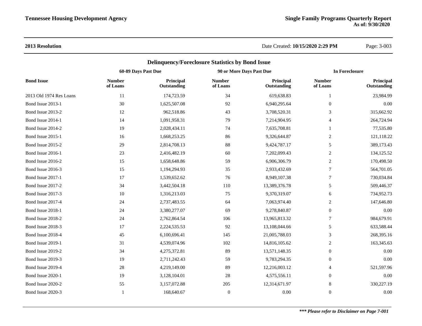## **2013 Resolution** Date Created: **10/15/2020 2:29 PM** Page: 3-003

|                         |                           | <b>Delinquency/Foreclosure Statistics by Bond Issue</b> |                           |                          |                           |                          |
|-------------------------|---------------------------|---------------------------------------------------------|---------------------------|--------------------------|---------------------------|--------------------------|
|                         | 60-89 Days Past Due       |                                                         | 90 or More Days Past Due  |                          |                           | <b>In Foreclosure</b>    |
| <b>Bond Issue</b>       | <b>Number</b><br>of Loans | Principal<br>Outstanding                                | <b>Number</b><br>of Loans | Principal<br>Outstanding | <b>Number</b><br>of Loans | Principal<br>Outstanding |
| 2013 Old 1974 Res Loans | 11                        | 174,723.59                                              | 34                        | 619,638.83               | 1                         | 23,984.99                |
| Bond Issue 2013-1       | 30                        | 1,625,507.08                                            | 92                        | 6,940,295.64             | $\theta$                  | 0.00                     |
| Bond Issue 2013-2       | 12                        | 962,518.86                                              | 43                        | 3,708,520.31             | 3                         | 315,662.92               |
| Bond Issue 2014-1       | 14                        | 1,091,958.31                                            | 79                        | 7,214,904.95             | $\overline{4}$            | 264,724.94               |
| Bond Issue 2014-2       | 19                        | 2,028,434.11                                            | 74                        | 7,635,708.81             | 1                         | 77,535.80                |
| Bond Issue 2015-1       | 16                        | 1,668,253.25                                            | 86                        | 9,326,644.87             | $\overline{2}$            | 121,118.22               |
| Bond Issue 2015-2       | 29                        | 2,814,708.13                                            | 88                        | 9,424,787.17             | 5                         | 389,173.43               |
| Bond Issue 2016-1       | 23                        | 2,416,482.19                                            | 60                        | 7,202,099.43             | $\sqrt{2}$                | 134,125.52               |
| Bond Issue 2016-2       | 15                        | 1,658,648.86                                            | 59                        | 6,906,306.79             | 2                         | 170,498.50               |
| Bond Issue 2016-3       | 15                        | 1,194,294.93                                            | 35                        | 2,933,432.69             | $\overline{7}$            | 564,701.05               |
| Bond Issue 2017-1       | 17                        | 1,539,652.62                                            | 76                        | 8,949,107.38             | 7                         | 730,034.84               |
| Bond Issue 2017-2       | 34                        | 3,442,504.18                                            | 110                       | 13,389,376.78            | 5                         | 509,446.37               |
| Bond Issue 2017-3       | 10                        | 1,316,213.03                                            | 75                        | 9,370,319.07             | 6                         | 734,952.73               |
| Bond Issue 2017-4       | 24                        | 2,737,483.55                                            | 64                        | 7,063,974.40             | $\overline{c}$            | 147,646.80               |
| Bond Issue 2018-1       | 24                        | 3,380,277.07                                            | 69                        | 9,278,840.87             | $\boldsymbol{0}$          | 0.00                     |
| Bond Issue 2018-2       | 24                        | 2,762,864.54                                            | 106                       | 13,965,813.32            | $\tau$                    | 984,679.91               |
| Bond Issue 2018-3       | 17                        | 2,224,535.53                                            | 92                        | 13,108,044.66            | 5                         | 633,588.44               |
| Bond Issue 2018-4       | 45                        | 6,100,696.41                                            | 145                       | 21,005,788.03            | 3                         | 268,395.16               |
| Bond Issue 2019-1       | 31                        | 4,539,074.96                                            | 102                       | 14,816,105.62            | $\overline{2}$            | 163,345.63               |
| Bond Issue 2019-2       | 34                        | 4,275,372.81                                            | 89                        | 13,571,148.35            | $\mathbf{0}$              | 0.00                     |
| Bond Issue 2019-3       | 19                        | 2,711,242.43                                            | 59                        | 9,783,294.35             | $\boldsymbol{0}$          | 0.00                     |
| Bond Issue 2019-4       | $28\,$                    | 4,219,149.00                                            | 89                        | 12,216,003.12            | $\overline{4}$            | 521,597.96               |
| Bond Issue 2020-1       | 19                        | 3,128,104.01                                            | 28                        | 4,575,556.11             | $\boldsymbol{0}$          | 0.00                     |
| Bond Issue 2020-2       | 55                        | 3,157,072.88                                            | 205                       | 12,314,671.97            | 8                         | 330,227.19               |
| Bond Issue 2020-3       | 1                         | 168,640.67                                              | $\boldsymbol{0}$          | 0.00                     | $\boldsymbol{0}$          | 0.00                     |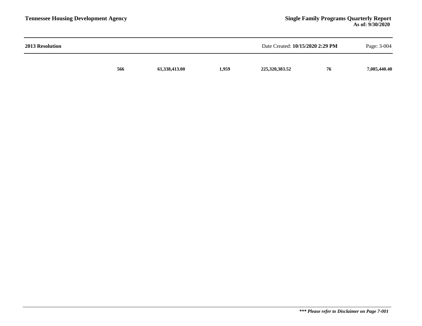| 2013 Resolution |     |               | Date Created: 10/15/2020 2:29 PM |                | Page: 3-004 |              |
|-----------------|-----|---------------|----------------------------------|----------------|-------------|--------------|
|                 | 566 | 61,338,413.00 | 1,959                            | 225,320,383.52 | 76          | 7,085,440.40 |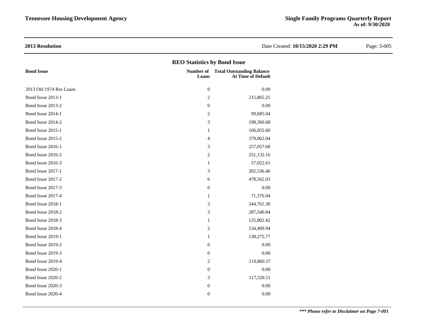**2013 Resolution** Date Created: **10/15/2020 2:29 PM** Page: 3-005 **REO Statistics by Bond Issue Bond Issue Number of Total Outstanding Balance Loans At Time of Default** 2013 Old 1974 Res Loans 0 0.00 Bond Issue 2013-1 2 215,865.25 Bond Issue 2013-2 0 0.00 Bond Issue 2014-1 2 99,685.04 Bond Issue 2014-2 3 198,360.68 Bond Issue 2015-1 1 106,055.60 Bond Issue 2015-2 4 379,062.04 Bond Issue 2016-1 3 257,057.68 Bond Issue 2016-2 251,132.16 Bond Issue 2016-3 1 57,022.61 Bond Issue 2017-1 202,536.46 Bond Issue 2017-2 **6** 478,562.03 Bond Issue 2017-3 0 0.00 Bond Issue 2017-4 1 71,376.04 Bond Issue 2018-1 244,761.30 Bond Issue 2018-2 3 287,540.84 Bond Issue 2018-3 1 125,802.42 Bond Issue 2018-4 2 134,409.94 Bond Issue 2019-1 138,275.77 Bond Issue 2019-2 0 0.00 Bond Issue 2019-3 0 0.00 Bond Issue 2019-4 2 110,860.37 Bond Issue 2020-1 0 0.00 Bond Issue 2020-2 3 117,328.51 Bond Issue 2020-3 0 0.00 Bond Issue 2020-4 0 0.00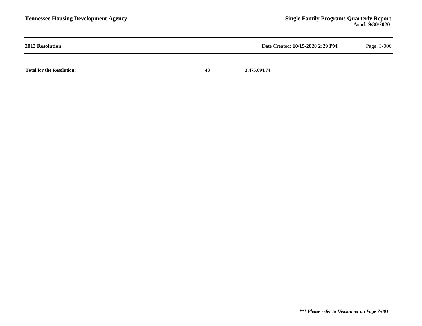| <b>2013 Resolution</b>           |    | Date Created: 10/15/2020 2:29 PM | Page: 3-006 |
|----------------------------------|----|----------------------------------|-------------|
| <b>Total for the Resolution:</b> | 43 | 3,475,694.74                     |             |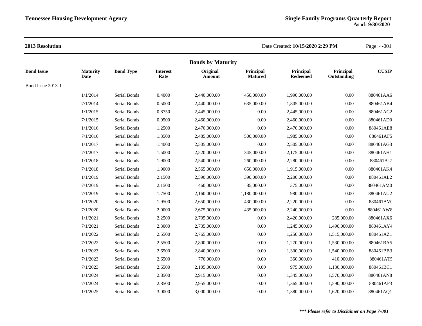|                   |                         |                  |                         | <b>Bonds by Maturity</b> |                             |                              |                          |              |
|-------------------|-------------------------|------------------|-------------------------|--------------------------|-----------------------------|------------------------------|--------------------------|--------------|
| <b>Bond Issue</b> | <b>Maturity</b><br>Date | <b>Bond Type</b> | <b>Interest</b><br>Rate | Original<br>Amount       | Principal<br><b>Matured</b> | Principal<br><b>Redeemed</b> | Principal<br>Outstanding | <b>CUSIP</b> |
| Bond Issue 2013-1 |                         |                  |                         |                          |                             |                              |                          |              |
|                   | 1/1/2014                | Serial Bonds     | 0.4000                  | 2,440,000.00             | 450,000.00                  | 1,990,000.00                 | 0.00                     | 880461AA6    |
|                   | 7/1/2014                | Serial Bonds     | 0.5000                  | 2,440,000.00             | 635,000.00                  | 1,805,000.00                 | 0.00                     | 880461AB4    |
|                   | 1/1/2015                | Serial Bonds     | 0.8750                  | 2,445,000.00             | 0.00                        | 2,445,000.00                 | 0.00                     | 880461AC2    |
|                   | 7/1/2015                | Serial Bonds     | 0.9500                  | 2,460,000.00             | 0.00                        | 2,460,000.00                 | $0.00\,$                 | 880461AD0    |
|                   | 1/1/2016                | Serial Bonds     | 1.2500                  | 2,470,000.00             | 0.00                        | 2,470,000.00                 | $0.00\,$                 | 880461AE8    |
|                   | 7/1/2016                | Serial Bonds     | 1.3500                  | 2,485,000.00             | 500,000.00                  | 1,985,000.00                 | 0.00                     | 880461AF5    |
|                   | 1/1/2017                | Serial Bonds     | 1.4000                  | 2,505,000.00             | $0.00\,$                    | 2,505,000.00                 | $0.00\,$                 | 880461AG3    |
|                   | 7/1/2017                | Serial Bonds     | 1.5000                  | 2,520,000.00             | 345,000.00                  | 2,175,000.00                 | 0.00                     | 880461AH1    |
|                   | 1/1/2018                | Serial Bonds     | 1.9000                  | 2,540,000.00             | 260,000.00                  | 2,280,000.00                 | $0.00\,$                 | 880461AJ7    |
|                   | 7/1/2018                | Serial Bonds     | 1.9000                  | 2,565,000.00             | 650,000.00                  | 1,915,000.00                 | 0.00                     | 880461AK4    |
|                   | 1/1/2019                | Serial Bonds     | 2.1500                  | 2,590,000.00             | 390,000.00                  | 2,200,000.00                 | $0.00\,$                 | 880461AL2    |
|                   | 7/1/2019                | Serial Bonds     | 2.1500                  | 460,000.00               | 85,000.00                   | 375,000.00                   | 0.00                     | 880461AM0    |
|                   | 7/1/2019                | Serial Bonds     | 1.7500                  | 2,160,000.00             | 1,180,000.00                | 980,000.00                   | 0.00                     | 880461AU2    |
|                   | 1/1/2020                | Serial Bonds     | 1.9500                  | 2,650,000.00             | 430,000.00                  | 2,220,000.00                 | 0.00                     | 880461AV0    |
|                   | 7/1/2020                | Serial Bonds     | 2.0000                  | 2,675,000.00             | 435,000.00                  | 2,240,000.00                 | 0.00                     | 880461AW8    |
|                   | 1/1/2021                | Serial Bonds     | 2.2500                  | 2,705,000.00             | 0.00                        | 2,420,000.00                 | 285,000.00               | 880461AX6    |
|                   | 7/1/2021                | Serial Bonds     | 2.3000                  | 2,735,000.00             | 0.00                        | 1,245,000.00                 | 1,490,000.00             | 880461AY4    |
|                   | 1/1/2022                | Serial Bonds     | 2.5500                  | 2,765,000.00             | 0.00                        | 1,250,000.00                 | 1,515,000.00             | 880461AZ1    |
|                   | 7/1/2022                | Serial Bonds     | 2.5500                  | 2,800,000.00             | 0.00                        | 1,270,000.00                 | 1,530,000.00             | 880461BA5    |
|                   | 1/1/2023                | Serial Bonds     | 2.6500                  | 2,840,000.00             | 0.00                        | 1,300,000.00                 | 1,540,000.00             | 880461BB3    |
|                   | 7/1/2023                | Serial Bonds     | 2.6500                  | 770,000.00               | 0.00                        | 360,000.00                   | 410,000.00               | 880461AT5    |
|                   | 7/1/2023                | Serial Bonds     | 2.6500                  | 2,105,000.00             | $0.00\,$                    | 975,000.00                   | 1,130,000.00             | 880461BC1    |
|                   | 1/1/2024                | Serial Bonds     | 2.8500                  | 2,915,000.00             | 0.00                        | 1,345,000.00                 | 1,570,000.00             | 880461AN8    |
|                   | 7/1/2024                | Serial Bonds     | 2.8500                  | 2,955,000.00             | $0.00\,$                    | 1,365,000.00                 | 1,590,000.00             | 880461AP3    |
|                   | 1/1/2025                | Serial Bonds     | 3.0000                  | 3,000,000.00             | 0.00                        | 1,380,000.00                 | 1,620,000.00             | 880461AQ1    |
|                   |                         |                  |                         |                          |                             |                              |                          |              |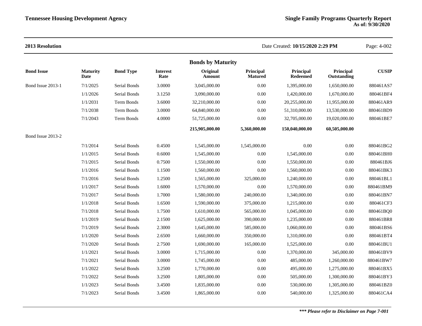| 2013 Resolution   |                         |                  |                         |                          |                             | Date Created: 10/15/2020 2:29 PM |                          | Page: 4-002  |
|-------------------|-------------------------|------------------|-------------------------|--------------------------|-----------------------------|----------------------------------|--------------------------|--------------|
|                   |                         |                  |                         | <b>Bonds by Maturity</b> |                             |                                  |                          |              |
| <b>Bond Issue</b> | <b>Maturity</b><br>Date | <b>Bond Type</b> | <b>Interest</b><br>Rate | Original<br>Amount       | Principal<br><b>Matured</b> | Principal<br><b>Redeemed</b>     | Principal<br>Outstanding | <b>CUSIP</b> |
| Bond Issue 2013-1 | 7/1/2025                | Serial Bonds     | 3.0000                  | 3,045,000.00             | $0.00\,$                    | 1,395,000.00                     | 1,650,000.00             | 880461AS7    |
|                   | 1/1/2026                | Serial Bonds     | 3.1250                  | 3,090,000.00             | 0.00                        | 1,420,000.00                     | 1,670,000.00             | 880461BF4    |
|                   | 1/1/2031                | Term Bonds       | 3.6000                  | 32,210,000.00            | 0.00                        | 20,255,000.00                    | 11,955,000.00            | 880461AR9    |
|                   | 7/1/2038                | Term Bonds       | 3.0000                  | 64,840,000.00            | 0.00                        | 51,310,000.00                    | 13,530,000.00            | 880461BD9    |
|                   | 7/1/2043                | Term Bonds       | 4.0000                  | 51,725,000.00            | 0.00                        | 32,705,000.00                    | 19,020,000.00            | 880461BE7    |
|                   |                         |                  |                         | 215,905,000.00           | 5,360,000.00                | 150,040,000.00                   | 60,505,000.00            |              |
| Bond Issue 2013-2 |                         |                  |                         |                          |                             |                                  |                          |              |
|                   | 7/1/2014                | Serial Bonds     | 0.4500                  | 1,545,000.00             | 1,545,000.00                | 0.00                             | $0.00\,$                 | 880461BG2    |
|                   | 1/1/2015                | Serial Bonds     | 0.6000                  | 1,545,000.00             | 0.00                        | 1,545,000.00                     | 0.00                     | 880461BH0    |
|                   | 7/1/2015                | Serial Bonds     | 0.7500                  | 1,550,000.00             | 0.00                        | 1,550,000.00                     | 0.00                     | 880461BJ6    |
|                   | 1/1/2016                | Serial Bonds     | 1.1500                  | 1,560,000.00             | 0.00                        | 1,560,000.00                     | 0.00                     | 880461BK3    |
|                   | 7/1/2016                | Serial Bonds     | 1.2500                  | 1,565,000.00             | 325,000.00                  | 1,240,000.00                     | 0.00                     | 880461BL1    |
|                   | 1/1/2017                | Serial Bonds     | 1.6000                  | 1,570,000.00             | 0.00                        | 1,570,000.00                     | 0.00                     | 880461BM9    |
|                   | 7/1/2017                | Serial Bonds     | 1.7000                  | 1,580,000.00             | 240,000.00                  | 1,340,000.00                     | 0.00                     | 880461BN7    |
|                   | 1/1/2018                | Serial Bonds     | 1.6500                  | 1,590,000.00             | 375,000.00                  | 1,215,000.00                     | 0.00                     | 880461CF3    |
|                   | 7/1/2018                | Serial Bonds     | 1.7500                  | 1,610,000.00             | 565,000.00                  | 1,045,000.00                     | 0.00                     | 880461BQ0    |
|                   | 1/1/2019                | Serial Bonds     | 2.1500                  | 1,625,000.00             | 390,000.00                  | 1,235,000.00                     | 0.00                     | 880461BR8    |
|                   | 7/1/2019                | Serial Bonds     | 2.3000                  | 1,645,000.00             | 585,000.00                  | 1,060,000.00                     | 0.00                     | 880461BS6    |
|                   | 1/1/2020                | Serial Bonds     | 2.6500                  | 1,660,000.00             | 350,000.00                  | 1,310,000.00                     | 0.00                     | 880461BT4    |
|                   | 7/1/2020                | Serial Bonds     | 2.7500                  | 1,690,000.00             | 165,000.00                  | 1,525,000.00                     | 0.00                     | 880461BU1    |
|                   | 1/1/2021                | Serial Bonds     | 3.0000                  | 1,715,000.00             | 0.00                        | 1,370,000.00                     | 345,000.00               | 880461BV9    |
|                   | 7/1/2021                | Serial Bonds     | 3.0000                  | 1,745,000.00             | 0.00                        | 485,000.00                       | 1,260,000.00             | 880461BW7    |
|                   | 1/1/2022                | Serial Bonds     | 3.2500                  | 1,770,000.00             | 0.00                        | 495,000.00                       | 1,275,000.00             | 880461BX5    |
|                   | 7/1/2022                | Serial Bonds     | 3.2500                  | 1,805,000.00             | 0.00                        | 505,000.00                       | 1,300,000.00             | 880461BY3    |
|                   | 1/1/2023                | Serial Bonds     | 3.4500                  | 1,835,000.00             | 0.00                        | 530,000.00                       | 1,305,000.00             | 880461BZ0    |
|                   | 7/1/2023                | Serial Bonds     | 3.4500                  | 1,865,000.00             | 0.00                        | 540,000.00                       | 1,325,000.00             | 880461CA4    |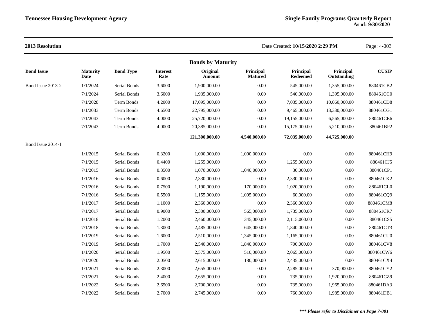| <b>2013 Resolution</b> |                         |                  |                         |                          |                             | Date Created: 10/15/2020 2:29 PM |                          | Page: 4-003  |
|------------------------|-------------------------|------------------|-------------------------|--------------------------|-----------------------------|----------------------------------|--------------------------|--------------|
|                        |                         |                  |                         | <b>Bonds by Maturity</b> |                             |                                  |                          |              |
| <b>Bond Issue</b>      | <b>Maturity</b><br>Date | <b>Bond Type</b> | <b>Interest</b><br>Rate | Original<br>Amount       | Principal<br><b>Matured</b> | Principal<br><b>Redeemed</b>     | Principal<br>Outstanding | <b>CUSIP</b> |
| Bond Issue 2013-2      | 1/1/2024                | Serial Bonds     | 3.6000                  | 1,900,000.00             | 0.00                        | 545,000.00                       | 1,355,000.00             | 880461CB2    |
|                        | 7/1/2024                | Serial Bonds     | 3.6000                  | 1,935,000.00             | 0.00                        | 540,000.00                       | 1,395,000.00             | 880461CC0    |
|                        | 7/1/2028                | Term Bonds       | 4.2000                  | 17,095,000.00            | $0.00\,$                    | 7,035,000.00                     | 10,060,000.00            | 880461CD8    |
|                        | 1/1/2033                | Term Bonds       | 4.6500                  | 22,795,000.00            | $0.00\,$                    | 9,465,000.00                     | 13,330,000.00            | 880461CG1    |
|                        | 7/1/2043                | Term Bonds       | 4.0000                  | 25,720,000.00            | 0.00                        | 19,155,000.00                    | 6,565,000.00             | 880461CE6    |
|                        | 7/1/2043                | Term Bonds       | 4.0000                  | 20,385,000.00            | 0.00                        | 15,175,000.00                    | 5,210,000.00             | 880461BP2    |
|                        |                         |                  |                         | 121,300,000.00           | 4,540,000.00                | 72,035,000.00                    | 44,725,000.00            |              |
| Bond Issue 2014-1      |                         |                  |                         |                          |                             |                                  |                          |              |
|                        | 1/1/2015                | Serial Bonds     | 0.3200                  | 1,000,000.00             | 1,000,000.00                | 0.00                             | 0.00                     | 880461CH9    |
|                        | 7/1/2015                | Serial Bonds     | 0.4400                  | 1,255,000.00             | 0.00                        | 1,255,000.00                     | 0.00                     | 880461CJ5    |
|                        | 7/1/2015                | Serial Bonds     | 0.3500                  | 1,070,000.00             | 1,040,000.00                | 30,000.00                        | $0.00\,$                 | 880461CP1    |
|                        | 1/1/2016                | Serial Bonds     | 0.6000                  | 2,330,000.00             | 0.00                        | 2,330,000.00                     | $0.00\,$                 | 880461CK2    |
|                        | 7/1/2016                | Serial Bonds     | 0.7500                  | 1,190,000.00             | 170,000.00                  | 1,020,000.00                     | 0.00                     | 880461CL0    |
|                        | 7/1/2016                | Serial Bonds     | 0.5500                  | 1,155,000.00             | 1,095,000.00                | 60,000.00                        | 0.00                     | 880461CQ9    |
|                        | 1/1/2017                | Serial Bonds     | 1.1000                  | 2,360,000.00             | $0.00\,$                    | 2,360,000.00                     | $0.00\,$                 | 880461CM8    |
|                        | 7/1/2017                | Serial Bonds     | 0.9000                  | 2,300,000.00             | 565,000.00                  | 1,735,000.00                     | 0.00                     | 880461CR7    |
|                        | 1/1/2018                | Serial Bonds     | 1.2000                  | 2,460,000.00             | 345,000.00                  | 2,115,000.00                     | 0.00                     | 880461CS5    |
|                        | 7/1/2018                | Serial Bonds     | 1.3000                  | 2,485,000.00             | 645,000.00                  | 1,840,000.00                     | $0.00\,$                 | 880461CT3    |
|                        | 1/1/2019                | Serial Bonds     | 1.6000                  | 2,510,000.00             | 1,345,000.00                | 1,165,000.00                     | $0.00\,$                 | 880461CU0    |
|                        | 7/1/2019                | Serial Bonds     | 1.7000                  | 2,540,000.00             | 1,840,000.00                | 700,000.00                       | 0.00                     | 880461CV8    |
|                        | 1/1/2020                | Serial Bonds     | 1.9500                  | 2,575,000.00             | 510,000.00                  | 2,065,000.00                     | 0.00                     | 880461CW6    |
|                        | 7/1/2020                | Serial Bonds     | 2.0500                  | 2,615,000.00             | 180,000.00                  | 2,435,000.00                     | 0.00                     | 880461CX4    |
|                        | 1/1/2021                | Serial Bonds     | 2.3000                  | 2,655,000.00             | $0.00\,$                    | 2,285,000.00                     | 370,000.00               | 880461CY2    |
|                        | 7/1/2021                | Serial Bonds     | 2.4000                  | 2,655,000.00             | $0.00\,$                    | 735,000.00                       | 1,920,000.00             | 880461CZ9    |
|                        | 1/1/2022                | Serial Bonds     | 2.6500                  | 2,700,000.00             | 0.00                        | 735,000.00                       | 1,965,000.00             | 880461DA3    |
|                        | 7/1/2022                | Serial Bonds     | 2.7000                  | 2,745,000.00             | $0.00\,$                    | 760,000.00                       | 1,985,000.00             | 880461DB1    |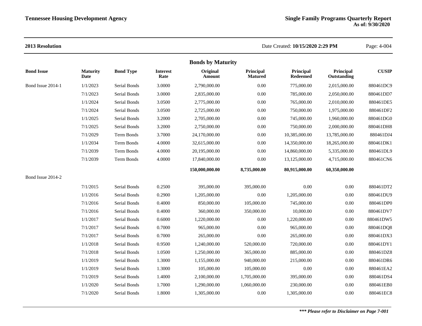|                   |                         |                     |                         | <b>Bonds by Maturity</b> |                             |                              |                          |              |
|-------------------|-------------------------|---------------------|-------------------------|--------------------------|-----------------------------|------------------------------|--------------------------|--------------|
| <b>Bond Issue</b> | <b>Maturity</b><br>Date | <b>Bond Type</b>    | <b>Interest</b><br>Rate | Original<br>Amount       | Principal<br><b>Matured</b> | Principal<br><b>Redeemed</b> | Principal<br>Outstanding | <b>CUSIP</b> |
| Bond Issue 2014-1 | 1/1/2023                | Serial Bonds        | 3.0000                  | 2,790,000.00             | 0.00                        | 775,000.00                   | 2,015,000.00             | 880461DC9    |
|                   | 7/1/2023                | Serial Bonds        | 3.0000                  | 2,835,000.00             | 0.00                        | 785,000.00                   | 2,050,000.00             | 880461DD7    |
|                   | 1/1/2024                | Serial Bonds        | 3.0500                  | 2,775,000.00             | 0.00                        | 765,000.00                   | 2,010,000.00             | 880461DE5    |
|                   | 7/1/2024                | Serial Bonds        | 3.0500                  | 2,725,000.00             | 0.00                        | 750,000.00                   | 1,975,000.00             | 880461DF2    |
|                   | 1/1/2025                | Serial Bonds        | 3.2000                  | 2,705,000.00             | 0.00                        | 745,000.00                   | 1,960,000.00             | 880461DG0    |
|                   | 7/1/2025                | Serial Bonds        | 3.2000                  | 2,750,000.00             | 0.00                        | 750,000.00                   | 2,000,000.00             | 880461DH8    |
|                   | 7/1/2029                | <b>Term Bonds</b>   | 3.7000                  | 24,170,000.00            | 0.00                        | 10,385,000.00                | 13,785,000.00            | 880461DJ4    |
|                   | 1/1/2034                | Term Bonds          | 4.0000                  | 32,615,000.00            | 0.00                        | 14,350,000.00                | 18,265,000.00            | 880461DK1    |
|                   | 7/1/2039                | <b>Term Bonds</b>   | 4.0000                  | 20,195,000.00            | 0.00                        | 14,860,000.00                | 5,335,000.00             | 880461DL9    |
|                   | 7/1/2039                | <b>Term Bonds</b>   | 4.0000                  | 17,840,000.00            | 0.00                        | 13,125,000.00                | 4,715,000.00             | 880461CN6    |
|                   |                         |                     |                         | 150,000,000.00           | 8,735,000.00                | 80,915,000.00                | 60,350,000.00            |              |
| Bond Issue 2014-2 |                         |                     |                         |                          |                             |                              |                          |              |
|                   | 7/1/2015                | Serial Bonds        | 0.2500                  | 395,000.00               | 395,000.00                  | 0.00                         | 0.00                     | 880461DT2    |
|                   | 1/1/2016                | Serial Bonds        | 0.2900                  | 1,205,000.00             | 0.00                        | 1,205,000.00                 | 0.00                     | 880461DU9    |
|                   | 7/1/2016                | Serial Bonds        | 0.4000                  | 850,000.00               | 105,000.00                  | 745,000.00                   | 0.00                     | 880461DP0    |
|                   | 7/1/2016                | Serial Bonds        | 0.4000                  | 360,000.00               | 350,000.00                  | 10,000.00                    | 0.00                     | 880461DV7    |
|                   | 1/1/2017                | Serial Bonds        | 0.6000                  | 1,220,000.00             | 0.00                        | 1,220,000.00                 | 0.00                     | 880461DW5    |
|                   | 7/1/2017                | Serial Bonds        | 0.7000                  | 965,000.00               | 0.00                        | 965,000.00                   | 0.00                     | 880461DQ8    |
|                   | 7/1/2017                | Serial Bonds        | 0.7000                  | 265,000.00               | 0.00                        | 265,000.00                   | 0.00                     | 880461DX3    |
|                   | 1/1/2018                | Serial Bonds        | 0.9500                  | 1,240,000.00             | 520,000.00                  | 720,000.00                   | $0.00\,$                 | 880461DY1    |
|                   | 7/1/2018                | Serial Bonds        | 1.0500                  | 1,250,000.00             | 365,000.00                  | 885,000.00                   | $0.00\,$                 | 880461DZ8    |
|                   | 1/1/2019                | <b>Serial Bonds</b> | 1.3000                  | 1,155,000.00             | 940,000.00                  | 215,000.00                   | 0.00                     | 880461DR6    |
|                   | 1/1/2019                | Serial Bonds        | 1.3000                  | 105,000.00               | 105,000.00                  | 0.00                         | 0.00                     | 880461EA2    |
|                   | 7/1/2019                | Serial Bonds        | 1.4000                  | 2,100,000.00             | 1,705,000.00                | 395,000.00                   | $0.00\,$                 | 880461DS4    |
|                   | 1/1/2020                | <b>Serial Bonds</b> | 1.7000                  | 1,290,000.00             | 1,060,000.00                | 230,000.00                   | $0.00\,$                 | 880461EB0    |
|                   | 7/1/2020                | Serial Bonds        | 1.8000                  | 1,305,000.00             | 0.00                        | 1,305,000.00                 | 0.00                     | 880461EC8    |
|                   |                         |                     |                         |                          |                             |                              |                          |              |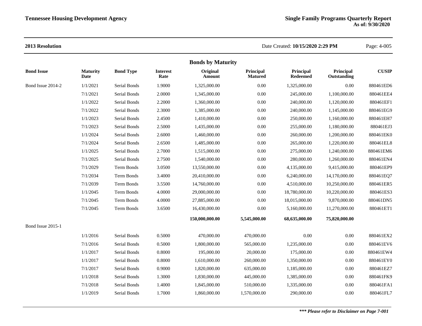|                   |                         |                  |                         | <b>Bonds by Maturity</b>  |                             |                              |                          |              |
|-------------------|-------------------------|------------------|-------------------------|---------------------------|-----------------------------|------------------------------|--------------------------|--------------|
| <b>Bond Issue</b> | <b>Maturity</b><br>Date | <b>Bond Type</b> | <b>Interest</b><br>Rate | Original<br><b>Amount</b> | Principal<br><b>Matured</b> | Principal<br><b>Redeemed</b> | Principal<br>Outstanding | <b>CUSIP</b> |
| Bond Issue 2014-2 | 1/1/2021                | Serial Bonds     | 1.9000                  | 1,325,000.00              | 0.00                        | 1,325,000.00                 | 0.00                     | 880461ED6    |
|                   | 7/1/2021                | Serial Bonds     | 2.0000                  | 1,345,000.00              | 0.00                        | 245,000.00                   | 1,100,000.00             | 880461EE4    |
|                   | 1/1/2022                | Serial Bonds     | 2.2000                  | 1,360,000.00              | 0.00                        | 240,000.00                   | 1,120,000.00             | 880461EF1    |
|                   | 7/1/2022                | Serial Bonds     | 2.3000                  | 1,385,000.00              | 0.00                        | 240,000.00                   | 1,145,000.00             | 880461EG9    |
|                   | 1/1/2023                | Serial Bonds     | 2.4500                  | 1,410,000.00              | 0.00                        | 250,000.00                   | 1,160,000.00             | 880461EH7    |
|                   | 7/1/2023                | Serial Bonds     | 2.5000                  | 1,435,000.00              | 0.00                        | 255,000.00                   | 1,180,000.00             | 880461EJ3    |
|                   | 1/1/2024                | Serial Bonds     | 2.6000                  | 1,460,000.00              | 0.00                        | 260,000.00                   | 1,200,000.00             | 880461EK0    |
|                   | 7/1/2024                | Serial Bonds     | 2.6500                  | 1,485,000.00              | 0.00                        | 265,000.00                   | 1,220,000.00             | 880461EL8    |
|                   | 1/1/2025                | Serial Bonds     | 2.7000                  | 1,515,000.00              | 0.00                        | 275,000.00                   | 1,240,000.00             | 880461EM6    |
|                   | 7/1/2025                | Serial Bonds     | 2.7500                  | 1,540,000.00              | 0.00                        | 280,000.00                   | 1,260,000.00             | 880461EN4    |
|                   | 7/1/2029                | Term Bonds       | 3.0500                  | 13,550,000.00             | 0.00                        | 4,135,000.00                 | 9,415,000.00             | 880461EP9    |
|                   | 7/1/2034                | Term Bonds       | 3.4000                  | 20,410,000.00             | 0.00                        | 6,240,000.00                 | 14,170,000.00            | 880461EQ7    |
|                   | 7/1/2039                | Term Bonds       | 3.5500                  | 14,760,000.00             | 0.00                        | 4,510,000.00                 | 10,250,000.00            | 880461ER5    |
|                   | 1/1/2045                | Term Bonds       | 4.0000                  | 29,000,000.00             | 0.00                        | 18,780,000.00                | 10,220,000.00            | 880461ES3    |
|                   | 7/1/2045                | Term Bonds       | 4.0000                  | 27,885,000.00             | 0.00                        | 18,015,000.00                | 9,870,000.00             | 880461DN5    |
|                   | 7/1/2045                | Term Bonds       | 3.6500                  | 16,430,000.00             | 0.00                        | 5,160,000.00                 | 11,270,000.00            | 880461ET1    |
|                   |                         |                  |                         | 150,000,000.00            | 5,545,000.00                | 68,635,000.00                | 75,820,000.00            |              |
| Bond Issue 2015-1 |                         |                  |                         |                           |                             |                              |                          |              |
|                   | 1/1/2016                | Serial Bonds     | 0.5000                  | 470,000.00                | 470,000.00                  | $0.00\,$                     | 0.00                     | 880461EX2    |
|                   | 7/1/2016                | Serial Bonds     | 0.5000                  | 1,800,000.00              | 565,000.00                  | 1,235,000.00                 | 0.00                     | 880461EV6    |
|                   | 1/1/2017                | Serial Bonds     | 0.8000                  | 195,000.00                | 20,000.00                   | 175,000.00                   | 0.00                     | 880461EW4    |
|                   | 1/1/2017                | Serial Bonds     | 0.8000                  | 1,610,000.00              | 260,000.00                  | 1,350,000.00                 | 0.00                     | 880461EY0    |
|                   | 7/1/2017                | Serial Bonds     | 0.9000                  | 1,820,000.00              | 635,000.00                  | 1,185,000.00                 | 0.00                     | 880461EZ7    |
|                   | 1/1/2018                | Serial Bonds     | 1.3000                  | 1,830,000.00              | 445,000.00                  | 1,385,000.00                 | 0.00                     | 880461FK9    |
|                   | 7/1/2018                | Serial Bonds     | 1.4000                  | 1,845,000.00              | 510,000.00                  | 1,335,000.00                 | $0.00\,$                 | 880461FA1    |
|                   | 1/1/2019                | Serial Bonds     | 1.7000                  | 1,860,000.00              | 1,570,000.00                | 290,000.00                   | 0.00                     | 880461FL7    |
|                   |                         |                  |                         |                           |                             |                              |                          |              |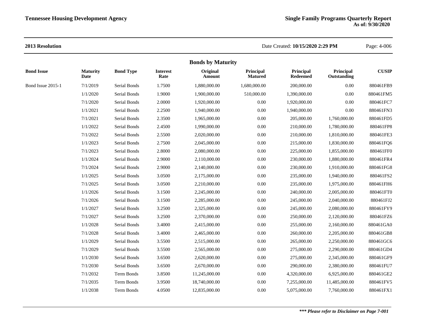| <b>Bond Issue</b> |
|-------------------|
| Bond Issue 2015-1 |
|                   |
|                   |
|                   |
|                   |
|                   |
|                   |
|                   |
|                   |
|                   |
|                   |
|                   |
|                   |
|                   |
|                   |
|                   |
|                   |
|                   |
|                   |
|                   |
|                   |
|                   |
|                   |
|                   |
|                   |
|                   |
|                   |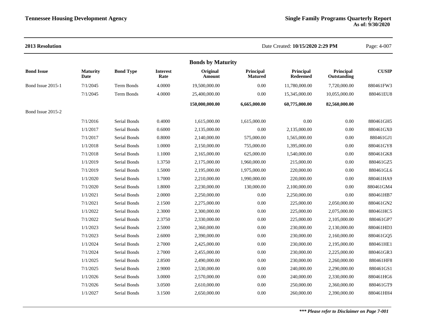### **2013 Resolution** Date Created: **10/15/2020 2:29 PM** Page: 4-007 **Bonds by Maturity Bond Issue Maturity Date Bond Type Interest Rate Original Amount Principal Matured Principal Redeemed Principal Outstanding CUSIP** Bond Issue 2015-1 7/1/2045 Term Bonds 4.0000 19,500,000.00 0.00 11,780,000.00 7,720,000.00 880461FW3 7/1/2045 Term Bonds 4.0000 25,400,000.00 0.00 15,345,000.00 10,055,000.00 880461EU8 **150,000,000.00 6,665,000.00 60,775,000.00 82,560,000.00** Bond Issue 2015-2 7/1/2016 Serial Bonds 0.4000 1,615,000.00 1,615,000.00 0.00 0.00 880461GH5 1/1/2017 Serial Bonds 0.6000 2,135,000.00 0.00 2,135,000.00 0.00 880461GX0 7/1/2017 Serial Bonds 0.8000 2,140,000.00 575,000.00 1,565,000.00 0.00 880461GJ1 1/1/2018 Serial Bonds 1.0000 2,150,000.00 755,000.00 1,395,000.00 0.00 880461GY8 7/1/2018 Serial Bonds 1.1000 2,165,000.00 625,000.00 1,540,000.00 0.00 880461GK8 1/1/2019 Serial Bonds 1.3750 2,175,000.00 1,960,000.00 215,000.00 0.00 880461GZ5 7/1/2019 Serial Bonds 1.5000 2,195,000.00 1,975,000.00 220,000.00 0.00 880461GL6 1/1/2020 Serial Bonds 1.7000 2,210,000.00 1,990,000.00 220,000.00 0.00 880461HA9 7/1/2020 Serial Bonds 1.8000 2,230,000.00 130,000.00 2,100,000.00 0.00 880461GM4 1/1/2021 Serial Bonds 2.0000 2,250,000.00 0.00 2,250,000.00 0.00 880461HB7 7/1/2021 Serial Bonds 2.1500 2,275,000.00 0.00 225,000.00 2,050,000.00 880461GN2 1/1/2022 Serial Bonds 2.3000 2,300,000.00 0.00 225,000.00 2,075,000.00 880461HC5 7/1/2022 Serial Bonds 2.3750 2,330,000.00 0.00 225,000.00 2,105,000.00 880461GP7 1/1/2023 Serial Bonds 2.5000 2,360,000.00 0.00 230,000.00 2,130,000.00 880461HD3 7/1/2023 Serial Bonds 2.6000 2,390,000.00 0.00 230,000.00 2,160,000.00 880461GQ5 1/1/2024 Serial Bonds 2.7000 2,425,000.00 0.00 230,000.00 2,195,000.00 880461HE1 7/1/2024 Serial Bonds 2.7000 2,455,000.00 0.00 230,000.00 2,225,000.00 880461GR3 1/1/2025 Serial Bonds 2.8500 2,490,000.00 0.00 230,000.00 2,260,000.00 880461HF8 7/1/2025 Serial Bonds 2.9000 2,530,000.00 0.00 240,000.00 2,290,000.00 880461GS1 1/1/2026 Serial Bonds 3.0000 2,570,000.00 0.00 240,000.00 2,330,000.00 880461HG6 7/1/2026 Serial Bonds 3.0500 2,610,000.00 0.00 250,000.00 2,360,000.00 880461GT9 1/1/2027 Serial Bonds 3.1500 2,650,000.00 0.00 260,000.00 2,390,000.00 880461HH4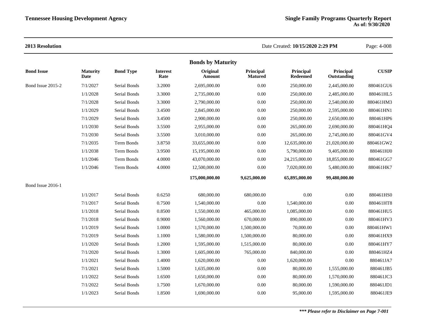|                   |                         |                  |                         | <b>Bonds by Maturity</b> |                             |                              |                          |              |
|-------------------|-------------------------|------------------|-------------------------|--------------------------|-----------------------------|------------------------------|--------------------------|--------------|
| <b>Bond Issue</b> | <b>Maturity</b><br>Date | <b>Bond Type</b> | <b>Interest</b><br>Rate | Original<br>Amount       | Principal<br><b>Matured</b> | Principal<br><b>Redeemed</b> | Principal<br>Outstanding | <b>CUSIP</b> |
| Bond Issue 2015-2 | 7/1/2027                | Serial Bonds     | 3.2000                  | 2,695,000.00             | 0.00                        | 250,000.00                   | 2,445,000.00             | 880461GU6    |
|                   | 1/1/2028                | Serial Bonds     | 3.3000                  | 2,735,000.00             | 0.00                        | 250,000.00                   | 2,485,000.00             | 880461HL5    |
|                   | 7/1/2028                | Serial Bonds     | 3.3000                  | 2,790,000.00             | 0.00                        | 250,000.00                   | 2,540,000.00             | 880461HM3    |
|                   | 1/1/2029                | Serial Bonds     | 3.4500                  | 2,845,000.00             | 0.00                        | 250,000.00                   | 2,595,000.00             | 880461HN1    |
|                   | 7/1/2029                | Serial Bonds     | 3.4500                  | 2,900,000.00             | 0.00                        | 250,000.00                   | 2,650,000.00             | 880461HP6    |
|                   | 1/1/2030                | Serial Bonds     | 3.5500                  | 2,955,000.00             | 0.00                        | 265,000.00                   | 2,690,000.00             | 880461HQ4    |
|                   | 7/1/2030                | Serial Bonds     | 3.5500                  | 3,010,000.00             | 0.00                        | 265,000.00                   | 2,745,000.00             | 880461GV4    |
|                   | 7/1/2035                | Term Bonds       | 3.8750                  | 33,655,000.00            | 0.00                        | 12,635,000.00                | 21,020,000.00            | 880461GW2    |
|                   | 1/1/2038                | Term Bonds       | 3.9500                  | 15,195,000.00            | 0.00                        | 5,790,000.00                 | 9,405,000.00             | 880461HJ0    |
|                   | 1/1/2046                | Term Bonds       | 4.0000                  | 43,070,000.00            | 0.00                        | 24,215,000.00                | 18,855,000.00            | 880461GG7    |
|                   | 1/1/2046                | Term Bonds       | 4.0000                  | 12,500,000.00            | 0.00                        | 7,020,000.00                 | 5,480,000.00             | 880461HK7    |
|                   |                         |                  |                         | 175,000,000.00           | 9,625,000.00                | 65,895,000.00                | 99,480,000.00            |              |
| Bond Issue 2016-1 |                         |                  |                         |                          |                             |                              |                          |              |
|                   | 1/1/2017                | Serial Bonds     | 0.6250                  | 680,000.00               | 680,000.00                  | 0.00                         | 0.00                     | 880461HS0    |
|                   | 7/1/2017                | Serial Bonds     | 0.7500                  | 1,540,000.00             | 0.00                        | 1,540,000.00                 | 0.00                     | 880461HT8    |
|                   | 1/1/2018                | Serial Bonds     | 0.8500                  | 1,550,000.00             | 465,000.00                  | 1,085,000.00                 | 0.00                     | 880461HU5    |
|                   | 7/1/2018                | Serial Bonds     | 0.9000                  | 1,560,000.00             | 670,000.00                  | 890,000.00                   | 0.00                     | 880461HV3    |
|                   | 1/1/2019                | Serial Bonds     | 1.0000                  | 1,570,000.00             | 1,500,000.00                | 70,000.00                    | 0.00                     | 880461HW1    |
|                   | 7/1/2019                | Serial Bonds     | 1.1000                  | 1,580,000.00             | 1,500,000.00                | 80,000.00                    | 0.00                     | 880461HX9    |
|                   | 1/1/2020                | Serial Bonds     | 1.2000                  | 1,595,000.00             | 1,515,000.00                | 80,000.00                    | 0.00                     | 880461HY7    |
|                   | 7/1/2020                | Serial Bonds     | 1.3000                  | 1,605,000.00             | 765,000.00                  | 840,000.00                   | 0.00                     | 880461HZ4    |
|                   | 1/1/2021                | Serial Bonds     | 1.4000                  | 1,620,000.00             | 0.00                        | 1,620,000.00                 | 0.00                     | 880461JA7    |
|                   | 7/1/2021                | Serial Bonds     | 1.5000                  | 1,635,000.00             | 0.00                        | 80,000.00                    | 1,555,000.00             | 880461JB5    |
|                   | 1/1/2022                | Serial Bonds     | 1.6500                  | 1,650,000.00             | 0.00                        | 80,000.00                    | 1,570,000.00             | 880461JC3    |
|                   | 7/1/2022                | Serial Bonds     | 1.7500                  | 1,670,000.00             | 0.00                        | 80,000.00                    | 1,590,000.00             | 880461JD1    |
|                   | 1/1/2023                | Serial Bonds     | 1.8500                  | 1,690,000.00             | 0.00                        | 95,000.00                    | 1,595,000.00             | 880461JE9    |
|                   |                         |                  |                         |                          |                             |                              |                          |              |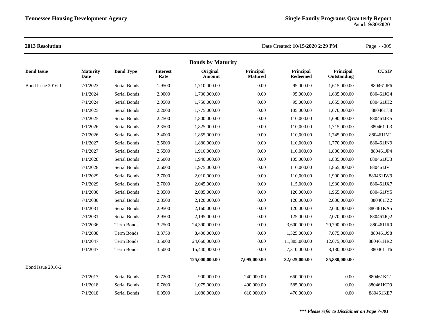|                   |                         |                     |                         | <b>Bonds by Maturity</b>  |                             |                       |                          |              |
|-------------------|-------------------------|---------------------|-------------------------|---------------------------|-----------------------------|-----------------------|--------------------------|--------------|
| <b>Bond Issue</b> | <b>Maturity</b><br>Date | <b>Bond Type</b>    | <b>Interest</b><br>Rate | Original<br><b>Amount</b> | Principal<br><b>Matured</b> | Principal<br>Redeemed | Principal<br>Outstanding | <b>CUSIP</b> |
| Bond Issue 2016-1 | 7/1/2023                | Serial Bonds        | 1.9500                  | 1,710,000.00              | 0.00                        | 95,000.00             | 1,615,000.00             | 880461JF6    |
|                   | 1/1/2024                | Serial Bonds        | 2.0000                  | 1,730,000.00              | 0.00                        | 95,000.00             | 1,635,000.00             | 880461JG4    |
|                   | 7/1/2024                | Serial Bonds        | 2.0500                  | 1,750,000.00              | 0.00                        | 95,000.00             | 1,655,000.00             | 880461JH2    |
|                   | 1/1/2025                | Serial Bonds        | 2.2000                  | 1,775,000.00              | 0.00                        | 105,000.00            | 1,670,000.00             | 880461JJ8    |
|                   | 7/1/2025                | Serial Bonds        | 2.2500                  | 1,800,000.00              | 0.00                        | 110,000.00            | 1,690,000.00             | 880461JK5    |
|                   | 1/1/2026                | Serial Bonds        | 2.3500                  | 1,825,000.00              | 0.00                        | 110,000.00            | 1,715,000.00             | 880461JL3    |
|                   | 7/1/2026                | Serial Bonds        | 2.4000                  | 1,855,000.00              | 0.00                        | 110,000.00            | 1,745,000.00             | 880461JM1    |
|                   | 1/1/2027                | Serial Bonds        | 2.5000                  | 1,880,000.00              | 0.00                        | 110,000.00            | 1,770,000.00             | 880461JN9    |
|                   | 7/1/2027                | Serial Bonds        | 2.5500                  | 1,910,000.00              | 0.00                        | 110,000.00            | 1,800,000.00             | 880461JP4    |
|                   | 1/1/2028                | Serial Bonds        | 2.6000                  | 1,940,000.00              | 0.00                        | 105,000.00            | 1,835,000.00             | 880461JU3    |
|                   | 7/1/2028                | Serial Bonds        | 2.6000                  | 1,975,000.00              | 0.00                        | 110,000.00            | 1,865,000.00             | 880461JV1    |
|                   | 1/1/2029                | Serial Bonds        | 2.7000                  | 2,010,000.00              | 0.00                        | 110,000.00            | 1,900,000.00             | 880461JW9    |
|                   | 7/1/2029                | Serial Bonds        | 2.7000                  | 2,045,000.00              | 0.00                        | 115,000.00            | 1,930,000.00             | 880461JX7    |
|                   | 1/1/2030                | Serial Bonds        | 2.8500                  | 2,085,000.00              | 0.00                        | 120,000.00            | 1,965,000.00             | 880461JY5    |
|                   | 7/1/2030                | Serial Bonds        | 2.8500                  | 2,120,000.00              | 0.00                        | 120,000.00            | 2,000,000.00             | 880461JZ2    |
|                   | 1/1/2031                | Serial Bonds        | 2.9500                  | 2,160,000.00              | 0.00                        | 120,000.00            | 2,040,000.00             | 880461KA5    |
|                   | 7/1/2031                | Serial Bonds        | 2.9500                  | 2,195,000.00              | 0.00                        | 125,000.00            | 2,070,000.00             | 880461JQ2    |
|                   | 7/1/2036                | Term Bonds          | 3.2500                  | 24,390,000.00             | 0.00                        | 3,600,000.00          | 20,790,000.00            | 880461JR0    |
|                   | 7/1/2038                | Term Bonds          | 3.3750                  | 8,400,000.00              | 0.00                        | 1,325,000.00          | 7,075,000.00             | 880461JS8    |
|                   | 1/1/2047                | Term Bonds          | 3.5000                  | 24,060,000.00             | 0.00                        | 11,385,000.00         | 12,675,000.00            | 880461HR2    |
|                   | 1/1/2047                | Term Bonds          | 3.5000                  | 15,440,000.00             | 0.00                        | 7,310,000.00          | 8,130,000.00             | 880461JT6    |
|                   |                         |                     |                         | 125,000,000.00            | 7,095,000.00                | 32,025,000.00         | 85,880,000.00            |              |
| Bond Issue 2016-2 |                         |                     |                         |                           |                             |                       |                          |              |
|                   | 7/1/2017                | Serial Bonds        | 0.7200                  | 900,000.00                | 240,000.00                  | 660,000.00            | 0.00                     | 880461KC1    |
|                   | 1/1/2018                | Serial Bonds        | 0.7600                  | 1,075,000.00              | 490,000.00                  | 585,000.00            | 0.00                     | 880461KD9    |
|                   | 7/1/2018                | <b>Serial Bonds</b> | 0.9500                  | 1,080,000.00              | 610,000.00                  | 470,000.00            | 0.00                     | 880461KE7    |
|                   |                         |                     |                         |                           |                             |                       |                          |              |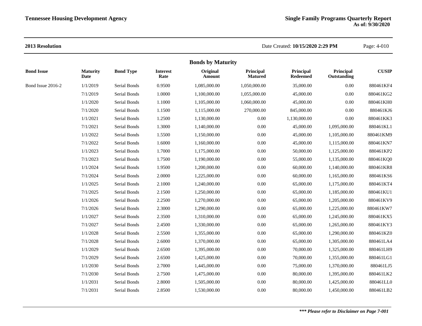|                   |                         |                  |                         | <b>Bonds by Maturity</b> |                             |                              |                          |              |
|-------------------|-------------------------|------------------|-------------------------|--------------------------|-----------------------------|------------------------------|--------------------------|--------------|
| <b>Bond Issue</b> | <b>Maturity</b><br>Date | <b>Bond Type</b> | <b>Interest</b><br>Rate | Original<br>Amount       | Principal<br><b>Matured</b> | Principal<br><b>Redeemed</b> | Principal<br>Outstanding | <b>CUSIP</b> |
| Bond Issue 2016-2 | 1/1/2019                | Serial Bonds     | 0.9500                  | 1,085,000.00             | 1,050,000.00                | 35,000.00                    | 0.00                     | 880461KF4    |
|                   | 7/1/2019                | Serial Bonds     | 1.0000                  | 1,100,000.00             | 1,055,000.00                | 45,000.00                    | 0.00                     | 880461KG2    |
|                   | 1/1/2020                | Serial Bonds     | 1.1000                  | 1,105,000.00             | 1,060,000.00                | 45,000.00                    | $0.00\,$                 | 880461KH0    |
|                   | 7/1/2020                | Serial Bonds     | 1.1500                  | 1,115,000.00             | 270,000.00                  | 845,000.00                   | 0.00                     | 880461KJ6    |
|                   | 1/1/2021                | Serial Bonds     | 1.2500                  | 1,130,000.00             | 0.00                        | 1,130,000.00                 | 0.00                     | 880461KK3    |
|                   | 7/1/2021                | Serial Bonds     | 1.3000                  | 1,140,000.00             | 0.00                        | 45,000.00                    | 1,095,000.00             | 880461KL1    |
|                   | 1/1/2022                | Serial Bonds     | 1.5500                  | 1,150,000.00             | 0.00                        | 45,000.00                    | 1,105,000.00             | 880461KM9    |
|                   | 7/1/2022                | Serial Bonds     | 1.6000                  | 1,160,000.00             | 0.00                        | 45,000.00                    | 1,115,000.00             | 880461KN7    |
|                   | 1/1/2023                | Serial Bonds     | 1.7000                  | 1,175,000.00             | 0.00                        | 50,000.00                    | 1,125,000.00             | 880461KP2    |
|                   | 7/1/2023                | Serial Bonds     | 1.7500                  | 1,190,000.00             | $0.00\,$                    | 55,000.00                    | 1,135,000.00             | 880461KQ0    |
|                   | 1/1/2024                | Serial Bonds     | 1.9500                  | 1,200,000.00             | 0.00                        | 60,000.00                    | 1,140,000.00             | 880461KR8    |
|                   | 7/1/2024                | Serial Bonds     | 2.0000                  | 1,225,000.00             | 0.00                        | 60,000.00                    | 1,165,000.00             | 880461KS6    |
|                   | 1/1/2025                | Serial Bonds     | 2.1000                  | 1,240,000.00             | 0.00                        | 65,000.00                    | 1,175,000.00             | 880461KT4    |
|                   | 7/1/2025                | Serial Bonds     | 2.1500                  | 1,250,000.00             | 0.00                        | 65,000.00                    | 1,185,000.00             | 880461KU1    |
|                   | 1/1/2026                | Serial Bonds     | 2.2500                  | 1,270,000.00             | 0.00                        | 65,000.00                    | 1,205,000.00             | 880461KV9    |
|                   | 7/1/2026                | Serial Bonds     | 2.3000                  | 1,290,000.00             | 0.00                        | 65,000.00                    | 1,225,000.00             | 880461KW7    |
|                   | 1/1/2027                | Serial Bonds     | 2.3500                  | 1,310,000.00             | 0.00                        | 65,000.00                    | 1,245,000.00             | 880461KX5    |
|                   | 7/1/2027                | Serial Bonds     | 2.4500                  | 1,330,000.00             | 0.00                        | 65,000.00                    | 1,265,000.00             | 880461KY3    |
|                   | 1/1/2028                | Serial Bonds     | 2.5500                  | 1,355,000.00             | $0.00\,$                    | 65,000.00                    | 1,290,000.00             | 880461KZ0    |
|                   | 7/1/2028                | Serial Bonds     | 2.6000                  | 1,370,000.00             | 0.00                        | 65,000.00                    | 1,305,000.00             | 880461LA4    |
|                   | 1/1/2029                | Serial Bonds     | 2.6500                  | 1,395,000.00             | 0.00                        | 70,000.00                    | 1,325,000.00             | 880461LH9    |
|                   | 7/1/2029                | Serial Bonds     | 2.6500                  | 1,425,000.00             | 0.00                        | 70,000.00                    | 1,355,000.00             | 880461LG1    |
|                   | 1/1/2030                | Serial Bonds     | 2.7000                  | 1,445,000.00             | 0.00                        | 75,000.00                    | 1,370,000.00             | 880461LJ5    |
|                   | 7/1/2030                | Serial Bonds     | 2.7500                  | 1,475,000.00             | $0.00\,$                    | 80,000.00                    | 1,395,000.00             | 880461LK2    |
|                   | 1/1/2031                | Serial Bonds     | 2.8000                  | 1,505,000.00             | $0.00\,$                    | 80,000.00                    | 1,425,000.00             | 880461LL0    |
|                   | 7/1/2031                | Serial Bonds     | 2.8500                  | 1,530,000.00             | $0.00\,$                    | 80,000.00                    | 1,450,000.00             | 880461LB2    |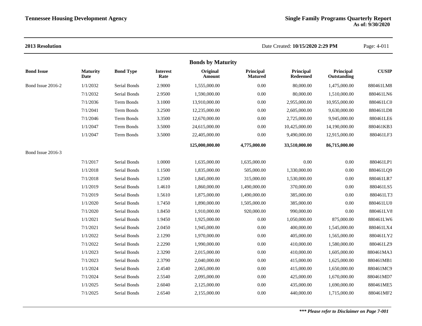|                   |                         |                   |                         | <b>Bonds by Maturity</b> |                             |                              |                          |              |
|-------------------|-------------------------|-------------------|-------------------------|--------------------------|-----------------------------|------------------------------|--------------------------|--------------|
| <b>Bond Issue</b> | <b>Maturity</b><br>Date | <b>Bond Type</b>  | <b>Interest</b><br>Rate | Original<br>Amount       | Principal<br><b>Matured</b> | Principal<br><b>Redeemed</b> | Principal<br>Outstanding | <b>CUSIP</b> |
| Bond Issue 2016-2 | 1/1/2032                | Serial Bonds      | 2.9000                  | 1,555,000.00             | 0.00                        | 80,000.00                    | 1,475,000.00             | 880461LM8    |
|                   | 7/1/2032                | Serial Bonds      | 2.9500                  | 1,590,000.00             | 0.00                        | 80,000.00                    | 1,510,000.00             | 880461LN6    |
|                   | 7/1/2036                | Term Bonds        | 3.1000                  | 13,910,000.00            | 0.00                        | 2,955,000.00                 | 10,955,000.00            | 880461LC0    |
|                   | 7/1/2041                | Term Bonds        | 3.2500                  | 12,235,000.00            | 0.00                        | 2,605,000.00                 | 9,630,000.00             | 880461LD8    |
|                   | 7/1/2046                | <b>Term Bonds</b> | 3.3500                  | 12,670,000.00            | 0.00                        | 2,725,000.00                 | 9,945,000.00             | 880461LE6    |
|                   | 1/1/2047                | <b>Term Bonds</b> | 3.5000                  | 24,615,000.00            | 0.00                        | 10,425,000.00                | 14,190,000.00            | 880461KB3    |
|                   | 1/1/2047                | Term Bonds        | 3.5000                  | 22,405,000.00            | 0.00                        | 9,490,000.00                 | 12,915,000.00            | 880461LF3    |
|                   |                         |                   |                         | 125,000,000.00           | 4,775,000.00                | 33,510,000.00                | 86,715,000.00            |              |
| Bond Issue 2016-3 |                         |                   |                         |                          |                             |                              |                          |              |
|                   | 7/1/2017                | Serial Bonds      | 1.0000                  | 1,635,000.00             | 1,635,000.00                | 0.00                         | 0.00                     | 880461LP1    |
|                   | 1/1/2018                | Serial Bonds      | 1.1500                  | 1,835,000.00             | 505,000.00                  | 1,330,000.00                 | 0.00                     | 880461LQ9    |
|                   | 7/1/2018                | Serial Bonds      | 1.2500                  | 1,845,000.00             | 315,000.00                  | 1,530,000.00                 | 0.00                     | 880461LR7    |
|                   | 1/1/2019                | Serial Bonds      | 1.4610                  | 1,860,000.00             | 1,490,000.00                | 370,000.00                   | 0.00                     | 880461LS5    |
|                   | 7/1/2019                | Serial Bonds      | 1.5610                  | 1,875,000.00             | 1,490,000.00                | 385,000.00                   | 0.00                     | 880461LT3    |
|                   | 1/1/2020                | Serial Bonds      | 1.7450                  | 1,890,000.00             | 1,505,000.00                | 385,000.00                   | 0.00                     | 880461LU0    |
|                   | 7/1/2020                | Serial Bonds      | 1.8450                  | 1,910,000.00             | 920,000.00                  | 990,000.00                   | 0.00                     | 880461LV8    |
|                   | 1/1/2021                | Serial Bonds      | 1.9450                  | 1,925,000.00             | 0.00                        | 1,050,000.00                 | 875,000.00               | 880461LW6    |
|                   | 7/1/2021                | Serial Bonds      | 2.0450                  | 1,945,000.00             | 0.00                        | 400,000.00                   | 1,545,000.00             | 880461LX4    |
|                   | 1/1/2022                | Serial Bonds      | 2.1290                  | 1,970,000.00             | 0.00                        | 405,000.00                   | 1,565,000.00             | 880461LY2    |
|                   | 7/1/2022                | Serial Bonds      | 2.2290                  | 1,990,000.00             | 0.00                        | 410,000.00                   | 1,580,000.00             | 880461LZ9    |
|                   | 1/1/2023                | Serial Bonds      | 2.3290                  | 2,015,000.00             | 0.00                        | 410,000.00                   | 1,605,000.00             | 880461MA3    |
|                   | 7/1/2023                | Serial Bonds      | 2.3790                  | 2,040,000.00             | 0.00                        | 415,000.00                   | 1,625,000.00             | 880461MB1    |
|                   | 1/1/2024                | Serial Bonds      | 2.4540                  | 2,065,000.00             | 0.00                        | 415,000.00                   | 1,650,000.00             | 880461MC9    |
|                   | 7/1/2024                | Serial Bonds      | 2.5540                  | 2,095,000.00             | 0.00                        | 425,000.00                   | 1,670,000.00             | 880461MD7    |
|                   | 1/1/2025                | Serial Bonds      | 2.6040                  | 2,125,000.00             | 0.00                        | 435,000.00                   | 1,690,000.00             | 880461ME5    |
|                   | 7/1/2025                | Serial Bonds      | 2.6540                  | 2,155,000.00             | 0.00                        | 440,000.00                   | 1,715,000.00             | 880461MF2    |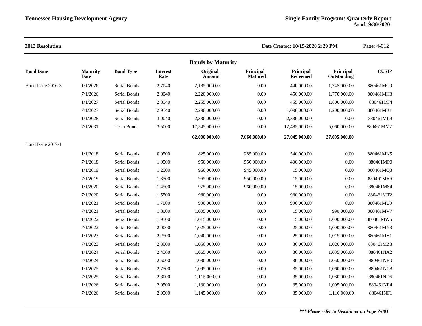| 2013 Resolution   |                         |                     |                         |                          |                             | Date Created: 10/15/2020 2:29 PM |                          | Page: 4-012  |
|-------------------|-------------------------|---------------------|-------------------------|--------------------------|-----------------------------|----------------------------------|--------------------------|--------------|
|                   |                         |                     |                         | <b>Bonds by Maturity</b> |                             |                                  |                          |              |
| <b>Bond Issue</b> | <b>Maturity</b><br>Date | <b>Bond Type</b>    | <b>Interest</b><br>Rate | Original<br>Amount       | Principal<br><b>Matured</b> | Principal<br><b>Redeemed</b>     | Principal<br>Outstanding | <b>CUSIP</b> |
| Bond Issue 2016-3 | 1/1/2026                | Serial Bonds        | 2.7040                  | 2,185,000.00             | $0.00\,$                    | 440,000.00                       | 1,745,000.00             | 880461MG0    |
|                   | 7/1/2026                | Serial Bonds        | 2.8040                  | 2,220,000.00             | $0.00\,$                    | 450,000.00                       | 1,770,000.00             | 880461MH8    |
|                   | 1/1/2027                | Serial Bonds        | 2.8540                  | 2,255,000.00             | 0.00                        | 455,000.00                       | 1,800,000.00             | 880461MJ4    |
|                   | 7/1/2027                | Serial Bonds        | 2.9540                  | 2,290,000.00             | $0.00\,$                    | 1,090,000.00                     | 1,200,000.00             | 880461MK1    |
|                   | 1/1/2028                | Serial Bonds        | 3.0040                  | 2,330,000.00             | 0.00                        | 2,330,000.00                     | 0.00                     | 880461ML9    |
|                   | 7/1/2031                | Term Bonds          | 3.5000                  | 17,545,000.00            | $0.00\,$                    | 12,485,000.00                    | 5,060,000.00             | 880461MM7    |
|                   |                         |                     |                         | 62,000,000.00            | 7,860,000.00                | 27,045,000.00                    | 27,095,000.00            |              |
| Bond Issue 2017-1 |                         |                     |                         |                          |                             |                                  |                          |              |
|                   | 1/1/2018                | Serial Bonds        | 0.9500                  | 825,000.00               | 285,000.00                  | 540,000.00                       | 0.00                     | 880461MN5    |
|                   | 7/1/2018                | <b>Serial Bonds</b> | 1.0500                  | 950,000.00               | 550,000.00                  | 400,000.00                       | 0.00                     | 880461MP0    |
|                   | 1/1/2019                | Serial Bonds        | 1.2500                  | 960,000.00               | 945,000.00                  | 15,000.00                        | 0.00                     | 880461MQ8    |
|                   | 7/1/2019                | Serial Bonds        | 1.3500                  | 965,000.00               | 950,000.00                  | 15,000.00                        | 0.00                     | 880461MR6    |
|                   | 1/1/2020                | Serial Bonds        | 1.4500                  | 975,000.00               | 960,000.00                  | 15,000.00                        | 0.00                     | 880461MS4    |
|                   | 7/1/2020                | Serial Bonds        | 1.5500                  | 980,000.00               | $0.00\,$                    | 980,000.00                       | $0.00\,$                 | 880461MT2    |
|                   | 1/1/2021                | Serial Bonds        | 1.7000                  | 990,000.00               | $0.00\,$                    | 990,000.00                       | 0.00                     | 880461MU9    |
|                   | 7/1/2021                | Serial Bonds        | 1.8000                  | 1,005,000.00             | $0.00\,$                    | 15,000.00                        | 990,000.00               | 880461MV7    |
|                   | 1/1/2022                | Serial Bonds        | 1.9500                  | 1,015,000.00             | $0.00\,$                    | 15,000.00                        | 1,000,000.00             | 880461MW5    |
|                   | 7/1/2022                | Serial Bonds        | 2.0000                  | 1,025,000.00             | 0.00                        | 25,000.00                        | 1,000,000.00             | 880461MX3    |
|                   | 1/1/2023                | Serial Bonds        | 2.2500                  | 1,040,000.00             | $0.00\,$                    | 25,000.00                        | 1,015,000.00             | 880461MY1    |
|                   | 7/1/2023                | Serial Bonds        | 2.3000                  | 1,050,000.00             | 0.00                        | 30,000.00                        | 1,020,000.00             | 880461MZ8    |
|                   | 1/1/2024                | Serial Bonds        | 2.4500                  | 1,065,000.00             | $0.00\,$                    | 30,000.00                        | 1,035,000.00             | 880461NA2    |
|                   | 7/1/2024                | Serial Bonds        | 2.5000                  | 1,080,000.00             | 0.00                        | 30,000.00                        | 1,050,000.00             | 880461NB0    |
|                   | 1/1/2025                | Serial Bonds        | 2.7500                  | 1,095,000.00             | $0.00\,$                    | 35,000.00                        | 1,060,000.00             | 880461NC8    |
|                   | 7/1/2025                | Serial Bonds        | 2.8000                  | 1,115,000.00             | 0.00                        | 35,000.00                        | 1,080,000.00             | 880461ND6    |
|                   | 1/1/2026                | Serial Bonds        | 2.9500                  | 1,130,000.00             | $0.00\,$                    | 35,000.00                        | 1,095,000.00             | 880461NE4    |
|                   | 7/1/2026                | Serial Bonds        | 2.9500                  | 1,145,000.00             | $0.00\,$                    | 35,000.00                        | 1,110,000.00             | 880461NF1    |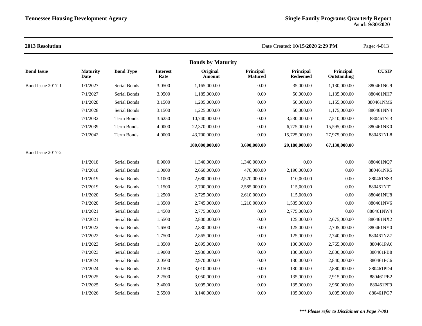|                   |                         |                  |                         | <b>Bonds by Maturity</b> |                      |                       |                          |              |
|-------------------|-------------------------|------------------|-------------------------|--------------------------|----------------------|-----------------------|--------------------------|--------------|
| <b>Bond Issue</b> | <b>Maturity</b><br>Date | <b>Bond Type</b> | <b>Interest</b><br>Rate | Original<br>Amount       | Principal<br>Matured | Principal<br>Redeemed | Principal<br>Outstanding | <b>CUSIP</b> |
| Bond Issue 2017-1 | 1/1/2027                | Serial Bonds     | 3.0500                  | 1.165,000.00             | 0.00                 | 35,000.00             | 1,130,000.00             | 880461NG9    |
|                   | 7/1/2027                | Serial Bonds     | 3.0500                  | 1,185,000.00             | 0.00                 | 50,000.00             | 1,135,000.00             | 880461NH7    |
|                   | 1/1/2028                | Serial Bonds     | 3.1500                  | 1,205,000.00             | 0.00                 | 50,000.00             | 1,155,000.00             | 880461NM6    |
|                   | 7/1/2028                | Serial Bonds     | 3.1500                  | 1,225,000.00             | 0.00                 | 50,000.00             | 1,175,000.00             | 880461NN4    |
|                   | 7/1/2032                | Term Bonds       | 3.6250                  | 10,740,000.00            | 0.00                 | 3,230,000.00          | 7,510,000.00             | 880461NJ3    |
|                   | 7/1/2039                | Term Bonds       | 4.0000                  | 22,370,000.00            | 0.00                 | 6,775,000.00          | 15,595,000.00            | 880461NK0    |
|                   | 7/1/2042                | Term Bonds       | 4.0000                  | 43,700,000.00            | 0.00                 | 15,725,000.00         | 27,975,000.00            | 880461NL8    |
|                   |                         |                  |                         | 100,000,000.00           | 3,690,000.00         | 29,180,000.00         | 67,130,000.00            |              |
| Bond Issue 2017-2 |                         |                  |                         |                          |                      |                       |                          |              |
|                   | 1/1/2018                | Serial Bonds     | 0.9000                  | 1,340,000.00             | 1,340,000.00         | 0.00                  | 0.00                     | 880461NQ7    |
|                   | 7/1/2018                | Serial Bonds     | 1.0000                  | 2,660,000.00             | 470,000.00           | 2,190,000.00          | 0.00                     | 880461NR5    |
|                   | 1/1/2019                | Serial Bonds     | 1.1000                  | 2,680,000.00             | 2,570,000.00         | 110,000.00            | 0.00                     | 880461NS3    |
|                   | 7/1/2019                | Serial Bonds     | 1.1500                  | 2,700,000.00             | 2,585,000.00         | 115,000.00            | $0.00\,$                 | 880461NT1    |
|                   | 1/1/2020                | Serial Bonds     | 1.2500                  | 2,725,000.00             | 2,610,000.00         | 115,000.00            | 0.00                     | 880461NU8    |
|                   | 7/1/2020                | Serial Bonds     | 1.3500                  | 2,745,000.00             | 1,210,000.00         | 1,535,000.00          | 0.00                     | 880461NV6    |
|                   | 1/1/2021                | Serial Bonds     | 1.4500                  | 2,775,000.00             | 0.00                 | 2,775,000.00          | $0.00\,$                 | 880461NW4    |
|                   | 7/1/2021                | Serial Bonds     | 1.5500                  | 2,800,000.00             | 0.00                 | 125,000.00            | 2,675,000.00             | 880461NX2    |
|                   | 1/1/2022                | Serial Bonds     | 1.6500                  | 2,830,000.00             | 0.00                 | 125,000.00            | 2,705,000.00             | 880461NY0    |
|                   | 7/1/2022                | Serial Bonds     | 1.7500                  | 2,865,000.00             | 0.00                 | 125,000.00            | 2,740,000.00             | 880461NZ7    |
|                   | 1/1/2023                | Serial Bonds     | 1.8500                  | 2,895,000.00             | 0.00                 | 130,000.00            | 2,765,000.00             | 880461PA0    |
|                   | 7/1/2023                | Serial Bonds     | 1.9000                  | 2,930,000.00             | 0.00                 | 130,000.00            | 2,800,000.00             | 880461PB8    |
|                   | 1/1/2024                | Serial Bonds     | 2.0500                  | 2,970,000.00             | 0.00                 | 130,000.00            | 2,840,000.00             | 880461PC6    |
|                   | 7/1/2024                | Serial Bonds     | 2.1500                  | 3,010,000.00             | 0.00                 | 130,000.00            | 2,880,000.00             | 880461PD4    |
|                   | 1/1/2025                | Serial Bonds     | 2.2500                  | 3,050,000.00             | 0.00                 | 135,000.00            | 2,915,000.00             | 880461PE2    |
|                   | 7/1/2025                | Serial Bonds     | 2.4000                  | 3,095,000.00             | 0.00                 | 135,000.00            | 2,960,000.00             | 880461PF9    |
|                   | 1/1/2026                | Serial Bonds     | 2.5500                  | 3,140,000.00             | 0.00                 | 135,000.00            | 3,005,000.00             | 880461PG7    |
|                   |                         |                  |                         |                          |                      |                       |                          |              |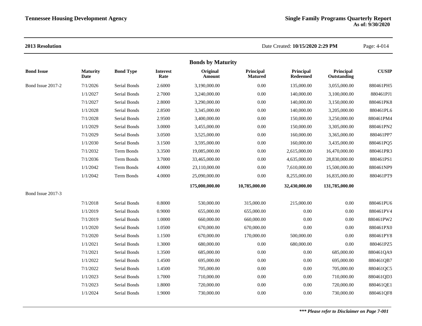|                   |                         |                  |                         | <b>Bonds by Maturity</b> |                             |                       |                          |              |
|-------------------|-------------------------|------------------|-------------------------|--------------------------|-----------------------------|-----------------------|--------------------------|--------------|
| <b>Bond Issue</b> | <b>Maturity</b><br>Date | <b>Bond Type</b> | <b>Interest</b><br>Rate | Original<br>Amount       | Principal<br><b>Matured</b> | Principal<br>Redeemed | Principal<br>Outstanding | <b>CUSIP</b> |
| Bond Issue 2017-2 | 7/1/2026                | Serial Bonds     | 2.6000                  | 3,190,000.00             | 0.00                        | 135,000.00            | 3,055,000.00             | 880461PH5    |
|                   | 1/1/2027                | Serial Bonds     | 2.7000                  | 3,240,000.00             | 0.00                        | 140,000.00            | 3,100,000.00             | 880461PJ1    |
|                   | 7/1/2027                | Serial Bonds     | 2.8000                  | 3,290,000.00             | 0.00                        | 140,000.00            | 3,150,000.00             | 880461PK8    |
|                   | 1/1/2028                | Serial Bonds     | 2.8500                  | 3,345,000.00             | 0.00                        | 140,000.00            | 3,205,000.00             | 880461PL6    |
|                   | 7/1/2028                | Serial Bonds     | 2.9500                  | 3,400,000.00             | 0.00                        | 150,000.00            | 3,250,000.00             | 880461PM4    |
|                   | 1/1/2029                | Serial Bonds     | 3.0000                  | 3,455,000.00             | 0.00                        | 150,000.00            | 3,305,000.00             | 880461PN2    |
|                   | 7/1/2029                | Serial Bonds     | 3.0500                  | 3,525,000.00             | 0.00                        | 160,000.00            | 3,365,000.00             | 880461PP7    |
|                   | 1/1/2030                | Serial Bonds     | 3.1500                  | 3,595,000.00             | 0.00                        | 160,000.00            | 3,435,000.00             | 880461PQ5    |
|                   | 7/1/2032                | Term Bonds       | 3.3500                  | 19,085,000.00            | 0.00                        | 2,615,000.00          | 16,470,000.00            | 880461PR3    |
|                   | 7/1/2036                | Term Bonds       | 3.7000                  | 33,465,000.00            | $0.00\,$                    | 4,635,000.00          | 28,830,000.00            | 880461PS1    |
|                   | 1/1/2042                | Term Bonds       | 4.0000                  | 23,110,000.00            | 0.00                        | 7,610,000.00          | 15,500,000.00            | 880461NP9    |
|                   | 1/1/2042                | Term Bonds       | 4.0000                  | 25,090,000.00            | 0.00                        | 8,255,000.00          | 16,835,000.00            | 880461PT9    |
|                   |                         |                  |                         | 175,000,000.00           | 10,785,000.00               | 32,430,000.00         | 131,785,000.00           |              |
| Bond Issue 2017-3 |                         |                  |                         |                          |                             |                       |                          |              |
|                   | 7/1/2018                | Serial Bonds     | 0.8000                  | 530,000.00               | 315,000.00                  | 215,000.00            | 0.00                     | 880461PU6    |
|                   | 1/1/2019                | Serial Bonds     | 0.9000                  | 655,000.00               | 655,000.00                  | 0.00                  | 0.00                     | 880461PV4    |
|                   | 7/1/2019                | Serial Bonds     | 1.0000                  | 660,000.00               | 660,000.00                  | 0.00                  | 0.00                     | 880461PW2    |
|                   | 1/1/2020                | Serial Bonds     | 1.0500                  | 670,000.00               | 670,000.00                  | 0.00                  | 0.00                     | 880461PX0    |
|                   | 7/1/2020                | Serial Bonds     | 1.1500                  | 670,000.00               | 170,000.00                  | 500,000.00            | 0.00                     | 880461PY8    |
|                   | 1/1/2021                | Serial Bonds     | 1.3000                  | 680,000.00               | 0.00                        | 680,000.00            | 0.00                     | 880461PZ5    |
|                   | 7/1/2021                | Serial Bonds     | 1.3500                  | 685,000.00               | 0.00                        | 0.00                  | 685,000.00               | 880461QA9    |
|                   | 1/1/2022                | Serial Bonds     | 1.4500                  | 695,000.00               | 0.00                        | 0.00                  | 695,000.00               | 880461QB7    |
|                   | 7/1/2022                | Serial Bonds     | 1.4500                  | 705,000.00               | 0.00                        | 0.00                  | 705,000.00               | 880461QC5    |
|                   | 1/1/2023                | Serial Bonds     | 1.7000                  | 710,000.00               | 0.00                        | 0.00                  | 710,000.00               | 880461QD3    |
|                   | 7/1/2023                | Serial Bonds     | 1.8000                  | 720,000.00               | 0.00                        | $0.00\,$              | 720,000.00               | 880461QE1    |
|                   | 1/1/2024                | Serial Bonds     | 1.9000                  | 730,000.00               | 0.00                        | 0.00                  | 730,000.00               | 880461QF8    |
|                   |                         |                  |                         |                          |                             |                       |                          |              |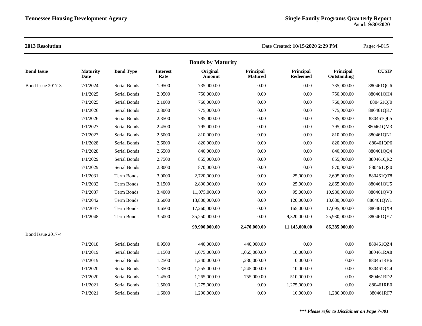|                   |                         |                  |                         | <b>Bonds by Maturity</b> |                             |                       |                          |              |
|-------------------|-------------------------|------------------|-------------------------|--------------------------|-----------------------------|-----------------------|--------------------------|--------------|
| <b>Bond Issue</b> | <b>Maturity</b><br>Date | <b>Bond Type</b> | <b>Interest</b><br>Rate | Original<br>Amount       | Principal<br><b>Matured</b> | Principal<br>Redeemed | Principal<br>Outstanding | <b>CUSIP</b> |
| Bond Issue 2017-3 | 7/1/2024                | Serial Bonds     | 1.9500                  | 735,000.00               | 0.00                        | 0.00                  | 735,000.00               | 880461QG6    |
|                   | 1/1/2025                | Serial Bonds     | 2.0500                  | 750,000.00               | 0.00                        | 0.00                  | 750,000.00               | 880461QH4    |
|                   | 7/1/2025                | Serial Bonds     | 2.1000                  | 760,000.00               | 0.00                        | 0.00                  | 760,000.00               | 880461QJ0    |
|                   | 1/1/2026                | Serial Bonds     | 2.3000                  | 775,000.00               | 0.00                        | 0.00                  | 775,000.00               | 880461QK7    |
|                   | 7/1/2026                | Serial Bonds     | 2.3500                  | 785,000.00               | 0.00                        | 0.00                  | 785,000.00               | 880461QL5    |
|                   | 1/1/2027                | Serial Bonds     | 2.4500                  | 795,000.00               | 0.00                        | 0.00                  | 795,000.00               | 880461QM3    |
|                   | 7/1/2027                | Serial Bonds     | 2.5000                  | 810,000.00               | 0.00                        | 0.00                  | 810,000.00               | 880461QN1    |
|                   | 1/1/2028                | Serial Bonds     | 2.6000                  | 820,000.00               | 0.00                        | 0.00                  | 820,000.00               | 880461QP6    |
|                   | 7/1/2028                | Serial Bonds     | 2.6500                  | 840,000.00               | 0.00                        | 0.00                  | 840,000.00               | 880461QQ4    |
|                   | 1/1/2029                | Serial Bonds     | 2.7500                  | 855,000.00               | 0.00                        | 0.00                  | 855,000.00               | 880461QR2    |
|                   | 7/1/2029                | Serial Bonds     | 2.8000                  | 870,000.00               | 0.00                        | 0.00                  | 870,000.00               | 880461QS0    |
|                   | 1/1/2031                | Term Bonds       | 3.0000                  | 2,720,000.00             | 0.00                        | 25,000.00             | 2,695,000.00             | 880461QT8    |
|                   | 7/1/2032                | Term Bonds       | 3.1500                  | 2,890,000.00             | 0.00                        | 25,000.00             | 2,865,000.00             | 880461QU5    |
|                   | 7/1/2037                | Term Bonds       | 3.4000                  | 11,075,000.00            | 0.00                        | 95,000.00             | 10,980,000.00            | 880461QV3    |
|                   | 7/1/2042                | Term Bonds       | 3.6000                  | 13,800,000.00            | 0.00                        | 120,000.00            | 13,680,000.00            | 880461QW1    |
|                   | 7/1/2047                | Term Bonds       | 3.6500                  | 17,260,000.00            | 0.00                        | 165,000.00            | 17,095,000.00            | 880461QX9    |
|                   | 1/1/2048                | Term Bonds       | 3.5000                  | 35,250,000.00            | 0.00                        | 9,320,000.00          | 25,930,000.00            | 880461QY7    |
|                   |                         |                  |                         | 99,900,000.00            | 2,470,000.00                | 11,145,000.00         | 86,285,000.00            |              |
| Bond Issue 2017-4 |                         |                  |                         |                          |                             |                       |                          |              |
|                   | 7/1/2018                | Serial Bonds     | 0.9500                  | 440,000.00               | 440,000.00                  | 0.00                  | 0.00                     | 880461QZ4    |
|                   | 1/1/2019                | Serial Bonds     | 1.1500                  | 1,075,000.00             | 1,065,000.00                | 10,000.00             | 0.00                     | 880461RA8    |
|                   | 7/1/2019                | Serial Bonds     | 1.2500                  | 1,240,000.00             | 1,230,000.00                | 10,000.00             | 0.00                     | 880461RB6    |
|                   | 1/1/2020                | Serial Bonds     | 1.3500                  | 1,255,000.00             | 1,245,000.00                | 10,000.00             | 0.00                     | 880461RC4    |
|                   | 7/1/2020                | Serial Bonds     | 1.4500                  | 1,265,000.00             | 755,000.00                  | 510,000.00            | 0.00                     | 880461RD2    |
|                   | 1/1/2021                | Serial Bonds     | 1.5000                  | 1,275,000.00             | 0.00                        | 1,275,000.00          | 0.00                     | 880461RE0    |
|                   | 7/1/2021                | Serial Bonds     | 1.6000                  | 1,290,000.00             | 0.00                        | 10,000.00             | 1,280,000.00             | 880461RF7    |
|                   |                         |                  |                         |                          |                             |                       |                          |              |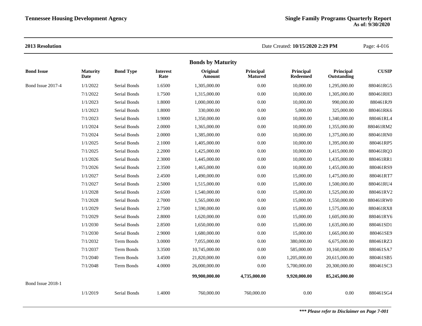|                   | <b>Bonds by Maturity</b> |                  |                         |                    |                             |                              |                          |              |  |  |
|-------------------|--------------------------|------------------|-------------------------|--------------------|-----------------------------|------------------------------|--------------------------|--------------|--|--|
| <b>Bond Issue</b> | <b>Maturity</b><br>Date  | <b>Bond Type</b> | <b>Interest</b><br>Rate | Original<br>Amount | Principal<br><b>Matured</b> | Principal<br><b>Redeemed</b> | Principal<br>Outstanding | <b>CUSIP</b> |  |  |
| Bond Issue 2017-4 | 1/1/2022                 | Serial Bonds     | 1.6500                  | 1,305,000.00       | 0.00                        | 10,000.00                    | 1,295,000.00             | 880461RG5    |  |  |
|                   | 7/1/2022                 | Serial Bonds     | 1.7500                  | 1,315,000.00       | 0.00                        | 10,000.00                    | 1,305,000.00             | 880461RH3    |  |  |
|                   | 1/1/2023                 | Serial Bonds     | 1.8000                  | 1,000,000.00       | 0.00                        | 10,000.00                    | 990,000.00               | 880461RJ9    |  |  |
|                   | 1/1/2023                 | Serial Bonds     | 1.8000                  | 330,000.00         | 0.00                        | 5,000.00                     | 325,000.00               | 880461RK6    |  |  |
|                   | 7/1/2023                 | Serial Bonds     | 1.9000                  | 1,350,000.00       | 0.00                        | 10,000.00                    | 1,340,000.00             | 880461RL4    |  |  |
|                   | 1/1/2024                 | Serial Bonds     | 2.0000                  | 1,365,000.00       | 0.00                        | 10,000.00                    | 1,355,000.00             | 880461RM2    |  |  |
|                   | 7/1/2024                 | Serial Bonds     | 2.0000                  | 1,385,000.00       | 0.00                        | 10,000.00                    | 1,375,000.00             | 880461RN0    |  |  |
|                   | 1/1/2025                 | Serial Bonds     | 2.1000                  | 1,405,000.00       | 0.00                        | 10,000.00                    | 1,395,000.00             | 880461RP5    |  |  |
|                   | 7/1/2025                 | Serial Bonds     | 2.2000                  | 1,425,000.00       | 0.00                        | 10,000.00                    | 1,415,000.00             | 880461RQ3    |  |  |
|                   | 1/1/2026                 | Serial Bonds     | 2.3000                  | 1,445,000.00       | 0.00                        | 10,000.00                    | 1,435,000.00             | 880461RR1    |  |  |
|                   | 7/1/2026                 | Serial Bonds     | 2.3500                  | 1,465,000.00       | 0.00                        | 10,000.00                    | 1,455,000.00             | 880461RS9    |  |  |
|                   | 1/1/2027                 | Serial Bonds     | 2.4500                  | 1,490,000.00       | 0.00                        | 15,000.00                    | 1,475,000.00             | 880461RT7    |  |  |
|                   | 7/1/2027                 | Serial Bonds     | 2.5000                  | 1,515,000.00       | 0.00                        | 15,000.00                    | 1,500,000.00             | 880461RU4    |  |  |
|                   | 1/1/2028                 | Serial Bonds     | 2.6500                  | 1,540,000.00       | 0.00                        | 15,000.00                    | 1,525,000.00             | 880461RV2    |  |  |
|                   | 7/1/2028                 | Serial Bonds     | 2.7000                  | 1,565,000.00       | 0.00                        | 15,000.00                    | 1,550,000.00             | 880461RW0    |  |  |
|                   | 1/1/2029                 | Serial Bonds     | 2.7500                  | 1,590,000.00       | 0.00                        | 15,000.00                    | 1,575,000.00             | 880461RX8    |  |  |
|                   | 7/1/2029                 | Serial Bonds     | 2.8000                  | 1,620,000.00       | 0.00                        | 15,000.00                    | 1,605,000.00             | 880461RY6    |  |  |
|                   | 1/1/2030                 | Serial Bonds     | 2.8500                  | 1,650,000.00       | 0.00                        | 15,000.00                    | 1,635,000.00             | 880461SD1    |  |  |
|                   | 7/1/2030                 | Serial Bonds     | 2.9000                  | 1,680,000.00       | 0.00                        | 15,000.00                    | 1,665,000.00             | 880461SE9    |  |  |
|                   | 7/1/2032                 | Term Bonds       | 3.0000                  | 7,055,000.00       | 0.00                        | 380,000.00                   | 6,675,000.00             | 880461RZ3    |  |  |
|                   | 7/1/2037                 | Term Bonds       | 3.3500                  | 10,745,000.00      | 0.00                        | 585,000.00                   | 10,160,000.00            | 880461SA7    |  |  |
|                   | 7/1/2040                 | Term Bonds       | 3.4500                  | 21,820,000.00      | 0.00                        | 1,205,000.00                 | 20,615,000.00            | 880461SB5    |  |  |
|                   | 7/1/2048                 | Term Bonds       | 4.0000                  | 26,000,000.00      | 0.00                        | 5,700,000.00                 | 20,300,000.00            | 880461SC3    |  |  |
|                   |                          |                  |                         | 99,900,000.00      | 4,735,000.00                | 9,920,000.00                 | 85,245,000.00            |              |  |  |
| Bond Issue 2018-1 |                          |                  |                         |                    |                             |                              |                          |              |  |  |
|                   | 1/1/2019                 | Serial Bonds     | 1.4000                  | 760,000.00         | 760,000.00                  | 0.00                         | 0.00                     | 880461SG4    |  |  |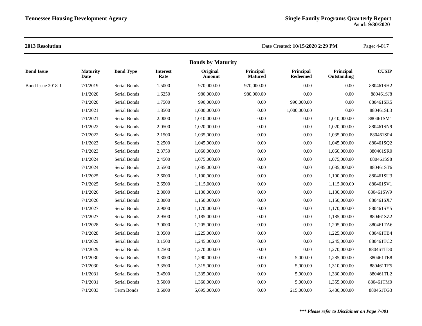|                   |                         |                  |                         | <b>Bonds by Maturity</b> |                             |                       |                          |              |
|-------------------|-------------------------|------------------|-------------------------|--------------------------|-----------------------------|-----------------------|--------------------------|--------------|
| <b>Bond Issue</b> | <b>Maturity</b><br>Date | <b>Bond Type</b> | <b>Interest</b><br>Rate | Original<br>Amount       | Principal<br><b>Matured</b> | Principal<br>Redeemed | Principal<br>Outstanding | <b>CUSIP</b> |
| Bond Issue 2018-1 | 7/1/2019                | Serial Bonds     | 1.5000                  | 970,000.00               | 970,000.00                  | $0.00\,$              | 0.00                     | 880461SH2    |
|                   | 1/1/2020                | Serial Bonds     | 1.6250                  | 980,000.00               | 980,000.00                  | 0.00                  | 0.00                     | 880461SJ8    |
|                   | 7/1/2020                | Serial Bonds     | 1.7500                  | 990,000.00               | 0.00                        | 990,000.00            | 0.00                     | 880461SK5    |
|                   | 1/1/2021                | Serial Bonds     | 1.8500                  | 1,000,000.00             | 0.00                        | 1,000,000.00          | 0.00                     | 880461SL3    |
|                   | 7/1/2021                | Serial Bonds     | 2.0000                  | 1,010,000.00             | 0.00                        | $0.00\,$              | 1,010,000.00             | 880461SM1    |
|                   | 1/1/2022                | Serial Bonds     | 2.0500                  | 1,020,000.00             | 0.00                        | $0.00\,$              | 1,020,000.00             | 880461SN9    |
|                   | 7/1/2022                | Serial Bonds     | 2.1500                  | 1,035,000.00             | 0.00                        | $0.00\,$              | 1,035,000.00             | 880461SP4    |
|                   | 1/1/2023                | Serial Bonds     | 2.2500                  | 1,045,000.00             | 0.00                        | $0.00\,$              | 1,045,000.00             | 880461SQ2    |
|                   | 7/1/2023                | Serial Bonds     | 2.3750                  | 1,060,000.00             | 0.00                        | $0.00\,$              | 1,060,000.00             | 880461SR0    |
|                   | 1/1/2024                | Serial Bonds     | 2.4500                  | 1,075,000.00             | 0.00                        | $0.00\,$              | 1,075,000.00             | 880461SS8    |
|                   | 7/1/2024                | Serial Bonds     | 2.5500                  | 1,085,000.00             | 0.00                        | $0.00\,$              | 1,085,000.00             | 880461ST6    |
|                   | 1/1/2025                | Serial Bonds     | 2.6000                  | 1,100,000.00             | 0.00                        | $0.00\,$              | 1,100,000.00             | 880461SU3    |
|                   | 7/1/2025                | Serial Bonds     | 2.6500                  | 1,115,000.00             | 0.00                        | $0.00\,$              | 1,115,000.00             | 880461SV1    |
|                   | 1/1/2026                | Serial Bonds     | 2.8000                  | 1,130,000.00             | 0.00                        | $0.00\,$              | 1,130,000.00             | 880461SW9    |
|                   | 7/1/2026                | Serial Bonds     | 2.8000                  | 1,150,000.00             | 0.00                        | 0.00                  | 1,150,000.00             | 880461SX7    |
|                   | 1/1/2027                | Serial Bonds     | 2.9000                  | 1,170,000.00             | 0.00                        | 0.00                  | 1,170,000.00             | 880461SY5    |
|                   | 7/1/2027                | Serial Bonds     | 2.9500                  | 1,185,000.00             | 0.00                        | $0.00\,$              | 1,185,000.00             | 880461SZ2    |
|                   | 1/1/2028                | Serial Bonds     | 3.0000                  | 1,205,000.00             | 0.00                        | $0.00\,$              | 1,205,000.00             | 880461TA6    |
|                   | 7/1/2028                | Serial Bonds     | 3.0500                  | 1,225,000.00             | 0.00                        | $0.00\,$              | 1,225,000.00             | 880461TB4    |
|                   | 1/1/2029                | Serial Bonds     | 3.1500                  | 1,245,000.00             | 0.00                        | $0.00\,$              | 1,245,000.00             | 880461TC2    |
|                   | 7/1/2029                | Serial Bonds     | 3.2500                  | 1,270,000.00             | 0.00                        | 0.00                  | 1,270,000.00             | 880461TD0    |
|                   | 1/1/2030                | Serial Bonds     | 3.3000                  | 1,290,000.00             | 0.00                        | 5,000.00              | 1,285,000.00             | 880461TE8    |
|                   | 7/1/2030                | Serial Bonds     | 3.3500                  | 1,315,000.00             | 0.00                        | 5,000.00              | 1,310,000.00             | 880461TF5    |
|                   | 1/1/2031                | Serial Bonds     | 3.4500                  | 1,335,000.00             | 0.00                        | 5,000.00              | 1,330,000.00             | 880461TL2    |
|                   | 7/1/2031                | Serial Bonds     | 3.5000                  | 1,360,000.00             | 0.00                        | 5,000.00              | 1,355,000.00             | 880461TM0    |
|                   | 7/1/2033                | Term Bonds       | 3.6000                  | 5,695,000.00             | 0.00                        | 215,000.00            | 5,480,000.00             | 880461TG3    |
|                   |                         |                  |                         |                          |                             |                       |                          |              |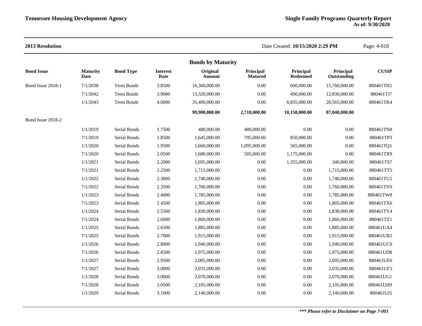| 2013 Resolution   |                         |                  |                         |                           | Date Created: 10/15/2020 2:29 PM | Page: 4-018           |                          |              |
|-------------------|-------------------------|------------------|-------------------------|---------------------------|----------------------------------|-----------------------|--------------------------|--------------|
|                   |                         |                  |                         | <b>Bonds by Maturity</b>  |                                  |                       |                          |              |
| <b>Bond Issue</b> | <b>Maturity</b><br>Date | <b>Bond Type</b> | <b>Interest</b><br>Rate | Original<br><b>Amount</b> | Principal<br><b>Matured</b>      | Principal<br>Redeemed | Principal<br>Outstanding | <b>CUSIP</b> |
| Bond Issue 2018-1 | 7/1/2038                | Term Bonds       | 3.8500                  | 16,360,000.00             | $0.00\,$                         | 600,000.00            | 15,760,000.00            | 880461TH1    |
|                   | 7/1/2042                | Term Bonds       | 3.9000                  | 13,320,000.00             | 0.00                             | 490,000.00            | 12,830,000.00            | 880461TJ7    |
|                   | 1/1/2043                | Term Bonds       | 4.0000                  | 35,400,000.00             | 0.00                             | 6,835,000.00          | 28,565,000.00            | 880461TK4    |
|                   |                         |                  |                         | 99,900,000.00             | 2,710,000.00                     | 10,150,000.00         | 87,040,000.00            |              |
| Bond Issue 2018-2 |                         |                  |                         |                           |                                  |                       |                          |              |
|                   | 1/1/2019                | Serial Bonds     | 1.7500                  | 480,000.00                | 480,000.00                       | 0.00                  | 0.00                     | 880461TN8    |
|                   | 7/1/2019                | Serial Bonds     | 1.8500                  | 1,645,000.00              | 795,000.00                       | 850,000.00            | 0.00                     | 880461TP3    |
|                   | 1/1/2020                | Serial Bonds     | 1.9500                  | 1,660,000.00              | 1,095,000.00                     | 565,000.00            | 0.00                     | 880461TQ1    |
|                   | 7/1/2020                | Serial Bonds     | 2.0500                  | 1,680,000.00              | 505,000.00                       | 1,175,000.00          | 0.00                     | 880461TR9    |
|                   | 1/1/2021                | Serial Bonds     | 2.2000                  | 1,695,000.00              | $0.00\,$                         | 1,355,000.00          | 340,000.00               | 880461TS7    |
|                   | 7/1/2021                | Serial Bonds     | 2.2500                  | 1,715,000.00              | 0.00                             | 0.00                  | 1,715,000.00             | 880461TT5    |
|                   | 1/1/2022                | Serial Bonds     | 2.3000                  | 1,740,000.00              | 0.00                             | 0.00                  | 1,740,000.00             | 880461TU2    |
|                   | 7/1/2022                | Serial Bonds     | 2.3500                  | 1,760,000.00              | 0.00                             | 0.00                  | 1,760,000.00             | 880461TV0    |
|                   | 1/1/2023                | Serial Bonds     | 2.4000                  | 1,785,000.00              | $0.00\,$                         | 0.00                  | 1,785,000.00             | 880461TW8    |
|                   | 7/1/2023                | Serial Bonds     | 2.4500                  | 1,805,000.00              | 0.00                             | 0.00                  | 1,805,000.00             | 880461TX6    |
|                   | 1/1/2024                | Serial Bonds     | 2.5500                  | 1,830,000.00              | $0.00\,$                         | 0.00                  | 1,830,000.00             | 880461TY4    |
|                   | 7/1/2024                | Serial Bonds     | 2.6000                  | 1,860,000.00              | 0.00                             | 0.00                  | 1,860,000.00             | 880461TZ1    |
|                   | 1/1/2025                | Serial Bonds     | 2.6500                  | 1,885,000.00              | 0.00                             | $0.00\,$              | 1,885,000.00             | 880461UA4    |
|                   | 7/1/2025                | Serial Bonds     | 2.7000                  | 1,915,000.00              | 0.00                             | 0.00                  | 1,915,000.00             | 880461UB2    |
|                   | 1/1/2026                | Serial Bonds     | 2.8000                  | 1,940,000.00              | 0.00                             | 0.00                  | 1,940,000.00             | 880461UC0    |
|                   | 7/1/2026                | Serial Bonds     | 2.8500                  | 1,975,000.00              | $0.00\,$                         | 0.00                  | 1,975,000.00             | 880461UD8    |
|                   | 1/1/2027                | Serial Bonds     | 2.9500                  | 2,005,000.00              | 0.00                             | 0.00                  | 2,005,000.00             | 880461UE6    |
|                   | 7/1/2027                | Serial Bonds     | 3.0000                  | 2,035,000.00              | $0.00\,$                         | 0.00                  | 2,035,000.00             | 880461UF3    |
|                   | 1/1/2028                | Serial Bonds     | 3.0000                  | 2,070,000.00              | 0.00                             | 0.00                  | 2,070,000.00             | 880461UG1    |
|                   | 7/1/2028                | Serial Bonds     | 3.0500                  | 2,105,000.00              | 0.00                             | 0.00                  | 2,105,000.00             | 880461UH9    |
|                   | 1/1/2029                | Serial Bonds     | 3.1000                  | 2,140,000.00              | 0.00                             | 0.00                  | 2,140,000.00             | 880461UJ5    |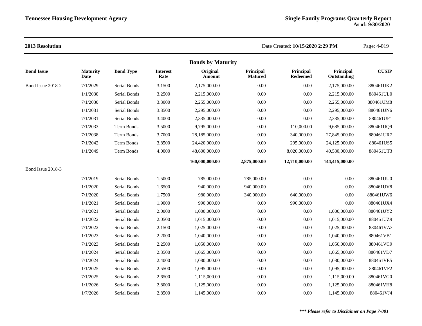|                   |                         |                  |                         | <b>Bonds by Maturity</b> |                             |                              |                          |              |
|-------------------|-------------------------|------------------|-------------------------|--------------------------|-----------------------------|------------------------------|--------------------------|--------------|
| <b>Bond Issue</b> | <b>Maturity</b><br>Date | <b>Bond Type</b> | <b>Interest</b><br>Rate | Original<br>Amount       | Principal<br><b>Matured</b> | Principal<br><b>Redeemed</b> | Principal<br>Outstanding | <b>CUSIP</b> |
| Bond Issue 2018-2 | 7/1/2029                | Serial Bonds     | 3.1500                  | 2,175,000.00             | 0.00                        | $0.00\,$                     | 2,175,000.00             | 880461UK2    |
|                   | 1/1/2030                | Serial Bonds     | 3.2500                  | 2,215,000.00             | 0.00                        | 0.00                         | 2,215,000.00             | 880461UL0    |
|                   | 7/1/2030                | Serial Bonds     | 3.3000                  | 2,255,000.00             | 0.00                        | $0.00\,$                     | 2,255,000.00             | 880461UM8    |
|                   | 1/1/2031                | Serial Bonds     | 3.3500                  | 2,295,000.00             | 0.00                        | $0.00\,$                     | 2,295,000.00             | 880461UN6    |
|                   | 7/1/2031                | Serial Bonds     | 3.4000                  | 2,335,000.00             | 0.00                        | 0.00                         | 2,335,000.00             | 880461UP1    |
|                   | 7/1/2033                | Term Bonds       | 3.5000                  | 9,795,000.00             | 0.00                        | 110,000.00                   | 9,685,000.00             | 880461UQ9    |
|                   | 7/1/2038                | Term Bonds       | 3.7000                  | 28,185,000.00            | 0.00                        | 340,000.00                   | 27,845,000.00            | 880461UR7    |
|                   | 7/1/2042                | Term Bonds       | 3.8500                  | 24,420,000.00            | 0.00                        | 295,000.00                   | 24,125,000.00            | 880461US5    |
|                   | 1/1/2049                | Term Bonds       | 4.0000                  | 48,600,000.00            | 0.00                        | 8,020,000.00                 | 40,580,000.00            | 880461UT3    |
|                   |                         |                  |                         | 160,000,000.00           | 2,875,000.00                | 12,710,000.00                | 144,415,000.00           |              |
| Bond Issue 2018-3 |                         |                  |                         |                          |                             |                              |                          |              |
|                   | 7/1/2019                | Serial Bonds     | 1.5000                  | 785,000.00               | 785,000.00                  | 0.00                         | $0.00\,$                 | 880461UU0    |
|                   | 1/1/2020                | Serial Bonds     | 1.6500                  | 940,000.00               | 940,000.00                  | 0.00                         | $0.00\,$                 | 880461UV8    |
|                   | 7/1/2020                | Serial Bonds     | 1.7500                  | 980,000.00               | 340,000.00                  | 640,000.00                   | 0.00                     | 880461UW6    |
|                   | 1/1/2021                | Serial Bonds     | 1.9000                  | 990,000.00               | 0.00                        | 990,000.00                   | 0.00                     | 880461UX4    |
|                   | 7/1/2021                | Serial Bonds     | 2.0000                  | 1,000,000.00             | 0.00                        | $0.00\,$                     | 1,000,000.00             | 880461UY2    |
|                   | 1/1/2022                | Serial Bonds     | 2.0500                  | 1,015,000.00             | 0.00                        | $0.00\,$                     | 1,015,000.00             | 880461UZ9    |
|                   | 7/1/2022                | Serial Bonds     | 2.1500                  | 1,025,000.00             | 0.00                        | $0.00\,$                     | 1,025,000.00             | 880461VA3    |
|                   | 1/1/2023                | Serial Bonds     | 2.2000                  | 1,040,000.00             | 0.00                        | $0.00\,$                     | 1,040,000.00             | 880461VB1    |
|                   | 7/1/2023                | Serial Bonds     | 2.2500                  | 1,050,000.00             | 0.00                        | $0.00\,$                     | 1,050,000.00             | 880461VC9    |
|                   | 1/1/2024                | Serial Bonds     | 2.3500                  | 1,065,000.00             | 0.00                        | $0.00\,$                     | 1,065,000.00             | 880461VD7    |
|                   | 7/1/2024                | Serial Bonds     | 2.4000                  | 1,080,000.00             | 0.00                        | $0.00\,$                     | 1,080,000.00             | 880461VE5    |
|                   | 1/1/2025                | Serial Bonds     | 2.5500                  | 1,095,000.00             | 0.00                        | 0.00                         | 1,095,000.00             | 880461VF2    |
|                   | 7/1/2025                | Serial Bonds     | 2.6500                  | 1,115,000.00             | 0.00                        | $0.00\,$                     | 1,115,000.00             | 880461VG0    |
|                   | 1/1/2026                | Serial Bonds     | 2.8000                  | 1,125,000.00             | 0.00                        | $0.00\,$                     | 1,125,000.00             | 880461VH8    |
|                   | 1/7/2026                | Serial Bonds     | 2.8500                  | 1,145,000.00             | 0.00                        | 0.00                         | 1,145,000.00             | 880461VJ4    |
|                   |                         |                  |                         |                          |                             |                              |                          |              |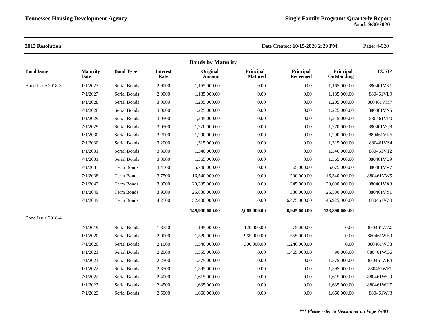|                   |                         |                  |                         | <b>Bonds by Maturity</b> |                             |                              |                          |              |
|-------------------|-------------------------|------------------|-------------------------|--------------------------|-----------------------------|------------------------------|--------------------------|--------------|
| <b>Bond Issue</b> | <b>Maturity</b><br>Date | <b>Bond Type</b> | <b>Interest</b><br>Rate | Original<br>Amount       | Principal<br><b>Matured</b> | Principal<br><b>Redeemed</b> | Principal<br>Outstanding | <b>CUSIP</b> |
| Bond Issue 2018-3 | 1/1/2027                | Serial Bonds     | 2.9000                  | 1,165,000.00             | 0.00                        | 0.00                         | 1,165,000.00             | 880461VK1    |
|                   | 7/1/2027                | Serial Bonds     | 2.9000                  | 1,185,000.00             | 0.00                        | 0.00                         | 1,185,000.00             | 880461VL9    |
|                   | 1/1/2028                | Serial Bonds     | 3.0000                  | 1,205,000.00             | 0.00                        | 0.00                         | 1,205,000.00             | 880461VM7    |
|                   | 7/1/2028                | Serial Bonds     | 3.0000                  | 1,225,000.00             | 0.00                        | $0.00\,$                     | 1,225,000.00             | 880461VN5    |
|                   | 1/1/2029                | Serial Bonds     | 3.0500                  | 1,245,000.00             | 0.00                        | 0.00                         | 1,245,000.00             | 880461VP0    |
|                   | 7/1/2029                | Serial Bonds     | 3.0500                  | 1,270,000.00             | 0.00                        | $0.00\,$                     | 1,270,000.00             | 880461VQ8    |
|                   | 1/1/2030                | Serial Bonds     | 3.2000                  | 1,290,000.00             | 0.00                        | 0.00                         | 1,290,000.00             | 880461VR6    |
|                   | 7/1/2030                | Serial Bonds     | 3.2000                  | 1,315,000.00             | 0.00                        | 0.00                         | 1,315,000.00             | 880461VS4    |
|                   | 1/1/2031                | Serial Bonds     | 3.3000                  | 1,340,000.00             | 0.00                        | $0.00\,$                     | 1,340,000.00             | 880461VT2    |
|                   | 7/1/2031                | Serial Bonds     | 3.3000                  | 1,365,000.00             | 0.00                        | 0.00                         | 1,365,000.00             | 880461VU9    |
|                   | 7/1/2033                | Term Bonds       | 3.4500                  | 5,740,000.00             | 0.00                        | 65,000.00                    | 5,675,000.00             | 880461VV7    |
|                   | 7/1/2038                | Term Bonds       | 3.7500                  | 16,540,000.00            | 0.00                        | 200,000.00                   | 16,340,000.00            | 880461VW5    |
|                   | 7/1/2043                | Term Bonds       | 3.8500                  | 20,335,000.00            | $0.00\,$                    | 245,000.00                   | 20,090,000.00            | 880461VX3    |
|                   | 1/1/2049                | Term Bonds       | 3.9500                  | 26,830,000.00            | 0.00                        | 330,000.00                   | 26,500,000.00            | 880461VY1    |
|                   | 7/1/2049                | Term Bonds       | 4.2500                  | 52,400,000.00            | 0.00                        | 6,475,000.00                 | 45,925,000.00            | 880461VZ8    |
|                   |                         |                  |                         | 149,900,000.00           | 2,065,000.00                | 8,945,000.00                 | 138,890,000.00           |              |
| Bond Issue 2018-4 |                         |                  |                         |                          |                             |                              |                          |              |
|                   | 7/1/2019                | Serial Bonds     | 1.8750                  | 195,000.00               | 120,000.00                  | 75,000.00                    | 0.00                     | 880461WA2    |
|                   | 1/1/2020                | Serial Bonds     | 2.0000                  | 1,520,000.00             | 965,000.00                  | 555,000.00                   | 0.00                     | 880461WB0    |
|                   | 7/1/2020                | Serial Bonds     | 2.1000                  | 1,540,000.00             | 300,000.00                  | 1,240,000.00                 | 0.00                     | 880461WC8    |
|                   | 1/1/2021                | Serial Bonds     | 2.2000                  | 1,555,000.00             | 0.00                        | 1,465,000.00                 | 90,000.00                | 880461WD6    |
|                   | 7/1/2021                | Serial Bonds     | 2.2500                  | 1,575,000.00             | 0.00                        | 0.00                         | 1,575,000.00             | 880461WE4    |
|                   | 1/1/2022                | Serial Bonds     | 2.3500                  | 1,595,000.00             | 0.00                        | $0.00\,$                     | 1,595,000.00             | 880461WF1    |
|                   | 7/1/2022                | Serial Bonds     | 2.4000                  | 1,615,000.00             | 0.00                        | 0.00                         | 1,615,000.00             | 880461WG9    |
|                   | 1/1/2023                | Serial Bonds     | 2.4500                  | 1,635,000.00             | 0.00                        | $0.00\,$                     | 1,635,000.00             | 880461WH7    |
|                   | 7/1/2023                | Serial Bonds     | 2.5000                  | 1,660,000.00             | 0.00                        | 0.00                         | 1,660,000.00             | 880461WJ3    |
|                   |                         |                  |                         |                          |                             |                              |                          |              |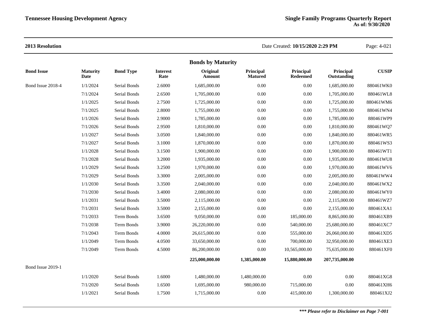|                   | <b>Bonds by Maturity</b> |                   |                         |                    |                             |                              |                          |              |  |  |  |
|-------------------|--------------------------|-------------------|-------------------------|--------------------|-----------------------------|------------------------------|--------------------------|--------------|--|--|--|
| <b>Bond Issue</b> | <b>Maturity</b><br>Date  | <b>Bond Type</b>  | <b>Interest</b><br>Rate | Original<br>Amount | Principal<br><b>Matured</b> | Principal<br><b>Redeemed</b> | Principal<br>Outstanding | <b>CUSIP</b> |  |  |  |
| Bond Issue 2018-4 | 1/1/2024                 | Serial Bonds      | 2.6000                  | 1,685,000.00       | 0.00                        | 0.00                         | 1,685,000.00             | 880461WK0    |  |  |  |
|                   | 7/1/2024                 | Serial Bonds      | 2.6500                  | 1,705,000.00       | 0.00                        | 0.00                         | 1,705,000.00             | 880461WL8    |  |  |  |
|                   | 1/1/2025                 | Serial Bonds      | 2.7500                  | 1,725,000.00       | 0.00                        | 0.00                         | 1,725,000.00             | 880461WM6    |  |  |  |
|                   | 7/1/2025                 | Serial Bonds      | 2.8000                  | 1,755,000.00       | 0.00                        | 0.00                         | 1,755,000.00             | 880461WN4    |  |  |  |
|                   | 1/1/2026                 | Serial Bonds      | 2.9000                  | 1,785,000.00       | 0.00                        | 0.00                         | 1,785,000.00             | 880461WP9    |  |  |  |
|                   | 7/1/2026                 | Serial Bonds      | 2.9500                  | 1,810,000.00       | 0.00                        | 0.00                         | 1,810,000.00             | 880461WQ7    |  |  |  |
|                   | 1/1/2027                 | Serial Bonds      | 3.0500                  | 1,840,000.00       | 0.00                        | 0.00                         | 1,840,000.00             | 880461WR5    |  |  |  |
|                   | 7/1/2027                 | Serial Bonds      | 3.1000                  | 1,870,000.00       | 0.00                        | 0.00                         | 1,870,000.00             | 880461WS3    |  |  |  |
|                   | 1/1/2028                 | Serial Bonds      | 3.1500                  | 1,900,000.00       | $0.00\,$                    | $0.00\,$                     | 1,900,000.00             | 880461WT1    |  |  |  |
|                   | 7/1/2028                 | Serial Bonds      | 3.2000                  | 1,935,000.00       | $0.00\,$                    | 0.00                         | 1,935,000.00             | 880461WU8    |  |  |  |
|                   | 1/1/2029                 | Serial Bonds      | 3.2500                  | 1,970,000.00       | 0.00                        | $0.00\,$                     | 1,970,000.00             | 880461WV6    |  |  |  |
|                   | 7/1/2029                 | Serial Bonds      | 3.3000                  | 2,005,000.00       | 0.00                        | 0.00                         | 2,005,000.00             | 880461WW4    |  |  |  |
|                   | 1/1/2030                 | Serial Bonds      | 3.3500                  | 2,040,000.00       | 0.00                        | 0.00                         | 2,040,000.00             | 880461WX2    |  |  |  |
|                   | 7/1/2030                 | Serial Bonds      | 3.4000                  | 2,080,000.00       | 0.00                        | 0.00                         | 2,080,000.00             | 880461WY0    |  |  |  |
|                   | 1/1/2031                 | Serial Bonds      | 3.5000                  | 2,115,000.00       | 0.00                        | 0.00                         | 2,115,000.00             | 880461WZ7    |  |  |  |
|                   | 7/1/2031                 | Serial Bonds      | 3.5000                  | 2,155,000.00       | 0.00                        | 0.00                         | 2,155,000.00             | 880461XA1    |  |  |  |
|                   | 7/1/2033                 | Term Bonds        | 3.6500                  | 9,050,000.00       | 0.00                        | 185,000.00                   | 8,865,000.00             | 880461XB9    |  |  |  |
|                   | 7/1/2038                 | Term Bonds        | 3.9000                  | 26,220,000.00      | 0.00                        | 540,000.00                   | 25,680,000.00            | 880461XC7    |  |  |  |
|                   | 7/1/2043                 | Term Bonds        | 4.0000                  | 26,615,000.00      | 0.00                        | 555,000.00                   | 26,060,000.00            | 880461XD5    |  |  |  |
|                   | 1/1/2049                 | <b>Term Bonds</b> | 4.0500                  | 33,650,000.00      | 0.00                        | 700,000.00                   | 32,950,000.00            | 880461XE3    |  |  |  |
|                   | 7/1/2049                 | Term Bonds        | 4.5000                  | 86,200,000.00      | $0.00\,$                    | 10,565,000.00                | 75,635,000.00            | 880461XF0    |  |  |  |
|                   |                          |                   |                         | 225,000,000.00     | 1,385,000.00                | 15,880,000.00                | 207,735,000.00           |              |  |  |  |
| Bond Issue 2019-1 |                          |                   |                         |                    |                             |                              |                          |              |  |  |  |
|                   | 1/1/2020                 | Serial Bonds      | 1.6000                  | 1,480,000.00       | 1,480,000.00                | 0.00                         | 0.00                     | 880461XG8    |  |  |  |
|                   | 7/1/2020                 | Serial Bonds      | 1.6500                  | 1,695,000.00       | 980,000.00                  | 715,000.00                   | 0.00                     | 880461XH6    |  |  |  |
|                   | 1/1/2021                 | Serial Bonds      | 1.7500                  | 1,715,000.00       | 0.00                        | 415,000.00                   | 1,300,000.00             | 880461XJ2    |  |  |  |
|                   |                          |                   |                         |                    |                             |                              |                          |              |  |  |  |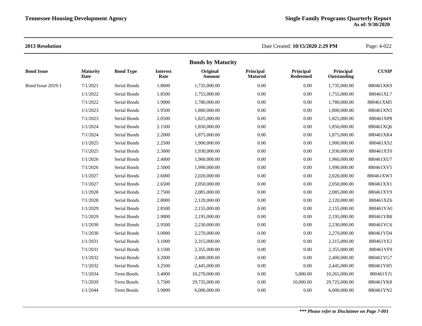|                   |                         |                  |                         | <b>Bonds by Maturity</b> |                             |                              |                          |              |
|-------------------|-------------------------|------------------|-------------------------|--------------------------|-----------------------------|------------------------------|--------------------------|--------------|
| <b>Bond Issue</b> | <b>Maturity</b><br>Date | <b>Bond Type</b> | <b>Interest</b><br>Rate | Original<br>Amount       | Principal<br><b>Matured</b> | Principal<br><b>Redeemed</b> | Principal<br>Outstanding | <b>CUSIP</b> |
| Bond Issue 2019-1 | 7/1/2021                | Serial Bonds     | 1.8000                  | 1,735,000.00             | $0.00\,$                    | 0.00                         | 1,735,000.00             | 880461XK9    |
|                   | 1/1/2022                | Serial Bonds     | 1.8500                  | 1,755,000.00             | 0.00                        | 0.00                         | 1,755,000.00             | 880461XL7    |
|                   | 7/1/2022                | Serial Bonds     | 1.9000                  | 1,780,000.00             | 0.00                        | $0.00\,$                     | 1,780,000.00             | 880461XM5    |
|                   | 1/1/2023                | Serial Bonds     | 1.9500                  | 1,800,000.00             | 0.00                        | 0.00                         | 1,800,000.00             | 880461XN3    |
|                   | 7/1/2023                | Serial Bonds     | 2.0500                  | 1,825,000.00             | 0.00                        | 0.00                         | 1,825,000.00             | 880461XP8    |
|                   | 1/1/2024                | Serial Bonds     | 2.1500                  | 1,850,000.00             | 0.00                        | $0.00\,$                     | 1,850,000.00             | 880461XQ6    |
|                   | 7/1/2024                | Serial Bonds     | 2.2000                  | 1,875,000.00             | 0.00                        | 0.00                         | 1,875,000.00             | 880461XR4    |
|                   | 1/1/2025                | Serial Bonds     | 2.2500                  | 1,900,000.00             | 0.00                        | 0.00                         | 1,900,000.00             | 880461XS2    |
|                   | 7/1/2025                | Serial Bonds     | 2.3000                  | 1,930,000.00             | 0.00                        | 0.00                         | 1,930,000.00             | 880461XT0    |
|                   | 1/1/2026                | Serial Bonds     | 2.4000                  | 1,960,000.00             | 0.00                        | $0.00\,$                     | 1,960,000.00             | 880461XU7    |
|                   | 7/1/2026                | Serial Bonds     | 2.5000                  | 1,990,000.00             | 0.00                        | 0.00                         | 1,990,000.00             | 880461XV5    |
|                   | 1/1/2027                | Serial Bonds     | 2.6000                  | 2,020,000.00             | 0.00                        | 0.00                         | 2,020,000.00             | 880461XW3    |
|                   | 7/1/2027                | Serial Bonds     | 2.6500                  | 2,050,000.00             | 0.00                        | 0.00                         | 2,050,000.00             | 880461XX1    |
|                   | 1/1/2028                | Serial Bonds     | 2.7500                  | 2,085,000.00             | 0.00                        | 0.00                         | 2,085,000.00             | 880461XY9    |
|                   | 7/1/2028                | Serial Bonds     | 2.8000                  | 2,120,000.00             | 0.00                        | 0.00                         | 2,120,000.00             | 880461XZ6    |
|                   | 1/1/2029                | Serial Bonds     | 2.8500                  | 2,155,000.00             | 0.00                        | 0.00                         | 2,155,000.00             | 880461YA0    |
|                   | 7/1/2029                | Serial Bonds     | 2.9000                  | 2,195,000.00             | 0.00                        | 0.00                         | 2,195,000.00             | 880461YB8    |
|                   | 1/1/2030                | Serial Bonds     | 2.9500                  | 2,230,000.00             | 0.00                        | 0.00                         | 2,230,000.00             | 880461YC6    |
|                   | 7/1/2030                | Serial Bonds     | 3.0000                  | 2,270,000.00             | 0.00                        | 0.00                         | 2,270,000.00             | 880461YD4    |
|                   | 1/1/2031                | Serial Bonds     | 3.1000                  | 2,315,000.00             | 0.00                        | 0.00                         | 2,315,000.00             | 880461YE2    |
|                   | 7/1/2031                | Serial Bonds     | 3.1500                  | 2,355,000.00             | 0.00                        | 0.00                         | 2,355,000.00             | 880461YF9    |
|                   | 1/1/2032                | Serial Bonds     | 3.2000                  | 2,400,000.00             | 0.00                        | 0.00                         | 2,400,000.00             | 880461YG7    |
|                   | 7/1/2032                | Serial Bonds     | 3.2500                  | 2,445,000.00             | 0.00                        | 0.00                         | 2,445,000.00             | 880461YH5    |
|                   | 7/1/2034                | Term Bonds       | 3.4000                  | 10,270,000.00            | 0.00                        | 5,000.00                     | 10,265,000.00            | 880461YJ1    |
|                   | 7/1/2039                | Term Bonds       | 3.7500                  | 29,735,000.00            | 0.00                        | 10,000.00                    | 29,725,000.00            | 880461YK8    |
|                   | 1/1/2044                | Term Bonds       | 3.9000                  | 6,000,000.00             | 0.00                        | 0.00                         | 6,000,000.00             | 880461YN2    |
|                   |                         |                  |                         |                          |                             |                              |                          |              |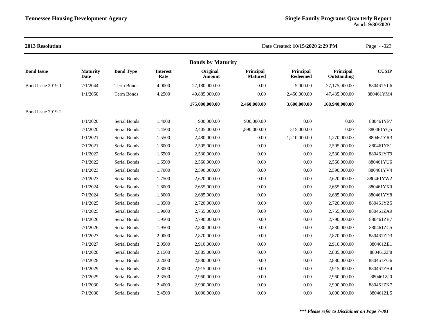### **2013 Resolution** Date Created: **10/15/2020 2:29 PM** Page: 4-023 **Bonds by Maturity Bond Issue Maturity Date Bond Type Interest Rate Original Amount Principal Matured Principal Redeemed Principal Outstanding CUSIP** Bond Issue 2019-1 7/1/2044 Term Bonds 4.0000 27,180,000.00 0.00 5,000.00 27,175,000.00 880461YL6 1/1/2050 Term Bonds 4.2500 49,885,000.00 0.00 2,450,000.00 47,435,000.00 880461YM4 **175,000,000.00 2,460,000.00 3,600,000.00 168,940,000.00** Bond Issue 2019-2 1/1/2020 Serial Bonds 1.4000 900,000.00 900,000.00 0.00 0.00 880461YP7 7/1/2020 Serial Bonds 1.4500 2,405,000.00 1,890,000.00 515,000.00 0.00 880461YQ5 1/1/2021 Serial Bonds 1.5500 2,480,000.00 0.00 1,210,000.00 1,270,000.00 880461YR3 7/1/2021 Serial Bonds 1.6000 2,505,000.00 0.00 0.00 2,505,000.00 880461YS1 1/1/2022 Serial Bonds 1.6500 2,530,000.00 0.00 0.00 2,530,000.00 880461YT9 7/1/2022 Serial Bonds 1.6500 2,560,000.00 0.00 0.00 2,560,000.00 880461YU6 1/1/2023 Serial Bonds 1.7000 2,590,000.00 0.00 0.00 2,590,000.00 880461YV4 7/1/2023 Serial Bonds 1.7500 2,620,000.00 0.00 0.00 2,620,000.00 880461YW2 1/1/2024 Serial Bonds 1.8000 2,655,000.00 0.00 0.00 2,655,000.00 880461YX0 7/1/2024 Serial Bonds 1.8000 2,685,000.00 0.00 0.00 2,685,000.00 880461YY8 1/1/2025 Serial Bonds 1.8500 2,720,000.00 0.00 0.00 2,720,000.00 880461YZ5 7/1/2025 Serial Bonds 1.9000 2,755,000.00 0.00 0.00 2,755,000.00 880461ZA9 1/1/2026 Serial Bonds 1.9500 2,790,000.00 0.00 0.00 2,790,000.00 880461ZB7 7/1/2026 Serial Bonds 1.9500 2,830,000.00 0.00 0.00 2,830,000.00 880461ZC5 1/1/2027 Serial Bonds 2.0000 2,870,000.00 0.00 0.00 2,870,000.00 880461ZD3 7/1/2027 Serial Bonds 2.0500 2,910,000.00 0.00 0.00 2,910,000.00 880461ZE1 1/1/2028 Serial Bonds 2.1500 2,885,000.00 0.00 0.00 2,885,000.00 880461ZF8 7/1/2028 Serial Bonds 2.2000 2,880,000.00 0.00 0.00 2,880,000.00 880461ZG6 1/1/2029 Serial Bonds 2.3000 2,915,000.00 0.00 0.00 2,915,000.00 880461ZH4 7/1/2029 Serial Bonds 2.3500 2,960,000.00 0.00 0.00 2,960,000.00 880461ZJ0 1/1/2030 Serial Bonds 2.4000 2,990,000.00 0.00 0.00 2,990,000.00 880461ZK7 7/1/2030 Serial Bonds 2.4500 3,000,000.00 0.00 0.00 3,000,000.00 880461ZL5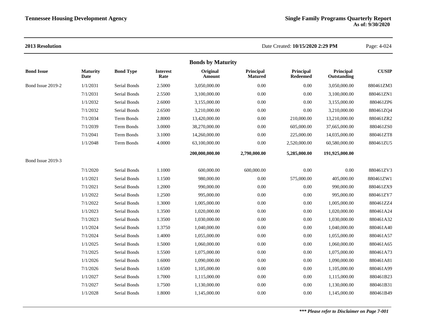### **2013 Resolution** Date Created: **10/15/2020 2:29 PM** Page: 4-024 **Bonds by Maturity Bond Issue Maturity Date Bond Type Interest Rate Original Amount Principal Matured Principal Redeemed Principal Outstanding CUSIP** Bond Issue 2019-2 1/1/2031 Serial Bonds 2.5000 3,050,000.00 0.00 0.00 3,050,000.00 880461ZM3 7/1/2031 Serial Bonds 2.5500 3,100,000.00 0.00 0.00 3,100,000.00 880461ZN1 1/1/2032 Serial Bonds 2.6000 3,155,000.00 0.00 0.00 3,155,000.00 880461ZP6 7/1/2032 Serial Bonds 2.6500 3,210,000.00 0.00 0.00 3,210,000.00 880461ZQ4 7/1/2034 Term Bonds 2.8000 13,420,000.00 0.00 210,000.00 13,210,000.00 880461ZR2 7/1/2039 Term Bonds 3.0000 38,270,000.00 0.00 605,000.00 37,665,000.00 880461ZS0 7/1/2041 Term Bonds 3.1000 14,260,000.00 0.00 225,000.00 14,035,000.00 880461ZT8 1/1/2048 Term Bonds 4.0000 63,100,000.00 0.00 2,520,000.00 60,580,000.00 880461ZU5 **200,000,000.00 2,790,000.00 5,285,000.00 191,925,000.00** Bond Issue 2019-3 7/1/2020 Serial Bonds 1.1000 600,000.00 600,000.00 0.00 0.00 880461ZV3 1/1/2021 Serial Bonds 1.1500 980,000.00 0.00 575,000.00 405,000.00 880461ZW1 7/1/2021 Serial Bonds 1.2000 990,000.00 0.00 0.00 990,000.00 880461ZX9 1/1/2022 Serial Bonds 1.2500 995,000.00 0.00 0.00 995,000.00 880461ZY7 7/1/2022 Serial Bonds 1.3000 1,005,000.00 0.00 0.00 1,005,000.00 880461ZZ4 1/1/2023 Serial Bonds 1.3500 1,020,000.00 0.00 0.00 1,020,000.00 880461A24 7/1/2023 Serial Bonds 1.3500 1,030,000.00 0.00 0.00 1,030,000.00 880461A32 1/1/2024 Serial Bonds 1.3750 1,040,000.00 0.00 0.00 1,040,000.00 880461A40 7/1/2024 Serial Bonds 1.4000 1,055,000.00 0.00 0.00 1,055,000.00 880461A57 1/1/2025 Serial Bonds 1.5000 1,060,000.00 0.00 0.00 1,060,000.00 880461A65 7/1/2025 Serial Bonds 1.5500 1,075,000.00 0.00 0.00 1,075,000.00 880461A73 1/1/2026 Serial Bonds 1.6000 1,090,000.00 0.00 0.00 1,090,000.00 880461A81 7/1/2026 Serial Bonds 1.6500 1,105,000.00 0.00 0.00 1,105,000.00 880461A99 1/1/2027 Serial Bonds 1.7000 1,115,000.00 0.00 0.00 1,115,000.00 880461B23 7/1/2027 Serial Bonds 1.7500 1,130,000.00 0.00 0.00 1,130,000.00 880461B31 1/1/2028 Serial Bonds 1.8000 1,145,000.00 0.00 0.00 1,145,000.00 880461B49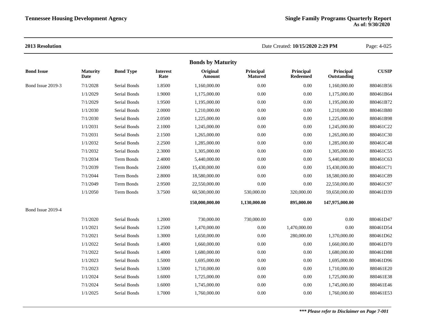|                   |                         |                     |                         | <b>Bonds by Maturity</b>  |                             |                               |                          |              |
|-------------------|-------------------------|---------------------|-------------------------|---------------------------|-----------------------------|-------------------------------|--------------------------|--------------|
| <b>Bond Issue</b> | <b>Maturity</b><br>Date | <b>Bond Type</b>    | <b>Interest</b><br>Rate | Original<br><b>Amount</b> | Principal<br><b>Matured</b> | Principal<br>${\bf Redeemed}$ | Principal<br>Outstanding | <b>CUSIP</b> |
| Bond Issue 2019-3 | 7/1/2028                | <b>Serial Bonds</b> | 1.8500                  | 1,160,000.00              | 0.00                        | 0.00                          | 1,160,000.00             | 880461B56    |
|                   | 1/1/2029                | Serial Bonds        | 1.9000                  | 1,175,000.00              | 0.00                        | $0.00\,$                      | 1,175,000.00             | 880461B64    |
|                   | 7/1/2029                | Serial Bonds        | 1.9500                  | 1,195,000.00              | 0.00                        | $0.00\,$                      | 1,195,000.00             | 880461B72    |
|                   | 1/1/2030                | <b>Serial Bonds</b> | 2.0000                  | 1,210,000.00              | 0.00                        | 0.00                          | 1,210,000.00             | 880461B80    |
|                   | 7/1/2030                | Serial Bonds        | 2.0500                  | 1,225,000.00              | 0.00                        | 0.00                          | 1,225,000.00             | 880461B98    |
|                   | 1/1/2031                | Serial Bonds        | 2.1000                  | 1,245,000.00              | 0.00                        | $0.00\,$                      | 1,245,000.00             | 880461C22    |
|                   | 7/1/2031                | Serial Bonds        | 2.1500                  | 1,265,000.00              | 0.00                        | 0.00                          | 1,265,000.00             | 880461C30    |
|                   | 1/1/2032                | Serial Bonds        | 2.2500                  | 1,285,000.00              | 0.00                        | $0.00\,$                      | 1,285,000.00             | 880461C48    |
|                   | 7/1/2032                | Serial Bonds        | 2.3000                  | 1,305,000.00              | 0.00                        | $0.00\,$                      | 1,305,000.00             | 880461C55    |
|                   | 7/1/2034                | Term Bonds          | 2.4000                  | 5,440,000.00              | 0.00                        | 0.00                          | 5,440,000.00             | 880461C63    |
|                   | 7/1/2039                | <b>Term Bonds</b>   | 2.6000                  | 15,430,000.00             | 0.00                        | $0.00\,$                      | 15,430,000.00            | 880461C71    |
|                   | 7/1/2044                | <b>Term Bonds</b>   | 2.8000                  | 18,580,000.00             | 0.00                        | $0.00\,$                      | 18,580,000.00            | 880461C89    |
|                   | 7/1/2049                | Term Bonds          | 2.9500                  | 22,550,000.00             | 0.00                        | $0.00\,$                      | 22,550,000.00            | 880461C97    |
|                   | 1/1/2050                | <b>Term Bonds</b>   | 3.7500                  | 60,500,000.00             | 530,000.00                  | 320,000.00                    | 59,650,000.00            | 880461D39    |
|                   |                         |                     |                         | 150,000,000.00            | 1,130,000.00                | 895,000.00                    | 147,975,000.00           |              |
| Bond Issue 2019-4 |                         |                     |                         |                           |                             |                               |                          |              |
|                   | 7/1/2020                | Serial Bonds        | 1.2000                  | 730,000.00                | 730,000.00                  | 0.00                          | $0.00\,$                 | 880461D47    |
|                   | 1/1/2021                | Serial Bonds        | 1.2500                  | 1,470,000.00              | 0.00                        | 1,470,000.00                  | 0.00                     | 880461D54    |
|                   | 7/1/2021                | Serial Bonds        | 1.3000                  | 1,650,000.00              | 0.00                        | 280,000.00                    | 1,370,000.00             | 880461D62    |
|                   | 1/1/2022                | <b>Serial Bonds</b> | 1.4000                  | 1,660,000.00              | 0.00                        | $0.00\,$                      | 1,660,000.00             | 880461D70    |
|                   | 7/1/2022                | <b>Serial Bonds</b> | 1.4000                  | 1,680,000.00              | 0.00                        | 0.00                          | 1,680,000.00             | 880461D88    |
|                   | 1/1/2023                | Serial Bonds        | 1.5000                  | 1,695,000.00              | 0.00                        | $0.00\,$                      | 1,695,000.00             | 880461D96    |
|                   | 7/1/2023                | <b>Serial Bonds</b> | 1.5000                  | 1,710,000.00              | 0.00                        | 0.00                          | 1,710,000.00             | 880461E20    |
|                   | 1/1/2024                | Serial Bonds        | 1.6000                  | 1,725,000.00              | 0.00                        | 0.00                          | 1,725,000.00             | 880461E38    |
|                   | 7/1/2024                | Serial Bonds        | 1.6000                  | 1,745,000.00              | 0.00                        | 0.00                          | 1,745,000.00             | 880461E46    |
|                   | 1/1/2025                | Serial Bonds        | 1.7000                  | 1,760,000.00              | 0.00                        | $0.00\,$                      | 1,760,000.00             | 880461E53    |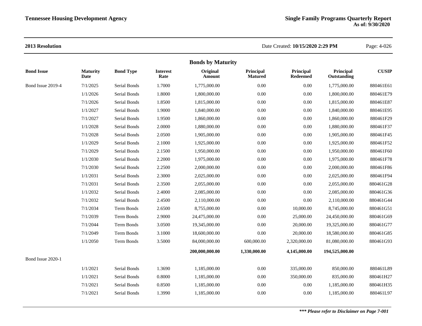| <b>Bonds by Maturity</b> |                         |                  |                         |                    |                             |                              |                          |              |  |
|--------------------------|-------------------------|------------------|-------------------------|--------------------|-----------------------------|------------------------------|--------------------------|--------------|--|
| <b>Bond Issue</b>        | <b>Maturity</b><br>Date | <b>Bond Type</b> | <b>Interest</b><br>Rate | Original<br>Amount | Principal<br><b>Matured</b> | Principal<br><b>Redeemed</b> | Principal<br>Outstanding | <b>CUSIP</b> |  |
| Bond Issue 2019-4        | 7/1/2025                | Serial Bonds     | 1.7000                  | 1,775,000.00       | 0.00                        | $0.00\,$                     | 1,775,000.00             | 880461E61    |  |
|                          | 1/1/2026                | Serial Bonds     | 1.8000                  | 1,800,000.00       | 0.00                        | 0.00                         | 1,800,000.00             | 880461E79    |  |
|                          | 7/1/2026                | Serial Bonds     | 1.8500                  | 1,815,000.00       | 0.00                        | $0.00\,$                     | 1,815,000.00             | 880461E87    |  |
|                          | 1/1/2027                | Serial Bonds     | 1.9000                  | 1,840,000.00       | 0.00                        | 0.00                         | 1,840,000.00             | 880461E95    |  |
|                          | 7/1/2027                | Serial Bonds     | 1.9500                  | 1,860,000.00       | 0.00                        | $0.00\,$                     | 1,860,000.00             | 880461F29    |  |
|                          | 1/1/2028                | Serial Bonds     | 2.0000                  | 1,880,000.00       | 0.00                        | $0.00\,$                     | 1,880,000.00             | 880461F37    |  |
|                          | 7/1/2028                | Serial Bonds     | 2.0500                  | 1,905,000.00       | 0.00                        | $0.00\,$                     | 1,905,000.00             | 880461F45    |  |
|                          | 1/1/2029                | Serial Bonds     | 2.1000                  | 1,925,000.00       | 0.00                        | $0.00\,$                     | 1,925,000.00             | 880461F52    |  |
|                          | 7/1/2029                | Serial Bonds     | 2.1500                  | 1,950,000.00       | 0.00                        | 0.00                         | 1,950,000.00             | 880461F60    |  |
|                          | 1/1/2030                | Serial Bonds     | 2.2000                  | 1,975,000.00       | 0.00                        | $0.00\,$                     | 1,975,000.00             | 880461F78    |  |
|                          | 7/1/2030                | Serial Bonds     | 2.2500                  | 2,000,000.00       | 0.00                        | 0.00                         | 2,000,000.00             | 880461F86    |  |
|                          | 1/1/2031                | Serial Bonds     | 2.3000                  | 2,025,000.00       | 0.00                        | $0.00\,$                     | 2,025,000.00             | 880461F94    |  |
|                          | 7/1/2031                | Serial Bonds     | 2.3500                  | 2,055,000.00       | 0.00                        | $0.00\,$                     | 2,055,000.00             | 880461G28    |  |
|                          | 1/1/2032                | Serial Bonds     | 2.4000                  | 2,085,000.00       | 0.00                        | 0.00                         | 2,085,000.00             | 880461G36    |  |
|                          | 7/1/2032                | Serial Bonds     | 2.4500                  | 2,110,000.00       | 0.00                        | 0.00                         | 2,110,000.00             | 880461G44    |  |
|                          | 7/1/2034                | Term Bonds       | 2.6500                  | 8,755,000.00       | 0.00                        | 10,000.00                    | 8,745,000.00             | 880461G51    |  |
|                          | 7/1/2039                | Term Bonds       | 2.9000                  | 24,475,000.00      | 0.00                        | 25,000.00                    | 24,450,000.00            | 880461G69    |  |
|                          | 7/1/2044                | Term Bonds       | 3.0500                  | 19,345,000.00      | 0.00                        | 20,000.00                    | 19,325,000.00            | 880461G77    |  |
|                          | 7/1/2049                | Term Bonds       | 3.1000                  | 18,600,000.00      | 0.00                        | 20,000.00                    | 18,580,000.00            | 880461G85    |  |
|                          | 1/1/2050                | Term Bonds       | 3.5000                  | 84,000,000.00      | 600,000.00                  | 2,320,000.00                 | 81,080,000.00            | 880461G93    |  |
|                          |                         |                  |                         | 200,000,000.00     | 1,330,000.00                | 4,145,000.00                 | 194,525,000.00           |              |  |
| Bond Issue 2020-1        |                         |                  |                         |                    |                             |                              |                          |              |  |
|                          | 1/1/2021                | Serial Bonds     | 1.3690                  | 1,185,000.00       | 0.00                        | 335,000.00                   | 850,000.00               | 880461L89    |  |
|                          | 1/1/2021                | Serial Bonds     | 0.8000                  | 1,185,000.00       | 0.00                        | 350,000.00                   | 835,000.00               | 880461H27    |  |
|                          | 7/1/2021                | Serial Bonds     | 0.8500                  | 1,185,000.00       | 0.00                        | $0.00\,$                     | 1,185,000.00             | 880461H35    |  |
|                          | 7/1/2021                | Serial Bonds     | 1.3990                  | 1,185,000.00       | 0.00                        | 0.00                         | 1,185,000.00             | 880461L97    |  |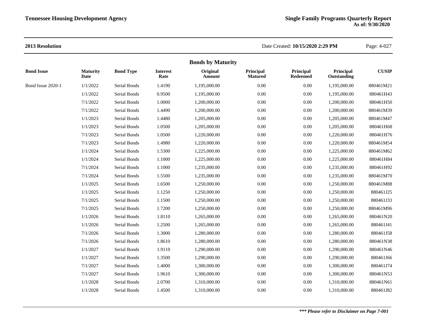|                   |                         |                     |                         | <b>Bonds by Maturity</b> |                             |                              |                          |              |
|-------------------|-------------------------|---------------------|-------------------------|--------------------------|-----------------------------|------------------------------|--------------------------|--------------|
| <b>Bond Issue</b> | <b>Maturity</b><br>Date | <b>Bond Type</b>    | <b>Interest</b><br>Rate | Original<br>Amount       | Principal<br><b>Matured</b> | Principal<br><b>Redeemed</b> | Principal<br>Outstanding | <b>CUSIP</b> |
| Bond Issue 2020-1 | 1/1/2022                | Serial Bonds        | 1.4190                  | 1,195,000.00             | 0.00                        | $0.00\,$                     | 1,195,000.00             | 880461M21    |
|                   | 1/1/2022                | Serial Bonds        | 0.9500                  | 1,195,000.00             | 0.00                        | $0.00\,$                     | 1,195,000.00             | 880461H43    |
|                   | 7/1/2022                | Serial Bonds        | 1.0000                  | 1,200,000.00             | 0.00                        | $0.00\,$                     | 1,200,000.00             | 880461H50    |
|                   | 7/1/2022                | Serial Bonds        | 1.4490                  | 1,200,000.00             | 0.00                        | $0.00\,$                     | 1,200,000.00             | 880461M39    |
|                   | 1/1/2023                | Serial Bonds        | 1.4480                  | 1,205,000.00             | 0.00                        | $0.00\,$                     | 1,205,000.00             | 880461M47    |
|                   | 1/1/2023                | Serial Bonds        | 1.0500                  | 1,205,000.00             | 0.00                        | $0.00\,$                     | 1,205,000.00             | 880461H68    |
|                   | 7/1/2023                | Serial Bonds        | 1.0500                  | 1,220,000.00             | 0.00                        | $0.00\,$                     | 1,220,000.00             | 880461H76    |
|                   | 7/1/2023                | Serial Bonds        | 1.4980                  | 1,220,000.00             | 0.00                        | $0.00\,$                     | 1,220,000.00             | 880461M54    |
|                   | 1/1/2024                | Serial Bonds        | 1.5300                  | 1,225,000.00             | 0.00                        | $0.00\,$                     | 1,225,000.00             | 880461M62    |
|                   | 1/1/2024                | Serial Bonds        | 1.1000                  | 1,225,000.00             | 0.00                        | $0.00\,$                     | 1,225,000.00             | 880461H84    |
|                   | 7/1/2024                | Serial Bonds        | 1.1000                  | 1,235,000.00             | 0.00                        | $0.00\,$                     | 1,235,000.00             | 880461H92    |
|                   | 7/1/2024                | Serial Bonds        | 1.5500                  | 1,235,000.00             | 0.00                        | $0.00\,$                     | 1,235,000.00             | 880461M70    |
|                   | 1/1/2025                | Serial Bonds        | 1.6500                  | 1,250,000.00             | 0.00                        | $0.00\,$                     | 1,250,000.00             | 880461M88    |
|                   | 1/1/2025                | <b>Serial Bonds</b> | 1.1250                  | 1.250,000.00             | 0.00                        | $0.00\,$                     | 1,250,000.00             | 880461J25    |
|                   | 7/1/2025                | Serial Bonds        | 1.1500                  | 1,250,000.00             | 0.00                        | $0.00\,$                     | 1,250,000.00             | 880461J33    |
|                   | 7/1/2025                | Serial Bonds        | 1.7200                  | 1,250,000.00             | 0.00                        | $0.00\,$                     | 1,250,000.00             | 880461M96    |
|                   | 1/1/2026                | Serial Bonds        | 1.8110                  | 1,265,000.00             | 0.00                        | $0.00\,$                     | 1,265,000.00             | 880461N20    |
|                   | 1/1/2026                | Serial Bonds        | 1.2500                  | 1,265,000.00             | 0.00                        | $0.00\,$                     | 1,265,000.00             | 880461J41    |
|                   | 7/1/2026                | Serial Bonds        | 1.3000                  | 1,280,000.00             | 0.00                        | $0.00\,$                     | 1,280,000.00             | 880461J58    |
|                   | 7/1/2026                | Serial Bonds        | 1.8610                  | 1,280,000.00             | 0.00                        | $0.00\,$                     | 1,280,000.00             | 880461N38    |
|                   | 1/1/2027                | Serial Bonds        | 1.9110                  | 1,290,000.00             | 0.00                        | $0.00\,$                     | 1,290,000.00             | 880461N46    |
|                   | 1/1/2027                | Serial Bonds        | 1.3500                  | 1,290,000.00             | 0.00                        | $0.00\,$                     | 1,290,000.00             | 880461J66    |
|                   | 7/1/2027                | Serial Bonds        | 1.4000                  | 1,300,000.00             | 0.00                        | $0.00\,$                     | 1,300,000.00             | 880461J74    |
|                   | 7/1/2027                | Serial Bonds        | 1.9610                  | 1,300,000.00             | 0.00                        | $0.00\,$                     | 1,300,000.00             | 880461N53    |
|                   | 1/1/2028                | <b>Serial Bonds</b> | 2.0700                  | 1,310,000.00             | 0.00                        | 0.00                         | 1,310,000.00             | 880461N61    |
|                   | 1/1/2028                | Serial Bonds        | 1.4500                  | 1,310,000.00             | 0.00                        | $0.00\,$                     | 1,310,000.00             | 880461J82    |
|                   |                         |                     |                         |                          |                             |                              |                          |              |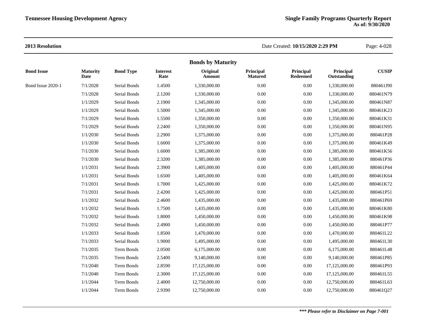|                   |                         |                  |                         | <b>Bonds by Maturity</b> |                             |                              |                          |              |
|-------------------|-------------------------|------------------|-------------------------|--------------------------|-----------------------------|------------------------------|--------------------------|--------------|
| <b>Bond Issue</b> | <b>Maturity</b><br>Date | <b>Bond Type</b> | <b>Interest</b><br>Rate | Original<br>Amount       | Principal<br><b>Matured</b> | Principal<br><b>Redeemed</b> | Principal<br>Outstanding | <b>CUSIP</b> |
| Bond Issue 2020-1 | 7/1/2028                | Serial Bonds     | 1.4500                  | 1,330,000.00             | 0.00                        | $0.00\,$                     | 1,330,000.00             | 880461J90    |
|                   | 7/1/2028                | Serial Bonds     | 2.1200                  | 1,330,000.00             | 0.00                        | $0.00\,$                     | 1,330,000.00             | 880461N79    |
|                   | 1/1/2029                | Serial Bonds     | 2.1900                  | 1,345,000.00             | 0.00                        | $0.00\,$                     | 1,345,000.00             | 880461N87    |
|                   | 1/1/2029                | Serial Bonds     | 1.5000                  | 1,345,000.00             | 0.00                        | $0.00\,$                     | 1,345,000.00             | 880461K23    |
|                   | 7/1/2029                | Serial Bonds     | 1.5500                  | 1,350,000.00             | 0.00                        | $0.00\,$                     | 1,350,000.00             | 880461K31    |
|                   | 7/1/2029                | Serial Bonds     | 2.2400                  | 1,350,000.00             | 0.00                        | $0.00\,$                     | 1,350,000.00             | 880461N95    |
|                   | 1/1/2030                | Serial Bonds     | 2.2900                  | 1,375,000.00             | 0.00                        | $0.00\,$                     | 1,375,000.00             | 880461P28    |
|                   | 1/1/2030                | Serial Bonds     | 1.6000                  | 1,375,000.00             | 0.00                        | $0.00\,$                     | 1,375,000.00             | 880461K49    |
|                   | 7/1/2030                | Serial Bonds     | 1.6000                  | 1,385,000.00             | 0.00                        | $0.00\,$                     | 1,385,000.00             | 880461K56    |
|                   | 7/1/2030                | Serial Bonds     | 2.3200                  | 1,385,000.00             | 0.00                        | $0.00\,$                     | 1,385,000.00             | 880461P36    |
|                   | 1/1/2031                | Serial Bonds     | 2.3900                  | 1,405,000.00             | 0.00                        | $0.00\,$                     | 1,405,000.00             | 880461P44    |
|                   | 1/1/2031                | Serial Bonds     | 1.6500                  | 1,405,000.00             | 0.00                        | $0.00\,$                     | 1,405,000.00             | 880461K64    |
|                   | 7/1/2031                | Serial Bonds     | 1.7000                  | 1,425,000.00             | 0.00                        | $0.00\,$                     | 1,425,000.00             | 880461K72    |
|                   | 7/1/2031                | Serial Bonds     | 2.4200                  | 1,425,000.00             | 0.00                        | $0.00\,$                     | 1,425,000.00             | 880461P51    |
|                   | 1/1/2032                | Serial Bonds     | 2.4600                  | 1,435,000.00             | 0.00                        | $0.00\,$                     | 1,435,000.00             | 880461P69    |
|                   | 1/1/2032                | Serial Bonds     | 1.7500                  | 1,435,000.00             | 0.00                        | $0.00\,$                     | 1,435,000.00             | 880461K80    |
|                   | 7/1/2032                | Serial Bonds     | 1.8000                  | 1,450,000.00             | 0.00                        | $0.00\,$                     | 1,450,000.00             | 880461K98    |
|                   | 7/1/2032                | Serial Bonds     | 2.4900                  | 1,450,000.00             | 0.00                        | $0.00\,$                     | 1,450,000.00             | 880461P77    |
|                   | 1/1/2033                | Serial Bonds     | 1.8500                  | 1,470,000.00             | 0.00                        | $0.00\,$                     | 1,470,000.00             | 880461L22    |
|                   | 7/1/2033                | Serial Bonds     | 1.9000                  | 1,495,000.00             | 0.00                        | $0.00\,$                     | 1,495,000.00             | 880461L30    |
|                   | 7/1/2035                | Term Bonds       | 2.0500                  | 6,175,000.00             | 0.00                        | $0.00\,$                     | 6,175,000.00             | 880461L48    |
|                   | 7/1/2035                | Term Bonds       | 2.5400                  | 9,140,000.00             | 0.00                        | $0.00\,$                     | 9,140,000.00             | 880461P85    |
|                   | 7/1/2040                | Term Bonds       | 2.8590                  | 17,125,000.00            | 0.00                        | $0.00\,$                     | 17,125,000.00            | 880461P93    |
|                   | 7/1/2040                | Term Bonds       | 2.3000                  | 17,125,000.00            | 0.00                        | $0.00\,$                     | 17,125,000.00            | 880461L55    |
|                   | 1/1/2044                | Term Bonds       | 2.4000                  | 12,750,000.00            | 0.00                        | $0.00\,$                     | 12,750,000.00            | 880461L63    |
|                   | 1/1/2044                | Term Bonds       | 2.9390                  | 12,750,000.00            | 0.00                        | $0.00\,$                     | 12,750,000.00            | 880461Q27    |
|                   |                         |                  |                         |                          |                             |                              |                          |              |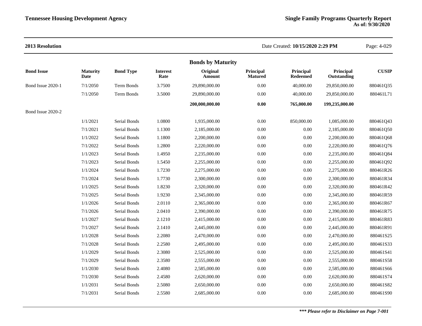### **2013 Resolution** Date Created: **10/15/2020 2:29 PM** Page: 4-029 **Bonds by Maturity Bond Issue Maturity Date Bond Type Interest Rate Original Amount Principal Matured Principal Redeemed Principal Outstanding CUSIP** Bond Issue 2020-1 7/1/2050 Term Bonds 3.7500 29,890,000.00 0.00 40,000.00 29,850,000.00 880461Q35 7/1/2050 Term Bonds 3.5000 29,890,000.00 0.00 40,000.00 29,850,000.00 880461L71 **200,000,000.00 0.00 765,000.00 199,235,000.00** Bond Issue 2020-2 1/1/2021 Serial Bonds 1.0800 1,935,000.00 0.00 850,000.00 1,085,000.00 880461Q43 7/1/2021 Serial Bonds 1.1300 2,185,000.00 0.00 0.00 2,185,000.00 880461Q50 1/1/2022 Serial Bonds 1.1800 2,200,000.00 0.00 0.00 2,200,000.00 880461Q68 7/1/2022 Serial Bonds 1.2800 2,220,000.00 0.00 0.00 2,220,000.00 880461Q76 1/1/2023 Serial Bonds 1.4950 2,235,000.00 0.00 0.00 2,235,000.00 880461Q84 7/1/2023 Serial Bonds 1.5450 2,255,000.00 0.00 0.00 2,255,000.00 880461Q92 1/1/2024 Serial Bonds 1.7230 2,275,000.00 0.00 0.00 2,275,000.00 880461R26 7/1/2024 Serial Bonds 1.7730 2,300,000.00 0.00 0.00 2,300,000.00 880461R34 1/1/2025 Serial Bonds 1.8230 2,320,000.00 0.00 0.00 2,320,000.00 880461R42 7/1/2025 Serial Bonds 1.9230 2,345,000.00 0.00 0.00 2,345,000.00 880461R59 1/1/2026 Serial Bonds 2.0110 2,365,000.00 0.00 0.00 2,365,000.00 880461R67 7/1/2026 Serial Bonds 2.0410 2,390,000.00 0.00 0.00 2,390,000.00 880461R75 1/1/2027 Serial Bonds 2.1210 2,415,000.00 0.00 0.00 2,415,000.00 880461R83 7/1/2027 Serial Bonds 2.1410 2,445,000.00 0.00 0.00 2,445,000.00 880461R91 1/1/2028 Serial Bonds 2.2080 2,470,000.00 0.00 0.00 2,470,000.00 880461S25 7/1/2028 Serial Bonds 2.2580 2,495,000.00 0.00 0.00 2,495,000.00 880461S33 1/1/2029 Serial Bonds 2.3080 2,525,000.00 0.00 0.00 2,525,000.00 880461S41 7/1/2029 Serial Bonds 2.3580 2,555,000.00 0.00 0.00 2,555,000.00 880461S58 1/1/2030 Serial Bonds 2.4080 2,585,000.00 0.00 0.00 2,585,000.00 880461S66 7/1/2030 Serial Bonds 2.4580 2,620,000.00 0.00 0.00 2,620,000.00 880461S74 1/1/2031 Serial Bonds 2.5080 2,650,000.00 0.00 0.00 2,650,000.00 880461S82 7/1/2031 Serial Bonds 2.5580 2,685,000.00 0.00 0.00 2,685,000.00 880461S90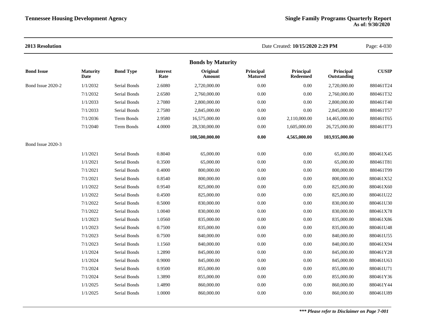| 2013 Resolution   |                         |                  |                         |                          |                             | Date Created: 10/15/2020 2:29 PM |                          |              |  |
|-------------------|-------------------------|------------------|-------------------------|--------------------------|-----------------------------|----------------------------------|--------------------------|--------------|--|
|                   |                         |                  |                         | <b>Bonds by Maturity</b> |                             |                                  |                          |              |  |
| <b>Bond Issue</b> | <b>Maturity</b><br>Date | <b>Bond Type</b> | <b>Interest</b><br>Rate | Original<br>Amount       | Principal<br><b>Matured</b> | Principal<br><b>Redeemed</b>     | Principal<br>Outstanding | <b>CUSIP</b> |  |
| Bond Issue 2020-2 | 1/1/2032                | Serial Bonds     | 2.6080                  | 2,720,000.00             | 0.00                        | 0.00                             | 2,720,000.00             | 880461T24    |  |
|                   | 7/1/2032                | Serial Bonds     | 2.6580                  | 2,760,000.00             | 0.00                        | 0.00                             | 2,760,000.00             | 880461T32    |  |
|                   | 1/1/2033                | Serial Bonds     | 2.7080                  | 2,800,000.00             | 0.00                        | 0.00                             | 2,800,000.00             | 880461T40    |  |
|                   | 7/1/2033                | Serial Bonds     | 2.7580                  | 2,845,000.00             | 0.00                        | 0.00                             | 2,845,000.00             | 880461T57    |  |
|                   | 7/1/2036                | Term Bonds       | 2.9580                  | 16,575,000.00            | 0.00                        | 2,110,000.00                     | 14,465,000.00            | 880461T65    |  |
|                   | 7/1/2040                | Term Bonds       | 4.0000                  | 28,330,000.00            | 0.00                        | 1,605,000.00                     | 26,725,000.00            | 880461T73    |  |
|                   |                         |                  |                         | 108,500,000.00           | 0.00                        | 4,565,000.00                     | 103,935,000.00           |              |  |
| Bond Issue 2020-3 |                         |                  |                         |                          |                             |                                  |                          |              |  |
|                   | 1/1/2021                | Serial Bonds     | 0.8040                  | 65,000.00                | 0.00                        | 0.00                             | 65,000.00                | 880461X45    |  |
|                   | 1/1/2021                | Serial Bonds     | 0.3500                  | 65,000.00                | 0.00                        | 0.00                             | 65,000.00                | 880461T81    |  |
|                   | 7/1/2021                | Serial Bonds     | 0.4000                  | 800,000.00               | 0.00                        | 0.00                             | 800,000.00               | 880461T99    |  |
|                   | 7/1/2021                | Serial Bonds     | 0.8540                  | 800,000.00               | 0.00                        | $0.00\,$                         | 800,000.00               | 880461X52    |  |
|                   | 1/1/2022                | Serial Bonds     | 0.9540                  | 825,000.00               | 0.00                        | 0.00                             | 825,000.00               | 880461X60    |  |
|                   | 1/1/2022                | Serial Bonds     | 0.4500                  | 825,000.00               | 0.00                        | 0.00                             | 825,000.00               | 880461U22    |  |
|                   | 7/1/2022                | Serial Bonds     | 0.5000                  | 830,000.00               | $0.00\,$                    | $0.00\,$                         | 830,000.00               | 880461U30    |  |
|                   | 7/1/2022                | Serial Bonds     | 1.0040                  | 830,000.00               | 0.00                        | 0.00                             | 830,000.00               | 880461X78    |  |
|                   | 1/1/2023                | Serial Bonds     | 1.0560                  | 835,000.00               | 0.00                        | 0.00                             | 835,000.00               | 880461X86    |  |
|                   | 1/1/2023                | Serial Bonds     | 0.7500                  | 835,000.00               | 0.00                        | 0.00                             | 835,000.00               | 880461U48    |  |
|                   | 7/1/2023                | Serial Bonds     | 0.7500                  | 840,000.00               | 0.00                        | 0.00                             | 840,000.00               | 880461U55    |  |
|                   | 7/1/2023                | Serial Bonds     | 1.1560                  | 840,000.00               | 0.00                        | 0.00                             | 840,000.00               | 880461X94    |  |
|                   | 1/1/2024                | Serial Bonds     | 1.2890                  | 845,000.00               | 0.00                        | 0.00                             | 845,000.00               | 880461Y28    |  |
|                   | 1/1/2024                | Serial Bonds     | 0.9000                  | 845,000.00               | 0.00                        | 0.00                             | 845,000.00               | 880461U63    |  |
|                   | 7/1/2024                | Serial Bonds     | 0.9500                  | 855,000.00               | 0.00                        | 0.00                             | 855,000.00               | 880461U71    |  |
|                   | 7/1/2024                | Serial Bonds     | 1.3890                  | 855,000.00               | 0.00                        | 0.00                             | 855,000.00               | 880461Y36    |  |
|                   | 1/1/2025                | Serial Bonds     | 1.4890                  | 860,000.00               | 0.00                        | 0.00                             | 860,000.00               | 880461Y44    |  |
|                   | 1/1/2025                | Serial Bonds     | 1.0000                  | 860,000.00               | 0.00                        | 0.00                             | 860,000.00               | 880461U89    |  |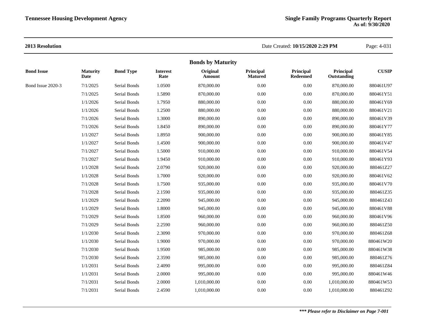|                   | <b>Maturity</b> |                  |                         |                           |                             |                              |                          |              |
|-------------------|-----------------|------------------|-------------------------|---------------------------|-----------------------------|------------------------------|--------------------------|--------------|
| <b>Bond Issue</b> | Date            | <b>Bond Type</b> | <b>Interest</b><br>Rate | Original<br><b>Amount</b> | Principal<br><b>Matured</b> | Principal<br><b>Redeemed</b> | Principal<br>Outstanding | <b>CUSIP</b> |
| Bond Issue 2020-3 | 7/1/2025        | Serial Bonds     | 1.0500                  | 870,000.00                | 0.00                        | $0.00\,$                     | 870,000.00               | 880461U97    |
|                   | 7/1/2025        | Serial Bonds     | 1.5890                  | 870,000.00                | 0.00                        | $0.00\,$                     | 870,000.00               | 880461Y51    |
|                   | 1/1/2026        | Serial Bonds     | 1.7950                  | 880,000.00                | 0.00                        | $0.00\,$                     | 880,000.00               | 880461Y69    |
|                   | 1/1/2026        | Serial Bonds     | 1.2500                  | 880,000.00                | 0.00                        | $0.00\,$                     | 880,000.00               | 880461V21    |
|                   | 7/1/2026        | Serial Bonds     | 1.3000                  | 890,000.00                | 0.00                        | $0.00\,$                     | 890,000.00               | 880461V39    |
|                   | 7/1/2026        | Serial Bonds     | 1.8450                  | 890,000.00                | 0.00                        | $0.00\,$                     | 890,000.00               | 880461Y77    |
|                   | 1/1/2027        | Serial Bonds     | 1.8950                  | 900,000.00                | 0.00                        | $0.00\,$                     | 900,000.00               | 880461Y85    |
|                   | 1/1/2027        | Serial Bonds     | 1.4500                  | 900,000.00                | 0.00                        | $0.00\,$                     | 900,000.00               | 880461V47    |
|                   | 7/1/2027        | Serial Bonds     | 1.5000                  | 910,000.00                | 0.00                        | $0.00\,$                     | 910,000.00               | 880461V54    |
|                   | 7/1/2027        | Serial Bonds     | 1.9450                  | 910,000.00                | 0.00                        | $0.00\,$                     | 910,000.00               | 880461Y93    |
|                   | 1/1/2028        | Serial Bonds     | 2.0790                  | 920,000.00                | 0.00                        | $0.00\,$                     | 920,000.00               | 880461Z27    |
|                   | 1/1/2028        | Serial Bonds     | 1.7000                  | 920,000.00                | 0.00                        | $0.00\,$                     | 920,000.00               | 880461V62    |
|                   | 7/1/2028        | Serial Bonds     | 1.7500                  | 935,000.00                | 0.00                        | $0.00\,$                     | 935,000.00               | 880461V70    |
|                   | 7/1/2028        | Serial Bonds     | 2.1590                  | 935,000.00                | 0.00                        | $0.00\,$                     | 935,000.00               | 880461Z35    |
|                   | 1/1/2029        | Serial Bonds     | 2.2090                  | 945,000.00                | 0.00                        | $0.00\,$                     | 945,000.00               | 880461Z43    |
|                   | 1/1/2029        | Serial Bonds     | 1.8000                  | 945,000.00                | 0.00                        | $0.00\,$                     | 945,000.00               | 880461V88    |
|                   | 7/1/2029        | Serial Bonds     | 1.8500                  | 960,000.00                | 0.00                        | $0.00\,$                     | 960,000.00               | 880461V96    |
|                   | 7/1/2029        | Serial Bonds     | 2.2590                  | 960,000.00                | 0.00                        | $0.00\,$                     | 960,000.00               | 880461Z50    |
|                   | 1/1/2030        | Serial Bonds     | 2.3090                  | 970,000.00                | 0.00                        | $0.00\,$                     | 970,000.00               | 880461Z68    |
|                   | 1/1/2030        | Serial Bonds     | 1.9000                  | 970,000.00                | 0.00                        | $0.00\,$                     | 970,000.00               | 880461W20    |
|                   | 7/1/2030        | Serial Bonds     | 1.9500                  | 985,000.00                | 0.00                        | $0.00\,$                     | 985,000.00               | 880461W38    |
|                   | 7/1/2030        | Serial Bonds     | 2.3590                  | 985,000.00                | 0.00                        | $0.00\,$                     | 985,000.00               | 880461Z76    |
|                   | 1/1/2031        | Serial Bonds     | 2.4090                  | 995,000.00                | 0.00                        | $0.00\,$                     | 995,000.00               | 880461Z84    |
|                   | 1/1/2031        | Serial Bonds     | 2.0000                  | 995,000.00                | 0.00                        | $0.00\,$                     | 995,000.00               | 880461W46    |
|                   | 7/1/2031        | Serial Bonds     | 2.0000                  | 1.010.000.00              | 0.00                        | $0.00\,$                     | 1,010,000.00             | 880461W53    |
|                   | 7/1/2031        | Serial Bonds     | 2.4590                  | 1,010,000.00              | 0.00                        | $0.00\,$                     | 1,010,000.00             | 880461Z92    |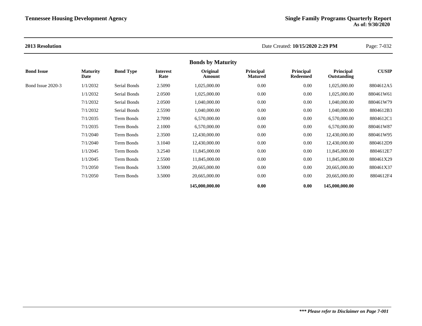| <b>Bonds by Maturity</b> |                         |                  |                         |                    |                             |                                     |                          |              |
|--------------------------|-------------------------|------------------|-------------------------|--------------------|-----------------------------|-------------------------------------|--------------------------|--------------|
| <b>Bond Issue</b>        | <b>Maturity</b><br>Date | <b>Bond Type</b> | <b>Interest</b><br>Rate | Original<br>Amount | Principal<br><b>Matured</b> | <b>Principal</b><br><b>Redeemed</b> | Principal<br>Outstanding | <b>CUSIP</b> |
| Bond Issue 2020-3        | 1/1/2032                | Serial Bonds     | 2.5090                  | 1,025,000.00       | 0.00                        | 0.00                                | 1,025,000.00             | 8804612A5    |
|                          | 1/1/2032                | Serial Bonds     | 2.0500                  | 1,025,000.00       | 0.00                        | 0.00                                | 1,025,000.00             | 880461W61    |
|                          | 7/1/2032                | Serial Bonds     | 2.0500                  | 1,040,000.00       | 0.00                        | 0.00                                | 1,040,000.00             | 880461W79    |
|                          | 7/1/2032                | Serial Bonds     | 2.5590                  | 1,040,000.00       | 0.00                        | 0.00                                | 1,040,000.00             | 8804612B3    |
|                          | 7/1/2035                | Term Bonds       | 2.7090                  | 6,570,000.00       | 0.00                        | 0.00                                | 6,570,000.00             | 8804612C1    |
|                          | 7/1/2035                | Term Bonds       | 2.1000                  | 6,570,000.00       | 0.00                        | 0.00                                | 6,570,000.00             | 880461W87    |
|                          | 7/1/2040                | Term Bonds       | 2.3500                  | 12,430,000.00      | 0.00                        | 0.00                                | 12,430,000.00            | 880461W95    |
|                          | 7/1/2040                | Term Bonds       | 3.1040                  | 12,430,000.00      | 0.00                        | 0.00                                | 12,430,000.00            | 8804612D9    |
|                          | 1/1/2045                | Term Bonds       | 3.2540                  | 11,845,000.00      | 0.00                        | 0.00                                | 11,845,000.00            | 8804612E7    |
|                          | 1/1/2045                | Term Bonds       | 2.5500                  | 11,845,000.00      | 0.00                        | 0.00                                | 11,845,000.00            | 880461X29    |
|                          | 7/1/2050                | Term Bonds       | 3.5000                  | 20,665,000.00      | 0.00                        | 0.00                                | 20,665,000.00            | 880461X37    |
|                          | 7/1/2050                | Term Bonds       | 3.5000                  | 20,665,000.00      | 0.00                        | 0.00                                | 20,665,000.00            | 8804612F4    |
|                          |                         |                  |                         | 145,000,000.00     | 0.00                        | 0.00                                | 145,000,000.00           |              |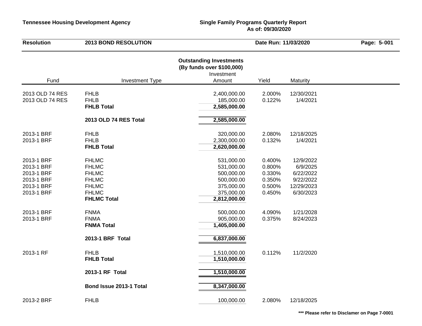# **As of: 09/30/2020**

| <b>Resolution</b>                                                                | <b>2013 BOND RESOLUTION</b>                                                                                        |                                                                                                  | Date Run: 11/03/2020                                     |                                                                            |  |  |
|----------------------------------------------------------------------------------|--------------------------------------------------------------------------------------------------------------------|--------------------------------------------------------------------------------------------------|----------------------------------------------------------|----------------------------------------------------------------------------|--|--|
| Fund                                                                             | <b>Investment Type</b>                                                                                             | <b>Outstanding Investments</b><br>(By funds over \$100,000)<br>Investment<br>Amount              | Yield                                                    | Maturity                                                                   |  |  |
| 2013 OLD 74 RES<br>2013 OLD 74 RES                                               | <b>FHLB</b><br><b>FHLB</b><br><b>FHLB Total</b>                                                                    | 2,400,000.00<br>185,000.00<br>2,585,000.00                                                       | 2.000%<br>0.122%                                         | 12/30/2021<br>1/4/2021                                                     |  |  |
|                                                                                  | 2013 OLD 74 RES Total                                                                                              | 2,585,000.00                                                                                     |                                                          |                                                                            |  |  |
| 2013-1 BRF<br>2013-1 BRF                                                         | <b>FHLB</b><br><b>FHLB</b><br><b>FHLB Total</b>                                                                    | 320,000.00<br>2,300,000.00<br>2,620,000.00                                                       | 2.080%<br>0.132%                                         | 12/18/2025<br>1/4/2021                                                     |  |  |
| 2013-1 BRF<br>2013-1 BRF<br>2013-1 BRF<br>2013-1 BRF<br>2013-1 BRF<br>2013-1 BRF | <b>FHLMC</b><br><b>FHLMC</b><br><b>FHLMC</b><br><b>FHLMC</b><br><b>FHLMC</b><br><b>FHLMC</b><br><b>FHLMC Total</b> | 531,000.00<br>531,000.00<br>500,000.00<br>500,000.00<br>375,000.00<br>375,000.00<br>2,812,000.00 | 0.400%<br>0.800%<br>0.330%<br>0.350%<br>0.500%<br>0.450% | 12/9/2022<br>6/9/2025<br>6/22/2022<br>9/22/2022<br>12/29/2023<br>6/30/2023 |  |  |
| 2013-1 BRF<br>2013-1 BRF                                                         | <b>FNMA</b><br><b>FNMA</b><br><b>FNMA Total</b>                                                                    | 500,000.00<br>905,000.00<br>1,405,000.00                                                         | 4.090%<br>0.375%                                         | 1/21/2028<br>8/24/2023                                                     |  |  |
|                                                                                  | 2013-1 BRF Total                                                                                                   | 6,837,000.00                                                                                     |                                                          |                                                                            |  |  |
| 2013-1 RF                                                                        | <b>FHLB</b><br><b>FHLB Total</b>                                                                                   | 1,510,000.00<br>1,510,000.00                                                                     | 0.112%                                                   | 11/2/2020                                                                  |  |  |
|                                                                                  | 2013-1 RF Total                                                                                                    | 1,510,000.00                                                                                     |                                                          |                                                                            |  |  |
|                                                                                  | Bond Issue 2013-1 Total                                                                                            | 8,347,000.00                                                                                     |                                                          |                                                                            |  |  |
| 2013-2 BRF                                                                       | <b>FHLB</b>                                                                                                        | 100,000.00                                                                                       | 2.080%                                                   | 12/18/2025                                                                 |  |  |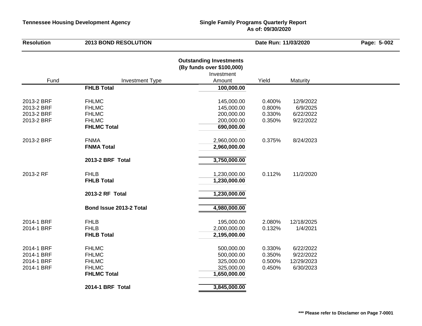# **As of: 09/30/2020**

| <b>Resolution</b>        | <b>2013 BOND RESOLUTION</b>                 | Date Run: 11/03/2020                                                                |                  | Page: 5-002           |  |
|--------------------------|---------------------------------------------|-------------------------------------------------------------------------------------|------------------|-----------------------|--|
| Fund                     |                                             | <b>Outstanding Investments</b><br>(By funds over \$100,000)<br>Investment<br>Amount | Yield            |                       |  |
|                          | <b>Investment Type</b><br><b>FHLB Total</b> | 100,000.00                                                                          |                  | Maturity              |  |
|                          |                                             |                                                                                     |                  |                       |  |
| 2013-2 BRF<br>2013-2 BRF | <b>FHLMC</b><br><b>FHLMC</b>                | 145,000.00<br>145,000.00                                                            | 0.400%<br>0.800% | 12/9/2022<br>6/9/2025 |  |
| 2013-2 BRF               | <b>FHLMC</b>                                | 200,000.00                                                                          | 0.330%           | 6/22/2022             |  |
| 2013-2 BRF               | <b>FHLMC</b>                                | 200,000.00                                                                          | 0.350%           | 9/22/2022             |  |
|                          | <b>FHLMC Total</b>                          | 690,000.00                                                                          |                  |                       |  |
|                          |                                             |                                                                                     |                  |                       |  |
| 2013-2 BRF               | <b>FNMA</b><br><b>FNMA Total</b>            | 2,960,000.00                                                                        | 0.375%           | 8/24/2023             |  |
|                          |                                             | 2,960,000.00                                                                        |                  |                       |  |
|                          | 2013-2 BRF Total                            | 3,750,000.00                                                                        |                  |                       |  |
| 2013-2 RF                | <b>FHLB</b>                                 | 1,230,000.00                                                                        | 0.112%           | 11/2/2020             |  |
|                          | <b>FHLB Total</b>                           | 1,230,000.00                                                                        |                  |                       |  |
|                          | 2013-2 RF Total                             | 1,230,000.00                                                                        |                  |                       |  |
|                          | Bond Issue 2013-2 Total                     | 4,980,000.00                                                                        |                  |                       |  |
| 2014-1 BRF               | <b>FHLB</b>                                 | 195,000.00                                                                          | 2.080%           | 12/18/2025            |  |
| 2014-1 BRF               | <b>FHLB</b>                                 | 2,000,000.00                                                                        | 0.132%           | 1/4/2021              |  |
|                          | <b>FHLB Total</b>                           | 2,195,000.00                                                                        |                  |                       |  |
| 2014-1 BRF               | <b>FHLMC</b>                                | 500,000.00                                                                          | 0.330%           | 6/22/2022             |  |
| 2014-1 BRF               | <b>FHLMC</b>                                | 500,000.00                                                                          | 0.350%           | 9/22/2022             |  |
| 2014-1 BRF               | <b>FHLMC</b>                                | 325,000.00                                                                          | 0.500%           | 12/29/2023            |  |
| 2014-1 BRF               | <b>FHLMC</b>                                | 325,000.00                                                                          | 0.450%           | 6/30/2023             |  |
|                          | <b>FHLMC Total</b>                          | 1,650,000.00                                                                        |                  |                       |  |
|                          | 2014-1 BRF Total                            | 3,845,000.00                                                                        |                  |                       |  |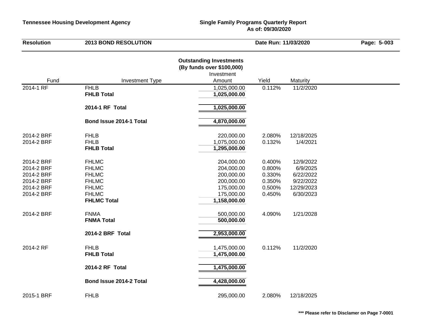# **As of: 09/30/2020**

| <b>Resolution</b>                                                                | <b>2013 BOND RESOLUTION</b>                                                                                        |                                                                                                  | Date Run: 11/03/2020                                     | Page: 5-003                                                                |  |
|----------------------------------------------------------------------------------|--------------------------------------------------------------------------------------------------------------------|--------------------------------------------------------------------------------------------------|----------------------------------------------------------|----------------------------------------------------------------------------|--|
| Fund                                                                             | <b>Investment Type</b>                                                                                             | <b>Outstanding Investments</b><br>(By funds over \$100,000)<br>Investment<br>Amount              | Yield                                                    | Maturity                                                                   |  |
| 2014-1 RF                                                                        | <b>FHLB</b><br><b>FHLB Total</b>                                                                                   | 1,025,000.00                                                                                     | 0.112%                                                   | 11/2/2020                                                                  |  |
|                                                                                  |                                                                                                                    | 1,025,000.00                                                                                     |                                                          |                                                                            |  |
|                                                                                  | 2014-1 RF Total                                                                                                    | 1,025,000.00                                                                                     |                                                          |                                                                            |  |
|                                                                                  | Bond Issue 2014-1 Total                                                                                            | 4,870,000.00                                                                                     |                                                          |                                                                            |  |
| 2014-2 BRF<br>2014-2 BRF                                                         | <b>FHLB</b><br><b>FHLB</b><br><b>FHLB Total</b>                                                                    | 220,000.00<br>1,075,000.00<br>1,295,000.00                                                       | 2.080%<br>0.132%                                         | 12/18/2025<br>1/4/2021                                                     |  |
| 2014-2 BRF<br>2014-2 BRF<br>2014-2 BRF<br>2014-2 BRF<br>2014-2 BRF<br>2014-2 BRF | <b>FHLMC</b><br><b>FHLMC</b><br><b>FHLMC</b><br><b>FHLMC</b><br><b>FHLMC</b><br><b>FHLMC</b><br><b>FHLMC Total</b> | 204,000.00<br>204,000.00<br>200,000.00<br>200,000.00<br>175,000.00<br>175,000.00<br>1,158,000.00 | 0.400%<br>0.800%<br>0.330%<br>0.350%<br>0.500%<br>0.450% | 12/9/2022<br>6/9/2025<br>6/22/2022<br>9/22/2022<br>12/29/2023<br>6/30/2023 |  |
| 2014-2 BRF                                                                       | <b>FNMA</b><br><b>FNMA Total</b>                                                                                   | 500,000.00<br>500,000.00                                                                         | 4.090%                                                   | 1/21/2028                                                                  |  |
|                                                                                  | 2014-2 BRF Total                                                                                                   | 2,953,000.00                                                                                     |                                                          |                                                                            |  |
| 2014-2 RF                                                                        | <b>FHLB</b><br><b>FHLB Total</b>                                                                                   | 1,475,000.00<br>1,475,000.00                                                                     | 0.112%                                                   | 11/2/2020                                                                  |  |
|                                                                                  | 2014-2 RF Total                                                                                                    | 1,475,000.00                                                                                     |                                                          |                                                                            |  |
|                                                                                  | Bond Issue 2014-2 Total                                                                                            | 4,428,000.00                                                                                     |                                                          |                                                                            |  |
| 2015-1 BRF                                                                       | <b>FHLB</b>                                                                                                        | 295,000.00                                                                                       | 2.080%                                                   | 12/18/2025                                                                 |  |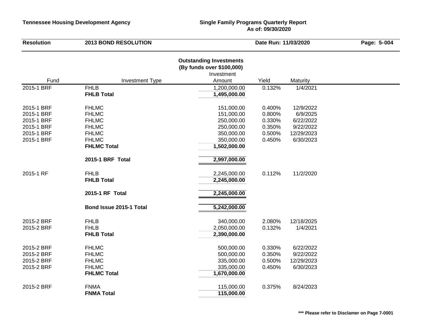| <b>Resolution</b> | <b>2013 BOND RESOLUTION</b>      |                                                                                     | Date Run: 11/03/2020 |            | Page: 5-004 |
|-------------------|----------------------------------|-------------------------------------------------------------------------------------|----------------------|------------|-------------|
| Fund              | <b>Investment Type</b>           | <b>Outstanding Investments</b><br>(By funds over \$100,000)<br>Investment<br>Amount | Yield                | Maturity   |             |
| 2015-1 BRF        | <b>FHLB</b>                      | 1,200,000.00                                                                        | 0.132%               | 1/4/2021   |             |
|                   | <b>FHLB Total</b>                | 1,495,000.00                                                                        |                      |            |             |
| 2015-1 BRF        | <b>FHLMC</b>                     | 151,000.00                                                                          | 0.400%               | 12/9/2022  |             |
| 2015-1 BRF        | <b>FHLMC</b>                     | 151,000.00                                                                          | 0.800%               | 6/9/2025   |             |
| 2015-1 BRF        | <b>FHLMC</b>                     | 250,000.00                                                                          | 0.330%               | 6/22/2022  |             |
| 2015-1 BRF        | <b>FHLMC</b>                     | 250,000.00                                                                          | 0.350%               | 9/22/2022  |             |
| 2015-1 BRF        | <b>FHLMC</b>                     | 350,000.00                                                                          | 0.500%               | 12/29/2023 |             |
| 2015-1 BRF        | <b>FHLMC</b>                     | 350,000.00                                                                          | 0.450%               | 6/30/2023  |             |
|                   | <b>FHLMC Total</b>               | 1,502,000.00                                                                        |                      |            |             |
|                   | 2015-1 BRF Total                 | 2,997,000.00                                                                        |                      |            |             |
| 2015-1 RF         | <b>FHLB</b><br><b>FHLB Total</b> | 2,245,000.00<br>2,245,000.00                                                        | 0.112%               | 11/2/2020  |             |
|                   | 2015-1 RF Total                  | 2,245,000.00                                                                        |                      |            |             |
|                   | Bond Issue 2015-1 Total          | 5,242,000.00                                                                        |                      |            |             |
| 2015-2 BRF        | <b>FHLB</b>                      | 340,000.00                                                                          | 2.080%               | 12/18/2025 |             |
| 2015-2 BRF        | <b>FHLB</b>                      | 2,050,000.00                                                                        | 0.132%               | 1/4/2021   |             |
|                   | <b>FHLB Total</b>                | 2,390,000.00                                                                        |                      |            |             |
| 2015-2 BRF        | <b>FHLMC</b>                     | 500,000.00                                                                          | 0.330%               | 6/22/2022  |             |
| 2015-2 BRF        | <b>FHLMC</b>                     | 500,000.00                                                                          | 0.350%               | 9/22/2022  |             |
| 2015-2 BRF        | <b>FHLMC</b>                     | 335,000.00                                                                          | 0.500%               | 12/29/2023 |             |
| 2015-2 BRF        | <b>FHLMC</b>                     | 335,000.00                                                                          | 0.450%               | 6/30/2023  |             |
|                   | <b>FHLMC Total</b>               | 1,670,000.00                                                                        |                      |            |             |
| 2015-2 BRF        | <b>FNMA</b>                      | 115,000.00                                                                          | 0.375%               | 8/24/2023  |             |
|                   | <b>FNMA Total</b>                | 115,000.00                                                                          |                      |            |             |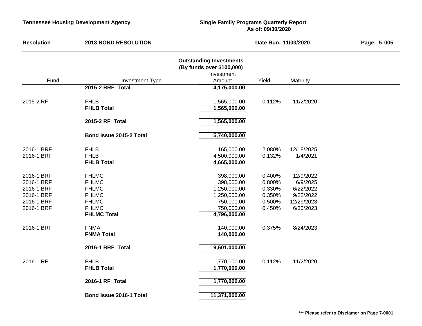| <b>Resolution</b>                                                                | <b>2013 BOND RESOLUTION</b>                                                                                        | Date Run: 11/03/2020                                                                                 |                                                          | Page: 5-005                                                                |  |
|----------------------------------------------------------------------------------|--------------------------------------------------------------------------------------------------------------------|------------------------------------------------------------------------------------------------------|----------------------------------------------------------|----------------------------------------------------------------------------|--|
| Fund                                                                             | <b>Investment Type</b>                                                                                             | <b>Outstanding Investments</b><br>(By funds over \$100,000)<br>Investment<br>Amount                  | Yield                                                    | Maturity                                                                   |  |
|                                                                                  | 2015-2 BRF Total                                                                                                   | 4,175,000.00                                                                                         |                                                          |                                                                            |  |
| 2015-2 RF                                                                        | <b>FHLB</b><br><b>FHLB Total</b>                                                                                   | 1,565,000.00<br>1,565,000.00                                                                         | 0.112%                                                   | 11/2/2020                                                                  |  |
|                                                                                  | 2015-2 RF Total                                                                                                    | 1,565,000.00                                                                                         |                                                          |                                                                            |  |
|                                                                                  | Bond Issue 2015-2 Total                                                                                            | 5,740,000.00                                                                                         |                                                          |                                                                            |  |
| 2016-1 BRF<br>2016-1 BRF                                                         | <b>FHLB</b><br><b>FHLB</b><br><b>FHLB Total</b>                                                                    | 165,000.00<br>4,500,000.00<br>4,665,000.00                                                           | 2.080%<br>0.132%                                         | 12/18/2025<br>1/4/2021                                                     |  |
| 2016-1 BRF<br>2016-1 BRF<br>2016-1 BRF<br>2016-1 BRF<br>2016-1 BRF<br>2016-1 BRF | <b>FHLMC</b><br><b>FHLMC</b><br><b>FHLMC</b><br><b>FHLMC</b><br><b>FHLMC</b><br><b>FHLMC</b><br><b>FHLMC Total</b> | 398,000.00<br>398,000.00<br>1,250,000.00<br>1,250,000.00<br>750,000.00<br>750,000.00<br>4,796,000.00 | 0.400%<br>0.800%<br>0.330%<br>0.350%<br>0.500%<br>0.450% | 12/9/2022<br>6/9/2025<br>6/22/2022<br>9/22/2022<br>12/29/2023<br>6/30/2023 |  |
| 2016-1 BRF                                                                       | <b>FNMA</b><br><b>FNMA Total</b>                                                                                   | 140,000.00<br>140,000.00                                                                             | 0.375%                                                   | 8/24/2023                                                                  |  |
|                                                                                  | 2016-1 BRF Total                                                                                                   | 9,601,000.00                                                                                         |                                                          |                                                                            |  |
| 2016-1 RF                                                                        | <b>FHLB</b><br><b>FHLB Total</b>                                                                                   | 1,770,000.00<br>1,770,000.00                                                                         | 0.112%                                                   | 11/2/2020                                                                  |  |
|                                                                                  | 2016-1 RF Total                                                                                                    | 1,770,000.00                                                                                         |                                                          |                                                                            |  |
|                                                                                  | Bond Issue 2016-1 Total                                                                                            | 11,371,000.00                                                                                        |                                                          |                                                                            |  |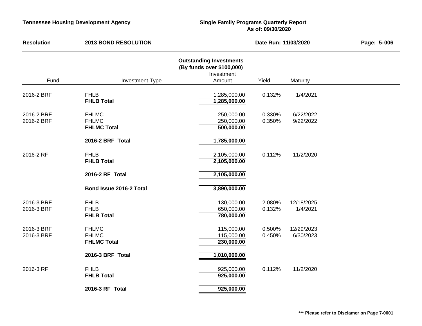| <b>Resolution</b>        | <b>2013 BOND RESOLUTION</b>                        | Date Run: 11/03/2020                                                                |                  | Page: 5-006             |  |
|--------------------------|----------------------------------------------------|-------------------------------------------------------------------------------------|------------------|-------------------------|--|
| Fund                     | <b>Investment Type</b>                             | <b>Outstanding Investments</b><br>(By funds over \$100,000)<br>Investment<br>Amount | Yield            | Maturity                |  |
| 2016-2 BRF               | <b>FHLB</b><br><b>FHLB Total</b>                   | 1,285,000.00<br>1,285,000.00                                                        | 0.132%           | 1/4/2021                |  |
| 2016-2 BRF<br>2016-2 BRF | <b>FHLMC</b><br><b>FHLMC</b><br><b>FHLMC Total</b> | 250,000.00<br>250,000.00<br>500,000.00                                              | 0.330%<br>0.350% | 6/22/2022<br>9/22/2022  |  |
|                          | 2016-2 BRF Total                                   | 1,785,000.00                                                                        |                  |                         |  |
| 2016-2 RF                | <b>FHLB</b><br><b>FHLB Total</b>                   | 2,105,000.00<br>2,105,000.00                                                        | 0.112%           | 11/2/2020               |  |
|                          | 2016-2 RF Total                                    | 2,105,000.00                                                                        |                  |                         |  |
|                          | Bond Issue 2016-2 Total                            | 3,890,000.00                                                                        |                  |                         |  |
| 2016-3 BRF<br>2016-3 BRF | <b>FHLB</b><br><b>FHLB</b><br><b>FHLB Total</b>    | 130,000.00<br>650,000.00<br>780,000.00                                              | 2.080%<br>0.132% | 12/18/2025<br>1/4/2021  |  |
| 2016-3 BRF<br>2016-3 BRF | <b>FHLMC</b><br><b>FHLMC</b><br><b>FHLMC Total</b> | 115,000.00<br>115,000.00<br>230,000.00                                              | 0.500%<br>0.450% | 12/29/2023<br>6/30/2023 |  |
|                          | 2016-3 BRF Total                                   | 1,010,000.00                                                                        |                  |                         |  |
| 2016-3 RF                | <b>FHLB</b><br><b>FHLB Total</b>                   | 925,000.00<br>925,000.00                                                            | 0.112%           | 11/2/2020               |  |
|                          | 2016-3 RF Total                                    | 925,000.00                                                                          |                  |                         |  |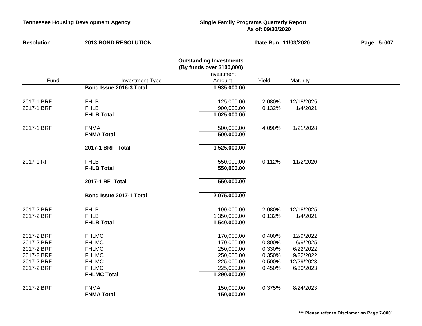| <b>Resolution</b> | <b>2013 BOND RESOLUTION</b> |                                                                                     | Date Run: 11/03/2020 |            | Page: 5-007 |
|-------------------|-----------------------------|-------------------------------------------------------------------------------------|----------------------|------------|-------------|
| Fund              | <b>Investment Type</b>      | <b>Outstanding Investments</b><br>(By funds over \$100,000)<br>Investment<br>Amount | Yield                | Maturity   |             |
|                   | Bond Issue 2016-3 Total     | 1,935,000.00                                                                        |                      |            |             |
|                   |                             |                                                                                     |                      |            |             |
| 2017-1 BRF        | <b>FHLB</b>                 | 125,000.00                                                                          | 2.080%               | 12/18/2025 |             |
| 2017-1 BRF        | <b>FHLB</b>                 | 900,000.00                                                                          | 0.132%               | 1/4/2021   |             |
|                   | <b>FHLB Total</b>           | 1,025,000.00                                                                        |                      |            |             |
| 2017-1 BRF        | <b>FNMA</b>                 | 500,000.00                                                                          | 4.090%               | 1/21/2028  |             |
|                   | <b>FNMA Total</b>           | 500,000.00                                                                          |                      |            |             |
|                   | 2017-1 BRF Total            | 1,525,000.00                                                                        |                      |            |             |
|                   |                             |                                                                                     |                      |            |             |
| 2017-1 RF         | <b>FHLB</b>                 | 550,000.00                                                                          | 0.112%               | 11/2/2020  |             |
|                   | <b>FHLB Total</b>           | 550,000.00                                                                          |                      |            |             |
|                   | 2017-1 RF Total             | 550,000.00                                                                          |                      |            |             |
|                   | Bond Issue 2017-1 Total     | 2,075,000.00                                                                        |                      |            |             |
| 2017-2 BRF        | <b>FHLB</b>                 | 190,000.00                                                                          | 2.080%               | 12/18/2025 |             |
| 2017-2 BRF        | <b>FHLB</b>                 | 1,350,000.00                                                                        | 0.132%               | 1/4/2021   |             |
|                   | <b>FHLB Total</b>           | 1,540,000.00                                                                        |                      |            |             |
| 2017-2 BRF        | <b>FHLMC</b>                | 170,000.00                                                                          | 0.400%               | 12/9/2022  |             |
| 2017-2 BRF        | <b>FHLMC</b>                | 170,000.00                                                                          | 0.800%               | 6/9/2025   |             |
| 2017-2 BRF        | <b>FHLMC</b>                | 250,000.00                                                                          | 0.330%               | 6/22/2022  |             |
| 2017-2 BRF        | <b>FHLMC</b>                | 250,000.00                                                                          | 0.350%               | 9/22/2022  |             |
| 2017-2 BRF        | <b>FHLMC</b>                | 225,000.00                                                                          | 0.500%               | 12/29/2023 |             |
| 2017-2 BRF        | <b>FHLMC</b>                | 225,000.00                                                                          | 0.450%               | 6/30/2023  |             |
|                   | <b>FHLMC Total</b>          | 1,290,000.00                                                                        |                      |            |             |
| 2017-2 BRF        | <b>FNMA</b>                 | 150,000.00                                                                          | 0.375%               | 8/24/2023  |             |
|                   | <b>FNMA Total</b>           | 150,000.00                                                                          |                      |            |             |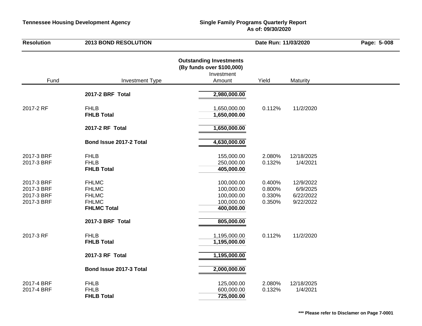| <b>Resolution</b>                                    | <b>2013 BOND RESOLUTION</b>                                                        |                                                                                     | Date Run: 11/03/2020                 |                                                 | Page: 5-008 |
|------------------------------------------------------|------------------------------------------------------------------------------------|-------------------------------------------------------------------------------------|--------------------------------------|-------------------------------------------------|-------------|
| Fund                                                 | <b>Investment Type</b>                                                             | <b>Outstanding Investments</b><br>(By funds over \$100,000)<br>Investment<br>Amount | Yield                                | Maturity                                        |             |
|                                                      | 2017-2 BRF Total                                                                   | 2,980,000.00                                                                        |                                      |                                                 |             |
| 2017-2 RF                                            | <b>FHLB</b><br><b>FHLB Total</b>                                                   | 1,650,000.00<br>1,650,000.00                                                        | 0.112%                               | 11/2/2020                                       |             |
|                                                      | 2017-2 RF Total                                                                    | 1,650,000.00                                                                        |                                      |                                                 |             |
|                                                      | Bond Issue 2017-2 Total                                                            | 4,630,000.00                                                                        |                                      |                                                 |             |
| 2017-3 BRF<br>2017-3 BRF                             | <b>FHLB</b><br><b>FHLB</b><br><b>FHLB Total</b>                                    | 155,000.00<br>250,000.00<br>405,000.00                                              | 2.080%<br>0.132%                     | 12/18/2025<br>1/4/2021                          |             |
| 2017-3 BRF<br>2017-3 BRF<br>2017-3 BRF<br>2017-3 BRF | <b>FHLMC</b><br><b>FHLMC</b><br><b>FHLMC</b><br><b>FHLMC</b><br><b>FHLMC Total</b> | 100,000.00<br>100,000.00<br>100,000.00<br>100,000.00<br>400,000.00                  | 0.400%<br>0.800%<br>0.330%<br>0.350% | 12/9/2022<br>6/9/2025<br>6/22/2022<br>9/22/2022 |             |
|                                                      | 2017-3 BRF Total                                                                   | 805,000.00                                                                          |                                      |                                                 |             |
| 2017-3 RF                                            | <b>FHLB</b><br><b>FHLB Total</b>                                                   | 1,195,000.00<br>1,195,000.00                                                        | 0.112%                               | 11/2/2020                                       |             |
|                                                      | 2017-3 RF Total                                                                    | 1,195,000.00                                                                        |                                      |                                                 |             |
|                                                      | Bond Issue 2017-3 Total                                                            | 2,000,000.00                                                                        |                                      |                                                 |             |
| 2017-4 BRF<br>2017-4 BRF                             | <b>FHLB</b><br><b>FHLB</b><br><b>FHLB Total</b>                                    | 125,000.00<br>600,000.00<br>725,000.00                                              | 2.080%<br>0.132%                     | 12/18/2025<br>1/4/2021                          |             |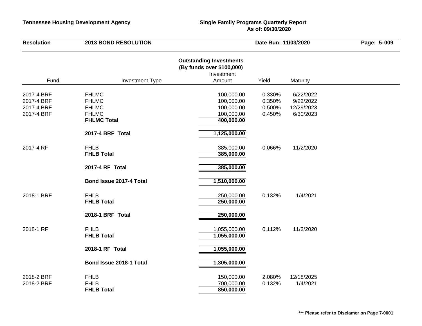| <b>Resolution</b>                                    | <b>2013 BOND RESOLUTION</b>                                                        | Date Run: 11/03/2020                                                                |                                      | Page: 5-009                                       |  |
|------------------------------------------------------|------------------------------------------------------------------------------------|-------------------------------------------------------------------------------------|--------------------------------------|---------------------------------------------------|--|
| Fund                                                 | <b>Investment Type</b>                                                             | <b>Outstanding Investments</b><br>(By funds over \$100,000)<br>Investment<br>Amount | Yield                                | Maturity                                          |  |
|                                                      |                                                                                    |                                                                                     |                                      |                                                   |  |
| 2017-4 BRF<br>2017-4 BRF<br>2017-4 BRF<br>2017-4 BRF | <b>FHLMC</b><br><b>FHLMC</b><br><b>FHLMC</b><br><b>FHLMC</b><br><b>FHLMC Total</b> | 100,000.00<br>100,000.00<br>100,000.00<br>100,000.00<br>400,000.00                  | 0.330%<br>0.350%<br>0.500%<br>0.450% | 6/22/2022<br>9/22/2022<br>12/29/2023<br>6/30/2023 |  |
|                                                      | 2017-4 BRF Total                                                                   | 1,125,000.00                                                                        |                                      |                                                   |  |
| 2017-4 RF                                            | <b>FHLB</b><br><b>FHLB Total</b>                                                   | 385,000.00<br>385,000.00                                                            | 0.066%                               | 11/2/2020                                         |  |
|                                                      | 2017-4 RF Total                                                                    | 385,000.00                                                                          |                                      |                                                   |  |
|                                                      | Bond Issue 2017-4 Total                                                            | 1,510,000.00                                                                        |                                      |                                                   |  |
| 2018-1 BRF                                           | <b>FHLB</b><br><b>FHLB Total</b>                                                   | 250,000.00<br>250,000.00                                                            | 0.132%                               | 1/4/2021                                          |  |
|                                                      | 2018-1 BRF Total                                                                   | 250,000.00                                                                          |                                      |                                                   |  |
| 2018-1 RF                                            | <b>FHLB</b><br><b>FHLB Total</b>                                                   | 1,055,000.00<br>1,055,000.00                                                        | 0.112%                               | 11/2/2020                                         |  |
|                                                      | 2018-1 RF Total                                                                    | 1,055,000.00                                                                        |                                      |                                                   |  |
|                                                      | Bond Issue 2018-1 Total                                                            | 1,305,000.00                                                                        |                                      |                                                   |  |
| 2018-2 BRF<br>2018-2 BRF                             | <b>FHLB</b><br><b>FHLB</b><br><b>FHLB Total</b>                                    | 150,000.00<br>700,000.00<br>850,000.00                                              | 2.080%<br>0.132%                     | 12/18/2025<br>1/4/2021                            |  |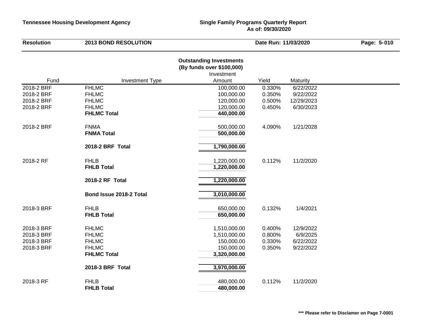| <b>Resolution</b> | <b>2013 BOND RESOLUTION</b>        |                                                                                     | Date Run: 11/03/2020 |            | Page: 5-010 |
|-------------------|------------------------------------|-------------------------------------------------------------------------------------|----------------------|------------|-------------|
| Fund              | <b>Investment Type</b>             | <b>Outstanding Investments</b><br>(By funds over \$100,000)<br>Investment<br>Amount | Yield                | Maturity   |             |
| 2018-2 BRF        | <b>FHLMC</b>                       | 100,000.00                                                                          | 0.330%               | 6/22/2022  |             |
| 2018-2 BRF        | <b>FHLMC</b>                       | 100,000.00                                                                          | 0.350%               | 9/22/2022  |             |
| 2018-2 BRF        | <b>FHLMC</b>                       | 120,000.00                                                                          | 0.500%               | 12/29/2023 |             |
| 2018-2 BRF        | <b>FHLMC</b>                       | 120,000.00                                                                          | 0.450%               | 6/30/2023  |             |
|                   | <b>FHLMC Total</b>                 | 440,000.00                                                                          |                      |            |             |
| 2018-2 BRF        | <b>FNMA</b><br><b>FNMA Total</b>   | 500,000.00<br>500,000.00                                                            | 4.090%               | 1/21/2028  |             |
|                   | 2018-2 BRF Total                   | 1,790,000.00                                                                        |                      |            |             |
| 2018-2 RF         | <b>FHLB</b><br><b>FHLB Total</b>   | 1,220,000.00<br>1,220,000.00                                                        | 0.112%               | 11/2/2020  |             |
|                   | 2018-2 RF Total                    | 1,220,000.00                                                                        |                      |            |             |
|                   | Bond Issue 2018-2 Total            | 3,010,000.00                                                                        |                      |            |             |
| 2018-3 BRF        | <b>FHLB</b><br><b>FHLB Total</b>   | 650,000.00<br>650,000.00                                                            | 0.132%               | 1/4/2021   |             |
| 2018-3 BRF        | <b>FHLMC</b>                       | 1,510,000.00                                                                        | 0.400%               | 12/9/2022  |             |
| 2018-3 BRF        | <b>FHLMC</b>                       | 1,510,000.00                                                                        | 0.800%               | 6/9/2025   |             |
| 2018-3 BRF        | <b>FHLMC</b>                       | 150,000.00                                                                          | 0.330%               | 6/22/2022  |             |
| 2018-3 BRF        | <b>FHLMC</b><br><b>FHLMC Total</b> | 150,000.00<br>3,320,000.00                                                          | 0.350%               | 9/22/2022  |             |
|                   | 2018-3 BRF Total                   | 3,970,000.00                                                                        |                      |            |             |
| 2018-3 RF         | <b>FHLB</b><br><b>FHLB Total</b>   | 480,000.00<br>480,000.00                                                            | 0.112%               | 11/2/2020  |             |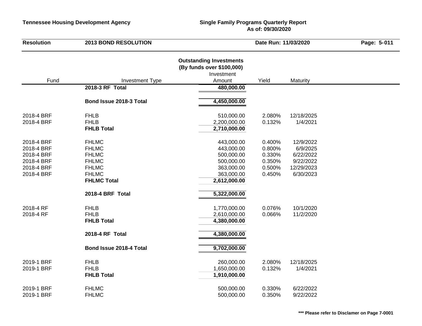| <b>Resolution</b>                                                                | <b>2013 BOND RESOLUTION</b>                                                                                        |                                                                                                  | Date Run: 11/03/2020                                     |                                                                            | Page: 5-011 |
|----------------------------------------------------------------------------------|--------------------------------------------------------------------------------------------------------------------|--------------------------------------------------------------------------------------------------|----------------------------------------------------------|----------------------------------------------------------------------------|-------------|
|                                                                                  | <b>Investment Type</b>                                                                                             | <b>Outstanding Investments</b><br>(By funds over \$100,000)<br>Investment<br>Amount              | Yield                                                    | Maturity                                                                   |             |
| Fund                                                                             | 2018-3 RF Total                                                                                                    | 480,000.00                                                                                       |                                                          |                                                                            |             |
|                                                                                  | Bond Issue 2018-3 Total                                                                                            | 4,450,000.00                                                                                     |                                                          |                                                                            |             |
| 2018-4 BRF<br>2018-4 BRF                                                         | <b>FHLB</b><br><b>FHLB</b><br><b>FHLB Total</b>                                                                    | 510,000.00<br>2,200,000.00<br>2,710,000.00                                                       | 2.080%<br>0.132%                                         | 12/18/2025<br>1/4/2021                                                     |             |
| 2018-4 BRF<br>2018-4 BRF<br>2018-4 BRF<br>2018-4 BRF<br>2018-4 BRF<br>2018-4 BRF | <b>FHLMC</b><br><b>FHLMC</b><br><b>FHLMC</b><br><b>FHLMC</b><br><b>FHLMC</b><br><b>FHLMC</b><br><b>FHLMC Total</b> | 443,000.00<br>443,000.00<br>500,000.00<br>500,000.00<br>363,000.00<br>363,000.00<br>2,612,000.00 | 0.400%<br>0.800%<br>0.330%<br>0.350%<br>0.500%<br>0.450% | 12/9/2022<br>6/9/2025<br>6/22/2022<br>9/22/2022<br>12/29/2023<br>6/30/2023 |             |
| 2018-4 RF                                                                        | 2018-4 BRF Total<br><b>FHLB</b>                                                                                    | 5,322,000.00<br>1,770,000.00                                                                     | 0.076%                                                   | 10/1/2020                                                                  |             |
| 2018-4 RF                                                                        | <b>FHLB</b><br><b>FHLB Total</b>                                                                                   | 2,610,000.00<br>4,380,000.00                                                                     | 0.066%                                                   | 11/2/2020                                                                  |             |
|                                                                                  | 2018-4 RF Total                                                                                                    | 4,380,000.00                                                                                     |                                                          |                                                                            |             |
|                                                                                  | Bond Issue 2018-4 Total                                                                                            | 9,702,000.00                                                                                     |                                                          |                                                                            |             |
| 2019-1 BRF<br>2019-1 BRF                                                         | <b>FHLB</b><br><b>FHLB</b><br><b>FHLB Total</b>                                                                    | 260,000.00<br>1,650,000.00<br>1,910,000.00                                                       | 2.080%<br>0.132%                                         | 12/18/2025<br>1/4/2021                                                     |             |
| 2019-1 BRF<br>2019-1 BRF                                                         | <b>FHLMC</b><br><b>FHLMC</b>                                                                                       | 500,000.00<br>500,000.00                                                                         | 0.330%<br>0.350%                                         | 6/22/2022<br>9/22/2022                                                     |             |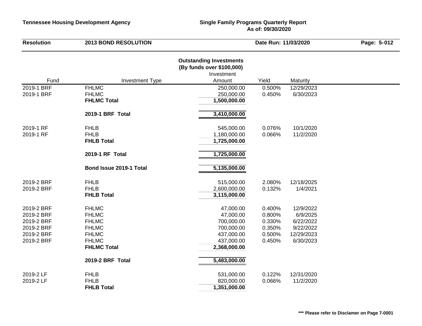| <b>Resolution</b>                                                  | <b>2013 BOND RESOLUTION</b>                                  | Date Run: 11/03/2020                                                                |                                      | Page: 5-012                                       |  |
|--------------------------------------------------------------------|--------------------------------------------------------------|-------------------------------------------------------------------------------------|--------------------------------------|---------------------------------------------------|--|
| Fund                                                               | <b>Investment Type</b>                                       | <b>Outstanding Investments</b><br>(By funds over \$100,000)<br>Investment<br>Amount | Yield                                | Maturity                                          |  |
| 2019-1 BRF                                                         | <b>FHLMC</b>                                                 | 250,000.00                                                                          | 0.500%                               | 12/29/2023                                        |  |
| 2019-1 BRF                                                         | <b>FHLMC</b><br><b>FHLMC Total</b>                           | 250,000.00<br>1,500,000.00                                                          | 0.450%                               | 6/30/2023                                         |  |
|                                                                    | 2019-1 BRF Total                                             | 3,410,000.00                                                                        |                                      |                                                   |  |
| 2019-1 RF<br>2019-1 RF                                             | <b>FHLB</b><br><b>FHLB</b><br><b>FHLB Total</b>              | 545,000.00<br>1,180,000.00<br>1,725,000.00                                          | 0.076%<br>0.066%                     | 10/1/2020<br>11/2/2020                            |  |
|                                                                    | 2019-1 RF Total                                              | 1,725,000.00                                                                        |                                      |                                                   |  |
|                                                                    | Bond Issue 2019-1 Total                                      | 5,135,000.00                                                                        |                                      |                                                   |  |
| 2019-2 BRF<br>2019-2 BRF                                           | <b>FHLB</b><br><b>FHLB</b><br><b>FHLB Total</b>              | 515,000.00<br>2,600,000.00<br>3,115,000.00                                          | 2.080%<br>0.132%                     | 12/18/2025<br>1/4/2021                            |  |
| 2019-2 BRF                                                         | <b>FHLMC</b><br><b>FHLMC</b>                                 | 47,000.00<br>47,000.00                                                              | 0.400%<br>0.800%                     | 12/9/2022<br>6/9/2025                             |  |
| 2019-2 BRF<br>2019-2 BRF<br>2019-2 BRF<br>2019-2 BRF<br>2019-2 BRF | <b>FHLMC</b><br><b>FHLMC</b><br><b>FHLMC</b><br><b>FHLMC</b> | 700,000.00<br>700,000.00<br>437,000.00<br>437,000.00                                | 0.330%<br>0.350%<br>0.500%<br>0.450% | 6/22/2022<br>9/22/2022<br>12/29/2023<br>6/30/2023 |  |
|                                                                    | <b>FHLMC Total</b>                                           | 2,368,000.00                                                                        |                                      |                                                   |  |
|                                                                    | 2019-2 BRF Total                                             | 5,483,000.00                                                                        |                                      |                                                   |  |
| 2019-2 LF<br>2019-2 LF                                             | <b>FHLB</b><br><b>FHLB</b><br><b>FHLB Total</b>              | 531,000.00<br>820,000.00<br>1,351,000.00                                            | 0.122%<br>0.066%                     | 12/31/2020<br>11/2/2020                           |  |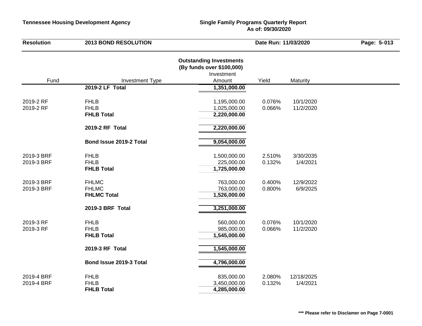| <b>Resolution</b>        | <b>2013 BOND RESOLUTION</b>                        | Date Run: 11/03/2020                                                                |                  | Page: 5-013            |  |
|--------------------------|----------------------------------------------------|-------------------------------------------------------------------------------------|------------------|------------------------|--|
| Fund                     | <b>Investment Type</b>                             | <b>Outstanding Investments</b><br>(By funds over \$100,000)<br>Investment<br>Amount | Yield            | Maturity               |  |
|                          | 2019-2 LF Total                                    | 1,351,000.00                                                                        |                  |                        |  |
| 2019-2 RF<br>2019-2 RF   | <b>FHLB</b><br><b>FHLB</b><br><b>FHLB Total</b>    | 1,195,000.00<br>1,025,000.00<br>2,220,000.00                                        | 0.076%<br>0.066% | 10/1/2020<br>11/2/2020 |  |
|                          | 2019-2 RF Total                                    | 2,220,000.00                                                                        |                  |                        |  |
|                          | Bond Issue 2019-2 Total                            | 9,054,000.00                                                                        |                  |                        |  |
| 2019-3 BRF<br>2019-3 BRF | <b>FHLB</b><br><b>FHLB</b><br><b>FHLB Total</b>    | 1,500,000.00<br>225,000.00<br>1,725,000.00                                          | 2.510%<br>0.132% | 3/30/2035<br>1/4/2021  |  |
| 2019-3 BRF<br>2019-3 BRF | <b>FHLMC</b><br><b>FHLMC</b><br><b>FHLMC Total</b> | 763,000.00<br>763,000.00<br>1,526,000.00                                            | 0.400%<br>0.800% | 12/9/2022<br>6/9/2025  |  |
|                          | 2019-3 BRF Total                                   | 3,251,000.00                                                                        |                  |                        |  |
| 2019-3 RF<br>2019-3 RF   | <b>FHLB</b><br><b>FHLB</b><br><b>FHLB Total</b>    | 560,000.00<br>985,000.00<br>1,545,000.00                                            | 0.076%<br>0.066% | 10/1/2020<br>11/2/2020 |  |
|                          | 2019-3 RF Total                                    | 1,545,000.00                                                                        |                  |                        |  |
|                          | Bond Issue 2019-3 Total                            | 4,796,000.00                                                                        |                  |                        |  |
| 2019-4 BRF<br>2019-4 BRF | <b>FHLB</b><br><b>FHLB</b><br><b>FHLB Total</b>    | 835,000.00<br>3,450,000.00<br>4,285,000.00                                          | 2.080%<br>0.132% | 12/18/2025<br>1/4/2021 |  |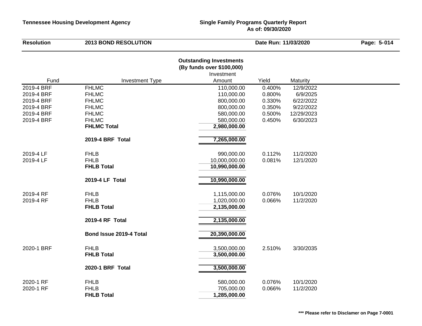| <b>Resolution</b> | <b>2013 BOND RESOLUTION</b> |                                                                           | Date Run: 11/03/2020 |            | Page: 5-014 |
|-------------------|-----------------------------|---------------------------------------------------------------------------|----------------------|------------|-------------|
|                   |                             | <b>Outstanding Investments</b><br>(By funds over \$100,000)<br>Investment |                      |            |             |
| Fund              | <b>Investment Type</b>      | Amount                                                                    | Yield                | Maturity   |             |
| 2019-4 BRF        | <b>FHLMC</b>                | 110,000.00                                                                | 0.400%               | 12/9/2022  |             |
| 2019-4 BRF        | <b>FHLMC</b>                | 110,000.00                                                                | 0.800%               | 6/9/2025   |             |
| 2019-4 BRF        | <b>FHLMC</b>                | 800,000.00                                                                | 0.330%               | 6/22/2022  |             |
| 2019-4 BRF        | <b>FHLMC</b>                | 800,000.00                                                                | 0.350%               | 9/22/2022  |             |
| 2019-4 BRF        | <b>FHLMC</b>                | 580,000.00                                                                | 0.500%               | 12/29/2023 |             |
| 2019-4 BRF        | <b>FHLMC</b>                | 580,000.00                                                                | 0.450%               | 6/30/2023  |             |
|                   | <b>FHLMC Total</b>          | 2,980,000.00                                                              |                      |            |             |
|                   | 2019-4 BRF Total            | 7,265,000.00                                                              |                      |            |             |
| 2019-4 LF         | <b>FHLB</b>                 | 990,000.00                                                                | 0.112%               | 11/2/2020  |             |
| 2019-4 LF         | <b>FHLB</b>                 | 10,000,000.00                                                             | 0.081%               | 12/1/2020  |             |
|                   | <b>FHLB Total</b>           | 10,990,000.00                                                             |                      |            |             |
|                   | 2019-4 LF Total             | 10,990,000.00                                                             |                      |            |             |
| 2019-4 RF         | <b>FHLB</b>                 | 1,115,000.00                                                              | 0.076%               | 10/1/2020  |             |
| 2019-4 RF         | <b>FHLB</b>                 | 1,020,000.00                                                              | 0.066%               | 11/2/2020  |             |
|                   | <b>FHLB Total</b>           | 2,135,000.00                                                              |                      |            |             |
|                   | 2019-4 RF Total             | 2,135,000.00                                                              |                      |            |             |
|                   | Bond Issue 2019-4 Total     | 20,390,000.00                                                             |                      |            |             |
| 2020-1 BRF        | <b>FHLB</b>                 | 3,500,000.00                                                              | 2.510%               | 3/30/2035  |             |
|                   | <b>FHLB Total</b>           | 3,500,000.00                                                              |                      |            |             |
|                   | 2020-1 BRF Total            | 3,500,000.00                                                              |                      |            |             |
| 2020-1 RF         | <b>FHLB</b>                 | 580,000.00                                                                | 0.076%               | 10/1/2020  |             |
| 2020-1 RF         | <b>FHLB</b>                 | 705,000.00                                                                | 0.066%               | 11/2/2020  |             |
|                   | <b>FHLB Total</b>           | 1,285,000.00                                                              |                      |            |             |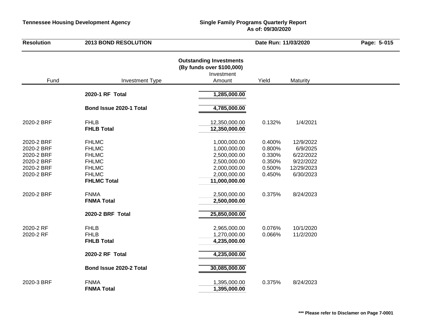| <b>Resolution</b>                                                                | <b>2013 BOND RESOLUTION</b>                                                                                        |                                                                                                               | Date Run: 11/03/2020                                     |                                                                            | Page: 5-015 |
|----------------------------------------------------------------------------------|--------------------------------------------------------------------------------------------------------------------|---------------------------------------------------------------------------------------------------------------|----------------------------------------------------------|----------------------------------------------------------------------------|-------------|
| Fund                                                                             | <b>Investment Type</b>                                                                                             | <b>Outstanding Investments</b><br>(By funds over \$100,000)<br>Investment<br>Amount                           | Yield                                                    | Maturity                                                                   |             |
|                                                                                  | 2020-1 RF Total                                                                                                    | 1,285,000.00                                                                                                  |                                                          |                                                                            |             |
|                                                                                  | Bond Issue 2020-1 Total                                                                                            | 4,785,000.00                                                                                                  |                                                          |                                                                            |             |
| 2020-2 BRF                                                                       | <b>FHLB</b><br><b>FHLB Total</b>                                                                                   | 12,350,000.00<br>12,350,000.00                                                                                | 0.132%                                                   | 1/4/2021                                                                   |             |
| 2020-2 BRF<br>2020-2 BRF<br>2020-2 BRF<br>2020-2 BRF<br>2020-2 BRF<br>2020-2 BRF | <b>FHLMC</b><br><b>FHLMC</b><br><b>FHLMC</b><br><b>FHLMC</b><br><b>FHLMC</b><br><b>FHLMC</b><br><b>FHLMC Total</b> | 1,000,000.00<br>1,000,000.00<br>2,500,000.00<br>2,500,000.00<br>2,000,000.00<br>2,000,000.00<br>11,000,000.00 | 0.400%<br>0.800%<br>0.330%<br>0.350%<br>0.500%<br>0.450% | 12/9/2022<br>6/9/2025<br>6/22/2022<br>9/22/2022<br>12/29/2023<br>6/30/2023 |             |
| 2020-2 BRF                                                                       | <b>FNMA</b><br><b>FNMA Total</b>                                                                                   | 2,500,000.00<br>2,500,000.00                                                                                  | 0.375%                                                   | 8/24/2023                                                                  |             |
|                                                                                  | 2020-2 BRF Total                                                                                                   | 25,850,000.00                                                                                                 |                                                          |                                                                            |             |
| 2020-2 RF<br>2020-2 RF                                                           | <b>FHLB</b><br><b>FHLB</b><br><b>FHLB Total</b>                                                                    | 2,965,000.00<br>1,270,000.00<br>4,235,000.00                                                                  | 0.076%<br>0.066%                                         | 10/1/2020<br>11/2/2020                                                     |             |
|                                                                                  | 2020-2 RF Total                                                                                                    | 4,235,000.00                                                                                                  |                                                          |                                                                            |             |
|                                                                                  | Bond Issue 2020-2 Total                                                                                            | 30,085,000.00                                                                                                 |                                                          |                                                                            |             |
| 2020-3 BRF                                                                       | <b>FNMA</b><br><b>FNMA Total</b>                                                                                   | 1,395,000.00<br>1,395,000.00                                                                                  | 0.375%                                                   | 8/24/2023                                                                  |             |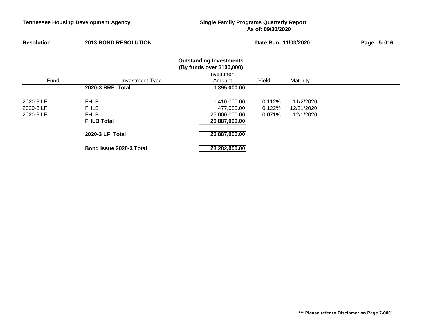| <b>Resolution</b> | <b>2013 BOND RESOLUTION</b> |                                                                           | Date Run: 11/03/2020 |            | Page: 5-016 |
|-------------------|-----------------------------|---------------------------------------------------------------------------|----------------------|------------|-------------|
|                   |                             | <b>Outstanding Investments</b><br>(By funds over \$100,000)<br>Investment |                      |            |             |
| Fund              | Investment Type             | Amount                                                                    | Yield                | Maturity   |             |
|                   | 2020-3 BRF Total            | 1,395,000.00                                                              |                      |            |             |
| 2020-3 LF         | <b>FHLB</b>                 | 1,410,000.00                                                              | 0.112%               | 11/2/2020  |             |
| 2020-3 LF         | <b>FHLB</b>                 | 477,000.00                                                                | 0.122%               | 12/31/2020 |             |
| 2020-3 LF         | <b>FHLB</b>                 | 25,000,000.00                                                             | 0.071%               | 12/1/2020  |             |
|                   | <b>FHLB Total</b>           | 26,887,000.00                                                             |                      |            |             |
|                   | 2020-3 LF Total             | 26,887,000.00                                                             |                      |            |             |
|                   | Bond Issue 2020-3 Total     | 28,282,000.00                                                             |                      |            |             |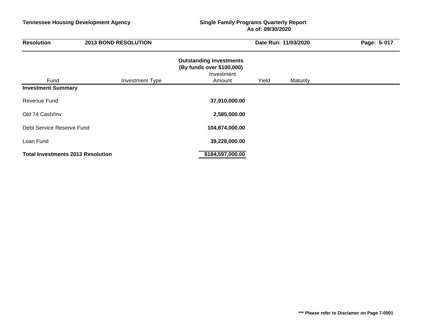| <b>Resolution</b>                        | <b>2013 BOND RESOLUTION</b> | Date Run: 11/03/2020                                                                |       |          | Page: 5-017 |  |
|------------------------------------------|-----------------------------|-------------------------------------------------------------------------------------|-------|----------|-------------|--|
| Fund                                     | <b>Investment Type</b>      | <b>Outstanding Investments</b><br>(By funds over \$100,000)<br>Investment<br>Amount | Yield | Maturity |             |  |
| <b>Investment Summary</b>                |                             |                                                                                     |       |          |             |  |
| Revenue Fund                             |                             | 37,910,000.00                                                                       |       |          |             |  |
| Old 74 Cash/Inv                          |                             | 2,585,000.00                                                                        |       |          |             |  |
| Debt Service Reserve Fund                |                             | 104,874,000.00                                                                      |       |          |             |  |
| Loan Fund                                |                             | 39,228,000.00                                                                       |       |          |             |  |
| <b>Total Investments 2013 Resolution</b> |                             | \$184,597,000.00                                                                    |       |          |             |  |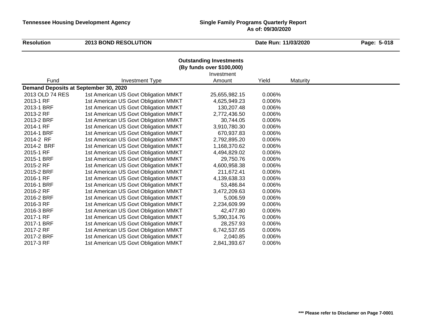| <b>Resolution</b>                     | <b>2013 BOND RESOLUTION</b>          |                                                                           | Date Run: 11/03/2020 |          | Page: 5-018 |
|---------------------------------------|--------------------------------------|---------------------------------------------------------------------------|----------------------|----------|-------------|
|                                       |                                      | <b>Outstanding Investments</b><br>(By funds over \$100,000)<br>Investment |                      |          |             |
| Fund                                  | <b>Investment Type</b>               | Amount                                                                    | Yield                | Maturity |             |
| Demand Deposits at September 30, 2020 |                                      |                                                                           |                      |          |             |
| 2013 OLD 74 RES                       | 1st American US Govt Obligation MMKT | 25,655,982.15                                                             | 0.006%               |          |             |
| 2013-1 RF                             | 1st American US Govt Obligation MMKT | 4,625,949.23                                                              | 0.006%               |          |             |
| 2013-1 BRF                            | 1st American US Govt Obligation MMKT | 130,207.48                                                                | 0.006%               |          |             |
| 2013-2 RF                             | 1st American US Govt Obligation MMKT | 2,772,436.50                                                              | 0.006%               |          |             |
| 2013-2 BRF                            | 1st American US Govt Obligation MMKT | 30,744.05                                                                 | 0.006%               |          |             |
| 2014-1 RF                             | 1st American US Govt Obligation MMKT | 3,910,780.30                                                              | 0.006%               |          |             |
| 2014-1 BRF                            | 1st American US Govt Obligation MMKT | 670,937.83                                                                | 0.006%               |          |             |
| 2014-2 RF                             | 1st American US Govt Obligation MMKT | 2,792,895.20                                                              | 0.006%               |          |             |
| 2014-2 BRF                            | 1st American US Govt Obligation MMKT | 1,168,370.62                                                              | 0.006%               |          |             |
| 2015-1 RF                             | 1st American US Govt Obligation MMKT | 4,494,829.02                                                              | 0.006%               |          |             |
| 2015-1 BRF                            | 1st American US Govt Obligation MMKT | 29,750.76                                                                 | 0.006%               |          |             |
| 2015-2 RF                             | 1st American US Govt Obligation MMKT | 4,600,958.38                                                              | 0.006%               |          |             |
| 2015-2 BRF                            | 1st American US Govt Obligation MMKT | 211,672.41                                                                | 0.006%               |          |             |
| 2016-1 RF                             | 1st American US Govt Obligation MMKT | 4,139,638.33                                                              | 0.006%               |          |             |
| 2016-1 BRF                            | 1st American US Govt Obligation MMKT | 53,486.84                                                                 | 0.006%               |          |             |
| 2016-2 RF                             | 1st American US Govt Obligation MMKT | 3,472,209.63                                                              | 0.006%               |          |             |
| 2016-2 BRF                            | 1st American US Govt Obligation MMKT | 5,006.59                                                                  | 0.006%               |          |             |
| 2016-3 RF                             | 1st American US Govt Obligation MMKT | 2,234,609.99                                                              | 0.006%               |          |             |
| 2016-3 BRF                            | 1st American US Govt Obligation MMKT | 42,477.80                                                                 | 0.006%               |          |             |
| 2017-1 RF                             | 1st American US Govt Obligation MMKT | 5,390,314.76                                                              | 0.006%               |          |             |
| 2017-1 BRF                            | 1st American US Govt Obligation MMKT | 28,257.93                                                                 | 0.006%               |          |             |
| 2017-2 RF                             | 1st American US Govt Obligation MMKT | 6,742,537.65                                                              | 0.006%               |          |             |
| 2017-2 BRF                            | 1st American US Govt Obligation MMKT | 2,040.85                                                                  | 0.006%               |          |             |
| 2017-3 RF                             | 1st American US Govt Obligation MMKT | 2,841,393.67                                                              | 0.006%               |          |             |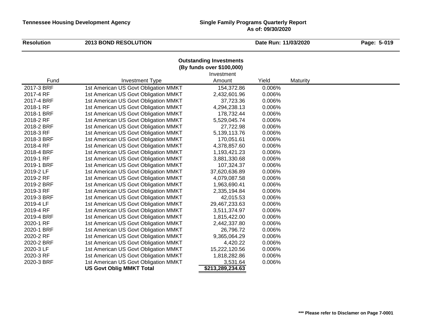#### **Resolution**<br>**Resolution**<br>**Date Run:** 11/03/2020

 **019**

#### **Outstanding Investments (By funds over \$100,000)**

|            |                                      | Investment       |        |          |
|------------|--------------------------------------|------------------|--------|----------|
| Fund       | <b>Investment Type</b>               | Amount           | Yield  | Maturity |
| 2017-3 BRF | 1st American US Govt Obligation MMKT | 154,372.86       | 0.006% |          |
| 2017-4 RF  | 1st American US Govt Obligation MMKT | 2,432,601.96     | 0.006% |          |
| 2017-4 BRF | 1st American US Govt Obligation MMKT | 37,723.36        | 0.006% |          |
| 2018-1 RF  | 1st American US Govt Obligation MMKT | 4,294,238.13     | 0.006% |          |
| 2018-1 BRF | 1st American US Govt Obligation MMKT | 178,732.44       | 0.006% |          |
| 2018-2 RF  | 1st American US Govt Obligation MMKT | 5,529,045.74     | 0.006% |          |
| 2018-2 BRF | 1st American US Govt Obligation MMKT | 27,722.98        | 0.006% |          |
| 2018-3 RF  | 1st American US Govt Obligation MMKT | 5,139,113.76     | 0.006% |          |
| 2018-3 BRF | 1st American US Govt Obligation MMKT | 170,051.61       | 0.006% |          |
| 2018-4 RF  | 1st American US Govt Obligation MMKT | 4,378,857.60     | 0.006% |          |
| 2018-4 BRF | 1st American US Govt Obligation MMKT | 1,193,421.23     | 0.006% |          |
| 2019-1 RF  | 1st American US Govt Obligation MMKT | 3,881,330.68     | 0.006% |          |
| 2019-1 BRF | 1st American US Govt Obligation MMKT | 107,324.37       | 0.006% |          |
| 2019-2 LF  | 1st American US Govt Obligation MMKT | 37,620,636.89    | 0.006% |          |
| 2019-2 RF  | 1st American US Govt Obligation MMKT | 4,079,087.58     | 0.006% |          |
| 2019-2 BRF | 1st American US Govt Obligation MMKT | 1,963,690.41     | 0.006% |          |
| 2019-3 RF  | 1st American US Govt Obligation MMKT | 2,335,194.84     | 0.006% |          |
| 2019-3 BRF | 1st American US Govt Obligation MMKT | 42,015.53        | 0.006% |          |
| 2019-4 LF  | 1st American US Govt Obligation MMKT | 29,467,233.63    | 0.006% |          |
| 2019-4 RF  | 1st American US Govt Obligation MMKT | 3,511,374.97     | 0.006% |          |
| 2019-4 BRF | 1st American US Govt Obligation MMKT | 1,815,422.00     | 0.006% |          |
| 2020-1 RF  | 1st American US Govt Obligation MMKT | 2,442,337.80     | 0.006% |          |
| 2020-1 BRF | 1st American US Govt Obligation MMKT | 26,796.72        | 0.006% |          |
| 2020-2 RF  | 1st American US Govt Obligation MMKT | 9,365,064.29     | 0.006% |          |
| 2020-2 BRF | 1st American US Govt Obligation MMKT | 4,420.22         | 0.006% |          |
| 2020-3 LF  | 1st American US Govt Obligation MMKT | 15,222,120.56    | 0.006% |          |
| 2020-3 RF  | 1st American US Govt Obligation MMKT | 1,818,282.86     | 0.006% |          |
| 2020-3 BRF | 1st American US Govt Obligation MMKT | 3,531.64         | 0.006% |          |
|            | <b>US Govt Oblig MMKT Total</b>      | \$213,289,234.63 |        |          |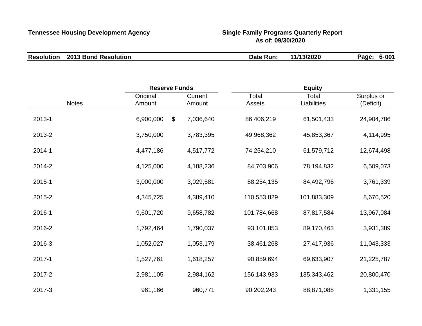| <b>Resolution 2013 Bond Resolution</b> | Date Run: | 11/13/2020 | $6 - 001$<br>Page: |
|----------------------------------------|-----------|------------|--------------------|

|              | <b>Reserve Funds</b> |                   | <b>Equity</b>   |                      |                         |
|--------------|----------------------|-------------------|-----------------|----------------------|-------------------------|
| <b>Notes</b> | Original<br>Amount   | Current<br>Amount | Total<br>Assets | Total<br>Liabilities | Surplus or<br>(Deficit) |
| 2013-1       | 6,900,000<br>$\$\$   | 7,036,640         | 86,406,219      | 61,501,433           | 24,904,786              |
| 2013-2       | 3,750,000            | 3,783,395         | 49,968,362      | 45,853,367           | 4,114,995               |
| 2014-1       | 4,477,186            | 4,517,772         | 74,254,210      | 61,579,712           | 12,674,498              |
| 2014-2       | 4,125,000            | 4,188,236         | 84,703,906      | 78,194,832           | 6,509,073               |
| 2015-1       | 3,000,000            | 3,029,581         | 88,254,135      | 84,492,796           | 3,761,339               |
| 2015-2       | 4,345,725            | 4,389,410         | 110,553,829     | 101,883,309          | 8,670,520               |
| 2016-1       | 9,601,720            | 9,658,782         | 101,784,668     | 87,817,584           | 13,967,084              |
| 2016-2       | 1,792,464            | 1,790,037         | 93,101,853      | 89,170,463           | 3,931,389               |
| 2016-3       | 1,052,027            | 1,053,179         | 38,461,268      | 27,417,936           | 11,043,333              |
| 2017-1       | 1,527,761            | 1,618,257         | 90,859,694      | 69,633,907           | 21,225,787              |
| 2017-2       | 2,981,105            | 2,984,162         | 156,143,933     | 135,343,462          | 20,800,470              |
| 2017-3       | 961,166              | 960,771           | 90,202,243      | 88,871,088           | 1,331,155               |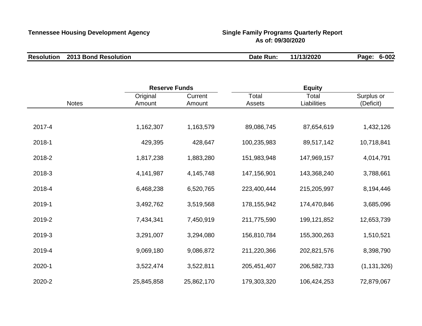| <b>Resolution</b> | 2013 Bond Resolution | Date Run: | 11/13/2020 | 6-002<br>Page: |
|-------------------|----------------------|-----------|------------|----------------|
|                   |                      |           |            |                |

|              | <b>Reserve Funds</b> |                   | <b>Equity</b>   |                      |                         |  |
|--------------|----------------------|-------------------|-----------------|----------------------|-------------------------|--|
| <b>Notes</b> | Original<br>Amount   | Current<br>Amount | Total<br>Assets | Total<br>Liabilities | Surplus or<br>(Deficit) |  |
|              |                      |                   |                 |                      |                         |  |
| 2017-4       | 1,162,307            | 1,163,579         | 89,086,745      | 87,654,619           | 1,432,126               |  |
| 2018-1       | 429,395              | 428,647           | 100,235,983     | 89,517,142           | 10,718,841              |  |
| 2018-2       | 1,817,238            | 1,883,280         | 151,983,948     | 147,969,157          | 4,014,791               |  |
| 2018-3       | 4,141,987            | 4,145,748         | 147,156,901     | 143,368,240          | 3,788,661               |  |
| 2018-4       | 6,468,238            | 6,520,765         | 223,400,444     | 215,205,997          | 8,194,446               |  |
| 2019-1       | 3,492,762            | 3,519,568         | 178, 155, 942   | 174,470,846          | 3,685,096               |  |
| 2019-2       | 7,434,341            | 7,450,919         | 211,775,590     | 199, 121, 852        | 12,653,739              |  |
| 2019-3       | 3,291,007            | 3,294,080         | 156,810,784     | 155,300,263          | 1,510,521               |  |
| 2019-4       | 9,069,180            | 9,086,872         | 211,220,366     | 202,821,576          | 8,398,790               |  |
| 2020-1       | 3,522,474            | 3,522,811         | 205,451,407     | 206,582,733          | (1, 131, 326)           |  |
| 2020-2       | 25,845,858           | 25,862,170        | 179,303,320     | 106,424,253          | 72,879,067              |  |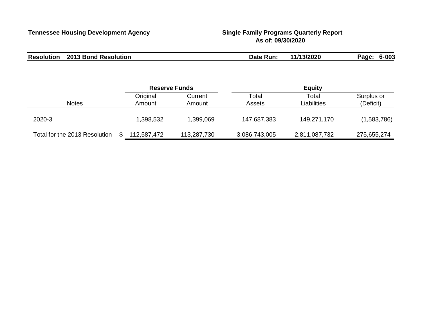| <b>Resolution 2013 Bond Resolution</b> | Date Run: | 11/13/2020 | Page: 6-003 |  |
|----------------------------------------|-----------|------------|-------------|--|
|                                        |           |            |             |  |

|                               | <b>Reserve Funds</b> |                   | <b>Equity</b>   |                      |                         |
|-------------------------------|----------------------|-------------------|-----------------|----------------------|-------------------------|
| <b>Notes</b>                  | Original<br>Amount   | Current<br>Amount | Total<br>Assets | Total<br>Liabilities | Surplus or<br>(Deficit) |
| 2020-3                        | 1,398,532            | 1,399,069         | 147,687,383     | 149,271,170          | (1,583,786)             |
| Total for the 2013 Resolution | 112,587,472          | 113,287,730       | 3,086,743,005   | 2,811,087,732        | 275,655,274             |